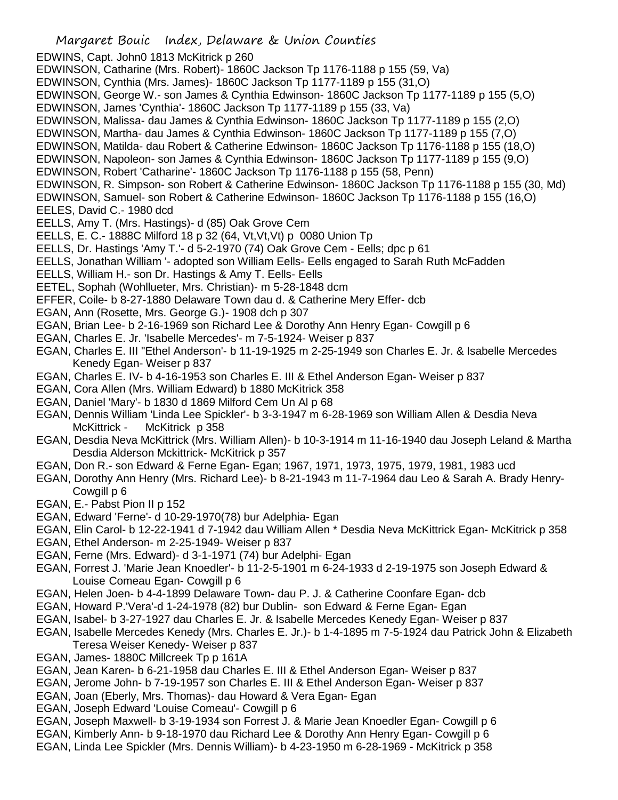- Margaret Bouic Index, Delaware & Union Counties EDWINS, Capt. John0 1813 McKitrick p 260 EDWINSON, Catharine (Mrs. Robert)- 1860C Jackson Tp 1176-1188 p 155 (59, Va) EDWINSON, Cynthia (Mrs. James)- 1860C Jackson Tp 1177-1189 p 155 (31,O) EDWINSON, George W.- son James & Cynthia Edwinson- 1860C Jackson Tp 1177-1189 p 155 (5,O) EDWINSON, James 'Cynthia'- 1860C Jackson Tp 1177-1189 p 155 (33, Va) EDWINSON, Malissa- dau James & Cynthia Edwinson- 1860C Jackson Tp 1177-1189 p 155 (2,O) EDWINSON, Martha- dau James & Cynthia Edwinson- 1860C Jackson Tp 1177-1189 p 155 (7,O) EDWINSON, Matilda- dau Robert & Catherine Edwinson- 1860C Jackson Tp 1176-1188 p 155 (18,O) EDWINSON, Napoleon- son James & Cynthia Edwinson- 1860C Jackson Tp 1177-1189 p 155 (9,O) EDWINSON, Robert 'Catharine'- 1860C Jackson Tp 1176-1188 p 155 (58, Penn) EDWINSON, R. Simpson- son Robert & Catherine Edwinson- 1860C Jackson Tp 1176-1188 p 155 (30, Md) EDWINSON, Samuel- son Robert & Catherine Edwinson- 1860C Jackson Tp 1176-1188 p 155 (16,O) EELES, David C.- 1980 dcd EELLS, Amy T. (Mrs. Hastings)- d (85) Oak Grove Cem EELLS, E. C.- 1888C Milford 18 p 32 (64, Vt,Vt,Vt) p 0080 Union Tp EELLS, Dr. Hastings 'Amy T.'- d 5-2-1970 (74) Oak Grove Cem - Eells; dpc p 61 EELLS, Jonathan William '- adopted son William Eells- Eells engaged to Sarah Ruth McFadden EELLS, William H.- son Dr. Hastings & Amy T. Eells- Eells EETEL, Sophah (Wohllueter, Mrs. Christian)- m 5-28-1848 dcm EFFER, Coile- b 8-27-1880 Delaware Town dau d. & Catherine Mery Effer- dcb EGAN, Ann (Rosette, Mrs. George G.)- 1908 dch p 307 EGAN, Brian Lee- b 2-16-1969 son Richard Lee & Dorothy Ann Henry Egan- Cowgill p 6 EGAN, Charles E. Jr. 'Isabelle Mercedes'- m 7-5-1924- Weiser p 837 EGAN, Charles E. III "Ethel Anderson'- b 11-19-1925 m 2-25-1949 son Charles E. Jr. & Isabelle Mercedes Kenedy Egan- Weiser p 837 EGAN, Charles E. IV- b 4-16-1953 son Charles E. III & Ethel Anderson Egan- Weiser p 837 EGAN, Cora Allen (Mrs. William Edward) b 1880 McKitrick 358 EGAN, Daniel 'Mary'- b 1830 d 1869 Milford Cem Un Al p 68 EGAN, Dennis William 'Linda Lee Spickler'- b 3-3-1947 m 6-28-1969 son William Allen & Desdia Neva McKittrick - McKitrick p 358 EGAN, Desdia Neva McKittrick (Mrs. William Allen)- b 10-3-1914 m 11-16-1940 dau Joseph Leland & Martha Desdia Alderson Mckittrick- McKitrick p 357 EGAN, Don R.- son Edward & Ferne Egan- Egan; 1967, 1971, 1973, 1975, 1979, 1981, 1983 ucd EGAN, Dorothy Ann Henry (Mrs. Richard Lee)- b 8-21-1943 m 11-7-1964 dau Leo & Sarah A. Brady Henry-Cowgill p 6 EGAN, E.- Pabst Pion II p 152 EGAN, Edward 'Ferne'- d 10-29-1970(78) bur Adelphia- Egan EGAN, Elin Carol- b 12-22-1941 d 7-1942 dau William Allen \* Desdia Neva McKittrick Egan- McKitrick p 358 EGAN, Ethel Anderson- m 2-25-1949- Weiser p 837 EGAN, Ferne (Mrs. Edward)- d 3-1-1971 (74) bur Adelphi- Egan
- EGAN, Forrest J. 'Marie Jean Knoedler'- b 11-2-5-1901 m 6-24-1933 d 2-19-1975 son Joseph Edward & Louise Comeau Egan- Cowgill p 6
- EGAN, Helen Joen- b 4-4-1899 Delaware Town- dau P. J. & Catherine Coonfare Egan- dcb
- EGAN, Howard P.'Vera'-d 1-24-1978 (82) bur Dublin- son Edward & Ferne Egan- Egan
- EGAN, Isabel- b 3-27-1927 dau Charles E. Jr. & Isabelle Mercedes Kenedy Egan- Weiser p 837
- EGAN, Isabelle Mercedes Kenedy (Mrs. Charles E. Jr.)- b 1-4-1895 m 7-5-1924 dau Patrick John & Elizabeth Teresa Weiser Kenedy- Weiser p 837
- EGAN, James- 1880C Millcreek Tp p 161A
- EGAN, Jean Karen- b 6-21-1958 dau Charles E. III & Ethel Anderson Egan- Weiser p 837
- EGAN, Jerome John- b 7-19-1957 son Charles E. III & Ethel Anderson Egan- Weiser p 837
- EGAN, Joan (Eberly, Mrs. Thomas)- dau Howard & Vera Egan- Egan
- EGAN, Joseph Edward 'Louise Comeau'- Cowgill p 6
- EGAN, Joseph Maxwell- b 3-19-1934 son Forrest J. & Marie Jean Knoedler Egan- Cowgill p 6
- EGAN, Kimberly Ann- b 9-18-1970 dau Richard Lee & Dorothy Ann Henry Egan- Cowgill p 6
- EGAN, Linda Lee Spickler (Mrs. Dennis William)- b 4-23-1950 m 6-28-1969 McKitrick p 358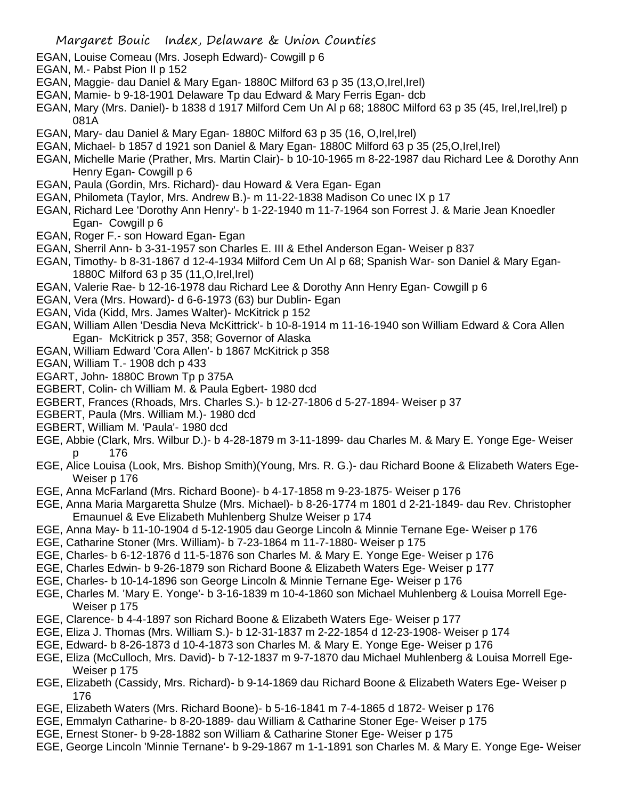- EGAN, Louise Comeau (Mrs. Joseph Edward)- Cowgill p 6
- EGAN, M.- Pabst Pion II p 152
- EGAN, Maggie- dau Daniel & Mary Egan- 1880C Milford 63 p 35 (13,O,Irel,Irel)
- EGAN, Mamie- b 9-18-1901 Delaware Tp dau Edward & Mary Ferris Egan- dcb
- EGAN, Mary (Mrs. Daniel)- b 1838 d 1917 Milford Cem Un Al p 68; 1880C Milford 63 p 35 (45, Irel,Irel,Irel) p 081A
- EGAN, Mary- dau Daniel & Mary Egan- 1880C Milford 63 p 35 (16, O,Irel,Irel)
- EGAN, Michael- b 1857 d 1921 son Daniel & Mary Egan- 1880C Milford 63 p 35 (25,O,Irel,Irel)
- EGAN, Michelle Marie (Prather, Mrs. Martin Clair)- b 10-10-1965 m 8-22-1987 dau Richard Lee & Dorothy Ann Henry Egan- Cowgill p 6
- EGAN, Paula (Gordin, Mrs. Richard)- dau Howard & Vera Egan- Egan
- EGAN, Philometa (Taylor, Mrs. Andrew B.)- m 11-22-1838 Madison Co unec IX p 17
- EGAN, Richard Lee 'Dorothy Ann Henry'- b 1-22-1940 m 11-7-1964 son Forrest J. & Marie Jean Knoedler Egan- Cowgill p 6
- EGAN, Roger F.- son Howard Egan- Egan
- EGAN, Sherril Ann- b 3-31-1957 son Charles E. III & Ethel Anderson Egan- Weiser p 837
- EGAN, Timothy- b 8-31-1867 d 12-4-1934 Milford Cem Un Al p 68; Spanish War- son Daniel & Mary Egan-1880C Milford 63 p 35 (11,O,Irel,Irel)
- EGAN, Valerie Rae- b 12-16-1978 dau Richard Lee & Dorothy Ann Henry Egan- Cowgill p 6
- EGAN, Vera (Mrs. Howard)- d 6-6-1973 (63) bur Dublin- Egan
- EGAN, Vida (Kidd, Mrs. James Walter)- McKitrick p 152
- EGAN, William Allen 'Desdia Neva McKittrick'- b 10-8-1914 m 11-16-1940 son William Edward & Cora Allen Egan- McKitrick p 357, 358; Governor of Alaska
- EGAN, William Edward 'Cora Allen'- b 1867 McKitrick p 358
- EGAN, William T.- 1908 dch p 433
- EGART, John- 1880C Brown Tp p 375A
- EGBERT, Colin- ch William M. & Paula Egbert- 1980 dcd
- EGBERT, Frances (Rhoads, Mrs. Charles S.)- b 12-27-1806 d 5-27-1894- Weiser p 37
- EGBERT, Paula (Mrs. William M.)- 1980 dcd
- EGBERT, William M. 'Paula'- 1980 dcd
- EGE, Abbie (Clark, Mrs. Wilbur D.)- b 4-28-1879 m 3-11-1899- dau Charles M. & Mary E. Yonge Ege- Weiser p 176
- EGE, Alice Louisa (Look, Mrs. Bishop Smith)(Young, Mrs. R. G.)- dau Richard Boone & Elizabeth Waters Ege-Weiser p 176
- EGE, Anna McFarland (Mrs. Richard Boone)- b 4-17-1858 m 9-23-1875- Weiser p 176
- EGE, Anna Maria Margaretta Shulze (Mrs. Michael)- b 8-26-1774 m 1801 d 2-21-1849- dau Rev. Christopher Emaunuel & Eve Elizabeth Muhlenberg Shulze Weiser p 174
- EGE, Anna May- b 11-10-1904 d 5-12-1905 dau George Lincoln & Minnie Ternane Ege- Weiser p 176
- EGE, Catharine Stoner (Mrs. William)- b 7-23-1864 m 11-7-1880- Weiser p 175
- EGE, Charles- b 6-12-1876 d 11-5-1876 son Charles M. & Mary E. Yonge Ege- Weiser p 176
- EGE, Charles Edwin- b 9-26-1879 son Richard Boone & Elizabeth Waters Ege- Weiser p 177
- EGE, Charles- b 10-14-1896 son George Lincoln & Minnie Ternane Ege- Weiser p 176
- EGE, Charles M. 'Mary E. Yonge'- b 3-16-1839 m 10-4-1860 son Michael Muhlenberg & Louisa Morrell Ege-Weiser p 175
- EGE, Clarence- b 4-4-1897 son Richard Boone & Elizabeth Waters Ege- Weiser p 177
- EGE, Eliza J. Thomas (Mrs. William S.)- b 12-31-1837 m 2-22-1854 d 12-23-1908- Weiser p 174
- EGE, Edward- b 8-26-1873 d 10-4-1873 son Charles M. & Mary E. Yonge Ege- Weiser p 176
- EGE, Eliza (McCulloch, Mrs. David)- b 7-12-1837 m 9-7-1870 dau Michael Muhlenberg & Louisa Morrell Ege-Weiser p 175
- EGE, Elizabeth (Cassidy, Mrs. Richard)- b 9-14-1869 dau Richard Boone & Elizabeth Waters Ege- Weiser p 176
- EGE, Elizabeth Waters (Mrs. Richard Boone)- b 5-16-1841 m 7-4-1865 d 1872- Weiser p 176
- EGE, Emmalyn Catharine- b 8-20-1889- dau William & Catharine Stoner Ege- Weiser p 175
- EGE, Ernest Stoner- b 9-28-1882 son William & Catharine Stoner Ege- Weiser p 175
- EGE, George Lincoln 'Minnie Ternane'- b 9-29-1867 m 1-1-1891 son Charles M. & Mary E. Yonge Ege- Weiser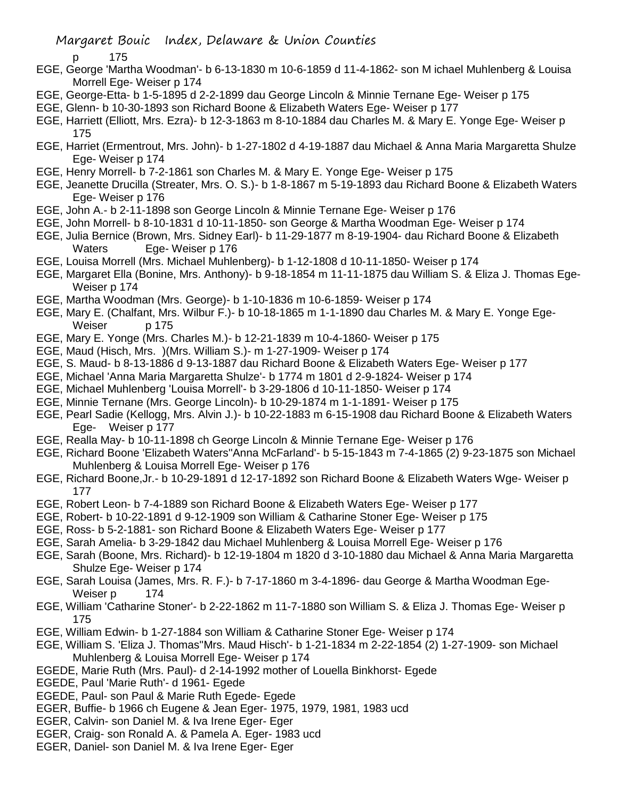p 175

- EGE, George 'Martha Woodman'- b 6-13-1830 m 10-6-1859 d 11-4-1862- son M ichael Muhlenberg & Louisa Morrell Ege- Weiser p 174
- EGE, George-Etta- b 1-5-1895 d 2-2-1899 dau George Lincoln & Minnie Ternane Ege- Weiser p 175
- EGE, Glenn- b 10-30-1893 son Richard Boone & Elizabeth Waters Ege- Weiser p 177
- EGE, Harriett (Elliott, Mrs. Ezra)- b 12-3-1863 m 8-10-1884 dau Charles M. & Mary E. Yonge Ege- Weiser p 175
- EGE, Harriet (Ermentrout, Mrs. John)- b 1-27-1802 d 4-19-1887 dau Michael & Anna Maria Margaretta Shulze Ege- Weiser p 174
- EGE, Henry Morrell- b 7-2-1861 son Charles M. & Mary E. Yonge Ege- Weiser p 175
- EGE, Jeanette Drucilla (Streater, Mrs. O. S.)- b 1-8-1867 m 5-19-1893 dau Richard Boone & Elizabeth Waters Ege- Weiser p 176
- EGE, John A.- b 2-11-1898 son George Lincoln & Minnie Ternane Ege- Weiser p 176
- EGE, John Morrell- b 8-10-1831 d 10-11-1850- son George & Martha Woodman Ege- Weiser p 174
- EGE, Julia Bernice (Brown, Mrs. Sidney Earl)- b 11-29-1877 m 8-19-1904- dau Richard Boone & Elizabeth Waters Ege- Weiser p 176
- EGE, Louisa Morrell (Mrs. Michael Muhlenberg)- b 1-12-1808 d 10-11-1850- Weiser p 174
- EGE, Margaret Ella (Bonine, Mrs. Anthony)- b 9-18-1854 m 11-11-1875 dau William S. & Eliza J. Thomas Ege-Weiser p 174
- EGE, Martha Woodman (Mrs. George)- b 1-10-1836 m 10-6-1859- Weiser p 174
- EGE, Mary E. (Chalfant, Mrs. Wilbur F.)- b 10-18-1865 m 1-1-1890 dau Charles M. & Mary E. Yonge Ege-Weiser p 175
- EGE, Mary E. Yonge (Mrs. Charles M.)- b 12-21-1839 m 10-4-1860- Weiser p 175
- EGE, Maud (Hisch, Mrs. )(Mrs. William S.)- m 1-27-1909- Weiser p 174
- EGE, S. Maud- b 8-13-1886 d 9-13-1887 dau Richard Boone & Elizabeth Waters Ege- Weiser p 177
- EGE, Michael 'Anna Maria Margaretta Shulze'- b 1774 m 1801 d 2-9-1824- Weiser p 174
- EGE, Michael Muhlenberg 'Louisa Morrell'- b 3-29-1806 d 10-11-1850- Weiser p 174
- EGE, Minnie Ternane (Mrs. George Lincoln)- b 10-29-1874 m 1-1-1891- Weiser p 175
- EGE, Pearl Sadie (Kellogg, Mrs. Alvin J.)- b 10-22-1883 m 6-15-1908 dau Richard Boone & Elizabeth Waters Ege- Weiser p 177
- EGE, Realla May- b 10-11-1898 ch George Lincoln & Minnie Ternane Ege- Weiser p 176
- EGE, Richard Boone 'Elizabeth Waters''Anna McFarland'- b 5-15-1843 m 7-4-1865 (2) 9-23-1875 son Michael Muhlenberg & Louisa Morrell Ege- Weiser p 176
- EGE, Richard Boone,Jr.- b 10-29-1891 d 12-17-1892 son Richard Boone & Elizabeth Waters Wge- Weiser p 177
- EGE, Robert Leon- b 7-4-1889 son Richard Boone & Elizabeth Waters Ege- Weiser p 177
- EGE, Robert- b 10-22-1891 d 9-12-1909 son William & Catharine Stoner Ege- Weiser p 175
- EGE, Ross- b 5-2-1881- son Richard Boone & Elizabeth Waters Ege- Weiser p 177
- EGE, Sarah Amelia- b 3-29-1842 dau Michael Muhlenberg & Louisa Morrell Ege- Weiser p 176
- EGE, Sarah (Boone, Mrs. Richard)- b 12-19-1804 m 1820 d 3-10-1880 dau Michael & Anna Maria Margaretta Shulze Ege- Weiser p 174
- EGE, Sarah Louisa (James, Mrs. R. F.)- b 7-17-1860 m 3-4-1896- dau George & Martha Woodman Ege-Weiser p 174
- EGE, William 'Catharine Stoner'- b 2-22-1862 m 11-7-1880 son William S. & Eliza J. Thomas Ege- Weiser p 175
- EGE, William Edwin- b 1-27-1884 son William & Catharine Stoner Ege- Weiser p 174
- EGE, William S. 'Eliza J. Thomas''Mrs. Maud Hisch'- b 1-21-1834 m 2-22-1854 (2) 1-27-1909- son Michael Muhlenberg & Louisa Morrell Ege- Weiser p 174
- EGEDE, Marie Ruth (Mrs. Paul)- d 2-14-1992 mother of Louella Binkhorst- Egede
- EGEDE, Paul 'Marie Ruth'- d 1961- Egede
- EGEDE, Paul- son Paul & Marie Ruth Egede- Egede
- EGER, Buffie- b 1966 ch Eugene & Jean Eger- 1975, 1979, 1981, 1983 ucd
- EGER, Calvin- son Daniel M. & Iva Irene Eger- Eger
- EGER, Craig- son Ronald A. & Pamela A. Eger- 1983 ucd
- EGER, Daniel- son Daniel M. & Iva Irene Eger- Eger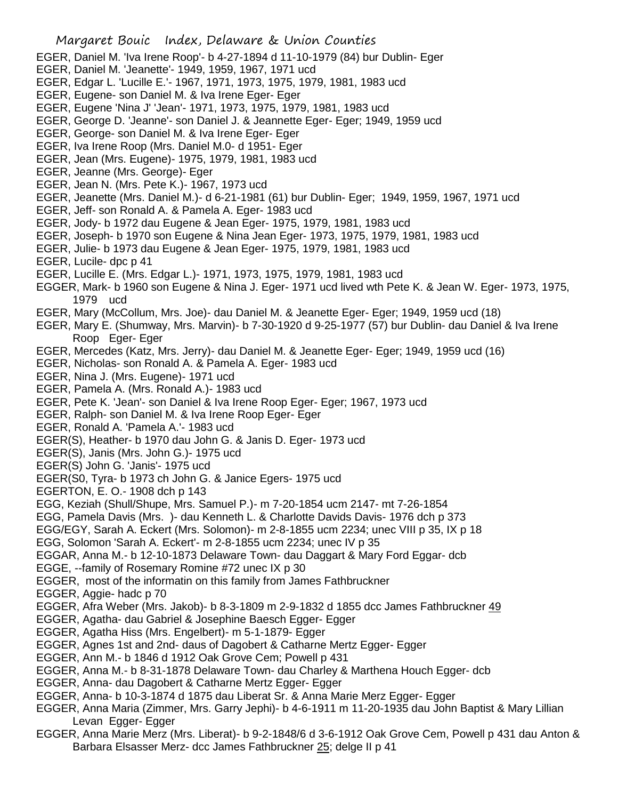- EGER, Daniel M. 'Iva Irene Roop'- b 4-27-1894 d 11-10-1979 (84) bur Dublin- Eger
- EGER, Daniel M. 'Jeanette'- 1949, 1959, 1967, 1971 ucd
- EGER, Edgar L. 'Lucille E.'- 1967, 1971, 1973, 1975, 1979, 1981, 1983 ucd
- EGER, Eugene- son Daniel M. & Iva Irene Eger- Eger
- EGER, Eugene 'Nina J' 'Jean'- 1971, 1973, 1975, 1979, 1981, 1983 ucd
- EGER, George D. 'Jeanne'- son Daniel J. & Jeannette Eger- Eger; 1949, 1959 ucd
- EGER, George- son Daniel M. & Iva Irene Eger- Eger
- EGER, Iva Irene Roop (Mrs. Daniel M.0- d 1951- Eger
- EGER, Jean (Mrs. Eugene)- 1975, 1979, 1981, 1983 ucd
- EGER, Jeanne (Mrs. George)- Eger
- EGER, Jean N. (Mrs. Pete K.)- 1967, 1973 ucd
- EGER, Jeanette (Mrs. Daniel M.)- d 6-21-1981 (61) bur Dublin- Eger; 1949, 1959, 1967, 1971 ucd
- EGER, Jeff- son Ronald A. & Pamela A. Eger- 1983 ucd
- EGER, Jody- b 1972 dau Eugene & Jean Eger- 1975, 1979, 1981, 1983 ucd
- EGER, Joseph- b 1970 son Eugene & Nina Jean Eger- 1973, 1975, 1979, 1981, 1983 ucd
- EGER, Julie- b 1973 dau Eugene & Jean Eger- 1975, 1979, 1981, 1983 ucd
- EGER, Lucile- dpc p 41
- EGER, Lucille E. (Mrs. Edgar L.)- 1971, 1973, 1975, 1979, 1981, 1983 ucd
- EGGER, Mark- b 1960 son Eugene & Nina J. Eger- 1971 ucd lived wth Pete K. & Jean W. Eger- 1973, 1975, 1979 ucd
- EGER, Mary (McCollum, Mrs. Joe)- dau Daniel M. & Jeanette Eger- Eger; 1949, 1959 ucd (18)
- EGER, Mary E. (Shumway, Mrs. Marvin)- b 7-30-1920 d 9-25-1977 (57) bur Dublin- dau Daniel & Iva Irene Roop Eger- Eger
- EGER, Mercedes (Katz, Mrs. Jerry)- dau Daniel M. & Jeanette Eger- Eger; 1949, 1959 ucd (16)
- EGER, Nicholas- son Ronald A. & Pamela A. Eger- 1983 ucd
- EGER, Nina J. (Mrs. Eugene)- 1971 ucd
- EGER, Pamela A. (Mrs. Ronald A.)- 1983 ucd
- EGER, Pete K. 'Jean'- son Daniel & Iva Irene Roop Eger- Eger; 1967, 1973 ucd
- EGER, Ralph- son Daniel M. & Iva Irene Roop Eger- Eger
- EGER, Ronald A. 'Pamela A.'- 1983 ucd
- EGER(S), Heather- b 1970 dau John G. & Janis D. Eger- 1973 ucd
- EGER(S), Janis (Mrs. John G.)- 1975 ucd
- EGER(S) John G. 'Janis'- 1975 ucd
- EGER(S0, Tyra- b 1973 ch John G. & Janice Egers- 1975 ucd
- EGERTON, E. O.- 1908 dch p 143
- EGG, Keziah (Shull/Shupe, Mrs. Samuel P.)- m 7-20-1854 ucm 2147- mt 7-26-1854
- EGG, Pamela Davis (Mrs. )- dau Kenneth L. & Charlotte Davids Davis- 1976 dch p 373
- EGG/EGY, Sarah A. Eckert (Mrs. Solomon)- m 2-8-1855 ucm 2234; unec VIII p 35, IX p 18
- EGG, Solomon 'Sarah A. Eckert'- m 2-8-1855 ucm 2234; unec IV p 35
- EGGAR, Anna M.- b 12-10-1873 Delaware Town- dau Daggart & Mary Ford Eggar- dcb
- EGGE, --family of Rosemary Romine #72 unec IX p 30
- EGGER, most of the informatin on this family from James Fathbruckner
- EGGER, Aggie- hadc p 70
- EGGER, Afra Weber (Mrs. Jakob)- b 8-3-1809 m 2-9-1832 d 1855 dcc James Fathbruckner 49
- EGGER, Agatha- dau Gabriel & Josephine Baesch Egger- Egger
- EGGER, Agatha Hiss (Mrs. Engelbert)- m 5-1-1879- Egger
- EGGER, Agnes 1st and 2nd- daus of Dagobert & Catharne Mertz Egger- Egger
- EGGER, Ann M.- b 1846 d 1912 Oak Grove Cem; Powell p 431
- EGGER, Anna M.- b 8-31-1878 Delaware Town- dau Charley & Marthena Houch Egger- dcb
- EGGER, Anna- dau Dagobert & Catharne Mertz Egger- Egger
- EGGER, Anna- b 10-3-1874 d 1875 dau Liberat Sr. & Anna Marie Merz Egger- Egger
- EGGER, Anna Maria (Zimmer, Mrs. Garry Jephi)- b 4-6-1911 m 11-20-1935 dau John Baptist & Mary Lillian Levan Egger- Egger
- EGGER, Anna Marie Merz (Mrs. Liberat)- b 9-2-1848/6 d 3-6-1912 Oak Grove Cem, Powell p 431 dau Anton & Barbara Elsasser Merz- dcc James Fathbruckner 25; delge II p 41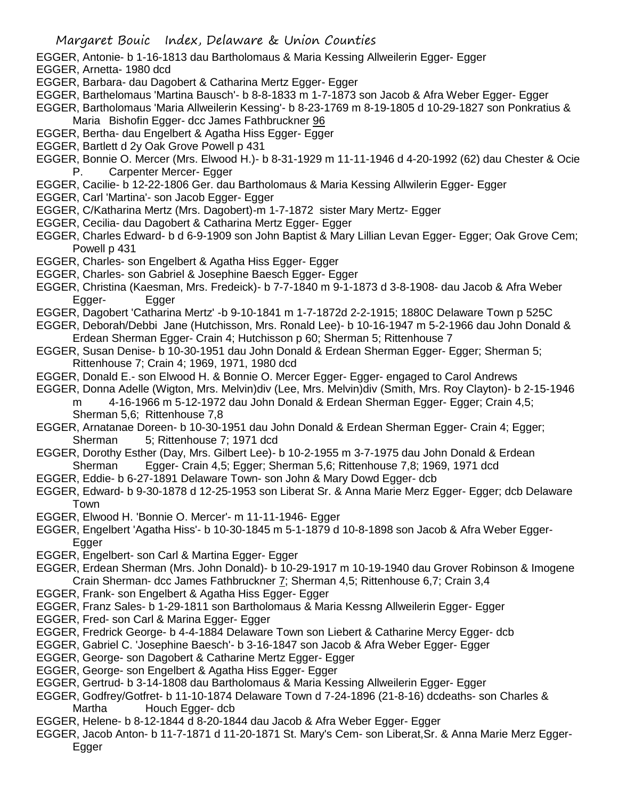EGGER, Antonie- b 1-16-1813 dau Bartholomaus & Maria Kessing Allweilerin Egger- Egger

- EGGER, Arnetta- 1980 dcd
- EGGER, Barbara- dau Dagobert & Catharina Mertz Egger- Egger
- EGGER, Barthelomaus 'Martina Bausch'- b 8-8-1833 m 1-7-1873 son Jacob & Afra Weber Egger- Egger
- EGGER, Bartholomaus 'Maria Allweilerin Kessing'- b 8-23-1769 m 8-19-1805 d 10-29-1827 son Ponkratius & Maria Bishofin Egger- dcc James Fathbruckner 96
- EGGER, Bertha- dau Engelbert & Agatha Hiss Egger- Egger
- EGGER, Bartlett d 2y Oak Grove Powell p 431
- EGGER, Bonnie O. Mercer (Mrs. Elwood H.)- b 8-31-1929 m 11-11-1946 d 4-20-1992 (62) dau Chester & Ocie P. Carpenter Mercer- Egger
- EGGER, Cacilie- b 12-22-1806 Ger. dau Bartholomaus & Maria Kessing Allwilerin Egger- Egger
- EGGER, Carl 'Martina'- son Jacob Egger- Egger
- EGGER, C/Katharina Mertz (Mrs. Dagobert)-m 1-7-1872 sister Mary Mertz- Egger
- EGGER, Cecilia- dau Dagobert & Catharina Mertz Egger- Egger
- EGGER, Charles Edward- b d 6-9-1909 son John Baptist & Mary Lillian Levan Egger- Egger; Oak Grove Cem; Powell p 431
- EGGER, Charles- son Engelbert & Agatha Hiss Egger- Egger
- EGGER, Charles- son Gabriel & Josephine Baesch Egger- Egger
- EGGER, Christina (Kaesman, Mrs. Fredeick)- b 7-7-1840 m 9-1-1873 d 3-8-1908- dau Jacob & Afra Weber Egger- Egger
- EGGER, Dagobert 'Catharina Mertz' -b 9-10-1841 m 1-7-1872d 2-2-1915; 1880C Delaware Town p 525C
- EGGER, Deborah/Debbi Jane (Hutchisson, Mrs. Ronald Lee)- b 10-16-1947 m 5-2-1966 dau John Donald & Erdean Sherman Egger- Crain 4; Hutchisson p 60; Sherman 5; Rittenhouse 7
- EGGER, Susan Denise- b 10-30-1951 dau John Donald & Erdean Sherman Egger- Egger; Sherman 5; Rittenhouse 7; Crain 4; 1969, 1971, 1980 dcd
- EGGER, Donald E.- son Elwood H. & Bonnie O. Mercer Egger- Egger- engaged to Carol Andrews
- EGGER, Donna Adelle (Wigton, Mrs. Melvin)div (Lee, Mrs. Melvin)div (Smith, Mrs. Roy Clayton)- b 2-15-1946

m 4-16-1966 m 5-12-1972 dau John Donald & Erdean Sherman Egger- Egger; Crain 4,5; Sherman 5,6; Rittenhouse 7,8

- EGGER, Arnatanae Doreen- b 10-30-1951 dau John Donald & Erdean Sherman Egger- Crain 4; Egger; Sherman 5; Rittenhouse 7; 1971 dcd
- EGGER, Dorothy Esther (Day, Mrs. Gilbert Lee)- b 10-2-1955 m 3-7-1975 dau John Donald & Erdean Sherman Egger- Crain 4,5; Egger; Sherman 5,6; Rittenhouse 7,8; 1969, 1971 dcd
- EGGER, Eddie- b 6-27-1891 Delaware Town- son John & Mary Dowd Egger- dcb
- EGGER, Edward- b 9-30-1878 d 12-25-1953 son Liberat Sr. & Anna Marie Merz Egger- Egger; dcb Delaware Town
- EGGER, Elwood H. 'Bonnie O. Mercer'- m 11-11-1946- Egger
- EGGER, Engelbert 'Agatha Hiss'- b 10-30-1845 m 5-1-1879 d 10-8-1898 son Jacob & Afra Weber Egger-Egger
- EGGER, Engelbert- son Carl & Martina Egger- Egger
- EGGER, Erdean Sherman (Mrs. John Donald)- b 10-29-1917 m 10-19-1940 dau Grover Robinson & Imogene Crain Sherman- dcc James Fathbruckner 7; Sherman 4,5; Rittenhouse 6,7; Crain 3,4
- EGGER, Frank- son Engelbert & Agatha Hiss Egger- Egger
- EGGER, Franz Sales- b 1-29-1811 son Bartholomaus & Maria Kessng Allweilerin Egger- Egger
- EGGER, Fred- son Carl & Marina Egger- Egger
- EGGER, Fredrick George- b 4-4-1884 Delaware Town son Liebert & Catharine Mercy Egger- dcb
- EGGER, Gabriel C. 'Josephine Baesch'- b 3-16-1847 son Jacob & Afra Weber Egger- Egger
- EGGER, George- son Dagobert & Catharine Mertz Egger- Egger
- EGGER, George- son Engelbert & Agatha Hiss Egger- Egger
- EGGER, Gertrud- b 3-14-1808 dau Bartholomaus & Maria Kessing Allweilerin Egger- Egger
- EGGER, Godfrey/Gotfret- b 11-10-1874 Delaware Town d 7-24-1896 (21-8-16) dcdeaths- son Charles & Martha Houch Egger- dcb
- EGGER, Helene- b 8-12-1844 d 8-20-1844 dau Jacob & Afra Weber Egger- Egger
- EGGER, Jacob Anton- b 11-7-1871 d 11-20-1871 St. Mary's Cem- son Liberat,Sr. & Anna Marie Merz Egger-Egger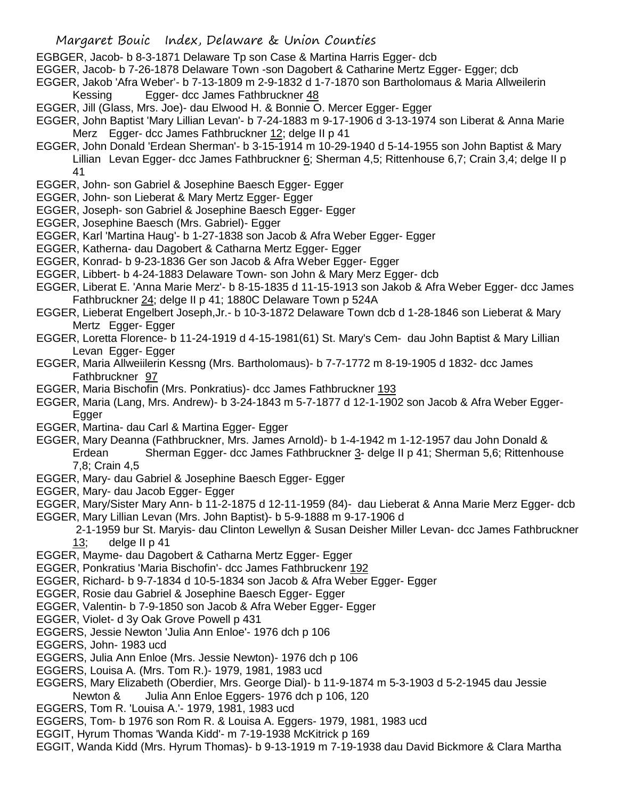- EGBGER, Jacob- b 8-3-1871 Delaware Tp son Case & Martina Harris Egger- dcb
- EGGER, Jacob- b 7-26-1878 Delaware Town -son Dagobert & Catharine Mertz Egger- Egger; dcb
- EGGER, Jakob 'Afra Weber'- b 7-13-1809 m 2-9-1832 d 1-7-1870 son Bartholomaus & Maria Allweilerin Kessing Egger- dcc James Fathbruckner 48
- EGGER, Jill (Glass, Mrs. Joe)- dau Elwood H. & Bonnie O. Mercer Egger- Egger
- EGGER, John Baptist 'Mary Lillian Levan'- b 7-24-1883 m 9-17-1906 d 3-13-1974 son Liberat & Anna Marie Merz Egger- dcc James Fathbruckner 12; delge II p 41
- EGGER, John Donald 'Erdean Sherman'- b 3-15-1914 m 10-29-1940 d 5-14-1955 son John Baptist & Mary Lillian Levan Egger- dcc James Fathbruckner 6; Sherman 4,5; Rittenhouse 6,7; Crain 3,4; delge II p 41
- EGGER, John- son Gabriel & Josephine Baesch Egger- Egger
- EGGER, John- son Lieberat & Mary Mertz Egger- Egger
- EGGER, Joseph- son Gabriel & Josephine Baesch Egger- Egger
- EGGER, Josephine Baesch (Mrs. Gabriel)- Egger
- EGGER, Karl 'Martina Haug'- b 1-27-1838 son Jacob & Afra Weber Egger- Egger
- EGGER, Katherna- dau Dagobert & Catharna Mertz Egger- Egger
- EGGER, Konrad- b 9-23-1836 Ger son Jacob & Afra Weber Egger- Egger
- EGGER, Libbert- b 4-24-1883 Delaware Town- son John & Mary Merz Egger- dcb
- EGGER, Liberat E. 'Anna Marie Merz'- b 8-15-1835 d 11-15-1913 son Jakob & Afra Weber Egger- dcc James Fathbruckner 24; delge II p 41; 1880C Delaware Town p 524A
- EGGER, Lieberat Engelbert Joseph,Jr.- b 10-3-1872 Delaware Town dcb d 1-28-1846 son Lieberat & Mary Mertz Egger- Egger
- EGGER, Loretta Florence- b 11-24-1919 d 4-15-1981(61) St. Mary's Cem- dau John Baptist & Mary Lillian Levan Egger- Egger
- EGGER, Maria Allweiilerin Kessng (Mrs. Bartholomaus)- b 7-7-1772 m 8-19-1905 d 1832- dcc James Fathbruckner 97
- EGGER, Maria Bischofin (Mrs. Ponkratius)- dcc James Fathbruckner 193
- EGGER, Maria (Lang, Mrs. Andrew)- b 3-24-1843 m 5-7-1877 d 12-1-1902 son Jacob & Afra Weber Egger-Egger
- EGGER, Martina- dau Carl & Martina Egger- Egger
- EGGER, Mary Deanna (Fathbruckner, Mrs. James Arnold)- b 1-4-1942 m 1-12-1957 dau John Donald & Erdean Sherman Egger- dcc James Fathbruckner 3- delge II p 41; Sherman 5,6; Rittenhouse 7,8; Crain 4,5
- EGGER, Mary- dau Gabriel & Josephine Baesch Egger- Egger
- EGGER, Mary- dau Jacob Egger- Egger
- EGGER, Mary/Sister Mary Ann- b 11-2-1875 d 12-11-1959 (84)- dau Lieberat & Anna Marie Merz Egger- dcb EGGER, Mary Lillian Levan (Mrs. John Baptist)- b 5-9-1888 m 9-17-1906 d
	- 2-1-1959 bur St. Maryis- dau Clinton Lewellyn & Susan Deisher Miller Levan- dcc James Fathbruckner 13; delge II p 41
- EGGER, Mayme- dau Dagobert & Catharna Mertz Egger- Egger
- EGGER, Ponkratius 'Maria Bischofin'- dcc James Fathbruckenr 192
- EGGER, Richard- b 9-7-1834 d 10-5-1834 son Jacob & Afra Weber Egger- Egger
- EGGER, Rosie dau Gabriel & Josephine Baesch Egger- Egger
- EGGER, Valentin- b 7-9-1850 son Jacob & Afra Weber Egger- Egger
- EGGER, Violet- d 3y Oak Grove Powell p 431
- EGGERS, Jessie Newton 'Julia Ann Enloe'- 1976 dch p 106
- EGGERS, John- 1983 ucd
- EGGERS, Julia Ann Enloe (Mrs. Jessie Newton)- 1976 dch p 106
- EGGERS, Louisa A. (Mrs. Tom R.)- 1979, 1981, 1983 ucd
- EGGERS, Mary Elizabeth (Oberdier, Mrs. George Dial)- b 11-9-1874 m 5-3-1903 d 5-2-1945 dau Jessie Newton & Julia Ann Enloe Eggers- 1976 dch p 106, 120
- EGGERS, Tom R. 'Louisa A.'- 1979, 1981, 1983 ucd
- EGGERS, Tom- b 1976 son Rom R. & Louisa A. Eggers- 1979, 1981, 1983 ucd
- EGGIT, Hyrum Thomas 'Wanda Kidd'- m 7-19-1938 McKitrick p 169
- EGGIT, Wanda Kidd (Mrs. Hyrum Thomas)- b 9-13-1919 m 7-19-1938 dau David Bickmore & Clara Martha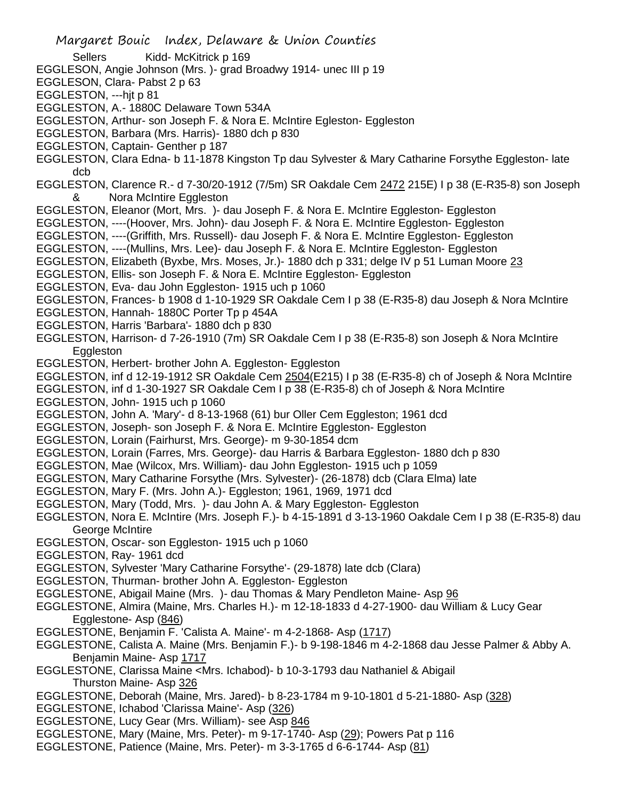Sellers Kidd- McKitrick p 169

EGGLESON, Angie Johnson (Mrs. )- grad Broadwy 1914- unec III p 19

EGGLESON, Clara- Pabst 2 p 63

EGGLESTON, ---hit p 81

EGGLESTON, A.- 1880C Delaware Town 534A

EGGLESTON, Arthur- son Joseph F. & Nora E. McIntire Egleston- Eggleston

EGGLESTON, Barbara (Mrs. Harris)- 1880 dch p 830

EGGLESTON, Captain- Genther p 187

EGGLESTON, Clara Edna- b 11-1878 Kingston Tp dau Sylvester & Mary Catharine Forsythe Eggleston- late dcb

EGGLESTON, Clarence R.- d 7-30/20-1912 (7/5m) SR Oakdale Cem 2472 215E) I p 38 (E-R35-8) son Joseph & Nora McIntire Eggleston

EGGLESTON, Eleanor (Mort, Mrs. )- dau Joseph F. & Nora E. McIntire Eggleston- Eggleston

EGGLESTON, ----(Hoover, Mrs. John)- dau Joseph F. & Nora E. McIntire Eggleston- Eggleston

EGGLESTON, ----(Griffith, Mrs. Russell)- dau Joseph F. & Nora E. McIntire Eggleston- Eggleston

EGGLESTON, ----(Mullins, Mrs. Lee)- dau Joseph F. & Nora E. McIntire Eggleston- Eggleston

EGGLESTON, Elizabeth (Byxbe, Mrs. Moses, Jr.)- 1880 dch p 331; delge IV p 51 Luman Moore 23

EGGLESTON, Ellis- son Joseph F. & Nora E. McIntire Eggleston- Eggleston

EGGLESTON, Eva- dau John Eggleston- 1915 uch p 1060

EGGLESTON, Frances- b 1908 d 1-10-1929 SR Oakdale Cem I p 38 (E-R35-8) dau Joseph & Nora McIntire

- EGGLESTON, Hannah- 1880C Porter Tp p 454A
- EGGLESTON, Harris 'Barbara'- 1880 dch p 830
- EGGLESTON, Harrison- d 7-26-1910 (7m) SR Oakdale Cem I p 38 (E-R35-8) son Joseph & Nora McIntire **Eggleston**
- EGGLESTON, Herbert- brother John A. Eggleston- Eggleston
- EGGLESTON, inf d 12-19-1912 SR Oakdale Cem 2504(E215) I p 38 (E-R35-8) ch of Joseph & Nora McIntire

EGGLESTON, inf d 1-30-1927 SR Oakdale Cem I p 38 (E-R35-8) ch of Joseph & Nora McIntire

EGGLESTON, John- 1915 uch p 1060

EGGLESTON, John A. 'Mary'- d 8-13-1968 (61) bur Oller Cem Eggleston; 1961 dcd

EGGLESTON, Joseph- son Joseph F. & Nora E. McIntire Eggleston- Eggleston

- EGGLESTON, Lorain (Fairhurst, Mrs. George)- m 9-30-1854 dcm
- EGGLESTON, Lorain (Farres, Mrs. George)- dau Harris & Barbara Eggleston- 1880 dch p 830
- EGGLESTON, Mae (Wilcox, Mrs. William)- dau John Eggleston- 1915 uch p 1059
- EGGLESTON, Mary Catharine Forsythe (Mrs. Sylvester)- (26-1878) dcb (Clara Elma) late
- EGGLESTON, Mary F. (Mrs. John A.)- Eggleston; 1961, 1969, 1971 dcd
- EGGLESTON, Mary (Todd, Mrs. )- dau John A. & Mary Eggleston- Eggleston

EGGLESTON, Nora E. McIntire (Mrs. Joseph F.)- b 4-15-1891 d 3-13-1960 Oakdale Cem I p 38 (E-R35-8) dau George McIntire

- EGGLESTON, Oscar- son Eggleston- 1915 uch p 1060
- EGGLESTON, Ray- 1961 dcd

EGGLESTON, Sylvester 'Mary Catharine Forsythe'- (29-1878) late dcb (Clara)

- EGGLESTON, Thurman- brother John A. Eggleston- Eggleston
- EGGLESTONE, Abigail Maine (Mrs. )- dau Thomas & Mary Pendleton Maine- Asp 96

EGGLESTONE, Almira (Maine, Mrs. Charles H.)- m 12-18-1833 d 4-27-1900- dau William & Lucy Gear Egglestone- Asp (846)

EGGLESTONE, Benjamin F. 'Calista A. Maine'- m 4-2-1868- Asp (1717)

EGGLESTONE, Calista A. Maine (Mrs. Benjamin F.)- b 9-198-1846 m 4-2-1868 dau Jesse Palmer & Abby A. Benjamin Maine- Asp 1717

- EGGLESTONE, Clarissa Maine <Mrs. Ichabod)- b 10-3-1793 dau Nathaniel & Abigail Thurston Maine- Asp 326
- EGGLESTONE, Deborah (Maine, Mrs. Jared)- b 8-23-1784 m 9-10-1801 d 5-21-1880- Asp (328)
- EGGLESTONE, Ichabod 'Clarissa Maine'- Asp (326)
- EGGLESTONE, Lucy Gear (Mrs. William)- see Asp 846
- EGGLESTONE, Mary (Maine, Mrs. Peter)- m 9-17-1740- Asp (29); Powers Pat p 116
- EGGLESTONE, Patience (Maine, Mrs. Peter)- m 3-3-1765 d 6-6-1744- Asp (81)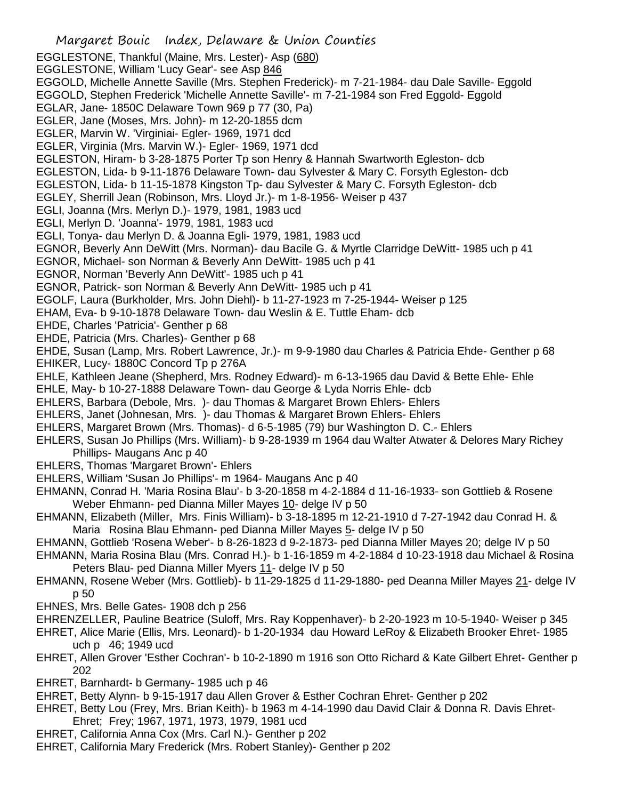Margaret Bouic Index, Delaware & Union Counties EGGLESTONE, Thankful (Maine, Mrs. Lester)- Asp (680) EGGLESTONE, William 'Lucy Gear'- see Asp 846 EGGOLD, Michelle Annette Saville (Mrs. Stephen Frederick)- m 7-21-1984- dau Dale Saville- Eggold EGGOLD, Stephen Frederick 'Michelle Annette Saville'- m 7-21-1984 son Fred Eggold- Eggold EGLAR, Jane- 1850C Delaware Town 969 p 77 (30, Pa) EGLER, Jane (Moses, Mrs. John)- m 12-20-1855 dcm EGLER, Marvin W. 'Virginiai- Egler- 1969, 1971 dcd EGLER, Virginia (Mrs. Marvin W.)- Egler- 1969, 1971 dcd EGLESTON, Hiram- b 3-28-1875 Porter Tp son Henry & Hannah Swartworth Egleston- dcb EGLESTON, Lida- b 9-11-1876 Delaware Town- dau Sylvester & Mary C. Forsyth Egleston- dcb EGLESTON, Lida- b 11-15-1878 Kingston Tp- dau Sylvester & Mary C. Forsyth Egleston- dcb EGLEY, Sherrill Jean (Robinson, Mrs. Lloyd Jr.)- m 1-8-1956- Weiser p 437 EGLI, Joanna (Mrs. Merlyn D.)- 1979, 1981, 1983 ucd EGLI, Merlyn D. 'Joanna'- 1979, 1981, 1983 ucd EGLI, Tonya- dau Merlyn D. & Joanna Egli- 1979, 1981, 1983 ucd EGNOR, Beverly Ann DeWitt (Mrs. Norman)- dau Bacile G. & Myrtle Clarridge DeWitt- 1985 uch p 41 EGNOR, Michael- son Norman & Beverly Ann DeWitt- 1985 uch p 41 EGNOR, Norman 'Beverly Ann DeWitt'- 1985 uch p 41 EGNOR, Patrick- son Norman & Beverly Ann DeWitt- 1985 uch p 41 EGOLF, Laura (Burkholder, Mrs. John Diehl)- b 11-27-1923 m 7-25-1944- Weiser p 125 EHAM, Eva- b 9-10-1878 Delaware Town- dau Weslin & E. Tuttle Eham- dcb EHDE, Charles 'Patricia'- Genther p 68 EHDE, Patricia (Mrs. Charles)- Genther p 68 EHDE, Susan (Lamp, Mrs. Robert Lawrence, Jr.)- m 9-9-1980 dau Charles & Patricia Ehde- Genther p 68 EHIKER, Lucy- 1880C Concord Tp p 276A EHLE, Kathleen Jeane (Shepherd, Mrs. Rodney Edward)- m 6-13-1965 dau David & Bette Ehle- Ehle EHLE, May- b 10-27-1888 Delaware Town- dau George & Lyda Norris Ehle- dcb EHLERS, Barbara (Debole, Mrs. )- dau Thomas & Margaret Brown Ehlers- Ehlers EHLERS, Janet (Johnesan, Mrs. )- dau Thomas & Margaret Brown Ehlers- Ehlers EHLERS, Margaret Brown (Mrs. Thomas)- d 6-5-1985 (79) bur Washington D. C.- Ehlers EHLERS, Susan Jo Phillips (Mrs. William)- b 9-28-1939 m 1964 dau Walter Atwater & Delores Mary Richey Phillips- Maugans Anc p 40 EHLERS, Thomas 'Margaret Brown'- Ehlers EHLERS, William 'Susan Jo Phillips'- m 1964- Maugans Anc p 40 EHMANN, Conrad H. 'Maria Rosina Blau'- b 3-20-1858 m 4-2-1884 d 11-16-1933- son Gottlieb & Rosene Weber Ehmann- ped Dianna Miller Mayes 10- delge IV p 50 EHMANN, Elizabeth (Miller, Mrs. Finis William)- b 3-18-1895 m 12-21-1910 d 7-27-1942 dau Conrad H. & Maria Rosina Blau Ehmann- ped Dianna Miller Mayes 5- delge IV p 50 EHMANN, Gottlieb 'Rosena Weber'- b 8-26-1823 d 9-2-1873- ped Dianna Miller Mayes 20; delge IV p 50 EHMANN, Maria Rosina Blau (Mrs. Conrad H.)- b 1-16-1859 m 4-2-1884 d 10-23-1918 dau Michael & Rosina Peters Blau- ped Dianna Miller Myers 11- delge IV p 50 EHMANN, Rosene Weber (Mrs. Gottlieb)- b 11-29-1825 d 11-29-1880- ped Deanna Miller Mayes 21- delge IV p 50 EHNES, Mrs. Belle Gates- 1908 dch p 256 EHRENZELLER, Pauline Beatrice (Suloff, Mrs. Ray Koppenhaver)- b 2-20-1923 m 10-5-1940- Weiser p 345

- EHRET, Alice Marie (Ellis, Mrs. Leonard)- b 1-20-1934 dau Howard LeRoy & Elizabeth Brooker Ehret- 1985 uch p 46; 1949 ucd
- EHRET, Allen Grover 'Esther Cochran'- b 10-2-1890 m 1916 son Otto Richard & Kate Gilbert Ehret- Genther p 202
- EHRET, Barnhardt- b Germany- 1985 uch p 46
- EHRET, Betty Alynn- b 9-15-1917 dau Allen Grover & Esther Cochran Ehret- Genther p 202
- EHRET, Betty Lou (Frey, Mrs. Brian Keith)- b 1963 m 4-14-1990 dau David Clair & Donna R. Davis Ehret-Ehret; Frey; 1967, 1971, 1973, 1979, 1981 ucd
- EHRET, California Anna Cox (Mrs. Carl N.)- Genther p 202
- EHRET, California Mary Frederick (Mrs. Robert Stanley)- Genther p 202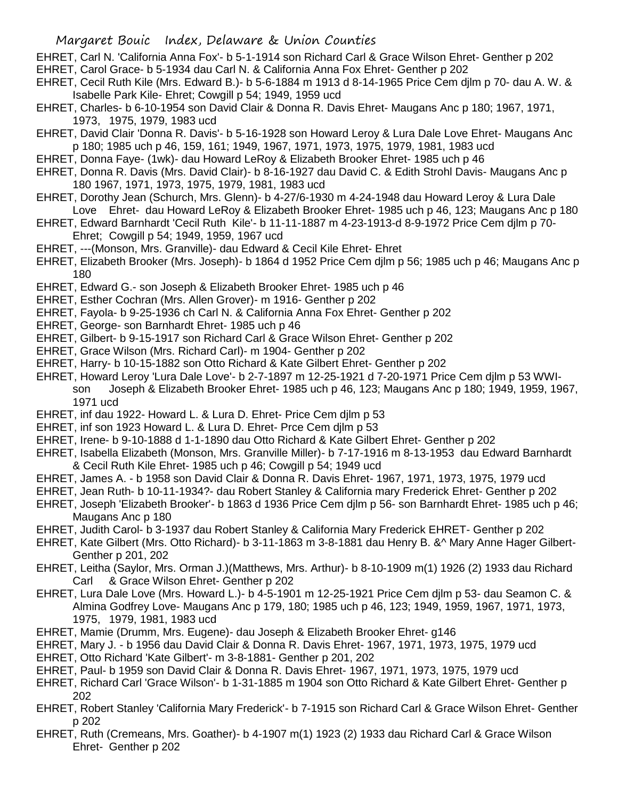- EHRET, Carl N. 'California Anna Fox'- b 5-1-1914 son Richard Carl & Grace Wilson Ehret- Genther p 202
- EHRET, Carol Grace- b 5-1934 dau Carl N. & California Anna Fox Ehret- Genther p 202
- EHRET, Cecil Ruth Kile (Mrs. Edward B.)- b 5-6-1884 m 1913 d 8-14-1965 Price Cem djlm p 70- dau A. W. & Isabelle Park Kile- Ehret; Cowgill p 54; 1949, 1959 ucd
- EHRET, Charles- b 6-10-1954 son David Clair & Donna R. Davis Ehret- Maugans Anc p 180; 1967, 1971, 1973, 1975, 1979, 1983 ucd
- EHRET, David Clair 'Donna R. Davis'- b 5-16-1928 son Howard Leroy & Lura Dale Love Ehret- Maugans Anc p 180; 1985 uch p 46, 159, 161; 1949, 1967, 1971, 1973, 1975, 1979, 1981, 1983 ucd
- EHRET, Donna Faye- (1wk)- dau Howard LeRoy & Elizabeth Brooker Ehret- 1985 uch p 46
- EHRET, Donna R. Davis (Mrs. David Clair)- b 8-16-1927 dau David C. & Edith Strohl Davis- Maugans Anc p 180 1967, 1971, 1973, 1975, 1979, 1981, 1983 ucd
- EHRET, Dorothy Jean (Schurch, Mrs. Glenn)- b 4-27/6-1930 m 4-24-1948 dau Howard Leroy & Lura Dale Love Ehret- dau Howard LeRoy & Elizabeth Brooker Ehret- 1985 uch p 46, 123; Maugans Anc p 180
- EHRET, Edward Barnhardt 'Cecil Ruth Kile'- b 11-11-1887 m 4-23-1913-d 8-9-1972 Price Cem djlm p 70- Ehret; Cowgill p 54; 1949, 1959, 1967 ucd
- EHRET, ---(Monson, Mrs. Granville)- dau Edward & Cecil Kile Ehret- Ehret
- EHRET, Elizabeth Brooker (Mrs. Joseph)- b 1864 d 1952 Price Cem djlm p 56; 1985 uch p 46; Maugans Anc p 180
- EHRET, Edward G.- son Joseph & Elizabeth Brooker Ehret- 1985 uch p 46
- EHRET, Esther Cochran (Mrs. Allen Grover)- m 1916- Genther p 202
- EHRET, Fayola- b 9-25-1936 ch Carl N. & California Anna Fox Ehret- Genther p 202
- EHRET, George- son Barnhardt Ehret- 1985 uch p 46
- EHRET, Gilbert- b 9-15-1917 son Richard Carl & Grace Wilson Ehret- Genther p 202
- EHRET, Grace Wilson (Mrs. Richard Carl)- m 1904- Genther p 202
- EHRET, Harry- b 10-15-1882 son Otto Richard & Kate Gilbert Ehret- Genther p 202
- EHRET, Howard Leroy 'Lura Dale Love'- b 2-7-1897 m 12-25-1921 d 7-20-1971 Price Cem djlm p 53 WWIson Joseph & Elizabeth Brooker Ehret- 1985 uch p 46, 123; Maugans Anc p 180; 1949, 1959, 1967, 1971 ucd
- EHRET, inf dau 1922- Howard L. & Lura D. Ehret- Price Cem djlm p 53
- EHRET, inf son 1923 Howard L. & Lura D. Ehret- Prce Cem djlm p 53
- EHRET, Irene- b 9-10-1888 d 1-1-1890 dau Otto Richard & Kate Gilbert Ehret- Genther p 202
- EHRET, Isabella Elizabeth (Monson, Mrs. Granville Miller)- b 7-17-1916 m 8-13-1953 dau Edward Barnhardt & Cecil Ruth Kile Ehret- 1985 uch p 46; Cowgill p 54; 1949 ucd
- EHRET, James A. b 1958 son David Clair & Donna R. Davis Ehret- 1967, 1971, 1973, 1975, 1979 ucd
- EHRET, Jean Ruth- b 10-11-1934?- dau Robert Stanley & California mary Frederick Ehret- Genther p 202
- EHRET, Joseph 'Elizabeth Brooker'- b 1863 d 1936 Price Cem djlm p 56- son Barnhardt Ehret- 1985 uch p 46; Maugans Anc p 180
- EHRET, Judith Carol- b 3-1937 dau Robert Stanley & California Mary Frederick EHRET- Genther p 202
- EHRET, Kate Gilbert (Mrs. Otto Richard)- b 3-11-1863 m 3-8-1881 dau Henry B. &^ Mary Anne Hager Gilbert-Genther p 201, 202
- EHRET, Leitha (Saylor, Mrs. Orman J.)(Matthews, Mrs. Arthur)- b 8-10-1909 m(1) 1926 (2) 1933 dau Richard Carl & Grace Wilson Ehret- Genther p 202
- EHRET, Lura Dale Love (Mrs. Howard L.)- b 4-5-1901 m 12-25-1921 Price Cem djlm p 53- dau Seamon C. & Almina Godfrey Love- Maugans Anc p 179, 180; 1985 uch p 46, 123; 1949, 1959, 1967, 1971, 1973, 1975, 1979, 1981, 1983 ucd
- EHRET, Mamie (Drumm, Mrs. Eugene)- dau Joseph & Elizabeth Brooker Ehret- g146
- EHRET, Mary J. b 1956 dau David Clair & Donna R. Davis Ehret- 1967, 1971, 1973, 1975, 1979 ucd
- EHRET, Otto Richard 'Kate Gilbert'- m 3-8-1881- Genther p 201, 202
- EHRET, Paul- b 1959 son David Clair & Donna R. Davis Ehret- 1967, 1971, 1973, 1975, 1979 ucd
- EHRET, Richard Carl 'Grace Wilson'- b 1-31-1885 m 1904 son Otto Richard & Kate Gilbert Ehret- Genther p 202
- EHRET, Robert Stanley 'California Mary Frederick'- b 7-1915 son Richard Carl & Grace Wilson Ehret- Genther p 202
- EHRET, Ruth (Cremeans, Mrs. Goather)- b 4-1907 m(1) 1923 (2) 1933 dau Richard Carl & Grace Wilson Ehret- Genther p 202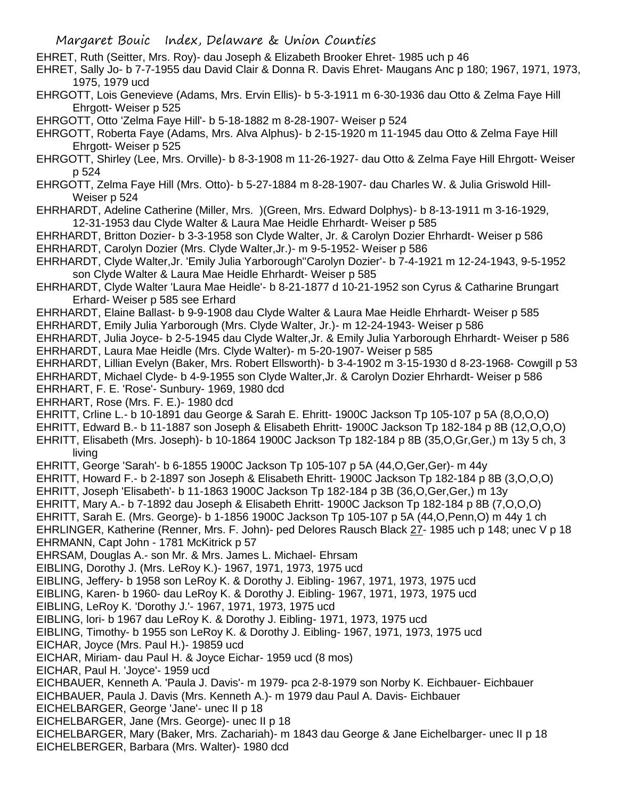EHRET, Ruth (Seitter, Mrs. Roy)- dau Joseph & Elizabeth Brooker Ehret- 1985 uch p 46

- EHRET, Sally Jo- b 7-7-1955 dau David Clair & Donna R. Davis Ehret- Maugans Anc p 180; 1967, 1971, 1973, 1975, 1979 ucd
- EHRGOTT, Lois Genevieve (Adams, Mrs. Ervin Ellis)- b 5-3-1911 m 6-30-1936 dau Otto & Zelma Faye Hill Ehrgott- Weiser p 525

EHRGOTT, Otto 'Zelma Faye Hill'- b 5-18-1882 m 8-28-1907- Weiser p 524

EHRGOTT, Roberta Faye (Adams, Mrs. Alva Alphus)- b 2-15-1920 m 11-1945 dau Otto & Zelma Faye Hill Ehrgott- Weiser p 525

- EHRGOTT, Shirley (Lee, Mrs. Orville)- b 8-3-1908 m 11-26-1927- dau Otto & Zelma Faye Hill Ehrgott- Weiser p 524
- EHRGOTT, Zelma Faye Hill (Mrs. Otto)- b 5-27-1884 m 8-28-1907- dau Charles W. & Julia Griswold Hill-Weiser p 524
- EHRHARDT, Adeline Catherine (Miller, Mrs. )(Green, Mrs. Edward Dolphys)- b 8-13-1911 m 3-16-1929, 12-31-1953 dau Clyde Walter & Laura Mae Heidle Ehrhardt- Weiser p 585

EHRHARDT, Britton Dozier- b 3-3-1958 son Clyde Walter, Jr. & Carolyn Dozier Ehrhardt- Weiser p 586 EHRHARDT, Carolyn Dozier (Mrs. Clyde Walter,Jr.)- m 9-5-1952- Weiser p 586

- EHRHARDT, Clyde Walter,Jr. 'Emily Julia Yarborough''Carolyn Dozier'- b 7-4-1921 m 12-24-1943, 9-5-1952 son Clyde Walter & Laura Mae Heidle Ehrhardt- Weiser p 585
- EHRHARDT, Clyde Walter 'Laura Mae Heidle'- b 8-21-1877 d 10-21-1952 son Cyrus & Catharine Brungart Erhard- Weiser p 585 see Erhard
- EHRHARDT, Elaine Ballast- b 9-9-1908 dau Clyde Walter & Laura Mae Heidle Ehrhardt- Weiser p 585

EHRHARDT, Emily Julia Yarborough (Mrs. Clyde Walter, Jr.)- m 12-24-1943- Weiser p 586

EHRHARDT, Julia Joyce- b 2-5-1945 dau Clyde Walter,Jr. & Emily Julia Yarborough Ehrhardt- Weiser p 586 EHRHARDT, Laura Mae Heidle (Mrs. Clyde Walter)- m 5-20-1907- Weiser p 585

EHRHARDT, Lillian Evelyn (Baker, Mrs. Robert Ellsworth)- b 3-4-1902 m 3-15-1930 d 8-23-1968- Cowgill p 53 EHRHARDT, Michael Clyde- b 4-9-1955 son Clyde Walter,Jr. & Carolyn Dozier Ehrhardt- Weiser p 586

EHRHART, F. E. 'Rose'- Sunbury- 1969, 1980 dcd

EHRHART, Rose (Mrs. F. E.)- 1980 dcd

- EHRITT, Crline L.- b 10-1891 dau George & Sarah E. Ehritt- 1900C Jackson Tp 105-107 p 5A (8,O,O,O)
- EHRITT, Edward B.- b 11-1887 son Joseph & Elisabeth Ehritt- 1900C Jackson Tp 182-184 p 8B (12,O,O,O)
- EHRITT, Elisabeth (Mrs. Joseph)- b 10-1864 1900C Jackson Tp 182-184 p 8B (35,O,Gr,Ger,) m 13y 5 ch, 3 living
- EHRITT, George 'Sarah'- b 6-1855 1900C Jackson Tp 105-107 p 5A (44,O,Ger,Ger)- m 44y
- EHRITT, Howard F.- b 2-1897 son Joseph & Elisabeth Ehritt- 1900C Jackson Tp 182-184 p 8B (3,O,O,O)
- EHRITT, Joseph 'Elisabeth'- b 11-1863 1900C Jackson Tp 182-184 p 3B (36,O,Ger,Ger,) m 13y
- EHRITT, Mary A.- b 7-1892 dau Joseph & Elisabeth Ehritt- 1900C Jackson Tp 182-184 p 8B (7,O,O,O)

EHRITT, Sarah E. (Mrs. George)- b 1-1856 1900C Jackson Tp 105-107 p 5A (44,O,Penn,O) m 44y 1 ch

EHRLINGER, Katherine (Renner, Mrs. F. John)- ped Delores Rausch Black 27- 1985 uch p 148; unec V p 18 EHRMANN, Capt John - 1781 McKitrick p 57

- EHRSAM, Douglas A.- son Mr. & Mrs. James L. Michael- Ehrsam
- EIBLING, Dorothy J. (Mrs. LeRoy K.)- 1967, 1971, 1973, 1975 ucd
- EIBLING, Jeffery- b 1958 son LeRoy K. & Dorothy J. Eibling- 1967, 1971, 1973, 1975 ucd
- EIBLING, Karen- b 1960- dau LeRoy K. & Dorothy J. Eibling- 1967, 1971, 1973, 1975 ucd
- EIBLING, LeRoy K. 'Dorothy J.'- 1967, 1971, 1973, 1975 ucd
- EIBLING, lori- b 1967 dau LeRoy K. & Dorothy J. Eibling- 1971, 1973, 1975 ucd
- EIBLING, Timothy- b 1955 son LeRoy K. & Dorothy J. Eibling- 1967, 1971, 1973, 1975 ucd
- EICHAR, Joyce (Mrs. Paul H.)- 19859 ucd
- EICHAR, Miriam- dau Paul H. & Joyce Eichar- 1959 ucd (8 mos)
- EICHAR, Paul H. 'Joyce'- 1959 ucd
- EICHBAUER, Kenneth A. 'Paula J. Davis'- m 1979- pca 2-8-1979 son Norby K. Eichbauer- Eichbauer
- EICHBAUER, Paula J. Davis (Mrs. Kenneth A.)- m 1979 dau Paul A. Davis- Eichbauer
- EICHELBARGER, George 'Jane'- unec II p 18
- EICHELBARGER, Jane (Mrs. George)- unec II p 18
- EICHELBARGER, Mary (Baker, Mrs. Zachariah)- m 1843 dau George & Jane Eichelbarger- unec II p 18 EICHELBERGER, Barbara (Mrs. Walter)- 1980 dcd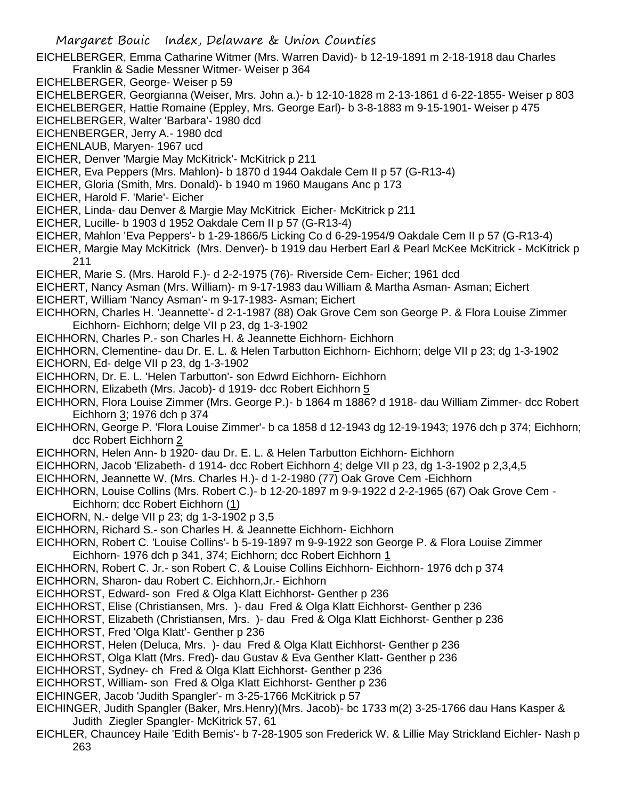- EICHELBERGER, Emma Catharine Witmer (Mrs. Warren David)- b 12-19-1891 m 2-18-1918 dau Charles Franklin & Sadie Messner Witmer- Weiser p 364
- EICHELBERGER, George- Weiser p 59
- EICHELBERGER, Georgianna (Weiser, Mrs. John a.)- b 12-10-1828 m 2-13-1861 d 6-22-1855- Weiser p 803
- EICHELBERGER, Hattie Romaine (Eppley, Mrs. George Earl)- b 3-8-1883 m 9-15-1901- Weiser p 475
- EICHELBERGER, Walter 'Barbara'- 1980 dcd
- EICHENBERGER, Jerry A.- 1980 dcd
- EICHENLAUB, Maryen- 1967 ucd
- EICHER, Denver 'Margie May McKitrick'- McKitrick p 211
- EICHER, Eva Peppers (Mrs. Mahlon)- b 1870 d 1944 Oakdale Cem II p 57 (G-R13-4)
- EICHER, Gloria (Smith, Mrs. Donald)- b 1940 m 1960 Maugans Anc p 173
- EICHER, Harold F. 'Marie'- Eicher
- EICHER, Linda- dau Denver & Margie May McKitrick Eicher- McKitrick p 211
- EICHER, Lucille- b 1903 d 1952 Oakdale Cem II p 57 (G-R13-4)
- EICHER, Mahlon 'Eva Peppers'- b 1-29-1866/5 Licking Co d 6-29-1954/9 Oakdale Cem II p 57 (G-R13-4)
- EICHER, Margie May McKitrick (Mrs. Denver)- b 1919 dau Herbert Earl & Pearl McKee McKitrick McKitrick p 211
- EICHER, Marie S. (Mrs. Harold F.)- d 2-2-1975 (76)- Riverside Cem- Eicher; 1961 dcd
- EICHERT, Nancy Asman (Mrs. William)- m 9-17-1983 dau William & Martha Asman- Asman; Eichert
- EICHERT, William 'Nancy Asman'- m 9-17-1983- Asman; Eichert
- EICHHORN, Charles H. 'Jeannette'- d 2-1-1987 (88) Oak Grove Cem son George P. & Flora Louise Zimmer Eichhorn- Eichhorn; delge VII p 23, dg 1-3-1902
- EICHHORN, Charles P.- son Charles H. & Jeannette Eichhorn- Eichhorn
- EICHHORN, Clementine- dau Dr. E. L. & Helen Tarbutton Eichhorn- Eichhorn; delge VII p 23; dg 1-3-1902 EICHORN, Ed- delge VII p 23, dg 1-3-1902
- EICHHORN, Dr. E. L. 'Helen Tarbutton'- son Edwrd Eichhorn- Eichhorn
- EICHHORN, Elizabeth (Mrs. Jacob)- d 1919- dcc Robert Eichhorn 5
- EICHHORN, Flora Louise Zimmer (Mrs. George P.)- b 1864 m 1886? d 1918- dau William Zimmer- dcc Robert Eichhorn 3; 1976 dch p 374
- EICHHORN, George P. 'Flora Louise Zimmer'- b ca 1858 d 12-1943 dg 12-19-1943; 1976 dch p 374; Eichhorn; dcc Robert Eichhorn 2
- EICHHORN, Helen Ann- b 1920- dau Dr. E. L. & Helen Tarbutton Eichhorn- Eichhorn
- EICHHORN, Jacob 'Elizabeth- d 1914- dcc Robert Eichhorn 4; delge VII p 23, dg 1-3-1902 p 2,3,4,5
- EICHHORN, Jeannette W. (Mrs. Charles H.)- d 1-2-1980 (77) Oak Grove Cem -Eichhorn
- EICHHORN, Louise Collins (Mrs. Robert C.)- b 12-20-1897 m 9-9-1922 d 2-2-1965 (67) Oak Grove Cem Eichhorn; dcc Robert Eichhorn (1)
- EICHORN, N.- delge VII p 23; dg 1-3-1902 p 3,5
- EICHHORN, Richard S.- son Charles H. & Jeannette Eichhorn- Eichhorn
- EICHHORN, Robert C. 'Louise Collins'- b 5-19-1897 m 9-9-1922 son George P. & Flora Louise Zimmer Eichhorn- 1976 dch p 341, 374; Eichhorn; dcc Robert Eichhorn 1
- EICHHORN, Robert C. Jr.- son Robert C. & Louise Collins Eichhorn- Eichhorn- 1976 dch p 374
- EICHHORN, Sharon- dau Robert C. Eichhorn,Jr.- Eichhorn
- EICHHORST, Edward- son Fred & Olga Klatt Eichhorst- Genther p 236
- EICHHORST, Elise (Christiansen, Mrs. )- dau Fred & Olga Klatt Eichhorst- Genther p 236
- EICHHORST, Elizabeth (Christiansen, Mrs. )- dau Fred & Olga Klatt Eichhorst- Genther p 236
- EICHHORST, Fred 'Olga Klatt'- Genther p 236
- EICHHORST, Helen (Deluca, Mrs. )- dau Fred & Olga Klatt Eichhorst- Genther p 236
- EICHHORST, Olga Klatt (Mrs. Fred)- dau Gustav & Eva Genther Klatt- Genther p 236
- EICHHORST, Sydney- ch Fred & Olga Klatt Eichhorst- Genther p 236
- EICHHORST, William- son Fred & Olga Klatt Eichhorst- Genther p 236
- EICHINGER, Jacob 'Judith Spangler'- m 3-25-1766 McKitrick p 57
- EICHINGER, Judith Spangler (Baker, Mrs.Henry)(Mrs. Jacob)- bc 1733 m(2) 3-25-1766 dau Hans Kasper & Judith Ziegler Spangler- McKitrick 57, 61
- EICHLER, Chauncey Haile 'Edith Bemis'- b 7-28-1905 son Frederick W. & Lillie May Strickland Eichler- Nash p 263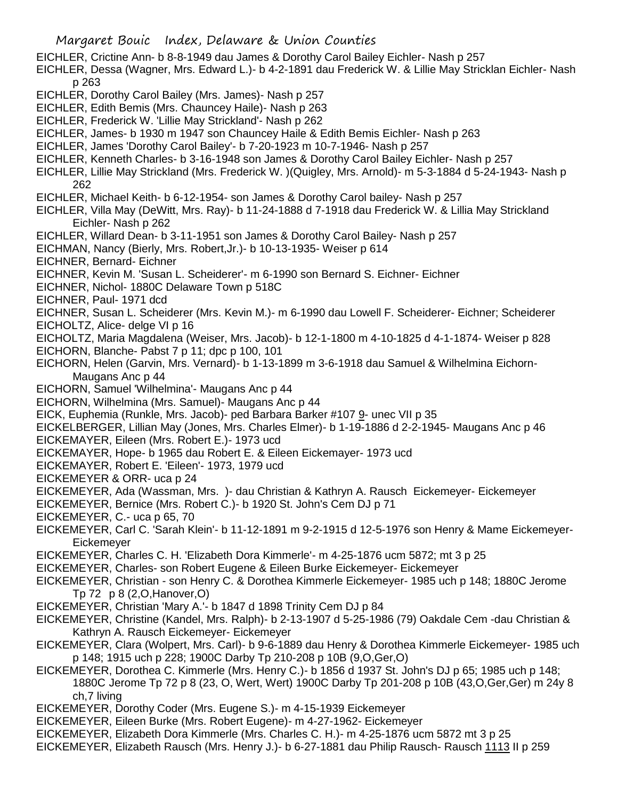EICHLER, Crictine Ann- b 8-8-1949 dau James & Dorothy Carol Bailey Eichler- Nash p 257

- EICHLER, Dessa (Wagner, Mrs. Edward L.)- b 4-2-1891 dau Frederick W. & Lillie May Stricklan Eichler- Nash p 263
- EICHLER, Dorothy Carol Bailey (Mrs. James)- Nash p 257
- EICHLER, Edith Bemis (Mrs. Chauncey Haile)- Nash p 263
- EICHLER, Frederick W. 'Lillie May Strickland'- Nash p 262
- EICHLER, James- b 1930 m 1947 son Chauncey Haile & Edith Bemis Eichler- Nash p 263
- EICHLER, James 'Dorothy Carol Bailey'- b 7-20-1923 m 10-7-1946- Nash p 257
- EICHLER, Kenneth Charles- b 3-16-1948 son James & Dorothy Carol Bailey Eichler- Nash p 257
- EICHLER, Lillie May Strickland (Mrs. Frederick W. )(Quigley, Mrs. Arnold)- m 5-3-1884 d 5-24-1943- Nash p 262
- EICHLER, Michael Keith- b 6-12-1954- son James & Dorothy Carol bailey- Nash p 257
- EICHLER, Villa May (DeWitt, Mrs. Ray)- b 11-24-1888 d 7-1918 dau Frederick W. & Lillia May Strickland Eichler- Nash p 262
- EICHLER, Willard Dean- b 3-11-1951 son James & Dorothy Carol Bailey- Nash p 257
- EICHMAN, Nancy (Bierly, Mrs. Robert,Jr.)- b 10-13-1935- Weiser p 614
- EICHNER, Bernard- Eichner
- EICHNER, Kevin M. 'Susan L. Scheiderer'- m 6-1990 son Bernard S. Eichner- Eichner
- EICHNER, Nichol- 1880C Delaware Town p 518C
- EICHNER, Paul- 1971 dcd
- EICHNER, Susan L. Scheiderer (Mrs. Kevin M.)- m 6-1990 dau Lowell F. Scheiderer- Eichner; Scheiderer
- EICHOLTZ, Alice- delge VI p 16
- EICHOLTZ, Maria Magdalena (Weiser, Mrs. Jacob)- b 12-1-1800 m 4-10-1825 d 4-1-1874- Weiser p 828
- EICHORN, Blanche- Pabst 7 p 11; dpc p 100, 101
- EICHORN, Helen (Garvin, Mrs. Vernard)- b 1-13-1899 m 3-6-1918 dau Samuel & Wilhelmina Eichorn-Maugans Anc p 44
- EICHORN, Samuel 'Wilhelmina'- Maugans Anc p 44
- EICHORN, Wilhelmina (Mrs. Samuel)- Maugans Anc p 44
- EICK, Euphemia (Runkle, Mrs. Jacob)- ped Barbara Barker #107 9- unec VII p 35
- EICKELBERGER, Lillian May (Jones, Mrs. Charles Elmer)- b 1-19-1886 d 2-2-1945- Maugans Anc p 46 EICKEMAYER, Eileen (Mrs. Robert E.)- 1973 ucd
- EICKEMAYER, Hope- b 1965 dau Robert E. & Eileen Eickemayer- 1973 ucd
- EICKEMAYER, Robert E. 'Eileen'- 1973, 1979 ucd
- EICKEMEYER & ORR- uca p 24
- EICKEMEYER, Ada (Wassman, Mrs. )- dau Christian & Kathryn A. Rausch Eickemeyer- Eickemeyer
- EICKEMEYER, Bernice (Mrs. Robert C.)- b 1920 St. John's Cem DJ p 71
- EICKEMEYER, C.- uca p 65, 70
- EICKEMEYER, Carl C. 'Sarah Klein'- b 11-12-1891 m 9-2-1915 d 12-5-1976 son Henry & Mame Eickemeyer-Eickemeyer
- EICKEMEYER, Charles C. H. 'Elizabeth Dora Kimmerle'- m 4-25-1876 ucm 5872; mt 3 p 25
- EICKEMEYER, Charles- son Robert Eugene & Eileen Burke Eickemeyer- Eickemeyer
- EICKEMEYER, Christian son Henry C. & Dorothea Kimmerle Eickemeyer- 1985 uch p 148; 1880C Jerome Tp 72 p 8 (2,O,Hanover,O)
- EICKEMEYER, Christian 'Mary A.'- b 1847 d 1898 Trinity Cem DJ p 84
- EICKEMEYER, Christine (Kandel, Mrs. Ralph)- b 2-13-1907 d 5-25-1986 (79) Oakdale Cem -dau Christian & Kathryn A. Rausch Eickemeyer- Eickemeyer
- EICKEMEYER, Clara (Wolpert, Mrs. Carl)- b 9-6-1889 dau Henry & Dorothea Kimmerle Eickemeyer- 1985 uch p 148; 1915 uch p 228; 1900C Darby Tp 210-208 p 10B (9,O,Ger,O)
- EICKEMEYER, Dorothea C. Kimmerle (Mrs. Henry C.)- b 1856 d 1937 St. John's DJ p 65; 1985 uch p 148; 1880C Jerome Tp 72 p 8 (23, O, Wert, Wert) 1900C Darby Tp 201-208 p 10B (43,O,Ger,Ger) m 24y 8 ch,7 living
- EICKEMEYER, Dorothy Coder (Mrs. Eugene S.)- m 4-15-1939 Eickemeyer
- EICKEMEYER, Eileen Burke (Mrs. Robert Eugene)- m 4-27-1962- Eickemeyer
- EICKEMEYER, Elizabeth Dora Kimmerle (Mrs. Charles C. H.)- m 4-25-1876 ucm 5872 mt 3 p 25
- EICKEMEYER, Elizabeth Rausch (Mrs. Henry J.)- b 6-27-1881 dau Philip Rausch- Rausch 1113 II p 259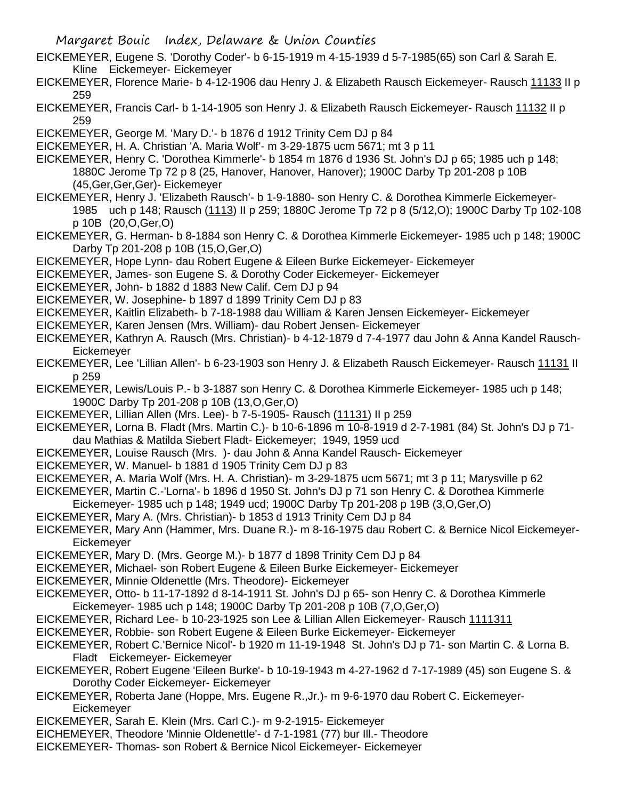- EICKEMEYER, Eugene S. 'Dorothy Coder'- b 6-15-1919 m 4-15-1939 d 5-7-1985(65) son Carl & Sarah E. Kline Eickemeyer- Eickemeyer
- EICKEMEYER, Florence Marie- b 4-12-1906 dau Henry J. & Elizabeth Rausch Eickemeyer- Rausch 11133 II p 259

EICKEMEYER, Francis Carl- b 1-14-1905 son Henry J. & Elizabeth Rausch Eickemeyer- Rausch 11132 II p 259

EICKEMEYER, George M. 'Mary D.'- b 1876 d 1912 Trinity Cem DJ p 84

EICKEMEYER, H. A. Christian 'A. Maria Wolf'- m 3-29-1875 ucm 5671; mt 3 p 11

- EICKEMEYER, Henry C. 'Dorothea Kimmerle'- b 1854 m 1876 d 1936 St. John's DJ p 65; 1985 uch p 148; 1880C Jerome Tp 72 p 8 (25, Hanover, Hanover, Hanover); 1900C Darby Tp 201-208 p 10B (45,Ger,Ger,Ger)- Eickemeyer
- EICKEMEYER, Henry J. 'Elizabeth Rausch'- b 1-9-1880- son Henry C. & Dorothea Kimmerle Eickemeyer-1985 uch p 148; Rausch (1113) II p 259; 1880C Jerome Tp 72 p 8 (5/12,O); 1900C Darby Tp 102-108 p 10B (20,O,Ger,O)
- EICKEMEYER, G. Herman- b 8-1884 son Henry C. & Dorothea Kimmerle Eickemeyer- 1985 uch p 148; 1900C Darby Tp 201-208 p 10B (15,O,Ger,O)
- EICKEMEYER, Hope Lynn- dau Robert Eugene & Eileen Burke Eickemeyer- Eickemeyer
- EICKEMEYER, James- son Eugene S. & Dorothy Coder Eickemeyer- Eickemeyer
- EICKEMEYER, John- b 1882 d 1883 New Calif. Cem DJ p 94
- EICKEMEYER, W. Josephine- b 1897 d 1899 Trinity Cem DJ p 83
- EICKEMEYER, Kaitlin Elizabeth- b 7-18-1988 dau William & Karen Jensen Eickemeyer- Eickemeyer
- EICKEMEYER, Karen Jensen (Mrs. William)- dau Robert Jensen- Eickemeyer
- EICKEMEYER, Kathryn A. Rausch (Mrs. Christian)- b 4-12-1879 d 7-4-1977 dau John & Anna Kandel Rausch-**Eickemeyer**
- EICKEMEYER, Lee 'Lillian Allen'- b 6-23-1903 son Henry J. & Elizabeth Rausch Eickemeyer- Rausch 11131 II p 259
- EICKEMEYER, Lewis/Louis P.- b 3-1887 son Henry C. & Dorothea Kimmerle Eickemeyer- 1985 uch p 148; 1900C Darby Tp 201-208 p 10B (13,O,Ger,O)
- EICKEMEYER, Lillian Allen (Mrs. Lee)- b 7-5-1905- Rausch (11131) II p 259
- EICKEMEYER, Lorna B. Fladt (Mrs. Martin C.)- b 10-6-1896 m 10-8-1919 d 2-7-1981 (84) St. John's DJ p 71 dau Mathias & Matilda Siebert Fladt- Eickemeyer; 1949, 1959 ucd
- EICKEMEYER, Louise Rausch (Mrs. )- dau John & Anna Kandel Rausch- Eickemeyer
- EICKEMEYER, W. Manuel- b 1881 d 1905 Trinity Cem DJ p 83
- EICKEMEYER, A. Maria Wolf (Mrs. H. A. Christian)- m 3-29-1875 ucm 5671; mt 3 p 11; Marysville p 62
- EICKEMEYER, Martin C.-'Lorna'- b 1896 d 1950 St. John's DJ p 71 son Henry C. & Dorothea Kimmerle
- Eickemeyer- 1985 uch p 148; 1949 ucd; 1900C Darby Tp 201-208 p 19B (3,O,Ger,O)
- EICKEMEYER, Mary A. (Mrs. Christian)- b 1853 d 1913 Trinity Cem DJ p 84
- EICKEMEYER, Mary Ann (Hammer, Mrs. Duane R.)- m 8-16-1975 dau Robert C. & Bernice Nicol Eickemeyer-Eickemeyer
- EICKEMEYER, Mary D. (Mrs. George M.)- b 1877 d 1898 Trinity Cem DJ p 84
- EICKEMEYER, Michael- son Robert Eugene & Eileen Burke Eickemeyer- Eickemeyer
- EICKEMEYER, Minnie Oldenettle (Mrs. Theodore)- Eickemeyer
- EICKEMEYER, Otto- b 11-17-1892 d 8-14-1911 St. John's DJ p 65- son Henry C. & Dorothea Kimmerle Eickemeyer- 1985 uch p 148; 1900C Darby Tp 201-208 p 10B (7,O,Ger,O)
- EICKEMEYER, Richard Lee- b 10-23-1925 son Lee & Lillian Allen Eickemeyer- Rausch 1111311
- EICKEMEYER, Robbie- son Robert Eugene & Eileen Burke Eickemeyer- Eickemeyer
- EICKEMEYER, Robert C.'Bernice Nicol'- b 1920 m 11-19-1948 St. John's DJ p 71- son Martin C. & Lorna B. Fladt Eickemeyer- Eickemeyer
- EICKEMEYER, Robert Eugene 'Eileen Burke'- b 10-19-1943 m 4-27-1962 d 7-17-1989 (45) son Eugene S. & Dorothy Coder Eickemeyer- Eickemeyer
- EICKEMEYER, Roberta Jane (Hoppe, Mrs. Eugene R.,Jr.)- m 9-6-1970 dau Robert C. Eickemeyer-**Eickemeyer**
- EICKEMEYER, Sarah E. Klein (Mrs. Carl C.)- m 9-2-1915- Eickemeyer
- EICHEMEYER, Theodore 'Minnie Oldenettle'- d 7-1-1981 (77) bur Ill.- Theodore
- EICKEMEYER- Thomas- son Robert & Bernice Nicol Eickemeyer- Eickemeyer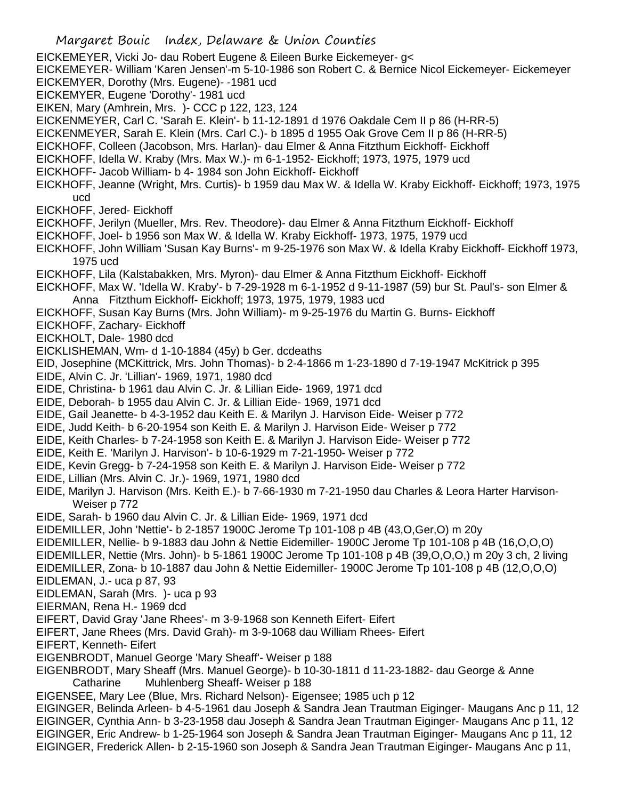EICKEMEYER, Vicki Jo- dau Robert Eugene & Eileen Burke Eickemeyer- g< EICKEMEYER- William 'Karen Jensen'-m 5-10-1986 son Robert C. & Bernice Nicol Eickemeyer- Eickemeyer EICKEMYER, Dorothy (Mrs. Eugene)- -1981 ucd EICKEMYER, Eugene 'Dorothy'- 1981 ucd EIKEN, Mary (Amhrein, Mrs. )- CCC p 122, 123, 124 EICKENMEYER, Carl C. 'Sarah E. Klein'- b 11-12-1891 d 1976 Oakdale Cem II p 86 (H-RR-5) EICKENMEYER, Sarah E. Klein (Mrs. Carl C.)- b 1895 d 1955 Oak Grove Cem II p 86 (H-RR-5) EICKHOFF, Colleen (Jacobson, Mrs. Harlan)- dau Elmer & Anna Fitzthum Eickhoff- Eickhoff EICKHOFF, Idella W. Kraby (Mrs. Max W.)- m 6-1-1952- Eickhoff; 1973, 1975, 1979 ucd EICKHOFF- Jacob William- b 4- 1984 son John Eickhoff- Eickhoff EICKHOFF, Jeanne (Wright, Mrs. Curtis)- b 1959 dau Max W. & Idella W. Kraby Eickhoff- Eickhoff; 1973, 1975 ucd EICKHOFF, Jered- Eickhoff EICKHOFF, Jerilyn (Mueller, Mrs. Rev. Theodore)- dau Elmer & Anna Fitzthum Eickhoff- Eickhoff EICKHOFF, Joel- b 1956 son Max W. & Idella W. Kraby Eickhoff- 1973, 1975, 1979 ucd EICKHOFF, John William 'Susan Kay Burns'- m 9-25-1976 son Max W. & Idella Kraby Eickhoff- Eickhoff 1973, 1975 ucd EICKHOFF, Lila (Kalstabakken, Mrs. Myron)- dau Elmer & Anna Fitzthum Eickhoff- Eickhoff EICKHOFF, Max W. 'Idella W. Kraby'- b 7-29-1928 m 6-1-1952 d 9-11-1987 (59) bur St. Paul's- son Elmer & Anna Fitzthum Eickhoff- Eickhoff; 1973, 1975, 1979, 1983 ucd EICKHOFF, Susan Kay Burns (Mrs. John William)- m 9-25-1976 du Martin G. Burns- Eickhoff EICKHOFF, Zachary- Eickhoff EICKHOLT, Dale- 1980 dcd EICKLISHEMAN, Wm- d 1-10-1884 (45y) b Ger. dcdeaths EID, Josephine (MCKittrick, Mrs. John Thomas)- b 2-4-1866 m 1-23-1890 d 7-19-1947 McKitrick p 395 EIDE, Alvin C. Jr. 'Lillian'- 1969, 1971, 1980 dcd EIDE, Christina- b 1961 dau Alvin C. Jr. & Lillian Eide- 1969, 1971 dcd EIDE, Deborah- b 1955 dau Alvin C. Jr. & Lillian Eide- 1969, 1971 dcd EIDE, Gail Jeanette- b 4-3-1952 dau Keith E. & Marilyn J. Harvison Eide- Weiser p 772 EIDE, Judd Keith- b 6-20-1954 son Keith E. & Marilyn J. Harvison Eide- Weiser p 772 EIDE, Keith Charles- b 7-24-1958 son Keith E. & Marilyn J. Harvison Eide- Weiser p 772 EIDE, Keith E. 'Marilyn J. Harvison'- b 10-6-1929 m 7-21-1950- Weiser p 772 EIDE, Kevin Gregg- b 7-24-1958 son Keith E. & Marilyn J. Harvison Eide- Weiser p 772 EIDE, Lillian (Mrs. Alvin C. Jr.)- 1969, 1971, 1980 dcd EIDE, Marilyn J. Harvison (Mrs. Keith E.)- b 7-66-1930 m 7-21-1950 dau Charles & Leora Harter Harvison-Weiser p 772 EIDE, Sarah- b 1960 dau Alvin C. Jr. & Lillian Eide- 1969, 1971 dcd EIDEMILLER, John 'Nettie'- b 2-1857 1900C Jerome Tp 101-108 p 4B (43,O,Ger,O) m 20y EIDEMILLER, Nellie- b 9-1883 dau John & Nettie Eidemiller- 1900C Jerome Tp 101-108 p 4B (16,O,O,O) EIDEMILLER, Nettie (Mrs. John)- b 5-1861 1900C Jerome Tp 101-108 p 4B (39,O,O,O,) m 20y 3 ch, 2 living EIDEMILLER, Zona- b 10-1887 dau John & Nettie Eidemiller- 1900C Jerome Tp 101-108 p 4B (12,O,O,O) EIDLEMAN, J.- uca p 87, 93 EIDLEMAN, Sarah (Mrs. )- uca p 93 EIERMAN, Rena H.- 1969 dcd EIFERT, David Gray 'Jane Rhees'- m 3-9-1968 son Kenneth Eifert- Eifert EIFERT, Jane Rhees (Mrs. David Grah)- m 3-9-1068 dau William Rhees- Eifert EIFERT, Kenneth- Eifert EIGENBRODT, Manuel George 'Mary Sheaff'- Weiser p 188 EIGENBRODT, Mary Sheaff (Mrs. Manuel George)- b 10-30-1811 d 11-23-1882- dau George & Anne Catharine Muhlenberg Sheaff- Weiser p 188 EIGENSEE, Mary Lee (Blue, Mrs. Richard Nelson)- Eigensee; 1985 uch p 12 EIGINGER, Belinda Arleen- b 4-5-1961 dau Joseph & Sandra Jean Trautman Eiginger- Maugans Anc p 11, 12 EIGINGER, Cynthia Ann- b 3-23-1958 dau Joseph & Sandra Jean Trautman Eiginger- Maugans Anc p 11, 12 EIGINGER, Eric Andrew- b 1-25-1964 son Joseph & Sandra Jean Trautman Eiginger- Maugans Anc p 11, 12

EIGINGER, Frederick Allen- b 2-15-1960 son Joseph & Sandra Jean Trautman Eiginger- Maugans Anc p 11,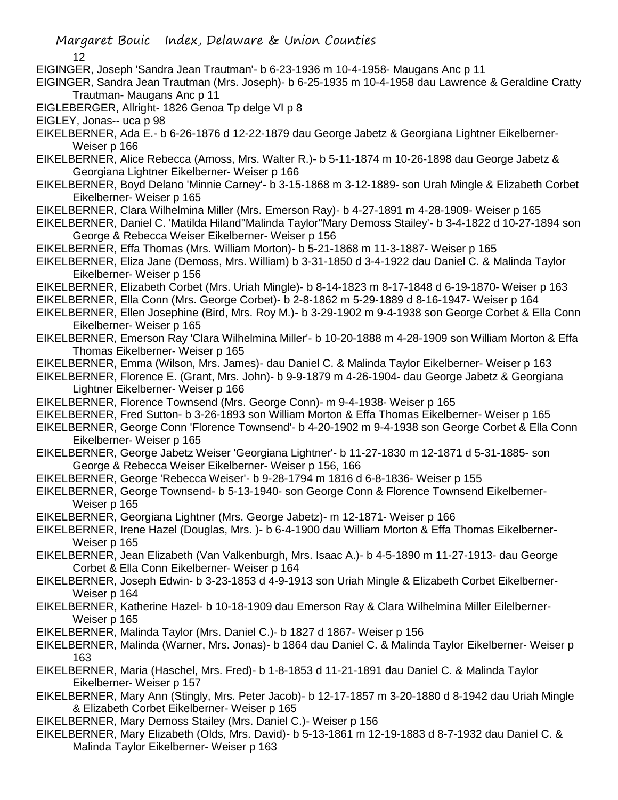- Margaret Bouic Index, Delaware & Union Counties
	- 12
- EIGINGER, Joseph 'Sandra Jean Trautman'- b 6-23-1936 m 10-4-1958- Maugans Anc p 11

EIGINGER, Sandra Jean Trautman (Mrs. Joseph)- b 6-25-1935 m 10-4-1958 dau Lawrence & Geraldine Cratty Trautman- Maugans Anc p 11

- EIGLEBERGER, Allright- 1826 Genoa Tp delge VI p 8
- EIGLEY, Jonas-- uca p 98
- EIKELBERNER, Ada E.- b 6-26-1876 d 12-22-1879 dau George Jabetz & Georgiana Lightner Eikelberner-Weiser p 166
- EIKELBERNER, Alice Rebecca (Amoss, Mrs. Walter R.)- b 5-11-1874 m 10-26-1898 dau George Jabetz & Georgiana Lightner Eikelberner- Weiser p 166
- EIKELBERNER, Boyd Delano 'Minnie Carney'- b 3-15-1868 m 3-12-1889- son Urah Mingle & Elizabeth Corbet Eikelberner- Weiser p 165
- EIKELBERNER, Clara Wilhelmina Miller (Mrs. Emerson Ray)- b 4-27-1891 m 4-28-1909- Weiser p 165
- EIKELBERNER, Daniel C. 'Matilda Hiland''Malinda Taylor''Mary Demoss Stailey'- b 3-4-1822 d 10-27-1894 son George & Rebecca Weiser Eikelberner- Weiser p 156
- EIKELBERNER, Effa Thomas (Mrs. William Morton)- b 5-21-1868 m 11-3-1887- Weiser p 165
- EIKELBERNER, Eliza Jane (Demoss, Mrs. William) b 3-31-1850 d 3-4-1922 dau Daniel C. & Malinda Taylor Eikelberner- Weiser p 156
- EIKELBERNER, Elizabeth Corbet (Mrs. Uriah Mingle)- b 8-14-1823 m 8-17-1848 d 6-19-1870- Weiser p 163
- EIKELBERNER, Ella Conn (Mrs. George Corbet)- b 2-8-1862 m 5-29-1889 d 8-16-1947- Weiser p 164
- EIKELBERNER, Ellen Josephine (Bird, Mrs. Roy M.)- b 3-29-1902 m 9-4-1938 son George Corbet & Ella Conn Eikelberner- Weiser p 165
- EIKELBERNER, Emerson Ray 'Clara Wilhelmina Miller'- b 10-20-1888 m 4-28-1909 son William Morton & Effa Thomas Eikelberner- Weiser p 165
- EIKELBERNER, Emma (Wilson, Mrs. James)- dau Daniel C. & Malinda Taylor Eikelberner- Weiser p 163
- EIKELBERNER, Florence E. (Grant, Mrs. John)- b 9-9-1879 m 4-26-1904- dau George Jabetz & Georgiana Lightner Eikelberner- Weiser p 166
- EIKELBERNER, Florence Townsend (Mrs. George Conn)- m 9-4-1938- Weiser p 165
- EIKELBERNER, Fred Sutton- b 3-26-1893 son William Morton & Effa Thomas Eikelberner- Weiser p 165
- EIKELBERNER, George Conn 'Florence Townsend'- b 4-20-1902 m 9-4-1938 son George Corbet & Ella Conn Eikelberner- Weiser p 165
- EIKELBERNER, George Jabetz Weiser 'Georgiana Lightner'- b 11-27-1830 m 12-1871 d 5-31-1885- son George & Rebecca Weiser Eikelberner- Weiser p 156, 166
- EIKELBERNER, George 'Rebecca Weiser'- b 9-28-1794 m 1816 d 6-8-1836- Weiser p 155
- EIKELBERNER, George Townsend- b 5-13-1940- son George Conn & Florence Townsend Eikelberner-Weiser p 165
- EIKELBERNER, Georgiana Lightner (Mrs. George Jabetz)- m 12-1871- Weiser p 166
- EIKELBERNER, Irene Hazel (Douglas, Mrs. )- b 6-4-1900 dau William Morton & Effa Thomas Eikelberner-Weiser p 165
- EIKELBERNER, Jean Elizabeth (Van Valkenburgh, Mrs. Isaac A.)- b 4-5-1890 m 11-27-1913- dau George Corbet & Ella Conn Eikelberner- Weiser p 164
- EIKELBERNER, Joseph Edwin- b 3-23-1853 d 4-9-1913 son Uriah Mingle & Elizabeth Corbet Eikelberner-Weiser p 164
- EIKELBERNER, Katherine Hazel- b 10-18-1909 dau Emerson Ray & Clara Wilhelmina Miller Eilelberner-Weiser p 165
- EIKELBERNER, Malinda Taylor (Mrs. Daniel C.)- b 1827 d 1867- Weiser p 156
- EIKELBERNER, Malinda (Warner, Mrs. Jonas)- b 1864 dau Daniel C. & Malinda Taylor Eikelberner- Weiser p 163
- EIKELBERNER, Maria (Haschel, Mrs. Fred)- b 1-8-1853 d 11-21-1891 dau Daniel C. & Malinda Taylor Eikelberner- Weiser p 157
- EIKELBERNER, Mary Ann (Stingly, Mrs. Peter Jacob)- b 12-17-1857 m 3-20-1880 d 8-1942 dau Uriah Mingle & Elizabeth Corbet Eikelberner- Weiser p 165
- EIKELBERNER, Mary Demoss Stailey (Mrs. Daniel C.)- Weiser p 156
- EIKELBERNER, Mary Elizabeth (Olds, Mrs. David)- b 5-13-1861 m 12-19-1883 d 8-7-1932 dau Daniel C. & Malinda Taylor Eikelberner- Weiser p 163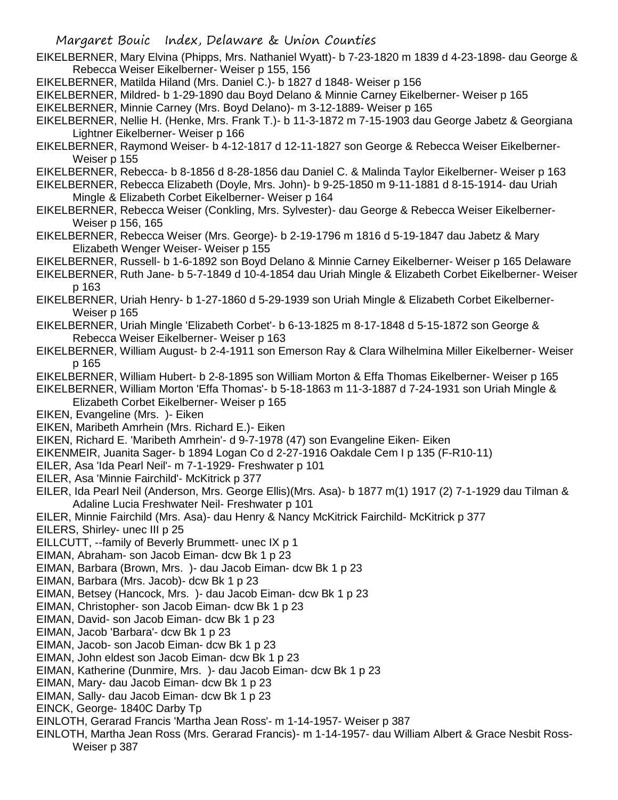- EIKELBERNER, Mary Elvina (Phipps, Mrs. Nathaniel Wyatt)- b 7-23-1820 m 1839 d 4-23-1898- dau George & Rebecca Weiser Eikelberner- Weiser p 155, 156
- EIKELBERNER, Matilda Hiland (Mrs. Daniel C.)- b 1827 d 1848- Weiser p 156
- EIKELBERNER, Mildred- b 1-29-1890 dau Boyd Delano & Minnie Carney Eikelberner- Weiser p 165
- EIKELBERNER, Minnie Carney (Mrs. Boyd Delano)- m 3-12-1889- Weiser p 165
- EIKELBERNER, Nellie H. (Henke, Mrs. Frank T.)- b 11-3-1872 m 7-15-1903 dau George Jabetz & Georgiana Lightner Eikelberner- Weiser p 166
- EIKELBERNER, Raymond Weiser- b 4-12-1817 d 12-11-1827 son George & Rebecca Weiser Eikelberner-Weiser p 155
- EIKELBERNER, Rebecca- b 8-1856 d 8-28-1856 dau Daniel C. & Malinda Taylor Eikelberner- Weiser p 163
- EIKELBERNER, Rebecca Elizabeth (Doyle, Mrs. John)- b 9-25-1850 m 9-11-1881 d 8-15-1914- dau Uriah Mingle & Elizabeth Corbet Eikelberner- Weiser p 164
- EIKELBERNER, Rebecca Weiser (Conkling, Mrs. Sylvester)- dau George & Rebecca Weiser Eikelberner-Weiser p 156, 165
- EIKELBERNER, Rebecca Weiser (Mrs. George)- b 2-19-1796 m 1816 d 5-19-1847 dau Jabetz & Mary Elizabeth Wenger Weiser- Weiser p 155
- EIKELBERNER, Russell- b 1-6-1892 son Boyd Delano & Minnie Carney Eikelberner- Weiser p 165 Delaware
- EIKELBERNER, Ruth Jane- b 5-7-1849 d 10-4-1854 dau Uriah Mingle & Elizabeth Corbet Eikelberner- Weiser p 163
- EIKELBERNER, Uriah Henry- b 1-27-1860 d 5-29-1939 son Uriah Mingle & Elizabeth Corbet Eikelberner-Weiser p 165
- EIKELBERNER, Uriah Mingle 'Elizabeth Corbet'- b 6-13-1825 m 8-17-1848 d 5-15-1872 son George & Rebecca Weiser Eikelberner- Weiser p 163
- EIKELBERNER, William August- b 2-4-1911 son Emerson Ray & Clara Wilhelmina Miller Eikelberner- Weiser p 165
- EIKELBERNER, William Hubert- b 2-8-1895 son William Morton & Effa Thomas Eikelberner- Weiser p 165
- EIKELBERNER, William Morton 'Effa Thomas'- b 5-18-1863 m 11-3-1887 d 7-24-1931 son Uriah Mingle & Elizabeth Corbet Eikelberner- Weiser p 165
- EIKEN, Evangeline (Mrs. )- Eiken
- EIKEN, Maribeth Amrhein (Mrs. Richard E.)- Eiken
- EIKEN, Richard E. 'Maribeth Amrhein'- d 9-7-1978 (47) son Evangeline Eiken- Eiken
- EIKENMEIR, Juanita Sager- b 1894 Logan Co d 2-27-1916 Oakdale Cem I p 135 (F-R10-11)
- EILER, Asa 'Ida Pearl Neil'- m 7-1-1929- Freshwater p 101
- EILER, Asa 'Minnie Fairchild'- McKitrick p 377
- EILER, Ida Pearl Neil (Anderson, Mrs. George Ellis)(Mrs. Asa)- b 1877 m(1) 1917 (2) 7-1-1929 dau Tilman & Adaline Lucia Freshwater Neil- Freshwater p 101
- EILER, Minnie Fairchild (Mrs. Asa)- dau Henry & Nancy McKitrick Fairchild- McKitrick p 377
- EILERS, Shirley- unec III p 25
- EILLCUTT, --family of Beverly Brummett- unec IX p 1
- EIMAN, Abraham- son Jacob Eiman- dcw Bk 1 p 23
- EIMAN, Barbara (Brown, Mrs. )- dau Jacob Eiman- dcw Bk 1 p 23
- EIMAN, Barbara (Mrs. Jacob)- dcw Bk 1 p 23
- EIMAN, Betsey (Hancock, Mrs. )- dau Jacob Eiman- dcw Bk 1 p 23
- EIMAN, Christopher- son Jacob Eiman- dcw Bk 1 p 23
- EIMAN, David- son Jacob Eiman- dcw Bk 1 p 23
- EIMAN, Jacob 'Barbara'- dcw Bk 1 p 23
- EIMAN, Jacob- son Jacob Eiman- dcw Bk 1 p 23
- EIMAN, John eldest son Jacob Eiman- dcw Bk 1 p 23
- EIMAN, Katherine (Dunmire, Mrs. )- dau Jacob Eiman- dcw Bk 1 p 23
- EIMAN, Mary- dau Jacob Eiman- dcw Bk 1 p 23
- EIMAN, Sally- dau Jacob Eiman- dcw Bk 1 p 23
- EINCK, George- 1840C Darby Tp
- EINLOTH, Gerarad Francis 'Martha Jean Ross'- m 1-14-1957- Weiser p 387
- EINLOTH, Martha Jean Ross (Mrs. Gerarad Francis)- m 1-14-1957- dau William Albert & Grace Nesbit Ross-Weiser p 387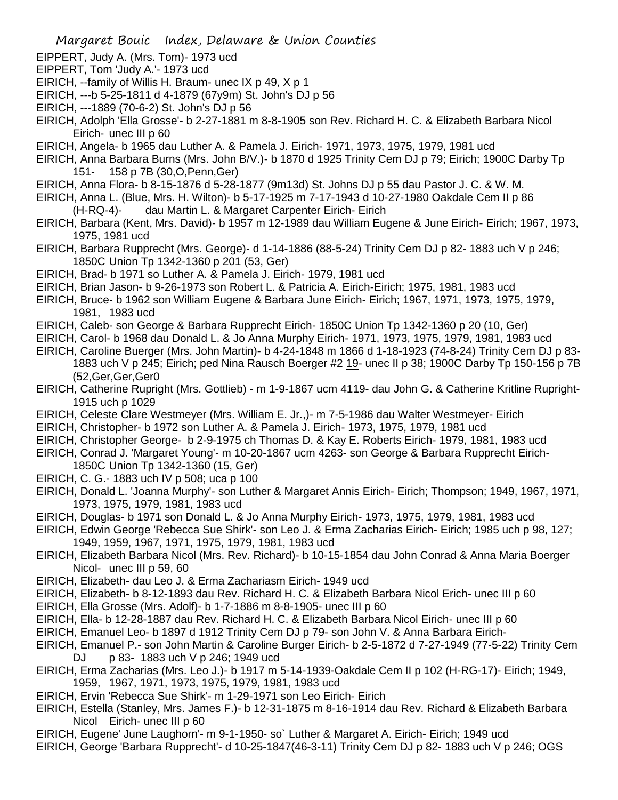- EIPPERT, Judy A. (Mrs. Tom)- 1973 ucd
- EIPPERT, Tom 'Judy A.'- 1973 ucd
- EIRICH, --family of Willis H. Braum- unec IX p 49, X p 1
- EIRICH, ---b 5-25-1811 d 4-1879 (67y9m) St. John's DJ p 56
- EIRICH, ---1889 (70-6-2) St. John's DJ p 56
- EIRICH, Adolph 'Ella Grosse'- b 2-27-1881 m 8-8-1905 son Rev. Richard H. C. & Elizabeth Barbara Nicol Eirich- unec III p 60
- EIRICH, Angela- b 1965 dau Luther A. & Pamela J. Eirich- 1971, 1973, 1975, 1979, 1981 ucd
- EIRICH, Anna Barbara Burns (Mrs. John B/V.)- b 1870 d 1925 Trinity Cem DJ p 79; Eirich; 1900C Darby Tp 151- 158 p 7B (30,O,Penn,Ger)
- EIRICH, Anna Flora- b 8-15-1876 d 5-28-1877 (9m13d) St. Johns DJ p 55 dau Pastor J. C. & W. M.
- EIRICH, Anna L. (Blue, Mrs. H. Wilton)- b 5-17-1925 m 7-17-1943 d 10-27-1980 Oakdale Cem II p 86
	- (H-RQ-4)- dau Martin L. & Margaret Carpenter Eirich- Eirich
- EIRICH, Barbara (Kent, Mrs. David)- b 1957 m 12-1989 dau William Eugene & June Eirich- Eirich; 1967, 1973, 1975, 1981 ucd
- EIRICH, Barbara Rupprecht (Mrs. George)- d 1-14-1886 (88-5-24) Trinity Cem DJ p 82- 1883 uch V p 246; 1850C Union Tp 1342-1360 p 201 (53, Ger)
- EIRICH, Brad- b 1971 so Luther A. & Pamela J. Eirich- 1979, 1981 ucd
- EIRICH, Brian Jason- b 9-26-1973 son Robert L. & Patricia A. Eirich-Eirich; 1975, 1981, 1983 ucd
- EIRICH, Bruce- b 1962 son William Eugene & Barbara June Eirich- Eirich; 1967, 1971, 1973, 1975, 1979, 1981, 1983 ucd
- EIRICH, Caleb- son George & Barbara Rupprecht Eirich- 1850C Union Tp 1342-1360 p 20 (10, Ger)
- EIRICH, Carol- b 1968 dau Donald L. & Jo Anna Murphy Eirich- 1971, 1973, 1975, 1979, 1981, 1983 ucd
- EIRICH, Caroline Buerger (Mrs. John Martin)- b 4-24-1848 m 1866 d 1-18-1923 (74-8-24) Trinity Cem DJ p 83- 1883 uch V p 245; Eirich; ped Nina Rausch Boerger #2 19- unec II p 38; 1900C Darby Tp 150-156 p 7B (52,Ger,Ger,Ger0
- EIRICH, Catherine Rupright (Mrs. Gottlieb) m 1-9-1867 ucm 4119- dau John G. & Catherine Kritline Rupright-1915 uch p 1029
- EIRICH, Celeste Clare Westmeyer (Mrs. William E. Jr.,)- m 7-5-1986 dau Walter Westmeyer- Eirich
- EIRICH, Christopher- b 1972 son Luther A. & Pamela J. Eirich- 1973, 1975, 1979, 1981 ucd
- EIRICH, Christopher George- b 2-9-1975 ch Thomas D. & Kay E. Roberts Eirich- 1979, 1981, 1983 ucd
- EIRICH, Conrad J. 'Margaret Young'- m 10-20-1867 ucm 4263- son George & Barbara Rupprecht Eirich-1850C Union Tp 1342-1360 (15, Ger)
- EIRICH, C. G.- 1883 uch IV p 508; uca p 100
- EIRICH, Donald L. 'Joanna Murphy'- son Luther & Margaret Annis Eirich- Eirich; Thompson; 1949, 1967, 1971, 1973, 1975, 1979, 1981, 1983 ucd
- EIRICH, Douglas- b 1971 son Donald L. & Jo Anna Murphy Eirich- 1973, 1975, 1979, 1981, 1983 ucd
- EIRICH, Edwin George 'Rebecca Sue Shirk'- son Leo J. & Erma Zacharias Eirich- Eirich; 1985 uch p 98, 127; 1949, 1959, 1967, 1971, 1975, 1979, 1981, 1983 ucd
- EIRICH, Elizabeth Barbara Nicol (Mrs. Rev. Richard)- b 10-15-1854 dau John Conrad & Anna Maria Boerger Nicol- unec III p 59, 60
- EIRICH, Elizabeth- dau Leo J. & Erma Zachariasm Eirich- 1949 ucd
- EIRICH, Elizabeth- b 8-12-1893 dau Rev. Richard H. C. & Elizabeth Barbara Nicol Erich- unec III p 60
- EIRICH, Ella Grosse (Mrs. Adolf)- b 1-7-1886 m 8-8-1905- unec III p 60
- EIRICH, Ella- b 12-28-1887 dau Rev. Richard H. C. & Elizabeth Barbara Nicol Eirich- unec III p 60
- EIRICH, Emanuel Leo- b 1897 d 1912 Trinity Cem DJ p 79- son John V. & Anna Barbara Eirich-
- EIRICH, Emanuel P.- son John Martin & Caroline Burger Eirich- b 2-5-1872 d 7-27-1949 (77-5-22) Trinity Cem DJ p 83- 1883 uch V p 246; 1949 ucd
- EIRICH, Erma Zacharias (Mrs. Leo J.)- b 1917 m 5-14-1939-Oakdale Cem II p 102 (H-RG-17)- Eirich; 1949, 1959, 1967, 1971, 1973, 1975, 1979, 1981, 1983 ucd
- EIRICH, Ervin 'Rebecca Sue Shirk'- m 1-29-1971 son Leo Eirich- Eirich
- EIRICH, Estella (Stanley, Mrs. James F.)- b 12-31-1875 m 8-16-1914 dau Rev. Richard & Elizabeth Barbara Nicol Eirich- unec III p 60
- EIRICH, Eugene' June Laughorn'- m 9-1-1950- so` Luther & Margaret A. Eirich- Eirich; 1949 ucd
- EIRICH, George 'Barbara Rupprecht'- d 10-25-1847(46-3-11) Trinity Cem DJ p 82- 1883 uch V p 246; OGS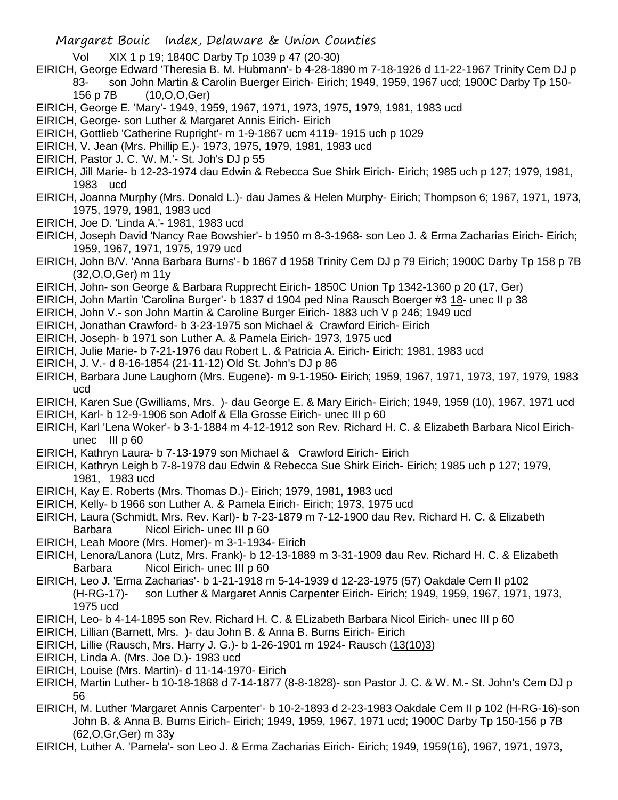- Vol XIX 1 p 19; 1840C Darby Tp 1039 p 47 (20-30)
- EIRICH, George Edward 'Theresia B. M. Hubmann'- b 4-28-1890 m 7-18-1926 d 11-22-1967 Trinity Cem DJ p 83- son John Martin & Carolin Buerger Eirich- Eirich; 1949, 1959, 1967 ucd; 1900C Darby Tp 150- 156 p 7B (10,O,O,Ger)
- EIRICH, George E. 'Mary'- 1949, 1959, 1967, 1971, 1973, 1975, 1979, 1981, 1983 ucd
- EIRICH, George- son Luther & Margaret Annis Eirich- Eirich
- EIRICH, Gottlieb 'Catherine Rupright'- m 1-9-1867 ucm 4119- 1915 uch p 1029
- EIRICH, V. Jean (Mrs. Phillip E.)- 1973, 1975, 1979, 1981, 1983 ucd
- EIRICH, Pastor J. C. 'W. M.'- St. Joh's DJ p 55
- EIRICH, Jill Marie- b 12-23-1974 dau Edwin & Rebecca Sue Shirk Eirich- Eirich; 1985 uch p 127; 1979, 1981, 1983 ucd
- EIRICH, Joanna Murphy (Mrs. Donald L.)- dau James & Helen Murphy- Eirich; Thompson 6; 1967, 1971, 1973, 1975, 1979, 1981, 1983 ucd
- EIRICH, Joe D. 'Linda A.'- 1981, 1983 ucd
- EIRICH, Joseph David 'Nancy Rae Bowshier'- b 1950 m 8-3-1968- son Leo J. & Erma Zacharias Eirich- Eirich; 1959, 1967, 1971, 1975, 1979 ucd
- EIRICH, John B/V. 'Anna Barbara Burns'- b 1867 d 1958 Trinity Cem DJ p 79 Eirich; 1900C Darby Tp 158 p 7B (32,O,O,Ger) m 11y
- EIRICH, John- son George & Barbara Rupprecht Eirich- 1850C Union Tp 1342-1360 p 20 (17, Ger)
- EIRICH, John Martin 'Carolina Burger'- b 1837 d 1904 ped Nina Rausch Boerger #3 18- unec II p 38
- EIRICH, John V.- son John Martin & Caroline Burger Eirich- 1883 uch V p 246; 1949 ucd
- EIRICH, Jonathan Crawford- b 3-23-1975 son Michael & Crawford Eirich- Eirich
- EIRICH, Joseph- b 1971 son Luther A. & Pamela Eirich- 1973, 1975 ucd
- EIRICH, Julie Marie- b 7-21-1976 dau Robert L. & Patricia A. Eirich- Eirich; 1981, 1983 ucd
- EIRICH, J. V.- d 8-16-1854 (21-11-12) Old St. John's DJ p 86
- EIRICH, Barbara June Laughorn (Mrs. Eugene)- m 9-1-1950- Eirich; 1959, 1967, 1971, 1973, 197, 1979, 1983 ucd
- EIRICH, Karen Sue (Gwilliams, Mrs. )- dau George E. & Mary Eirich- Eirich; 1949, 1959 (10), 1967, 1971 ucd
- EIRICH, Karl- b 12-9-1906 son Adolf & Ella Grosse Eirich- unec III p 60
- EIRICH, Karl 'Lena Woker'- b 3-1-1884 m 4-12-1912 son Rev. Richard H. C. & Elizabeth Barbara Nicol Eirichunec III p 60
- EIRICH, Kathryn Laura- b 7-13-1979 son Michael & Crawford Eirich- Eirich
- EIRICH, Kathryn Leigh b 7-8-1978 dau Edwin & Rebecca Sue Shirk Eirich- Eirich; 1985 uch p 127; 1979, 1981, 1983 ucd
- EIRICH, Kay E. Roberts (Mrs. Thomas D.)- Eirich; 1979, 1981, 1983 ucd
- EIRICH, Kelly- b 1966 son Luther A. & Pamela Eirich- Eirich; 1973, 1975 ucd
- EIRICH, Laura (Schmidt, Mrs. Rev. Karl)- b 7-23-1879 m 7-12-1900 dau Rev. Richard H. C. & Elizabeth Barbara Nicol Eirich- unec III p 60
- EIRICH, Leah Moore (Mrs. Homer)- m 3-1-1934- Eirich
- EIRICH, Lenora/Lanora (Lutz, Mrs. Frank)- b 12-13-1889 m 3-31-1909 dau Rev. Richard H. C. & Elizabeth Barbara Nicol Eirich- unec III p 60
- EIRICH, Leo J. 'Erma Zacharias'- b 1-21-1918 m 5-14-1939 d 12-23-1975 (57) Oakdale Cem II p102 (H-RG-17)- son Luther & Margaret Annis Carpenter Eirich- Eirich; 1949, 1959, 1967, 1971, 1973, 1975 ucd
- EIRICH, Leo- b 4-14-1895 son Rev. Richard H. C. & ELizabeth Barbara Nicol Eirich- unec III p 60
- EIRICH, Lillian (Barnett, Mrs. )- dau John B. & Anna B. Burns Eirich- Eirich
- EIRICH, Lillie (Rausch, Mrs. Harry J. G.)- b 1-26-1901 m 1924- Rausch (13(10)3)
- EIRICH, Linda A. (Mrs. Joe D.)- 1983 ucd
- EIRICH, Louise (Mrs. Martin)- d 11-14-1970- Eirich
- EIRICH, Martin Luther- b 10-18-1868 d 7-14-1877 (8-8-1828)- son Pastor J. C. & W. M.- St. John's Cem DJ p 56
- EIRICH, M. Luther 'Margaret Annis Carpenter'- b 10-2-1893 d 2-23-1983 Oakdale Cem II p 102 (H-RG-16)-son John B. & Anna B. Burns Eirich- Eirich; 1949, 1959, 1967, 1971 ucd; 1900C Darby Tp 150-156 p 7B (62,O,Gr,Ger) m 33y
- EIRICH, Luther A. 'Pamela'- son Leo J. & Erma Zacharias Eirich- Eirich; 1949, 1959(16), 1967, 1971, 1973,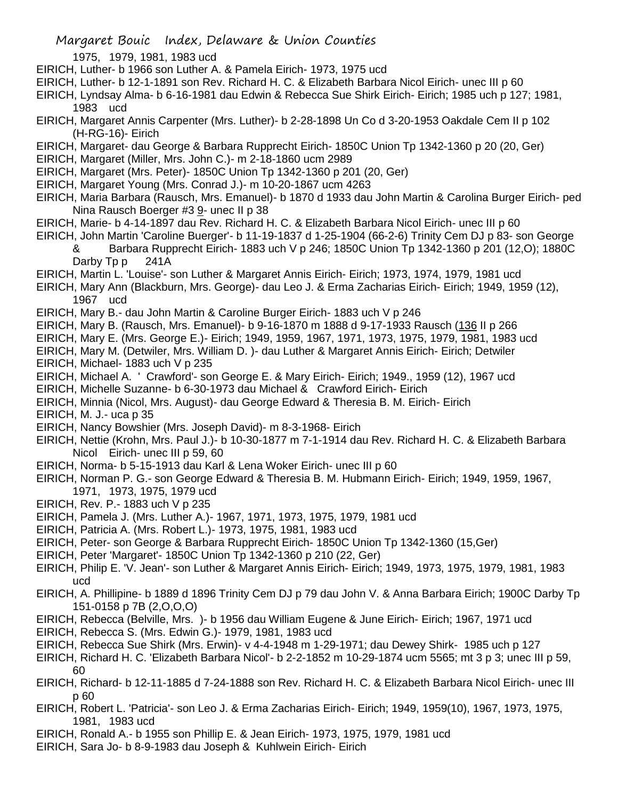1975, 1979, 1981, 1983 ucd

EIRICH, Luther- b 1966 son Luther A. & Pamela Eirich- 1973, 1975 ucd

EIRICH, Luther- b 12-1-1891 son Rev. Richard H. C. & Elizabeth Barbara Nicol Eirich- unec III p 60

EIRICH, Lyndsay Alma- b 6-16-1981 dau Edwin & Rebecca Sue Shirk Eirich- Eirich; 1985 uch p 127; 1981, 1983 ucd

EIRICH, Margaret Annis Carpenter (Mrs. Luther)- b 2-28-1898 Un Co d 3-20-1953 Oakdale Cem II p 102 (H-RG-16)- Eirich

EIRICH, Margaret- dau George & Barbara Rupprecht Eirich- 1850C Union Tp 1342-1360 p 20 (20, Ger)

EIRICH, Margaret (Miller, Mrs. John C.)- m 2-18-1860 ucm 2989

EIRICH, Margaret (Mrs. Peter)- 1850C Union Tp 1342-1360 p 201 (20, Ger)

EIRICH, Margaret Young (Mrs. Conrad J.)- m 10-20-1867 ucm 4263

EIRICH, Maria Barbara (Rausch, Mrs. Emanuel)- b 1870 d 1933 dau John Martin & Carolina Burger Eirich- ped Nina Rausch Boerger #3 9- unec II p 38

EIRICH, Marie- b 4-14-1897 dau Rev. Richard H. C. & Elizabeth Barbara Nicol Eirich- unec III p 60

EIRICH, John Martin 'Caroline Buerger'- b 11-19-1837 d 1-25-1904 (66-2-6) Trinity Cem DJ p 83- son George & Barbara Rupprecht Eirich- 1883 uch V p 246; 1850C Union Tp 1342-1360 p 201 (12,O); 1880C Darby Tp p 241A

EIRICH, Martin L. 'Louise'- son Luther & Margaret Annis Eirich- Eirich; 1973, 1974, 1979, 1981 ucd

EIRICH, Mary Ann (Blackburn, Mrs. George)- dau Leo J. & Erma Zacharias Eirich- Eirich; 1949, 1959 (12), 1967 ucd

EIRICH, Mary B.- dau John Martin & Caroline Burger Eirich- 1883 uch V p 246

EIRICH, Mary B. (Rausch, Mrs. Emanuel)- b 9-16-1870 m 1888 d 9-17-1933 Rausch (136 II p 266

EIRICH, Mary E. (Mrs. George E.)- Eirich; 1949, 1959, 1967, 1971, 1973, 1975, 1979, 1981, 1983 ucd

EIRICH, Mary M. (Detwiler, Mrs. William D. )- dau Luther & Margaret Annis Eirich- Eirich; Detwiler EIRICH, Michael- 1883 uch V p 235

EIRICH, Michael A. ' Crawford'- son George E. & Mary Eirich- Eirich; 1949., 1959 (12), 1967 ucd

EIRICH, Michelle Suzanne- b 6-30-1973 dau Michael & Crawford Eirich- Eirich

EIRICH, Minnia (Nicol, Mrs. August)- dau George Edward & Theresia B. M. Eirich- Eirich

EIRICH, M. J.- uca p 35

EIRICH, Nancy Bowshier (Mrs. Joseph David)- m 8-3-1968- Eirich

EIRICH, Nettie (Krohn, Mrs. Paul J.)- b 10-30-1877 m 7-1-1914 dau Rev. Richard H. C. & Elizabeth Barbara Nicol Eirich- unec III p 59, 60

EIRICH, Norma- b 5-15-1913 dau Karl & Lena Woker Eirich- unec III p 60

EIRICH, Norman P. G.- son George Edward & Theresia B. M. Hubmann Eirich- Eirich; 1949, 1959, 1967, 1971, 1973, 1975, 1979 ucd

EIRICH, Rev. P.- 1883 uch V p 235

EIRICH, Pamela J. (Mrs. Luther A.)- 1967, 1971, 1973, 1975, 1979, 1981 ucd

- EIRICH, Patricia A. (Mrs. Robert L.)- 1973, 1975, 1981, 1983 ucd
- EIRICH, Peter- son George & Barbara Rupprecht Eirich- 1850C Union Tp 1342-1360 (15,Ger)
- EIRICH, Peter 'Margaret'- 1850C Union Tp 1342-1360 p 210 (22, Ger)

EIRICH, Philip E. 'V. Jean'- son Luther & Margaret Annis Eirich- Eirich; 1949, 1973, 1975, 1979, 1981, 1983 ucd

EIRICH, A. Phillipine- b 1889 d 1896 Trinity Cem DJ p 79 dau John V. & Anna Barbara Eirich; 1900C Darby Tp 151-0158 p 7B (2,O,O,O)

- EIRICH, Rebecca (Belville, Mrs. )- b 1956 dau William Eugene & June Eirich- Eirich; 1967, 1971 ucd
- EIRICH, Rebecca S. (Mrs. Edwin G.)- 1979, 1981, 1983 ucd

EIRICH, Rebecca Sue Shirk (Mrs. Erwin)- v 4-4-1948 m 1-29-1971; dau Dewey Shirk- 1985 uch p 127

EIRICH, Richard H. C. 'Elizabeth Barbara Nicol'- b 2-2-1852 m 10-29-1874 ucm 5565; mt 3 p 3; unec III p 59, 60

- EIRICH, Richard- b 12-11-1885 d 7-24-1888 son Rev. Richard H. C. & Elizabeth Barbara Nicol Eirich- unec III p 60
- EIRICH, Robert L. 'Patricia'- son Leo J. & Erma Zacharias Eirich- Eirich; 1949, 1959(10), 1967, 1973, 1975, 1981, 1983 ucd
- EIRICH, Ronald A.- b 1955 son Phillip E. & Jean Eirich- 1973, 1975, 1979, 1981 ucd
- EIRICH, Sara Jo- b 8-9-1983 dau Joseph & Kuhlwein Eirich- Eirich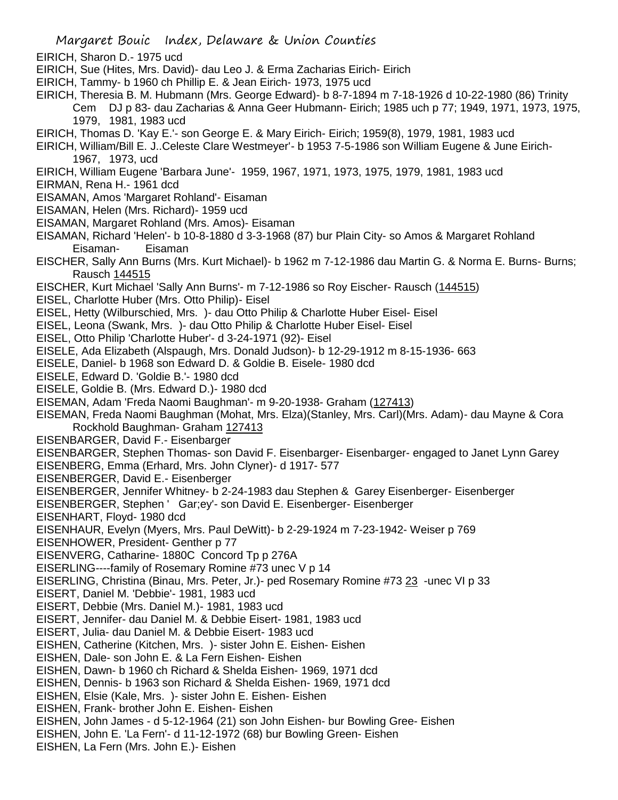- EIRICH, Sharon D.- 1975 ucd
- EIRICH, Sue (Hites, Mrs. David)- dau Leo J. & Erma Zacharias Eirich- Eirich
- EIRICH, Tammy- b 1960 ch Phillip E. & Jean Eirich- 1973, 1975 ucd
- EIRICH, Theresia B. M. Hubmann (Mrs. George Edward)- b 8-7-1894 m 7-18-1926 d 10-22-1980 (86) Trinity

Cem DJ p 83- dau Zacharias & Anna Geer Hubmann- Eirich; 1985 uch p 77; 1949, 1971, 1973, 1975, 1979, 1981, 1983 ucd

- EIRICH, Thomas D. 'Kay E.'- son George E. & Mary Eirich- Eirich; 1959(8), 1979, 1981, 1983 ucd
- EIRICH, William/Bill E. J..Celeste Clare Westmeyer'- b 1953 7-5-1986 son William Eugene & June Eirich-1967, 1973, ucd
- EIRICH, William Eugene 'Barbara June'- 1959, 1967, 1971, 1973, 1975, 1979, 1981, 1983 ucd
- EIRMAN, Rena H.- 1961 dcd
- EISAMAN, Amos 'Margaret Rohland'- Eisaman
- EISAMAN, Helen (Mrs. Richard)- 1959 ucd
- EISAMAN, Margaret Rohland (Mrs. Amos)- Eisaman
- EISAMAN, Richard 'Helen'- b 10-8-1880 d 3-3-1968 (87) bur Plain City- so Amos & Margaret Rohland Eisaman- Eisaman
- EISCHER, Sally Ann Burns (Mrs. Kurt Michael)- b 1962 m 7-12-1986 dau Martin G. & Norma E. Burns- Burns; Rausch 144515
- EISCHER, Kurt Michael 'Sally Ann Burns'- m 7-12-1986 so Roy Eischer- Rausch (144515)
- EISEL, Charlotte Huber (Mrs. Otto Philip)- Eisel
- EISEL, Hetty (Wilburschied, Mrs. )- dau Otto Philip & Charlotte Huber Eisel- Eisel
- EISEL, Leona (Swank, Mrs. )- dau Otto Philip & Charlotte Huber Eisel- Eisel
- EISEL, Otto Philip 'Charlotte Huber'- d 3-24-1971 (92)- Eisel
- EISELE, Ada Elizabeth (Alspaugh, Mrs. Donald Judson)- b 12-29-1912 m 8-15-1936- 663
- EISELE, Daniel- b 1968 son Edward D. & Goldie B. Eisele- 1980 dcd
- EISELE, Edward D. 'Goldie B.'- 1980 dcd
- EISELE, Goldie B. (Mrs. Edward D.)- 1980 dcd
- EISEMAN, Adam 'Freda Naomi Baughman'- m 9-20-1938- Graham (127413)
- EISEMAN, Freda Naomi Baughman (Mohat, Mrs. Elza)(Stanley, Mrs. Carl)(Mrs. Adam)- dau Mayne & Cora Rockhold Baughman- Graham 127413
- EISENBARGER, David F.- Eisenbarger
- EISENBARGER, Stephen Thomas- son David F. Eisenbarger- Eisenbarger- engaged to Janet Lynn Garey
- EISENBERG, Emma (Erhard, Mrs. John Clyner)- d 1917- 577
- EISENBERGER, David E.- Eisenberger
- EISENBERGER, Jennifer Whitney- b 2-24-1983 dau Stephen & Garey Eisenberger- Eisenberger
- EISENBERGER, Stephen ' Gar;ey'- son David E. Eisenberger- Eisenberger
- EISENHART, Floyd- 1980 dcd
- EISENHAUR, Evelyn (Myers, Mrs. Paul DeWitt)- b 2-29-1924 m 7-23-1942- Weiser p 769
- EISENHOWER, President- Genther p 77
- EISENVERG, Catharine- 1880C Concord Tp p 276A
- EISERLING----family of Rosemary Romine #73 unec V p 14
- EISERLING, Christina (Binau, Mrs. Peter, Jr.)- ped Rosemary Romine #73 23 -unec VI p 33
- EISERT, Daniel M. 'Debbie'- 1981, 1983 ucd
- EISERT, Debbie (Mrs. Daniel M.)- 1981, 1983 ucd
- EISERT, Jennifer- dau Daniel M. & Debbie Eisert- 1981, 1983 ucd
- EISERT, Julia- dau Daniel M. & Debbie Eisert- 1983 ucd
- EISHEN, Catherine (Kitchen, Mrs. )- sister John E. Eishen- Eishen
- EISHEN, Dale- son John E. & La Fern Eishen- Eishen
- EISHEN, Dawn- b 1960 ch Richard & Shelda Eishen- 1969, 1971 dcd
- EISHEN, Dennis- b 1963 son Richard & Shelda Eishen- 1969, 1971 dcd
- EISHEN, Elsie (Kale, Mrs. )- sister John E. Eishen- Eishen
- EISHEN, Frank- brother John E. Eishen- Eishen
- EISHEN, John James d 5-12-1964 (21) son John Eishen- bur Bowling Gree- Eishen
- EISHEN, John E. 'La Fern'- d 11-12-1972 (68) bur Bowling Green- Eishen
- EISHEN, La Fern (Mrs. John E.)- Eishen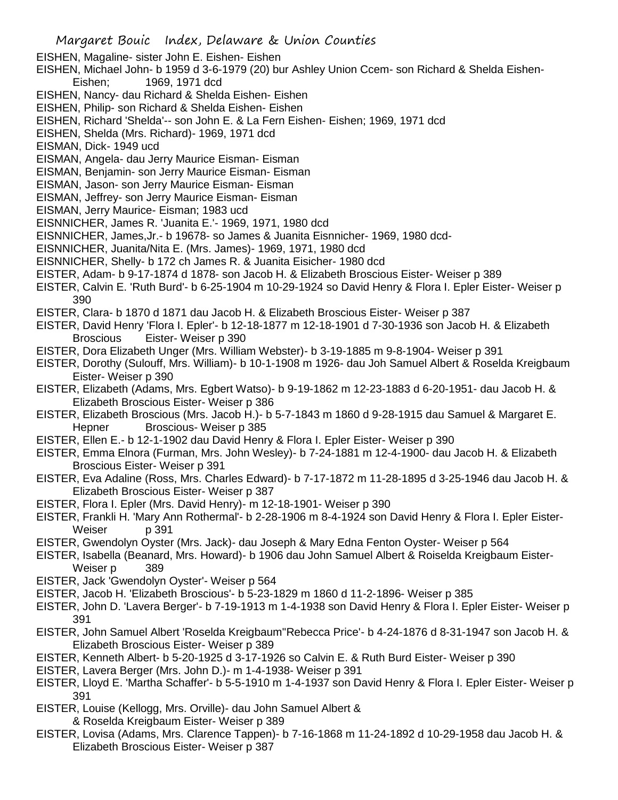- Margaret Bouic Index, Delaware & Union Counties EISHEN, Magaline- sister John E. Eishen- Eishen EISHEN, Michael John- b 1959 d 3-6-1979 (20) bur Ashley Union Ccem- son Richard & Shelda Eishen-Eishen; 1969, 1971 dcd EISHEN, Nancy- dau Richard & Shelda Eishen- Eishen EISHEN, Philip- son Richard & Shelda Eishen- Eishen EISHEN, Richard 'Shelda'-- son John E. & La Fern Eishen- Eishen; 1969, 1971 dcd EISHEN, Shelda (Mrs. Richard)- 1969, 1971 dcd EISMAN, Dick- 1949 ucd EISMAN, Angela- dau Jerry Maurice Eisman- Eisman EISMAN, Benjamin- son Jerry Maurice Eisman- Eisman EISMAN, Jason- son Jerry Maurice Eisman- Eisman EISMAN, Jeffrey- son Jerry Maurice Eisman- Eisman EISMAN, Jerry Maurice- Eisman; 1983 ucd EISNNICHER, James R. 'Juanita E.'- 1969, 1971, 1980 dcd EISNNICHER, James,Jr.- b 19678- so James & Juanita Eisnnicher- 1969, 1980 dcd-EISNNICHER, Juanita/Nita E. (Mrs. James)- 1969, 1971, 1980 dcd EISNNICHER, Shelly- b 172 ch James R. & Juanita Eisicher- 1980 dcd EISTER, Adam- b 9-17-1874 d 1878- son Jacob H. & Elizabeth Broscious Eister- Weiser p 389 EISTER, Calvin E. 'Ruth Burd'- b 6-25-1904 m 10-29-1924 so David Henry & Flora I. Epler Eister- Weiser p 390 EISTER, Clara- b 1870 d 1871 dau Jacob H. & Elizabeth Broscious Eister- Weiser p 387 EISTER, David Henry 'Flora I. Epler'- b 12-18-1877 m 12-18-1901 d 7-30-1936 son Jacob H. & Elizabeth Broscious Eister- Weiser p 390 EISTER, Dora Elizabeth Unger (Mrs. William Webster)- b 3-19-1885 m 9-8-1904- Weiser p 391 EISTER, Dorothy (Sulouff, Mrs. William)- b 10-1-1908 m 1926- dau Joh Samuel Albert & Roselda Kreigbaum Eister- Weiser p 390 EISTER, Elizabeth (Adams, Mrs. Egbert Watso)- b 9-19-1862 m 12-23-1883 d 6-20-1951- dau Jacob H. & Elizabeth Broscious Eister- Weiser p 386 EISTER, Elizabeth Broscious (Mrs. Jacob H.)- b 5-7-1843 m 1860 d 9-28-1915 dau Samuel & Margaret E. Hepner Broscious- Weiser p 385 EISTER, Ellen E.- b 12-1-1902 dau David Henry & Flora I. Epler Eister- Weiser p 390 EISTER, Emma Elnora (Furman, Mrs. John Wesley)- b 7-24-1881 m 12-4-1900- dau Jacob H. & Elizabeth Broscious Eister- Weiser p 391 EISTER, Eva Adaline (Ross, Mrs. Charles Edward)- b 7-17-1872 m 11-28-1895 d 3-25-1946 dau Jacob H. & Elizabeth Broscious Eister- Weiser p 387 EISTER, Flora I. Epler (Mrs. David Henry)- m 12-18-1901- Weiser p 390 EISTER, Frankli H. 'Mary Ann Rothermal'- b 2-28-1906 m 8-4-1924 son David Henry & Flora I. Epler Eister-Weiser p 391 EISTER, Gwendolyn Oyster (Mrs. Jack)- dau Joseph & Mary Edna Fenton Oyster- Weiser p 564 EISTER, Isabella (Beanard, Mrs. Howard)- b 1906 dau John Samuel Albert & Roiselda Kreigbaum Eister-Weiser p 389 EISTER, Jack 'Gwendolyn Oyster'- Weiser p 564 EISTER, Jacob H. 'Elizabeth Broscious'- b 5-23-1829 m 1860 d 11-2-1896- Weiser p 385 EISTER, John D. 'Lavera Berger'- b 7-19-1913 m 1-4-1938 son David Henry & Flora I. Epler Eister- Weiser p 391 EISTER, John Samuel Albert 'Roselda Kreigbaum''Rebecca Price'- b 4-24-1876 d 8-31-1947 son Jacob H. & Elizabeth Broscious Eister- Weiser p 389 EISTER, Kenneth Albert- b 5-20-1925 d 3-17-1926 so Calvin E. & Ruth Burd Eister- Weiser p 390 EISTER, Lavera Berger (Mrs. John D.)- m 1-4-1938- Weiser p 391 EISTER, Lloyd E. 'Martha Schaffer'- b 5-5-1910 m 1-4-1937 son David Henry & Flora I. Epler Eister- Weiser p
- 391
- EISTER, Louise (Kellogg, Mrs. Orville)- dau John Samuel Albert &
	- & Roselda Kreigbaum Eister- Weiser p 389
- EISTER, Lovisa (Adams, Mrs. Clarence Tappen)- b 7-16-1868 m 11-24-1892 d 10-29-1958 dau Jacob H. & Elizabeth Broscious Eister- Weiser p 387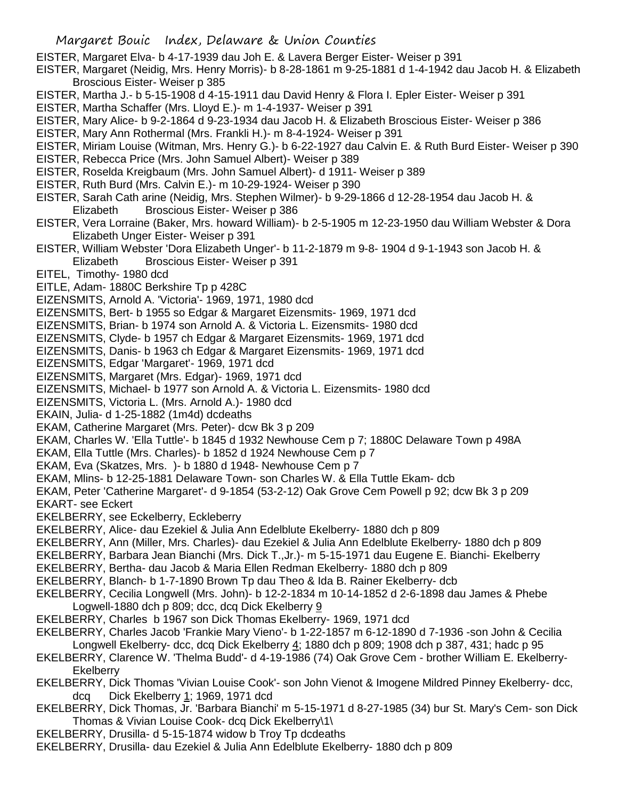- EISTER, Margaret Elva- b 4-17-1939 dau Joh E. & Lavera Berger Eister- Weiser p 391
- EISTER, Margaret (Neidig, Mrs. Henry Morris)- b 8-28-1861 m 9-25-1881 d 1-4-1942 dau Jacob H. & Elizabeth Broscious Eister- Weiser p 385
- EISTER, Martha J.- b 5-15-1908 d 4-15-1911 dau David Henry & Flora I. Epler Eister- Weiser p 391
- EISTER, Martha Schaffer (Mrs. Lloyd E.)- m 1-4-1937- Weiser p 391
- EISTER, Mary Alice- b 9-2-1864 d 9-23-1934 dau Jacob H. & Elizabeth Broscious Eister- Weiser p 386
- EISTER, Mary Ann Rothermal (Mrs. Frankli H.)- m 8-4-1924- Weiser p 391
- EISTER, Miriam Louise (Witman, Mrs. Henry G.)- b 6-22-1927 dau Calvin E. & Ruth Burd Eister- Weiser p 390
- EISTER, Rebecca Price (Mrs. John Samuel Albert)- Weiser p 389
- EISTER, Roselda Kreigbaum (Mrs. John Samuel Albert)- d 1911- Weiser p 389
- EISTER, Ruth Burd (Mrs. Calvin E.)- m 10-29-1924- Weiser p 390
- EISTER, Sarah Cath arine (Neidig, Mrs. Stephen Wilmer)- b 9-29-1866 d 12-28-1954 dau Jacob H. & Elizabeth Broscious Eister- Weiser p 386
- EISTER, Vera Lorraine (Baker, Mrs. howard William)- b 2-5-1905 m 12-23-1950 dau William Webster & Dora Elizabeth Unger Eister- Weiser p 391
- EISTER, William Webster 'Dora Elizabeth Unger'- b 11-2-1879 m 9-8- 1904 d 9-1-1943 son Jacob H. & Elizabeth Broscious Eister- Weiser p 391
- EITEL, Timothy- 1980 dcd
- EITLE, Adam- 1880C Berkshire Tp p 428C
- EIZENSMITS, Arnold A. 'Victoria'- 1969, 1971, 1980 dcd
- EIZENSMITS, Bert- b 1955 so Edgar & Margaret Eizensmits- 1969, 1971 dcd
- EIZENSMITS, Brian- b 1974 son Arnold A. & Victoria L. Eizensmits- 1980 dcd
- EIZENSMITS, Clyde- b 1957 ch Edgar & Margaret Eizensmits- 1969, 1971 dcd
- EIZENSMITS, Danis- b 1963 ch Edgar & Margaret Eizensmits- 1969, 1971 dcd
- EIZENSMITS, Edgar 'Margaret'- 1969, 1971 dcd
- EIZENSMITS, Margaret (Mrs. Edgar)- 1969, 1971 dcd
- EIZENSMITS, Michael- b 1977 son Arnold A. & Victoria L. Eizensmits- 1980 dcd
- EIZENSMITS, Victoria L. (Mrs. Arnold A.)- 1980 dcd
- EKAIN, Julia- d 1-25-1882 (1m4d) dcdeaths
- EKAM, Catherine Margaret (Mrs. Peter)- dcw Bk 3 p 209
- EKAM, Charles W. 'Ella Tuttle'- b 1845 d 1932 Newhouse Cem p 7; 1880C Delaware Town p 498A
- EKAM, Ella Tuttle (Mrs. Charles)- b 1852 d 1924 Newhouse Cem p 7
- EKAM, Eva (Skatzes, Mrs. )- b 1880 d 1948- Newhouse Cem p 7
- EKAM, Mlins- b 12-25-1881 Delaware Town- son Charles W. & Ella Tuttle Ekam- dcb
- EKAM, Peter 'Catherine Margaret'- d 9-1854 (53-2-12) Oak Grove Cem Powell p 92; dcw Bk 3 p 209
- EKART- see Eckert
- EKELBERRY, see Eckelberry, Eckleberry
- EKELBERRY, Alice- dau Ezekiel & Julia Ann Edelblute Ekelberry- 1880 dch p 809
- EKELBERRY, Ann (Miller, Mrs. Charles)- dau Ezekiel & Julia Ann Edelblute Ekelberry- 1880 dch p 809
- EKELBERRY, Barbara Jean Bianchi (Mrs. Dick T.,Jr.)- m 5-15-1971 dau Eugene E. Bianchi- Ekelberry
- EKELBERRY, Bertha- dau Jacob & Maria Ellen Redman Ekelberry- 1880 dch p 809
- EKELBERRY, Blanch- b 1-7-1890 Brown Tp dau Theo & Ida B. Rainer Ekelberry- dcb
- EKELBERRY, Cecilia Longwell (Mrs. John)- b 12-2-1834 m 10-14-1852 d 2-6-1898 dau James & Phebe Logwell-1880 dch p 809; dcc, dcq Dick Ekelberry 9
- EKELBERRY, Charles b 1967 son Dick Thomas Ekelberry- 1969, 1971 dcd
- EKELBERRY, Charles Jacob 'Frankie Mary Vieno'- b 1-22-1857 m 6-12-1890 d 7-1936 -son John & Cecilia Longwell Ekelberry- dcc, dcq Dick Ekelberry 4; 1880 dch p 809; 1908 dch p 387, 431; hadc p 95
- EKELBERRY, Clarence W. 'Thelma Budd'- d 4-19-1986 (74) Oak Grove Cem brother William E. Ekelberry-**Ekelberry**
- EKELBERRY, Dick Thomas 'Vivian Louise Cook'- son John Vienot & Imogene Mildred Pinney Ekelberry- dcc, dcq Dick Ekelberry 1; 1969, 1971 dcd
- EKELBERRY, Dick Thomas, Jr. 'Barbara Bianchi' m 5-15-1971 d 8-27-1985 (34) bur St. Mary's Cem- son Dick Thomas & Vivian Louise Cook- dcq Dick Ekelberry\1\
- EKELBERRY, Drusilla- d 5-15-1874 widow b Troy Tp dcdeaths
- EKELBERRY, Drusilla- dau Ezekiel & Julia Ann Edelblute Ekelberry- 1880 dch p 809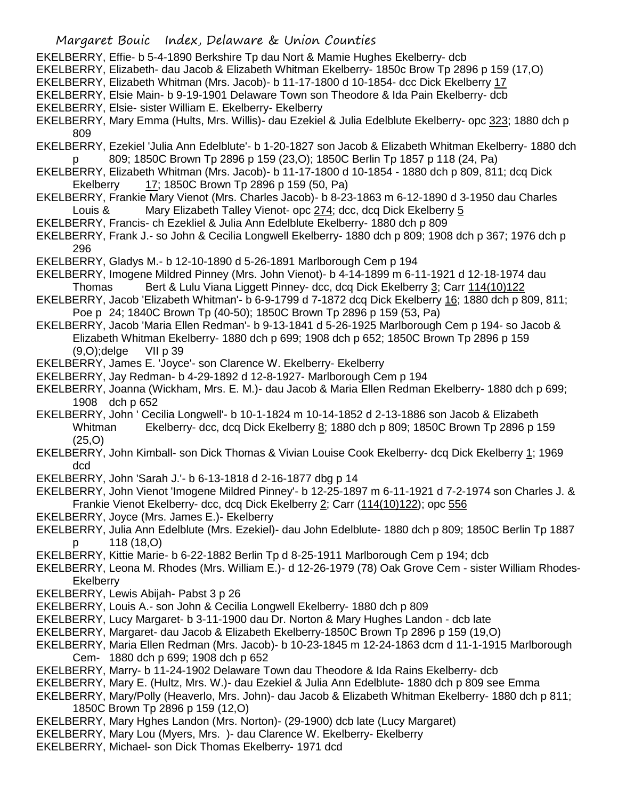- EKELBERRY, Effie- b 5-4-1890 Berkshire Tp dau Nort & Mamie Hughes Ekelberry- dcb
- EKELBERRY, Elizabeth- dau Jacob & Elizabeth Whitman Ekelberry- 1850c Brow Tp 2896 p 159 (17,O)
- EKELBERRY, Elizabeth Whitman (Mrs. Jacob)- b 11-17-1800 d 10-1854- dcc Dick Ekelberry 17
- EKELBERRY, Elsie Main- b 9-19-1901 Delaware Town son Theodore & Ida Pain Ekelberry- dcb
- EKELBERRY, Elsie- sister William E. Ekelberry- Ekelberry
- EKELBERRY, Mary Emma (Hults, Mrs. Willis)- dau Ezekiel & Julia Edelblute Ekelberry- opc 323; 1880 dch p 809
- EKELBERRY, Ezekiel 'Julia Ann Edelblute'- b 1-20-1827 son Jacob & Elizabeth Whitman Ekelberry- 1880 dch p 809; 1850C Brown Tp 2896 p 159 (23,O); 1850C Berlin Tp 1857 p 118 (24, Pa)
- EKELBERRY, Elizabeth Whitman (Mrs. Jacob)- b 11-17-1800 d 10-1854 1880 dch p 809, 811; dcq Dick Ekelberry 17; 1850C Brown Tp 2896 p 159 (50, Pa)
- EKELBERRY, Frankie Mary Vienot (Mrs. Charles Jacob)- b 8-23-1863 m 6-12-1890 d 3-1950 dau Charles Louis & Mary Elizabeth Talley Vienot- opc 274; dcc, dcq Dick Ekelberry 5
- EKELBERRY, Francis- ch Ezekliel & Julia Ann Edelblute Ekelberry- 1880 dch p 809
- EKELBERRY, Frank J.- so John & Cecilia Longwell Ekelberry- 1880 dch p 809; 1908 dch p 367; 1976 dch p 296
- EKELBERRY, Gladys M.- b 12-10-1890 d 5-26-1891 Marlborough Cem p 194
- EKELBERRY, Imogene Mildred Pinney (Mrs. John Vienot)- b 4-14-1899 m 6-11-1921 d 12-18-1974 dau Thomas Bert & Lulu Viana Liggett Pinney- dcc, dcq Dick Ekelberry 3; Carr 114(10)122
- EKELBERRY, Jacob 'Elizabeth Whitman'- b 6-9-1799 d 7-1872 dcq Dick Ekelberry 16; 1880 dch p 809, 811; Poe p 24; 1840C Brown Tp (40-50); 1850C Brown Tp 2896 p 159 (53, Pa)
- EKELBERRY, Jacob 'Maria Ellen Redman'- b 9-13-1841 d 5-26-1925 Marlborough Cem p 194- so Jacob & Elizabeth Whitman Ekelberry- 1880 dch p 699; 1908 dch p 652; 1850C Brown Tp 2896 p 159 (9,O);delge VII p 39
- EKELBERRY, James E. 'Joyce'- son Clarence W. Ekelberry- Ekelberry
- EKELBERRY, Jay Redman- b 4-29-1892 d 12-8-1927- Marlborough Cem p 194
- EKELBERRY, Joanna (Wickham, Mrs. E. M.)- dau Jacob & Maria Ellen Redman Ekelberry- 1880 dch p 699; 1908 dch p 652
- EKELBERRY, John ' Cecilia Longwell'- b 10-1-1824 m 10-14-1852 d 2-13-1886 son Jacob & Elizabeth Whitman Ekelberry- dcc, dcq Dick Ekelberry 8; 1880 dch p 809; 1850C Brown Tp 2896 p 159 (25,O)
- EKELBERRY, John Kimball- son Dick Thomas & Vivian Louise Cook Ekelberry- dcq Dick Ekelberry 1; 1969 dcd
- EKELBERRY, John 'Sarah J.'- b 6-13-1818 d 2-16-1877 dbg p 14
- EKELBERRY, John Vienot 'Imogene Mildred Pinney'- b 12-25-1897 m 6-11-1921 d 7-2-1974 son Charles J. & Frankie Vienot Ekelberry- dcc, dcq Dick Ekelberry 2; Carr (114(10)122); opc 556
- EKELBERRY, Joyce (Mrs. James E.)- Ekelberry
- EKELBERRY, Julia Ann Edelblute (Mrs. Ezekiel)- dau John Edelblute- 1880 dch p 809; 1850C Berlin Tp 1887 p 118 (18,O)
- EKELBERRY, Kittie Marie- b 6-22-1882 Berlin Tp d 8-25-1911 Marlborough Cem p 194; dcb
- EKELBERRY, Leona M. Rhodes (Mrs. William E.)- d 12-26-1979 (78) Oak Grove Cem sister William Rhodes-**Ekelberry**
- EKELBERRY, Lewis Abijah- Pabst 3 p 26
- EKELBERRY, Louis A.- son John & Cecilia Longwell Ekelberry- 1880 dch p 809
- EKELBERRY, Lucy Margaret- b 3-11-1900 dau Dr. Norton & Mary Hughes Landon dcb late
- EKELBERRY, Margaret- dau Jacob & Elizabeth Ekelberry-1850C Brown Tp 2896 p 159 (19,O)
- EKELBERRY, Maria Ellen Redman (Mrs. Jacob)- b 10-23-1845 m 12-24-1863 dcm d 11-1-1915 Marlborough Cem- 1880 dch p 699; 1908 dch p 652
- EKELBERRY, Marry- b 11-24-1902 Delaware Town dau Theodore & Ida Rains Ekelberry- dcb
- EKELBERRY, Mary E. (Hultz, Mrs. W.)- dau Ezekiel & Julia Ann Edelblute- 1880 dch p 809 see Emma
- EKELBERRY, Mary/Polly (Heaverlo, Mrs. John)- dau Jacob & Elizabeth Whitman Ekelberry- 1880 dch p 811; 1850C Brown Tp 2896 p 159 (12,O)
- EKELBERRY, Mary Hghes Landon (Mrs. Norton)- (29-1900) dcb late (Lucy Margaret)
- EKELBERRY, Mary Lou (Myers, Mrs. )- dau Clarence W. Ekelberry- Ekelberry
- EKELBERRY, Michael- son Dick Thomas Ekelberry- 1971 dcd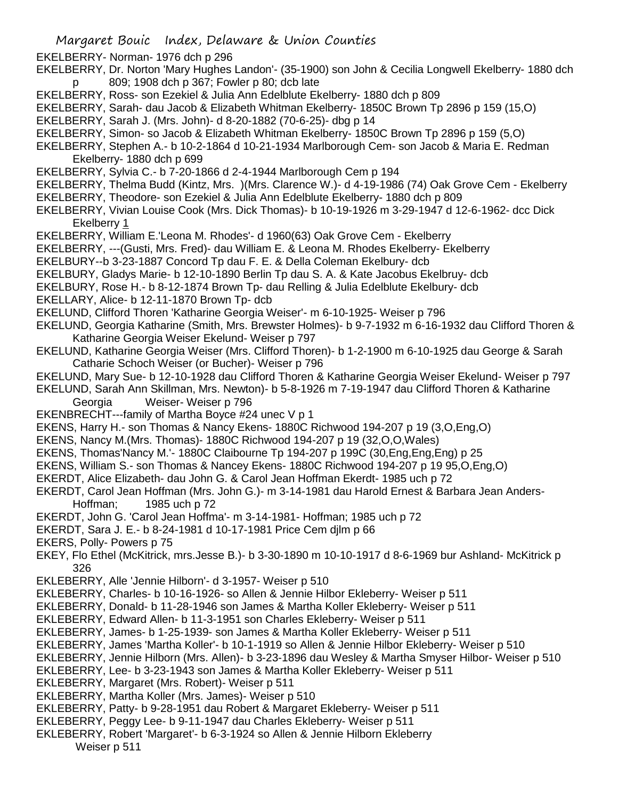Margaret Bouic Index, Delaware & Union Counties EKELBERRY- Norman- 1976 dch p 296 EKELBERRY, Dr. Norton 'Mary Hughes Landon'- (35-1900) son John & Cecilia Longwell Ekelberry- 1880 dch p 809; 1908 dch p 367; Fowler p 80; dcb late EKELBERRY, Ross- son Ezekiel & Julia Ann Edelblute Ekelberry- 1880 dch p 809 EKELBERRY, Sarah- dau Jacob & Elizabeth Whitman Ekelberry- 1850C Brown Tp 2896 p 159 (15,O) EKELBERRY, Sarah J. (Mrs. John)- d 8-20-1882 (70-6-25)- dbg p 14 EKELBERRY, Simon- so Jacob & Elizabeth Whitman Ekelberry- 1850C Brown Tp 2896 p 159 (5,O) EKELBERRY, Stephen A.- b 10-2-1864 d 10-21-1934 Marlborough Cem- son Jacob & Maria E. Redman Ekelberry- 1880 dch p 699 EKELBERRY, Sylvia C.- b 7-20-1866 d 2-4-1944 Marlborough Cem p 194 EKELBERRY, Thelma Budd (Kintz, Mrs. )(Mrs. Clarence W.)- d 4-19-1986 (74) Oak Grove Cem - Ekelberry EKELBERRY, Theodore- son Ezekiel & Julia Ann Edelblute Ekelberry- 1880 dch p 809 EKELBERRY, Vivian Louise Cook (Mrs. Dick Thomas)- b 10-19-1926 m 3-29-1947 d 12-6-1962- dcc Dick Ekelberry 1 EKELBERRY, William E.'Leona M. Rhodes'- d 1960(63) Oak Grove Cem - Ekelberry EKELBERRY, ---(Gusti, Mrs. Fred)- dau William E. & Leona M. Rhodes Ekelberry- Ekelberry EKELBURY--b 3-23-1887 Concord Tp dau F. E. & Della Coleman Ekelbury- dcb EKELBURY, Gladys Marie- b 12-10-1890 Berlin Tp dau S. A. & Kate Jacobus Ekelbruy- dcb EKELBURY, Rose H.- b 8-12-1874 Brown Tp- dau Relling & Julia Edelblute Ekelbury- dcb EKELLARY, Alice- b 12-11-1870 Brown Tp- dcb EKELUND, Clifford Thoren 'Katharine Georgia Weiser'- m 6-10-1925- Weiser p 796 EKELUND, Georgia Katharine (Smith, Mrs. Brewster Holmes)- b 9-7-1932 m 6-16-1932 dau Clifford Thoren & Katharine Georgia Weiser Ekelund- Weiser p 797 EKELUND, Katharine Georgia Weiser (Mrs. Clifford Thoren)- b 1-2-1900 m 6-10-1925 dau George & Sarah Catharie Schoch Weiser (or Bucher)- Weiser p 796 EKELUND, Mary Sue- b 12-10-1928 dau Clifford Thoren & Katharine Georgia Weiser Ekelund- Weiser p 797 EKELUND, Sarah Ann Skillman, Mrs. Newton)- b 5-8-1926 m 7-19-1947 dau Clifford Thoren & Katharine Georgia Weiser- Weiser p 796 EKENBRECHT---family of Martha Boyce #24 unec V p 1 EKENS, Harry H.- son Thomas & Nancy Ekens- 1880C Richwood 194-207 p 19 (3,O,Eng,O) EKENS, Nancy M.(Mrs. Thomas)- 1880C Richwood 194-207 p 19 (32,O,O,Wales) EKENS, Thomas'Nancy M.'- 1880C Claibourne Tp 194-207 p 199C (30,Eng,Eng,Eng) p 25 EKENS, William S.- son Thomas & Nancey Ekens- 1880C Richwood 194-207 p 19 95,O,Eng,O) EKERDT, Alice Elizabeth- dau John G. & Carol Jean Hoffman Ekerdt- 1985 uch p 72 EKERDT, Carol Jean Hoffman (Mrs. John G.)- m 3-14-1981 dau Harold Ernest & Barbara Jean Anders-Hoffman; 1985 uch p 72 EKERDT, John G. 'Carol Jean Hoffma'- m 3-14-1981- Hoffman; 1985 uch p 72 EKERDT, Sara J. E.- b 8-24-1981 d 10-17-1981 Price Cem djlm p 66 EKERS, Polly- Powers p 75 EKEY, Flo Ethel (McKitrick, mrs.Jesse B.)- b 3-30-1890 m 10-10-1917 d 8-6-1969 bur Ashland- McKitrick p 326 EKLEBERRY, Alle 'Jennie Hilborn'- d 3-1957- Weiser p 510 EKLEBERRY, Charles- b 10-16-1926- so Allen & Jennie Hilbor Ekleberry- Weiser p 511 EKLEBERRY, Donald- b 11-28-1946 son James & Martha Koller Ekleberry- Weiser p 511 EKLEBERRY, Edward Allen- b 11-3-1951 son Charles Ekleberry- Weiser p 511 EKLEBERRY, James- b 1-25-1939- son James & Martha Koller Ekleberry- Weiser p 511 EKLEBERRY, James 'Martha Koller'- b 10-1-1919 so Allen & Jennie Hilbor Ekleberry- Weiser p 510 EKLEBERRY, Jennie Hilborn (Mrs. Allen)- b 3-23-1896 dau Wesley & Martha Smyser Hilbor- Weiser p 510 EKLEBERRY, Lee- b 3-23-1943 son James & Martha Koller Ekleberry- Weiser p 511 EKLEBERRY, Margaret (Mrs. Robert)- Weiser p 511 EKLEBERRY, Martha Koller (Mrs. James)- Weiser p 510 EKLEBERRY, Patty- b 9-28-1951 dau Robert & Margaret Ekleberry- Weiser p 511 EKLEBERRY, Peggy Lee- b 9-11-1947 dau Charles Ekleberry- Weiser p 511 EKLEBERRY, Robert 'Margaret'- b 6-3-1924 so Allen & Jennie Hilborn Ekleberry Weiser p 511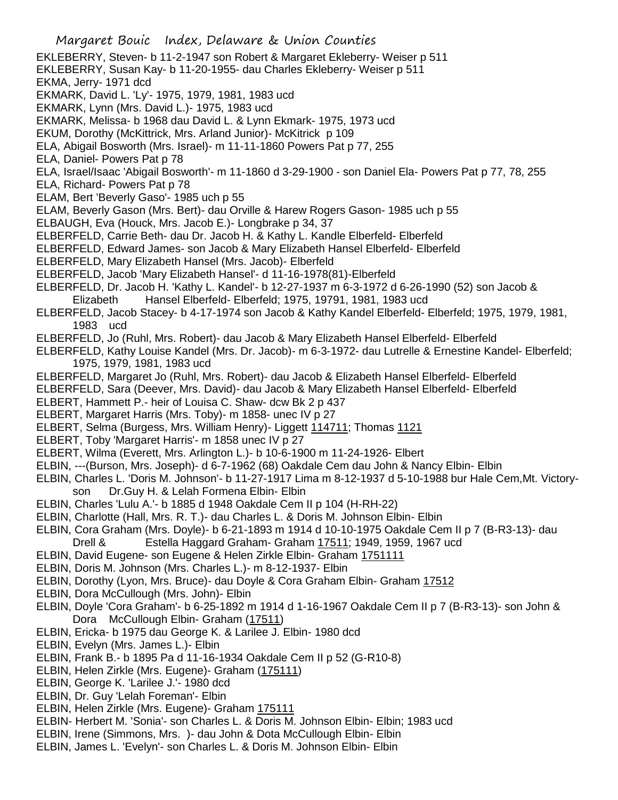EKLEBERRY, Steven- b 11-2-1947 son Robert & Margaret Ekleberry- Weiser p 511 EKLEBERRY, Susan Kay- b 11-20-1955- dau Charles Ekleberry- Weiser p 511 EKMA, Jerry- 1971 dcd EKMARK, David L. 'Ly'- 1975, 1979, 1981, 1983 ucd EKMARK, Lynn (Mrs. David L.)- 1975, 1983 ucd EKMARK, Melissa- b 1968 dau David L. & Lynn Ekmark- 1975, 1973 ucd EKUM, Dorothy (McKittrick, Mrs. Arland Junior)- McKitrick p 109 ELA, Abigail Bosworth (Mrs. Israel)- m 11-11-1860 Powers Pat p 77, 255 ELA, Daniel- Powers Pat p 78 ELA, Israel/Isaac 'Abigail Bosworth'- m 11-1860 d 3-29-1900 - son Daniel Ela- Powers Pat p 77, 78, 255 ELA, Richard- Powers Pat p 78 ELAM, Bert 'Beverly Gaso'- 1985 uch p 55 ELAM, Beverly Gason (Mrs. Bert)- dau Orville & Harew Rogers Gason- 1985 uch p 55 ELBAUGH, Eva (Houck, Mrs. Jacob E.)- Longbrake p 34, 37 ELBERFELD, Carrie Beth- dau Dr. Jacob H. & Kathy L. Kandle Elberfeld- Elberfeld ELBERFELD, Edward James- son Jacob & Mary Elizabeth Hansel Elberfeld- Elberfeld ELBERFELD, Mary Elizabeth Hansel (Mrs. Jacob)- Elberfeld ELBERFELD, Jacob 'Mary Elizabeth Hansel'- d 11-16-1978(81)-Elberfeld ELBERFELD, Dr. Jacob H. 'Kathy L. Kandel'- b 12-27-1937 m 6-3-1972 d 6-26-1990 (52) son Jacob & Elizabeth Hansel Elberfeld- Elberfeld; 1975, 19791, 1981, 1983 ucd ELBERFELD, Jacob Stacey- b 4-17-1974 son Jacob & Kathy Kandel Elberfeld- Elberfeld; 1975, 1979, 1981, 1983 ucd ELBERFELD, Jo (Ruhl, Mrs. Robert)- dau Jacob & Mary Elizabeth Hansel Elberfeld- Elberfeld ELBERFELD, Kathy Louise Kandel (Mrs. Dr. Jacob)- m 6-3-1972- dau Lutrelle & Ernestine Kandel- Elberfeld; 1975, 1979, 1981, 1983 ucd ELBERFELD, Margaret Jo (Ruhl, Mrs. Robert)- dau Jacob & Elizabeth Hansel Elberfeld- Elberfeld ELBERFELD, Sara (Deever, Mrs. David)- dau Jacob & Mary Elizabeth Hansel Elberfeld- Elberfeld ELBERT, Hammett P.- heir of Louisa C. Shaw- dcw Bk 2 p 437 ELBERT, Margaret Harris (Mrs. Toby)- m 1858- unec IV p 27 ELBERT, Selma (Burgess, Mrs. William Henry)- Liggett 114711; Thomas 1121 ELBERT, Toby 'Margaret Harris'- m 1858 unec IV p 27 ELBERT, Wilma (Everett, Mrs. Arlington L.)- b 10-6-1900 m 11-24-1926- Elbert ELBIN, ---(Burson, Mrs. Joseph)- d 6-7-1962 (68) Oakdale Cem dau John & Nancy Elbin- Elbin ELBIN, Charles L. 'Doris M. Johnson'- b 11-27-1917 Lima m 8-12-1937 d 5-10-1988 bur Hale Cem,Mt. Victoryson Dr.Guy H. & Lelah Formena Elbin- Elbin ELBIN, Charles 'Lulu A.'- b 1885 d 1948 Oakdale Cem II p 104 (H-RH-22) ELBIN, Charlotte (Hall, Mrs. R. T.)- dau Charles L. & Doris M. Johnson Elbin- Elbin ELBIN, Cora Graham (Mrs. Doyle)- b 6-21-1893 m 1914 d 10-10-1975 Oakdale Cem II p 7 (B-R3-13)- dau Drell & Estella Haggard Graham- Graham 17511; 1949, 1959, 1967 ucd ELBIN, David Eugene- son Eugene & Helen Zirkle Elbin- Graham 1751111 ELBIN, Doris M. Johnson (Mrs. Charles L.)- m 8-12-1937- Elbin ELBIN, Dorothy (Lyon, Mrs. Bruce)- dau Doyle & Cora Graham Elbin- Graham 17512 ELBIN, Dora McCullough (Mrs. John)- Elbin ELBIN, Doyle 'Cora Graham'- b 6-25-1892 m 1914 d 1-16-1967 Oakdale Cem II p 7 (B-R3-13)- son John & Dora McCullough Elbin- Graham (17511) ELBIN, Ericka- b 1975 dau George K. & Larilee J. Elbin- 1980 dcd ELBIN, Evelyn (Mrs. James L.)- Elbin ELBIN, Frank B.- b 1895 Pa d 11-16-1934 Oakdale Cem II p 52 (G-R10-8) ELBIN, Helen Zirkle (Mrs. Eugene)- Graham (175111) ELBIN, George K. 'Larilee J.'- 1980 dcd ELBIN, Dr. Guy 'Lelah Foreman'- Elbin ELBIN, Helen Zirkle (Mrs. Eugene)- Graham 175111 ELBIN- Herbert M. 'Sonia'- son Charles L. & Doris M. Johnson Elbin- Elbin; 1983 ucd ELBIN, Irene (Simmons, Mrs. )- dau John & Dota McCullough Elbin- Elbin ELBIN, James L. 'Evelyn'- son Charles L. & Doris M. Johnson Elbin- Elbin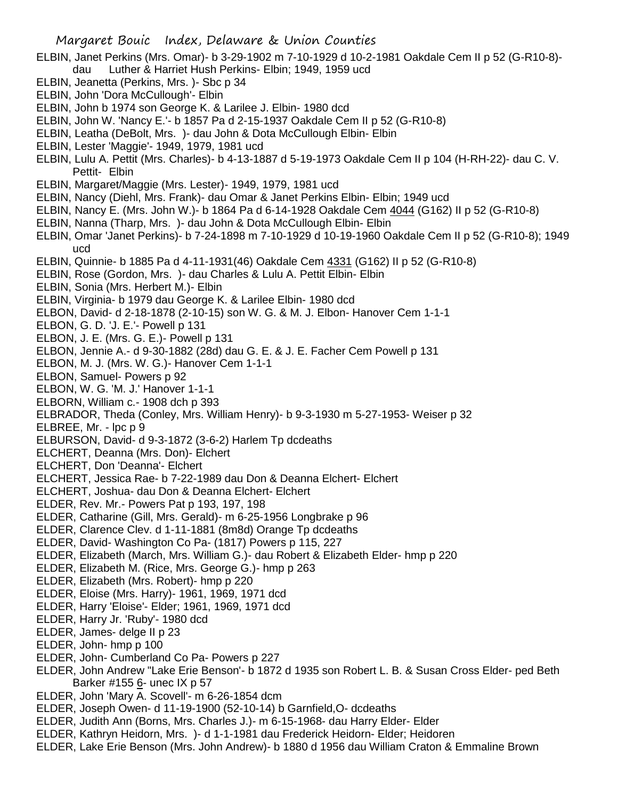- ELBIN, Janet Perkins (Mrs. Omar)- b 3-29-1902 m 7-10-1929 d 10-2-1981 Oakdale Cem II p 52 (G-R10-8) dau Luther & Harriet Hush Perkins- Elbin; 1949, 1959 ucd
- ELBIN, Jeanetta (Perkins, Mrs. )- Sbc p 34
- ELBIN, John 'Dora McCullough'- Elbin
- ELBIN, John b 1974 son George K. & Larilee J. Elbin- 1980 dcd
- ELBIN, John W. 'Nancy E.'- b 1857 Pa d 2-15-1937 Oakdale Cem II p 52 (G-R10-8)
- ELBIN, Leatha (DeBolt, Mrs. )- dau John & Dota McCullough Elbin- Elbin
- ELBIN, Lester 'Maggie'- 1949, 1979, 1981 ucd
- ELBIN, Lulu A. Pettit (Mrs. Charles)- b 4-13-1887 d 5-19-1973 Oakdale Cem II p 104 (H-RH-22)- dau C. V. Pettit- Elbin
- ELBIN, Margaret/Maggie (Mrs. Lester)- 1949, 1979, 1981 ucd
- ELBIN, Nancy (Diehl, Mrs. Frank)- dau Omar & Janet Perkins Elbin- Elbin; 1949 ucd
- ELBIN, Nancy E. (Mrs. John W.)- b 1864 Pa d 6-14-1928 Oakdale Cem 4044 (G162) II p 52 (G-R10-8)
- ELBIN, Nanna (Tharp, Mrs. )- dau John & Dota McCullough Elbin- Elbin
- ELBIN, Omar 'Janet Perkins)- b 7-24-1898 m 7-10-1929 d 10-19-1960 Oakdale Cem II p 52 (G-R10-8); 1949 ucd
- ELBIN, Quinnie- b 1885 Pa d 4-11-1931(46) Oakdale Cem 4331 (G162) II p 52 (G-R10-8)
- ELBIN, Rose (Gordon, Mrs. )- dau Charles & Lulu A. Pettit Elbin- Elbin
- ELBIN, Sonia (Mrs. Herbert M.)- Elbin
- ELBIN, Virginia- b 1979 dau George K. & Larilee Elbin- 1980 dcd
- ELBON, David- d 2-18-1878 (2-10-15) son W. G. & M. J. Elbon- Hanover Cem 1-1-1
- ELBON, G. D. 'J. E.'- Powell p 131
- ELBON, J. E. (Mrs. G. E.)- Powell p 131
- ELBON, Jennie A.- d 9-30-1882 (28d) dau G. E. & J. E. Facher Cem Powell p 131
- ELBON, M. J. (Mrs. W. G.)- Hanover Cem 1-1-1
- ELBON, Samuel- Powers p 92
- ELBON, W. G. 'M. J.' Hanover 1-1-1
- ELBORN, William c.- 1908 dch p 393
- ELBRADOR, Theda (Conley, Mrs. William Henry)- b 9-3-1930 m 5-27-1953- Weiser p 32
- ELBREE, Mr. lpc p 9
- ELBURSON, David- d 9-3-1872 (3-6-2) Harlem Tp dcdeaths
- ELCHERT, Deanna (Mrs. Don)- Elchert
- ELCHERT, Don 'Deanna'- Elchert
- ELCHERT, Jessica Rae- b 7-22-1989 dau Don & Deanna Elchert- Elchert
- ELCHERT, Joshua- dau Don & Deanna Elchert- Elchert
- ELDER, Rev. Mr.- Powers Pat p 193, 197, 198
- ELDER, Catharine (Gill, Mrs. Gerald)- m 6-25-1956 Longbrake p 96
- ELDER, Clarence Clev. d 1-11-1881 (8m8d) Orange Tp dcdeaths
- ELDER, David- Washington Co Pa- (1817) Powers p 115, 227
- ELDER, Elizabeth (March, Mrs. William G.)- dau Robert & Elizabeth Elder- hmp p 220
- ELDER, Elizabeth M. (Rice, Mrs. George G.)- hmp p 263
- ELDER, Elizabeth (Mrs. Robert)- hmp p 220
- ELDER, Eloise (Mrs. Harry)- 1961, 1969, 1971 dcd
- ELDER, Harry 'Eloise'- Elder; 1961, 1969, 1971 dcd
- ELDER, Harry Jr. 'Ruby'- 1980 dcd
- ELDER, James- delge II p 23
- ELDER, John- hmp p 100
- ELDER, John- Cumberland Co Pa- Powers p 227
- ELDER, John Andrew "Lake Erie Benson'- b 1872 d 1935 son Robert L. B. & Susan Cross Elder- ped Beth Barker #155 6- unec IX p 57
- ELDER, John 'Mary A. Scovell'- m 6-26-1854 dcm
- ELDER, Joseph Owen- d 11-19-1900 (52-10-14) b Garnfield,O- dcdeaths
- ELDER, Judith Ann (Borns, Mrs. Charles J.)- m 6-15-1968- dau Harry Elder- Elder
- ELDER, Kathryn Heidorn, Mrs. )- d 1-1-1981 dau Frederick Heidorn- Elder; Heidoren
- ELDER, Lake Erie Benson (Mrs. John Andrew)- b 1880 d 1956 dau William Craton & Emmaline Brown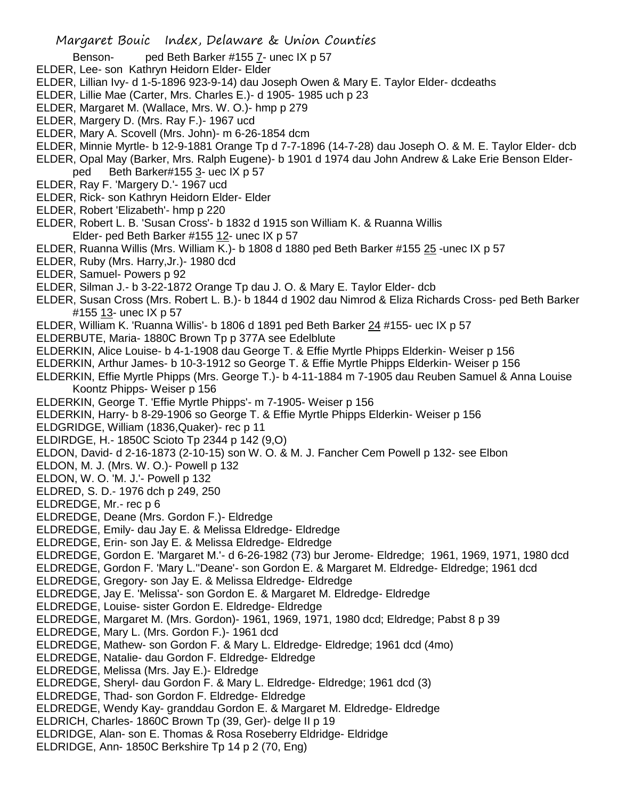Benson- ped Beth Barker #155 7- unec IX p 57

- ELDER, Lee- son Kathryn Heidorn Elder- Elder
- ELDER, Lillian Ivy- d 1-5-1896 923-9-14) dau Joseph Owen & Mary E. Taylor Elder- dcdeaths
- ELDER, Lillie Mae (Carter, Mrs. Charles E.)- d 1905- 1985 uch p 23
- ELDER, Margaret M. (Wallace, Mrs. W. O.)- hmp p 279
- ELDER, Margery D. (Mrs. Ray F.)- 1967 ucd
- ELDER, Mary A. Scovell (Mrs. John)- m 6-26-1854 dcm
- ELDER, Minnie Myrtle- b 12-9-1881 Orange Tp d 7-7-1896 (14-7-28) dau Joseph O. & M. E. Taylor Elder- dcb
- ELDER, Opal May (Barker, Mrs. Ralph Eugene)- b 1901 d 1974 dau John Andrew & Lake Erie Benson Elderped Beth Barker#155 3- uec IX p 57
- ELDER, Ray F. 'Margery D.'- 1967 ucd
- ELDER, Rick- son Kathryn Heidorn Elder- Elder
- ELDER, Robert 'Elizabeth'- hmp p 220
- ELDER, Robert L. B. 'Susan Cross'- b 1832 d 1915 son William K. & Ruanna Willis Elder- ped Beth Barker #155 12- unec IX p 57
- ELDER, Ruanna Willis (Mrs. William K.)- b 1808 d 1880 ped Beth Barker #155 25 -unec IX p 57
- ELDER, Ruby (Mrs. Harry,Jr.)- 1980 dcd
- ELDER, Samuel- Powers p 92
- ELDER, Silman J.- b 3-22-1872 Orange Tp dau J. O. & Mary E. Taylor Elder- dcb
- ELDER, Susan Cross (Mrs. Robert L. B.)- b 1844 d 1902 dau Nimrod & Eliza Richards Cross- ped Beth Barker #155 13- unec IX p 57
- ELDER, William K. 'Ruanna Willis'- b 1806 d 1891 ped Beth Barker 24 #155- uec IX p 57
- ELDERBUTE, Maria- 1880C Brown Tp p 377A see Edelblute
- ELDERKIN, Alice Louise- b 4-1-1908 dau George T. & Effie Myrtle Phipps Elderkin- Weiser p 156
- ELDERKIN, Arthur James- b 10-3-1912 so George T. & Effie Myrtle Phipps Elderkin- Weiser p 156
- ELDERKIN, Effie Myrtle Phipps (Mrs. George T.)- b 4-11-1884 m 7-1905 dau Reuben Samuel & Anna Louise Koontz Phipps- Weiser p 156
- ELDERKIN, George T. 'Effie Myrtle Phipps'- m 7-1905- Weiser p 156
- ELDERKIN, Harry- b 8-29-1906 so George T. & Effie Myrtle Phipps Elderkin- Weiser p 156
- ELDGRIDGE, William (1836,Quaker)- rec p 11
- ELDIRDGE, H.- 1850C Scioto Tp 2344 p 142 (9,O)
- ELDON, David- d 2-16-1873 (2-10-15) son W. O. & M. J. Fancher Cem Powell p 132- see Elbon
- ELDON, M. J. (Mrs. W. O.)- Powell p 132
- ELDON, W. O. 'M. J.'- Powell p 132
- ELDRED, S. D.- 1976 dch p 249, 250
- ELDREDGE, Mr.- rec p 6
- ELDREDGE, Deane (Mrs. Gordon F.)- Eldredge
- ELDREDGE, Emily- dau Jay E. & Melissa Eldredge- Eldredge
- ELDREDGE, Erin- son Jay E. & Melissa Eldredge- Eldredge
- ELDREDGE, Gordon E. 'Margaret M.'- d 6-26-1982 (73) bur Jerome- Eldredge; 1961, 1969, 1971, 1980 dcd
- ELDREDGE, Gordon F. 'Mary L.''Deane'- son Gordon E. & Margaret M. Eldredge- Eldredge; 1961 dcd
- ELDREDGE, Gregory- son Jay E. & Melissa Eldredge- Eldredge
- ELDREDGE, Jay E. 'Melissa'- son Gordon E. & Margaret M. Eldredge- Eldredge
- ELDREDGE, Louise- sister Gordon E. Eldredge- Eldredge
- ELDREDGE, Margaret M. (Mrs. Gordon)- 1961, 1969, 1971, 1980 dcd; Eldredge; Pabst 8 p 39
- ELDREDGE, Mary L. (Mrs. Gordon F.)- 1961 dcd
- ELDREDGE, Mathew- son Gordon F. & Mary L. Eldredge- Eldredge; 1961 dcd (4mo)
- ELDREDGE, Natalie- dau Gordon F. Eldredge- Eldredge
- ELDREDGE, Melissa (Mrs. Jay E.)- Eldredge
- ELDREDGE, Sheryl- dau Gordon F. & Mary L. Eldredge- Eldredge; 1961 dcd (3)
- ELDREDGE, Thad- son Gordon F. Eldredge- Eldredge
- ELDREDGE, Wendy Kay- granddau Gordon E. & Margaret M. Eldredge- Eldredge
- ELDRICH, Charles- 1860C Brown Tp (39, Ger)- delge II p 19
- ELDRIDGE, Alan- son E. Thomas & Rosa Roseberry Eldridge- Eldridge
- ELDRIDGE, Ann- 1850C Berkshire Tp 14 p 2 (70, Eng)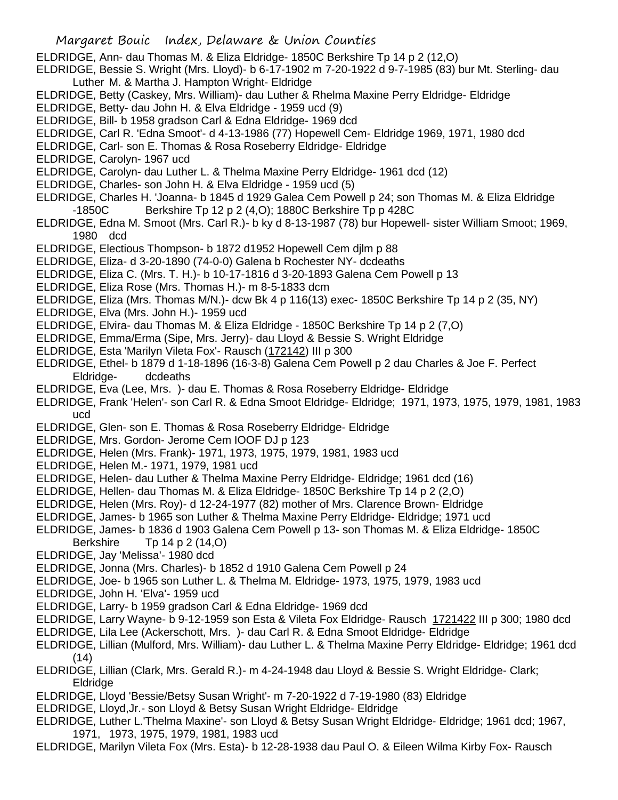ELDRIDGE, Ann- dau Thomas M. & Eliza Eldridge- 1850C Berkshire Tp 14 p 2 (12,O)

- ELDRIDGE, Bessie S. Wright (Mrs. Lloyd)- b 6-17-1902 m 7-20-1922 d 9-7-1985 (83) bur Mt. Sterling- dau Luther M. & Martha J. Hampton Wright- Eldridge
- ELDRIDGE, Betty (Caskey, Mrs. William)- dau Luther & Rhelma Maxine Perry Eldridge- Eldridge
- ELDRIDGE, Betty- dau John H. & Elva Eldridge 1959 ucd (9)
- ELDRIDGE, Bill- b 1958 gradson Carl & Edna Eldridge- 1969 dcd
- ELDRIDGE, Carl R. 'Edna Smoot'- d 4-13-1986 (77) Hopewell Cem- Eldridge 1969, 1971, 1980 dcd
- ELDRIDGE, Carl- son E. Thomas & Rosa Roseberry Eldridge- Eldridge
- ELDRIDGE, Carolyn- 1967 ucd
- ELDRIDGE, Carolyn- dau Luther L. & Thelma Maxine Perry Eldridge- 1961 dcd (12)
- ELDRIDGE, Charles- son John H. & Elva Eldridge 1959 ucd (5)
- ELDRIDGE, Charles H. 'Joanna- b 1845 d 1929 Galea Cem Powell p 24; son Thomas M. & Eliza Eldridge -1850C Berkshire Tp 12 p 2 (4,O); 1880C Berkshire Tp p 428C
- ELDRIDGE, Edna M. Smoot (Mrs. Carl R.)- b ky d 8-13-1987 (78) bur Hopewell- sister William Smoot; 1969, 1980 dcd
- ELDRIDGE, Electious Thompson- b 1872 d1952 Hopewell Cem djlm p 88
- ELDRIDGE, Eliza- d 3-20-1890 (74-0-0) Galena b Rochester NY- dcdeaths
- ELDRIDGE, Eliza C. (Mrs. T. H.)- b 10-17-1816 d 3-20-1893 Galena Cem Powell p 13
- ELDRIDGE, Eliza Rose (Mrs. Thomas H.)- m 8-5-1833 dcm
- ELDRIDGE, Eliza (Mrs. Thomas M/N.)- dcw Bk 4 p 116(13) exec- 1850C Berkshire Tp 14 p 2 (35, NY)
- ELDRIDGE, Elva (Mrs. John H.)- 1959 ucd
- ELDRIDGE, Elvira- dau Thomas M. & Eliza Eldridge 1850C Berkshire Tp 14 p 2 (7,O)
- ELDRIDGE, Emma/Erma (Sipe, Mrs. Jerry)- dau Lloyd & Bessie S. Wright Eldridge
- ELDRIDGE, Esta 'Marilyn Vileta Fox'- Rausch (172142) III p 300
- ELDRIDGE, Ethel- b 1879 d 1-18-1896 (16-3-8) Galena Cem Powell p 2 dau Charles & Joe F. Perfect Eldridge- dcdeaths
- ELDRIDGE, Eva (Lee, Mrs. )- dau E. Thomas & Rosa Roseberry Eldridge- Eldridge
- ELDRIDGE, Frank 'Helen'- son Carl R. & Edna Smoot Eldridge- Eldridge; 1971, 1973, 1975, 1979, 1981, 1983 ucd
- ELDRIDGE, Glen- son E. Thomas & Rosa Roseberry Eldridge- Eldridge
- ELDRIDGE, Mrs. Gordon- Jerome Cem IOOF DJ p 123
- ELDRIDGE, Helen (Mrs. Frank)- 1971, 1973, 1975, 1979, 1981, 1983 ucd
- ELDRIDGE, Helen M.- 1971, 1979, 1981 ucd
- ELDRIDGE, Helen- dau Luther & Thelma Maxine Perry Eldridge- Eldridge; 1961 dcd (16)
- ELDRIDGE, Hellen- dau Thomas M. & Eliza Eldridge- 1850C Berkshire Tp 14 p 2 (2,O)
- ELDRIDGE, Helen (Mrs. Roy)- d 12-24-1977 (82) mother of Mrs. Clarence Brown- Eldridge
- ELDRIDGE, James- b 1965 son Luther & Thelma Maxine Perry Eldridge- Eldridge; 1971 ucd
- ELDRIDGE, James- b 1836 d 1903 Galena Cem Powell p 13- son Thomas M. & Eliza Eldridge- 1850C
	- Berkshire Tp 14 p 2 (14,O)
- ELDRIDGE, Jay 'Melissa'- 1980 dcd
- ELDRIDGE, Jonna (Mrs. Charles)- b 1852 d 1910 Galena Cem Powell p 24
- ELDRIDGE, Joe- b 1965 son Luther L. & Thelma M. Eldridge- 1973, 1975, 1979, 1983 ucd
- ELDRIDGE, John H. 'Elva'- 1959 ucd
- ELDRIDGE, Larry- b 1959 gradson Carl & Edna Eldridge- 1969 dcd
- ELDRIDGE, Larry Wayne- b 9-12-1959 son Esta & Vileta Fox Eldridge- Rausch 1721422 III p 300; 1980 dcd
- ELDRIDGE, Lila Lee (Ackerschott, Mrs. )- dau Carl R. & Edna Smoot Eldridge- Eldridge
- ELDRIDGE, Lillian (Mulford, Mrs. William)- dau Luther L. & Thelma Maxine Perry Eldridge- Eldridge; 1961 dcd  $(14)$
- ELDRIDGE, Lillian (Clark, Mrs. Gerald R.)- m 4-24-1948 dau Lloyd & Bessie S. Wright Eldridge- Clark; Eldridge
- ELDRIDGE, Lloyd 'Bessie/Betsy Susan Wright'- m 7-20-1922 d 7-19-1980 (83) Eldridge
- ELDRIDGE, Lloyd,Jr.- son Lloyd & Betsy Susan Wright Eldridge- Eldridge
- ELDRIDGE, Luther L.'Thelma Maxine'- son Lloyd & Betsy Susan Wright Eldridge- Eldridge; 1961 dcd; 1967, 1971, 1973, 1975, 1979, 1981, 1983 ucd
- ELDRIDGE, Marilyn Vileta Fox (Mrs. Esta)- b 12-28-1938 dau Paul O. & Eileen Wilma Kirby Fox- Rausch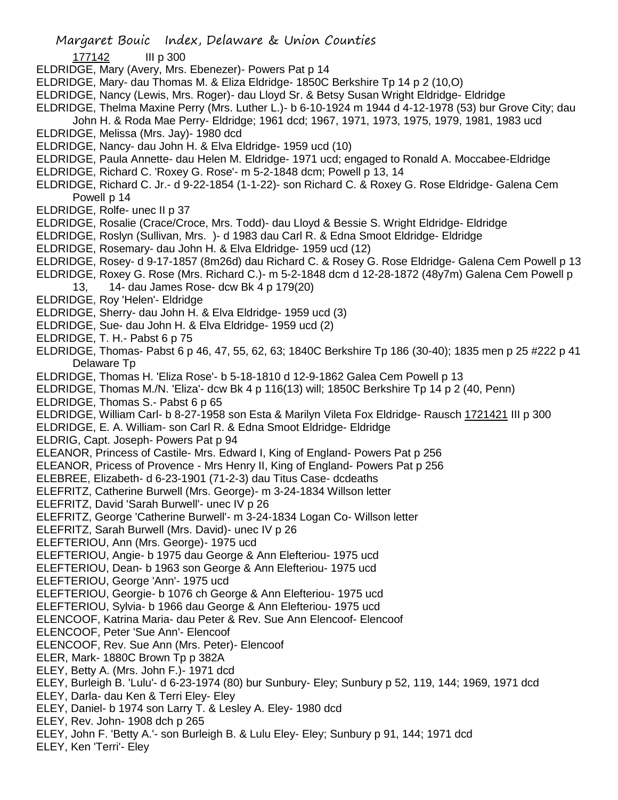- 177142 III p 300
- ELDRIDGE, Mary (Avery, Mrs. Ebenezer)- Powers Pat p 14
- ELDRIDGE, Mary- dau Thomas M. & Eliza Eldridge- 1850C Berkshire Tp 14 p 2 (10,O)
- ELDRIDGE, Nancy (Lewis, Mrs. Roger)- dau Lloyd Sr. & Betsy Susan Wright Eldridge- Eldridge
- ELDRIDGE, Thelma Maxine Perry (Mrs. Luther L.)- b 6-10-1924 m 1944 d 4-12-1978 (53) bur Grove City; dau
	- John H. & Roda Mae Perry- Eldridge; 1961 dcd; 1967, 1971, 1973, 1975, 1979, 1981, 1983 ucd
- ELDRIDGE, Melissa (Mrs. Jay)- 1980 dcd
- ELDRIDGE, Nancy- dau John H. & Elva Eldridge- 1959 ucd (10)
- ELDRIDGE, Paula Annette- dau Helen M. Eldridge- 1971 ucd; engaged to Ronald A. Moccabee-Eldridge
- ELDRIDGE, Richard C. 'Roxey G. Rose'- m 5-2-1848 dcm; Powell p 13, 14
- ELDRIDGE, Richard C. Jr.- d 9-22-1854 (1-1-22)- son Richard C. & Roxey G. Rose Eldridge- Galena Cem Powell p 14
- ELDRIDGE, Rolfe- unec II p 37
- ELDRIDGE, Rosalie (Crace/Croce, Mrs. Todd)- dau Lloyd & Bessie S. Wright Eldridge- Eldridge
- ELDRIDGE, Roslyn (Sullivan, Mrs. )- d 1983 dau Carl R. & Edna Smoot Eldridge- Eldridge
- ELDRIDGE, Rosemary- dau John H. & Elva Eldridge- 1959 ucd (12)
- ELDRIDGE, Rosey- d 9-17-1857 (8m26d) dau Richard C. & Rosey G. Rose Eldridge- Galena Cem Powell p 13
- ELDRIDGE, Roxey G. Rose (Mrs. Richard C.)- m 5-2-1848 dcm d 12-28-1872 (48y7m) Galena Cem Powell p
	- 13, 14- dau James Rose- dcw Bk 4 p 179(20)
- ELDRIDGE, Roy 'Helen'- Eldridge
- ELDRIDGE, Sherry- dau John H. & Elva Eldridge- 1959 ucd (3)
- ELDRIDGE, Sue- dau John H. & Elva Eldridge- 1959 ucd (2)
- ELDRIDGE, T. H.- Pabst 6 p 75
- ELDRIDGE, Thomas- Pabst 6 p 46, 47, 55, 62, 63; 1840C Berkshire Tp 186 (30-40); 1835 men p 25 #222 p 41 Delaware Tp
- ELDRIDGE, Thomas H. 'Eliza Rose'- b 5-18-1810 d 12-9-1862 Galea Cem Powell p 13
- ELDRIDGE, Thomas M./N. 'Eliza'- dcw Bk 4 p 116(13) will; 1850C Berkshire Tp 14 p 2 (40, Penn)
- ELDRIDGE, Thomas S.- Pabst 6 p 65
- ELDRIDGE, William Carl- b 8-27-1958 son Esta & Marilyn Vileta Fox Eldridge- Rausch 1721421 III p 300
- ELDRIDGE, E. A. William- son Carl R. & Edna Smoot Eldridge- Eldridge
- ELDRIG, Capt. Joseph- Powers Pat p 94
- ELEANOR, Princess of Castile- Mrs. Edward I, King of England- Powers Pat p 256
- ELEANOR, Pricess of Provence Mrs Henry II, King of England- Powers Pat p 256
- ELEBREE, Elizabeth- d 6-23-1901 (71-2-3) dau Titus Case- dcdeaths
- ELEFRITZ, Catherine Burwell (Mrs. George)- m 3-24-1834 Willson letter
- ELEFRITZ, David 'Sarah Burwell'- unec IV p 26
- ELEFRITZ, George 'Catherine Burwell'- m 3-24-1834 Logan Co- Willson letter
- ELEFRITZ, Sarah Burwell (Mrs. David)- unec IV p 26
- ELEFTERIOU, Ann (Mrs. George)- 1975 ucd
- ELEFTERIOU, Angie- b 1975 dau George & Ann Elefteriou- 1975 ucd
- ELEFTERIOU, Dean- b 1963 son George & Ann Elefteriou- 1975 ucd
- ELEFTERIOU, George 'Ann'- 1975 ucd
- ELEFTERIOU, Georgie- b 1076 ch George & Ann Elefteriou- 1975 ucd
- ELEFTERIOU, Sylvia- b 1966 dau George & Ann Elefteriou- 1975 ucd
- ELENCOOF, Katrina Maria- dau Peter & Rev. Sue Ann Elencoof- Elencoof
- ELENCOOF, Peter 'Sue Ann'- Elencoof
- ELENCOOF, Rev. Sue Ann (Mrs. Peter)- Elencoof
- ELER, Mark- 1880C Brown Tp p 382A
- ELEY, Betty A. (Mrs. John F.)- 1971 dcd
- ELEY, Burleigh B. 'Lulu'- d 6-23-1974 (80) bur Sunbury- Eley; Sunbury p 52, 119, 144; 1969, 1971 dcd
- ELEY, Darla- dau Ken & Terri Eley- Eley
- ELEY, Daniel- b 1974 son Larry T. & Lesley A. Eley- 1980 dcd
- ELEY, Rev. John- 1908 dch p 265
- ELEY, John F. 'Betty A.'- son Burleigh B. & Lulu Eley- Eley; Sunbury p 91, 144; 1971 dcd
- ELEY, Ken 'Terri'- Eley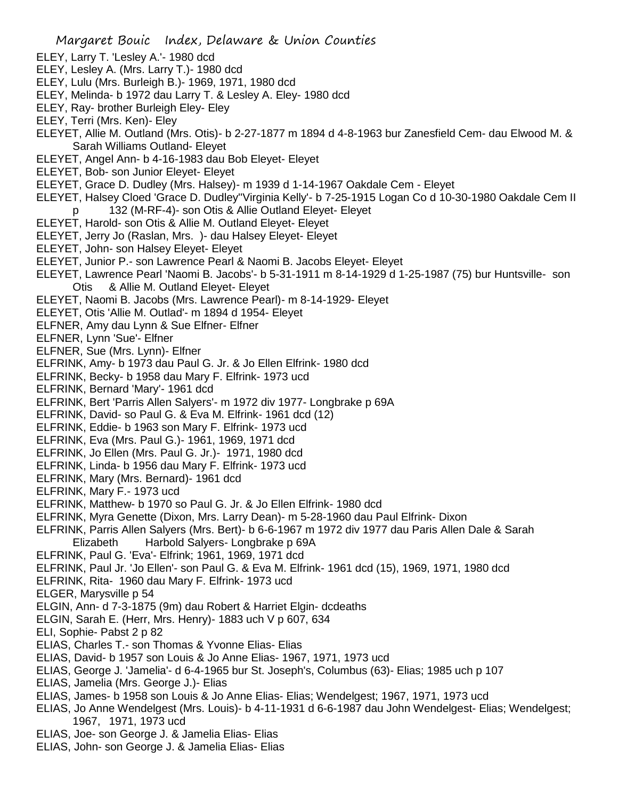- ELEY, Larry T. 'Lesley A.'- 1980 dcd
- ELEY, Lesley A. (Mrs. Larry T.)- 1980 dcd
- ELEY, Lulu (Mrs. Burleigh B.)- 1969, 1971, 1980 dcd
- ELEY, Melinda- b 1972 dau Larry T. & Lesley A. Eley- 1980 dcd
- ELEY, Ray- brother Burleigh Eley- Eley
- ELEY, Terri (Mrs. Ken)- Eley
- ELEYET, Allie M. Outland (Mrs. Otis)- b 2-27-1877 m 1894 d 4-8-1963 bur Zanesfield Cem- dau Elwood M. & Sarah Williams Outland- Eleyet
- ELEYET, Angel Ann- b 4-16-1983 dau Bob Eleyet- Eleyet
- ELEYET, Bob- son Junior Eleyet- Eleyet
- ELEYET, Grace D. Dudley (Mrs. Halsey)- m 1939 d 1-14-1967 Oakdale Cem Eleyet
- ELEYET, Halsey Cloed 'Grace D. Dudley''Virginia Kelly'- b 7-25-1915 Logan Co d 10-30-1980 Oakdale Cem II p 132 (M-RF-4)- son Otis & Allie Outland Eleyet- Eleyet
- ELEYET, Harold- son Otis & Allie M. Outland Eleyet- Eleyet
- ELEYET, Jerry Jo (Raslan, Mrs. )- dau Halsey Eleyet- Eleyet
- ELEYET, John- son Halsey Eleyet- Eleyet
- ELEYET, Junior P.- son Lawrence Pearl & Naomi B. Jacobs Eleyet- Eleyet
- ELEYET, Lawrence Pearl 'Naomi B. Jacobs'- b 5-31-1911 m 8-14-1929 d 1-25-1987 (75) bur Huntsville- son Otis & Allie M. Outland Eleyet- Eleyet
- ELEYET, Naomi B. Jacobs (Mrs. Lawrence Pearl)- m 8-14-1929- Eleyet
- ELEYET, Otis 'Allie M. Outlad'- m 1894 d 1954- Eleyet
- ELFNER, Amy dau Lynn & Sue Elfner- Elfner
- ELFNER, Lynn 'Sue'- Elfner
- ELFNER, Sue (Mrs. Lynn)- Elfner
- ELFRINK, Amy- b 1973 dau Paul G. Jr. & Jo Ellen Elfrink- 1980 dcd
- ELFRINK, Becky- b 1958 dau Mary F. Elfrink- 1973 ucd
- ELFRINK, Bernard 'Mary'- 1961 dcd
- ELFRINK, Bert 'Parris Allen Salyers'- m 1972 div 1977- Longbrake p 69A
- ELFRINK, David- so Paul G. & Eva M. Elfrink- 1961 dcd (12)
- ELFRINK, Eddie- b 1963 son Mary F. Elfrink- 1973 ucd
- ELFRINK, Eva (Mrs. Paul G.)- 1961, 1969, 1971 dcd
- ELFRINK, Jo Ellen (Mrs. Paul G. Jr.)- 1971, 1980 dcd
- ELFRINK, Linda- b 1956 dau Mary F. Elfrink- 1973 ucd
- ELFRINK, Mary (Mrs. Bernard)- 1961 dcd
- ELFRINK, Mary F.- 1973 ucd
- ELFRINK, Matthew- b 1970 so Paul G. Jr. & Jo Ellen Elfrink- 1980 dcd
- ELFRINK, Myra Genette (Dixon, Mrs. Larry Dean)- m 5-28-1960 dau Paul Elfrink- Dixon
- ELFRINK, Parris Allen Salyers (Mrs. Bert)- b 6-6-1967 m 1972 div 1977 dau Paris Allen Dale & Sarah
- Elizabeth Harbold Salyers- Longbrake p 69A
- ELFRINK, Paul G. 'Eva'- Elfrink; 1961, 1969, 1971 dcd
- ELFRINK, Paul Jr. 'Jo Ellen'- son Paul G. & Eva M. Elfrink- 1961 dcd (15), 1969, 1971, 1980 dcd
- ELFRINK, Rita- 1960 dau Mary F. Elfrink- 1973 ucd
- ELGER, Marysville p 54
- ELGIN, Ann- d 7-3-1875 (9m) dau Robert & Harriet Elgin- dcdeaths
- ELGIN, Sarah E. (Herr, Mrs. Henry)- 1883 uch V p 607, 634
- ELI, Sophie- Pabst 2 p 82
- ELIAS, Charles T.- son Thomas & Yvonne Elias- Elias
- ELIAS, David- b 1957 son Louis & Jo Anne Elias- 1967, 1971, 1973 ucd
- ELIAS, George J. 'Jamelia'- d 6-4-1965 bur St. Joseph's, Columbus (63)- Elias; 1985 uch p 107
- ELIAS, Jamelia (Mrs. George J.)- Elias
- ELIAS, James- b 1958 son Louis & Jo Anne Elias- Elias; Wendelgest; 1967, 1971, 1973 ucd
- ELIAS, Jo Anne Wendelgest (Mrs. Louis)- b 4-11-1931 d 6-6-1987 dau John Wendelgest- Elias; Wendelgest; 1967, 1971, 1973 ucd
- ELIAS, Joe- son George J. & Jamelia Elias- Elias
- ELIAS, John- son George J. & Jamelia Elias- Elias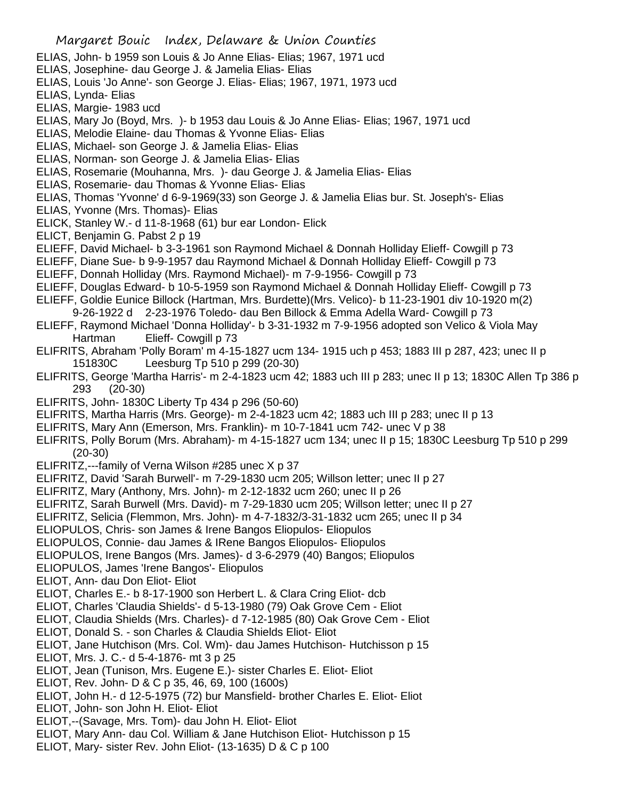- ELIAS, John- b 1959 son Louis & Jo Anne Elias- Elias; 1967, 1971 ucd
- ELIAS, Josephine- dau George J. & Jamelia Elias- Elias
- ELIAS, Louis 'Jo Anne'- son George J. Elias- Elias; 1967, 1971, 1973 ucd
- ELIAS, Lynda- Elias
- ELIAS, Margie- 1983 ucd
- ELIAS, Mary Jo (Boyd, Mrs. )- b 1953 dau Louis & Jo Anne Elias- Elias; 1967, 1971 ucd
- ELIAS, Melodie Elaine- dau Thomas & Yvonne Elias- Elias
- ELIAS, Michael- son George J. & Jamelia Elias- Elias
- ELIAS, Norman- son George J. & Jamelia Elias- Elias
- ELIAS, Rosemarie (Mouhanna, Mrs. )- dau George J. & Jamelia Elias- Elias
- ELIAS, Rosemarie- dau Thomas & Yvonne Elias- Elias
- ELIAS, Thomas 'Yvonne' d 6-9-1969(33) son George J. & Jamelia Elias bur. St. Joseph's- Elias
- ELIAS, Yvonne (Mrs. Thomas)- Elias
- ELICK, Stanley W.- d 11-8-1968 (61) bur ear London- Elick
- ELICT, Benjamin G. Pabst 2 p 19
- ELIEFF, David Michael- b 3-3-1961 son Raymond Michael & Donnah Holliday Elieff- Cowgill p 73
- ELIEFF, Diane Sue- b 9-9-1957 dau Raymond Michael & Donnah Holliday Elieff- Cowgill p 73
- ELIEFF, Donnah Holliday (Mrs. Raymond Michael)- m 7-9-1956- Cowgill p 73
- ELIEFF, Douglas Edward- b 10-5-1959 son Raymond Michael & Donnah Holliday Elieff- Cowgill p 73
- ELIEFF, Goldie Eunice Billock (Hartman, Mrs. Burdette)(Mrs. Velico)- b 11-23-1901 div 10-1920 m(2)
- 9-26-1922 d 2-23-1976 Toledo- dau Ben Billock & Emma Adella Ward- Cowgill p 73
- ELIEFF, Raymond Michael 'Donna Holliday'- b 3-31-1932 m 7-9-1956 adopted son Velico & Viola May Hartman Elieff- Cowgill p 73
- ELIFRITS, Abraham 'Polly Boram' m 4-15-1827 ucm 134- 1915 uch p 453; 1883 III p 287, 423; unec II p 151830C Leesburg Tp 510 p 299 (20-30)
- ELIFRITS, George 'Martha Harris'- m 2-4-1823 ucm 42; 1883 uch III p 283; unec II p 13; 1830C Allen Tp 386 p 293 (20-30)
- ELIFRITS, John- 1830C Liberty Tp 434 p 296 (50-60)
- ELIFRITS, Martha Harris (Mrs. George)- m 2-4-1823 ucm 42; 1883 uch III p 283; unec II p 13
- ELIFRITS, Mary Ann (Emerson, Mrs. Franklin)- m 10-7-1841 ucm 742- unec V p 38
- ELIFRITS, Polly Borum (Mrs. Abraham)- m 4-15-1827 ucm 134; unec II p 15; 1830C Leesburg Tp 510 p 299 (20-30)
- ELIFRITZ,---family of Verna Wilson #285 unec X p 37
- ELIFRITZ, David 'Sarah Burwell'- m 7-29-1830 ucm 205; Willson letter; unec II p 27
- ELIFRITZ, Mary (Anthony, Mrs. John)- m 2-12-1832 ucm 260; unec II p 26
- ELIFRITZ, Sarah Burwell (Mrs. David)- m 7-29-1830 ucm 205; Willson letter; unec II p 27
- ELIFRITZ, Selicia (Flemmon, Mrs. John)- m 4-7-1832/3-31-1832 ucm 265; unec II p 34
- ELIOPULOS, Chris- son James & Irene Bangos Eliopulos- Eliopulos
- ELIOPULOS, Connie- dau James & IRene Bangos Eliopulos- Eliopulos
- ELIOPULOS, Irene Bangos (Mrs. James)- d 3-6-2979 (40) Bangos; Eliopulos
- ELIOPULOS, James 'Irene Bangos'- Eliopulos
- ELIOT, Ann- dau Don Eliot- Eliot
- ELIOT, Charles E.- b 8-17-1900 son Herbert L. & Clara Cring Eliot- dcb
- ELIOT, Charles 'Claudia Shields'- d 5-13-1980 (79) Oak Grove Cem Eliot
- ELIOT, Claudia Shields (Mrs. Charles)- d 7-12-1985 (80) Oak Grove Cem Eliot
- ELIOT, Donald S. son Charles & Claudia Shields Eliot- Eliot
- ELIOT, Jane Hutchison (Mrs. Col. Wm)- dau James Hutchison- Hutchisson p 15
- ELIOT, Mrs. J. C.- d 5-4-1876- mt 3 p 25
- ELIOT, Jean (Tunison, Mrs. Eugene E.)- sister Charles E. Eliot- Eliot
- ELIOT, Rev. John- D & C p 35, 46, 69, 100 (1600s)
- ELIOT, John H.- d 12-5-1975 (72) bur Mansfield- brother Charles E. Eliot- Eliot
- ELIOT, John- son John H. Eliot- Eliot
- ELIOT,--(Savage, Mrs. Tom)- dau John H. Eliot- Eliot
- ELIOT, Mary Ann- dau Col. William & Jane Hutchison Eliot- Hutchisson p 15
- ELIOT, Mary- sister Rev. John Eliot- (13-1635) D & C p 100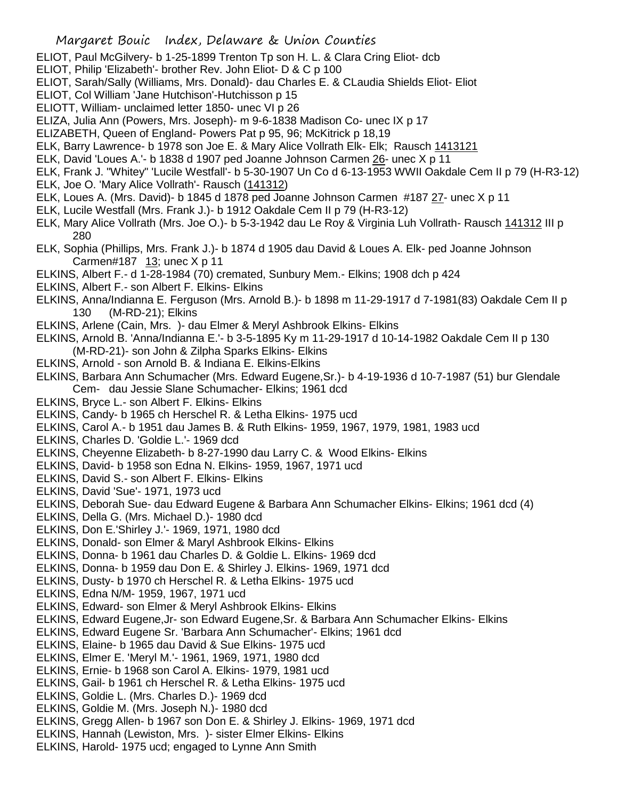- ELIOT, Paul McGilvery- b 1-25-1899 Trenton Tp son H. L. & Clara Cring Eliot- dcb
- ELIOT, Philip 'Elizabeth'- brother Rev. John Eliot- D & C p 100
- ELIOT, Sarah/Sally (Williams, Mrs. Donald)- dau Charles E. & CLaudia Shields Eliot- Eliot
- ELIOT, Col William 'Jane Hutchison'-Hutchisson p 15
- ELIOTT, William- unclaimed letter 1850- unec VI p 26
- ELIZA, Julia Ann (Powers, Mrs. Joseph)- m 9-6-1838 Madison Co- unec IX p 17
- ELIZABETH, Queen of England- Powers Pat p 95, 96; McKitrick p 18,19
- ELK, Barry Lawrence- b 1978 son Joe E. & Mary Alice Vollrath Elk- Elk; Rausch 1413121
- ELK, David 'Loues A.'- b 1838 d 1907 ped Joanne Johnson Carmen 26- unec X p 11
- ELK, Frank J. "Whitey" 'Lucile Westfall'- b 5-30-1907 Un Co d 6-13-1953 WWII Oakdale Cem II p 79 (H-R3-12)
- ELK, Joe O. 'Mary Alice Vollrath'- Rausch (141312)
- ELK, Loues A. (Mrs. David)- b 1845 d 1878 ped Joanne Johnson Carmen #187 27- unec X p 11
- ELK, Lucile Westfall (Mrs. Frank J.)- b 1912 Oakdale Cem II p 79 (H-R3-12)
- ELK, Mary Alice Vollrath (Mrs. Joe O.)- b 5-3-1942 dau Le Roy & Virginia Luh Vollrath- Rausch 141312 III p 280
- ELK, Sophia (Phillips, Mrs. Frank J.)- b 1874 d 1905 dau David & Loues A. Elk- ped Joanne Johnson Carmen#187  $13$ ; unec X p 11
- ELKINS, Albert F.- d 1-28-1984 (70) cremated, Sunbury Mem.- Elkins; 1908 dch p 424
- ELKINS, Albert F.- son Albert F. Elkins- Elkins
- ELKINS, Anna/Indianna E. Ferguson (Mrs. Arnold B.)- b 1898 m 11-29-1917 d 7-1981(83) Oakdale Cem II p 130 (M-RD-21); Elkins
- ELKINS, Arlene (Cain, Mrs. )- dau Elmer & Meryl Ashbrook Elkins- Elkins
- ELKINS, Arnold B. 'Anna/Indianna E.'- b 3-5-1895 Ky m 11-29-1917 d 10-14-1982 Oakdale Cem II p 130 (M-RD-21)- son John & Zilpha Sparks Elkins- Elkins
- ELKINS, Arnold son Arnold B. & Indiana E. Elkins-Elkins
- ELKINS, Barbara Ann Schumacher (Mrs. Edward Eugene,Sr.)- b 4-19-1936 d 10-7-1987 (51) bur Glendale Cem- dau Jessie Slane Schumacher- Elkins; 1961 dcd
- ELKINS, Bryce L.- son Albert F. Elkins- Elkins
- ELKINS, Candy- b 1965 ch Herschel R. & Letha Elkins- 1975 ucd
- ELKINS, Carol A.- b 1951 dau James B. & Ruth Elkins- 1959, 1967, 1979, 1981, 1983 ucd
- ELKINS, Charles D. 'Goldie L.'- 1969 dcd
- ELKINS, Cheyenne Elizabeth- b 8-27-1990 dau Larry C. & Wood Elkins- Elkins
- ELKINS, David- b 1958 son Edna N. Elkins- 1959, 1967, 1971 ucd
- ELKINS, David S.- son Albert F. Elkins- Elkins
- ELKINS, David 'Sue'- 1971, 1973 ucd
- ELKINS, Deborah Sue- dau Edward Eugene & Barbara Ann Schumacher Elkins- Elkins; 1961 dcd (4)
- ELKINS, Della G. (Mrs. Michael D.)- 1980 dcd
- ELKINS, Don E.'Shirley J.'- 1969, 1971, 1980 dcd
- ELKINS, Donald- son Elmer & Maryl Ashbrook Elkins- Elkins
- ELKINS, Donna- b 1961 dau Charles D. & Goldie L. Elkins- 1969 dcd
- ELKINS, Donna- b 1959 dau Don E. & Shirley J. Elkins- 1969, 1971 dcd
- ELKINS, Dusty- b 1970 ch Herschel R. & Letha Elkins- 1975 ucd
- ELKINS, Edna N/M- 1959, 1967, 1971 ucd
- ELKINS, Edward- son Elmer & Meryl Ashbrook Elkins- Elkins
- ELKINS, Edward Eugene,Jr- son Edward Eugene,Sr. & Barbara Ann Schumacher Elkins- Elkins
- ELKINS, Edward Eugene Sr. 'Barbara Ann Schumacher'- Elkins; 1961 dcd
- ELKINS, Elaine- b 1965 dau David & Sue Elkins- 1975 ucd
- ELKINS, Elmer E. 'Meryl M.'- 1961, 1969, 1971, 1980 dcd
- ELKINS, Ernie- b 1968 son Carol A. Elkins- 1979, 1981 ucd
- ELKINS, Gail- b 1961 ch Herschel R. & Letha Elkins- 1975 ucd
- ELKINS, Goldie L. (Mrs. Charles D.)- 1969 dcd
- ELKINS, Goldie M. (Mrs. Joseph N.)- 1980 dcd
- ELKINS, Gregg Allen- b 1967 son Don E. & Shirley J. Elkins- 1969, 1971 dcd
- ELKINS, Hannah (Lewiston, Mrs. )- sister Elmer Elkins- Elkins
- ELKINS, Harold- 1975 ucd; engaged to Lynne Ann Smith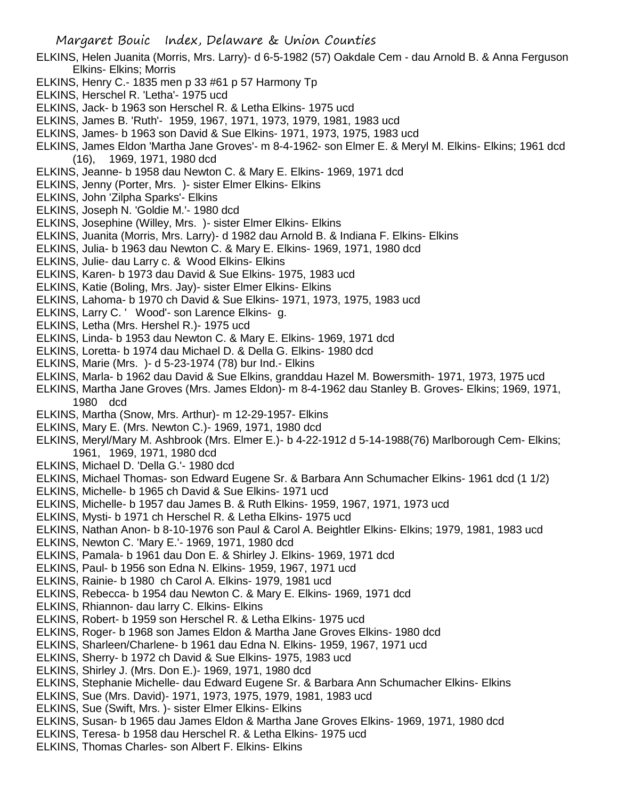- ELKINS, Helen Juanita (Morris, Mrs. Larry)- d 6-5-1982 (57) Oakdale Cem dau Arnold B. & Anna Ferguson Elkins- Elkins; Morris
- ELKINS, Henry C.- 1835 men p 33 #61 p 57 Harmony Tp
- ELKINS, Herschel R. 'Letha'- 1975 ucd
- ELKINS, Jack- b 1963 son Herschel R. & Letha Elkins- 1975 ucd
- ELKINS, James B. 'Ruth'- 1959, 1967, 1971, 1973, 1979, 1981, 1983 ucd
- ELKINS, James- b 1963 son David & Sue Elkins- 1971, 1973, 1975, 1983 ucd
- ELKINS, James Eldon 'Martha Jane Groves'- m 8-4-1962- son Elmer E. & Meryl M. Elkins- Elkins; 1961 dcd (16), 1969, 1971, 1980 dcd
- ELKINS, Jeanne- b 1958 dau Newton C. & Mary E. Elkins- 1969, 1971 dcd
- ELKINS, Jenny (Porter, Mrs. )- sister Elmer Elkins- Elkins
- ELKINS, John 'Zilpha Sparks'- Elkins
- ELKINS, Joseph N. 'Goldie M.'- 1980 dcd
- ELKINS, Josephine (Willey, Mrs. )- sister Elmer Elkins- Elkins
- ELKINS, Juanita (Morris, Mrs. Larry)- d 1982 dau Arnold B. & Indiana F. Elkins- Elkins
- ELKINS, Julia- b 1963 dau Newton C. & Mary E. Elkins- 1969, 1971, 1980 dcd
- ELKINS, Julie- dau Larry c. & Wood Elkins- Elkins
- ELKINS, Karen- b 1973 dau David & Sue Elkins- 1975, 1983 ucd
- ELKINS, Katie (Boling, Mrs. Jay)- sister Elmer Elkins- Elkins
- ELKINS, Lahoma- b 1970 ch David & Sue Elkins- 1971, 1973, 1975, 1983 ucd
- ELKINS, Larry C. ' Wood'- son Larence Elkins- g.
- ELKINS, Letha (Mrs. Hershel R.)- 1975 ucd
- ELKINS, Linda- b 1953 dau Newton C. & Mary E. Elkins- 1969, 1971 dcd
- ELKINS, Loretta- b 1974 dau Michael D. & Della G. Elkins- 1980 dcd
- ELKINS, Marie (Mrs. )- d 5-23-1974 (78) bur Ind.- Elkins
- ELKINS, Marla- b 1962 dau David & Sue Elkins, granddau Hazel M. Bowersmith- 1971, 1973, 1975 ucd
- ELKINS, Martha Jane Groves (Mrs. James Eldon)- m 8-4-1962 dau Stanley B. Groves- Elkins; 1969, 1971, 1980 dcd
- ELKINS, Martha (Snow, Mrs. Arthur)- m 12-29-1957- Elkins
- ELKINS, Mary E. (Mrs. Newton C.)- 1969, 1971, 1980 dcd
- ELKINS, Meryl/Mary M. Ashbrook (Mrs. Elmer E.)- b 4-22-1912 d 5-14-1988(76) Marlborough Cem- Elkins; 1961, 1969, 1971, 1980 dcd
- ELKINS, Michael D. 'Della G.'- 1980 dcd
- ELKINS, Michael Thomas- son Edward Eugene Sr. & Barbara Ann Schumacher Elkins- 1961 dcd (1 1/2)
- ELKINS, Michelle- b 1965 ch David & Sue Elkins- 1971 ucd
- ELKINS, Michelle- b 1957 dau James B. & Ruth Elkins- 1959, 1967, 1971, 1973 ucd
- ELKINS, Mysti- b 1971 ch Herschel R. & Letha Elkins- 1975 ucd
- ELKINS, Nathan Anon- b 8-10-1976 son Paul & Carol A. Beightler Elkins- Elkins; 1979, 1981, 1983 ucd
- ELKINS, Newton C. 'Mary E.'- 1969, 1971, 1980 dcd
- ELKINS, Pamala- b 1961 dau Don E. & Shirley J. Elkins- 1969, 1971 dcd
- ELKINS, Paul- b 1956 son Edna N. Elkins- 1959, 1967, 1971 ucd
- ELKINS, Rainie- b 1980 ch Carol A. Elkins- 1979, 1981 ucd
- ELKINS, Rebecca- b 1954 dau Newton C. & Mary E. Elkins- 1969, 1971 dcd
- ELKINS, Rhiannon- dau larry C. Elkins- Elkins
- ELKINS, Robert- b 1959 son Herschel R. & Letha Elkins- 1975 ucd
- ELKINS, Roger- b 1968 son James Eldon & Martha Jane Groves Elkins- 1980 dcd
- ELKINS, Sharleen/Charlene- b 1961 dau Edna N. Elkins- 1959, 1967, 1971 ucd
- ELKINS, Sherry- b 1972 ch David & Sue Elkins- 1975, 1983 ucd
- ELKINS, Shirley J. (Mrs. Don E.)- 1969, 1971, 1980 dcd
- ELKINS, Stephanie Michelle- dau Edward Eugene Sr. & Barbara Ann Schumacher Elkins- Elkins
- ELKINS, Sue (Mrs. David)- 1971, 1973, 1975, 1979, 1981, 1983 ucd
- ELKINS, Sue (Swift, Mrs. )- sister Elmer Elkins- Elkins
- ELKINS, Susan- b 1965 dau James Eldon & Martha Jane Groves Elkins- 1969, 1971, 1980 dcd
- ELKINS, Teresa- b 1958 dau Herschel R. & Letha Elkins- 1975 ucd
- ELKINS, Thomas Charles- son Albert F. Elkins- Elkins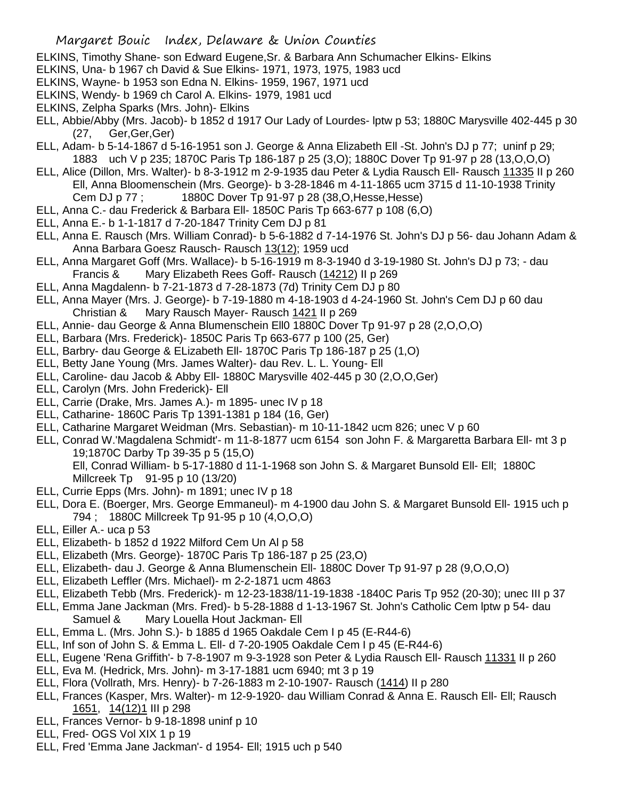- ELKINS, Timothy Shane- son Edward Eugene,Sr. & Barbara Ann Schumacher Elkins- Elkins
- ELKINS, Una- b 1967 ch David & Sue Elkins- 1971, 1973, 1975, 1983 ucd
- ELKINS, Wayne- b 1953 son Edna N. Elkins- 1959, 1967, 1971 ucd
- ELKINS, Wendy- b 1969 ch Carol A. Elkins- 1979, 1981 ucd
- ELKINS, Zelpha Sparks (Mrs. John)- Elkins
- ELL, Abbie/Abby (Mrs. Jacob)- b 1852 d 1917 Our Lady of Lourdes- lptw p 53; 1880C Marysville 402-445 p 30 (27, Ger,Ger,Ger)
- ELL, Adam- b 5-14-1867 d 5-16-1951 son J. George & Anna Elizabeth Ell -St. John's DJ p 77; uninf p 29; 1883 uch V p 235; 1870C Paris Tp 186-187 p 25 (3,O); 1880C Dover Tp 91-97 p 28 (13,O,O,O)
- ELL, Alice (Dillon, Mrs. Walter)- b 8-3-1912 m 2-9-1935 dau Peter & Lydia Rausch Ell- Rausch 11335 II p 260 Ell, Anna Bloomenschein (Mrs. George)- b 3-28-1846 m 4-11-1865 ucm 3715 d 11-10-1938 Trinity Cem DJ p 77 ; 1880C Dover Tp 91-97 p 28 (38,O,Hesse,Hesse)
- ELL, Anna C.- dau Frederick & Barbara Ell- 1850C Paris Tp 663-677 p 108 (6,O)
- ELL, Anna E.- b 1-1-1817 d 7-20-1847 Trinity Cem DJ p 81
- ELL, Anna E. Rausch (Mrs. William Conrad)- b 5-6-1882 d 7-14-1976 St. John's DJ p 56- dau Johann Adam & Anna Barbara Goesz Rausch- Rausch 13(12); 1959 ucd
- ELL, Anna Margaret Goff (Mrs. Wallace)- b 5-16-1919 m 8-3-1940 d 3-19-1980 St. John's DJ p 73; dau Francis & Mary Elizabeth Rees Goff- Rausch (14212) II p 269
- ELL, Anna Magdalenn- b 7-21-1873 d 7-28-1873 (7d) Trinity Cem DJ p 80
- ELL, Anna Mayer (Mrs. J. George)- b 7-19-1880 m 4-18-1903 d 4-24-1960 St. John's Cem DJ p 60 dau Christian & Mary Rausch Mayer- Rausch 1421 II p 269
- ELL, Annie- dau George & Anna Blumenschein Ell0 1880C Dover Tp 91-97 p 28 (2,O,O,O)
- ELL, Barbara (Mrs. Frederick)- 1850C Paris Tp 663-677 p 100 (25, Ger)
- ELL, Barbry- dau George & ELizabeth Ell- 1870C Paris Tp 186-187 p 25 (1,O)
- ELL, Betty Jane Young (Mrs. James Walter)- dau Rev. L. L. Young- Ell
- ELL, Caroline- dau Jacob & Abby Ell- 1880C Marysville 402-445 p 30 (2,O,O,Ger)
- ELL, Carolyn (Mrs. John Frederick)- Ell
- ELL, Carrie (Drake, Mrs. James A.)- m 1895- unec IV p 18
- ELL, Catharine- 1860C Paris Tp 1391-1381 p 184 (16, Ger)
- ELL, Catharine Margaret Weidman (Mrs. Sebastian)- m 10-11-1842 ucm 826; unec V p 60
- ELL, Conrad W.'Magdalena Schmidt'- m 11-8-1877 ucm 6154 son John F. & Margaretta Barbara Ell- mt 3 p 19;1870C Darby Tp 39-35 p 5 (15,O)
	- Ell, Conrad William- b 5-17-1880 d 11-1-1968 son John S. & Margaret Bunsold Ell- Ell; 1880C Millcreek Tp 91-95 p 10 (13/20)
- ELL, Currie Epps (Mrs. John)- m 1891; unec IV p 18
- ELL, Dora E. (Boerger, Mrs. George Emmaneul)- m 4-1900 dau John S. & Margaret Bunsold Ell- 1915 uch p 794 ; 1880C Millcreek Tp 91-95 p 10 (4,O,O,O)
- ELL, Eiller A.- uca p 53
- ELL, Elizabeth- b 1852 d 1922 Milford Cem Un Al p 58
- ELL, Elizabeth (Mrs. George)- 1870C Paris Tp 186-187 p 25 (23,O)
- ELL, Elizabeth- dau J. George & Anna Blumenschein Ell- 1880C Dover Tp 91-97 p 28 (9,O,O,O)
- ELL, Elizabeth Leffler (Mrs. Michael)- m 2-2-1871 ucm 4863
- ELL, Elizabeth Tebb (Mrs. Frederick)- m 12-23-1838/11-19-1838 -1840C Paris Tp 952 (20-30); unec III p 37
- ELL, Emma Jane Jackman (Mrs. Fred)- b 5-28-1888 d 1-13-1967 St. John's Catholic Cem lptw p 54- dau Samuel & Mary Louella Hout Jackman- Ell
- ELL, Emma L. (Mrs. John S.)- b 1885 d 1965 Oakdale Cem I p 45 (E-R44-6)
- ELL, Inf son of John S. & Emma L. Ell- d 7-20-1905 Oakdale Cem I p 45 (E-R44-6)
- ELL, Eugene 'Rena Griffith'- b 7-8-1907 m 9-3-1928 son Peter & Lydia Rausch Ell- Rausch 11331 II p 260
- ELL, Eva M. (Hedrick, Mrs. John)- m 3-17-1881 ucm 6940; mt 3 p 19
- ELL, Flora (Vollrath, Mrs. Henry)- b 7-26-1883 m 2-10-1907- Rausch (1414) II p 280
- ELL, Frances (Kasper, Mrs. Walter)- m 12-9-1920- dau William Conrad & Anna E. Rausch Ell- Ell; Rausch 1651, 14(12)1 III p 298
- ELL, Frances Vernor- b 9-18-1898 uninf p 10
- ELL, Fred- OGS Vol XIX 1 p 19
- ELL, Fred 'Emma Jane Jackman'- d 1954- Ell; 1915 uch p 540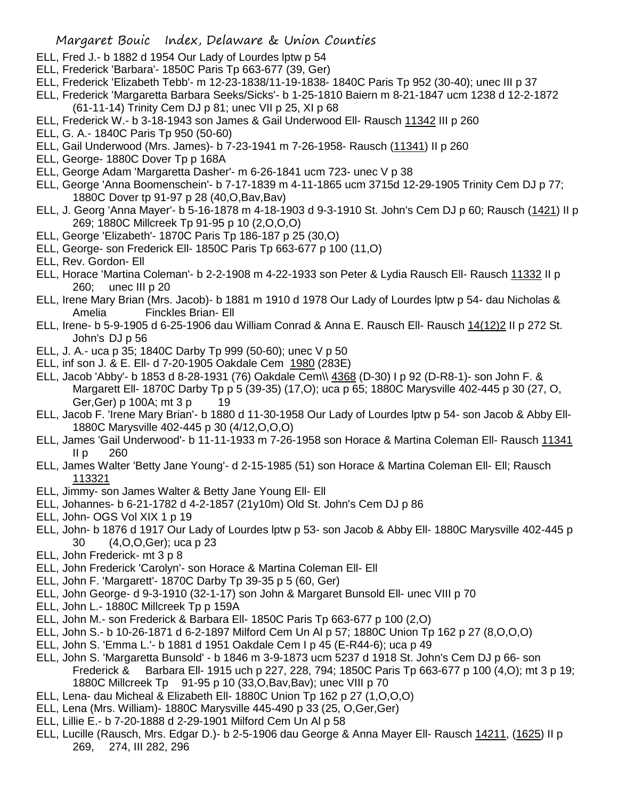- ELL, Fred J.- b 1882 d 1954 Our Lady of Lourdes lptw p 54
- ELL, Frederick 'Barbara'- 1850C Paris Tp 663-677 (39, Ger)
- ELL, Frederick 'Elizabeth Tebb'- m 12-23-1838/11-19-1838- 1840C Paris Tp 952 (30-40); unec III p 37
- ELL, Frederick 'Margaretta Barbara Seeks/Sicks'- b 1-25-1810 Baiern m 8-21-1847 ucm 1238 d 12-2-1872 (61-11-14) Trinity Cem DJ p 81; unec VII p 25, XI p 68
- ELL, Frederick W.- b 3-18-1943 son James & Gail Underwood Ell- Rausch 11342 III p 260
- ELL, G. A.- 1840C Paris Tp 950 (50-60)
- ELL, Gail Underwood (Mrs. James)- b 7-23-1941 m 7-26-1958- Rausch (11341) II p 260
- ELL, George- 1880C Dover Tp p 168A
- ELL, George Adam 'Margaretta Dasher'- m 6-26-1841 ucm 723- unec V p 38
- ELL, George 'Anna Boomenschein'- b 7-17-1839 m 4-11-1865 ucm 3715d 12-29-1905 Trinity Cem DJ p 77; 1880C Dover tp 91-97 p 28 (40,O,Bav,Bav)
- ELL, J. Georg 'Anna Mayer'- b 5-16-1878 m 4-18-1903 d 9-3-1910 St. John's Cem DJ p 60; Rausch (1421) II p 269; 1880C Millcreek Tp 91-95 p 10 (2,O,O,O)
- ELL, George 'Elizabeth'- 1870C Paris Tp 186-187 p 25 (30,O)
- ELL, George- son Frederick Ell- 1850C Paris Tp 663-677 p 100 (11,O)
- ELL, Rev. Gordon- Ell
- ELL, Horace 'Martina Coleman'- b 2-2-1908 m 4-22-1933 son Peter & Lydia Rausch Ell- Rausch 11332 II p 260; unec III p 20
- ELL, Irene Mary Brian (Mrs. Jacob)- b 1881 m 1910 d 1978 Our Lady of Lourdes lptw p 54- dau Nicholas & Amelia Finckles Brian- Ell
- ELL, Irene- b 5-9-1905 d 6-25-1906 dau William Conrad & Anna E. Rausch Ell- Rausch 14(12)2 II p 272 St. John's DJ p 56
- ELL, J. A.- uca p 35; 1840C Darby Tp 999 (50-60); unec V p 50
- ELL, inf son J. & E. Ell- d 7-20-1905 Oakdale Cem 1980 (283E)
- ELL, Jacob 'Abby'- b 1853 d 8-28-1931 (76) Oakdale Cem\\ 4368 (D-30) I p 92 (D-R8-1)- son John F. & Margarett Ell- 1870C Darby Tp p 5 (39-35) (17,O); uca p 65; 1880C Marysville 402-445 p 30 (27, O, Ger, Ger) p 100A; mt 3 p 19
- ELL, Jacob F. 'Irene Mary Brian'- b 1880 d 11-30-1958 Our Lady of Lourdes lptw p 54- son Jacob & Abby Ell-1880C Marysville 402-445 p 30 (4/12,O,O,O)
- ELL, James 'Gail Underwood'- b 11-11-1933 m 7-26-1958 son Horace & Martina Coleman Ell- Rausch 11341  $II p$  260
- ELL, James Walter 'Betty Jane Young'- d 2-15-1985 (51) son Horace & Martina Coleman Ell- Ell; Rausch 113321
- ELL, Jimmy- son James Walter & Betty Jane Young Ell- Ell
- ELL, Johannes- b 6-21-1782 d 4-2-1857 (21y10m) Old St. John's Cem DJ p 86
- ELL, John- OGS Vol XIX 1 p 19
- ELL, John- b 1876 d 1917 Our Lady of Lourdes lptw p 53- son Jacob & Abby Ell- 1880C Marysville 402-445 p 30 (4,O,O,Ger); uca p 23
- ELL, John Frederick- mt 3 p 8
- ELL, John Frederick 'Carolyn'- son Horace & Martina Coleman Ell- Ell
- ELL, John F. 'Margarett'- 1870C Darby Tp 39-35 p 5 (60, Ger)
- ELL, John George- d 9-3-1910 (32-1-17) son John & Margaret Bunsold Ell- unec VIII p 70
- ELL, John L.- 1880C Millcreek Tp p 159A
- ELL, John M.- son Frederick & Barbara Ell- 1850C Paris Tp 663-677 p 100 (2,O)
- ELL, John S.- b 10-26-1871 d 6-2-1897 Milford Cem Un Al p 57; 1880C Union Tp 162 p 27 (8,O,O,O)
- ELL, John S. 'Emma L.'- b 1881 d 1951 Oakdale Cem I p 45 (E-R44-6); uca p 49
- ELL, John S. 'Margaretta Bunsold' b 1846 m 3-9-1873 ucm 5237 d 1918 St. John's Cem DJ p 66- son Frederick & Barbara Ell- 1915 uch p 227, 228, 794; 1850C Paris Tp 663-677 p 100 (4,O); mt 3 p 19; 1880C Millcreek Tp 91-95 p 10 (33,O,Bav,Bav); unec VIII p 70
- ELL, Lena- dau Micheal & Elizabeth Ell- 1880C Union Tp 162 p 27 (1,O,O,O)
- ELL, Lena (Mrs. William)- 1880C Marysville 445-490 p 33 (25, O,Ger,Ger)
- ELL, Lillie E.- b 7-20-1888 d 2-29-1901 Milford Cem Un Al p 58
- ELL, Lucille (Rausch, Mrs. Edgar D.)- b 2-5-1906 dau George & Anna Mayer Ell- Rausch 14211, (1625) II p 269, 274, III 282, 296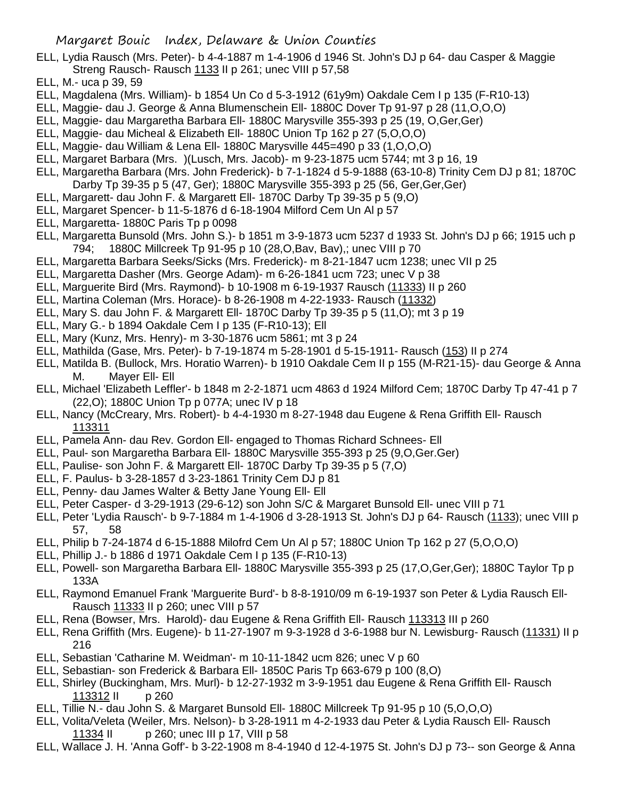- ELL, Lydia Rausch (Mrs. Peter)- b 4-4-1887 m 1-4-1906 d 1946 St. John's DJ p 64- dau Casper & Maggie Streng Rausch- Rausch 1133 II p 261; unec VIII p 57,58
- ELL, M.- uca p 39, 59
- ELL, Magdalena (Mrs. William)- b 1854 Un Co d 5-3-1912 (61y9m) Oakdale Cem I p 135 (F-R10-13)
- ELL, Maggie- dau J. George & Anna Blumenschein Ell- 1880C Dover Tp 91-97 p 28 (11,O,O,O)
- ELL, Maggie- dau Margaretha Barbara Ell- 1880C Marysville 355-393 p 25 (19, O,Ger,Ger)
- ELL, Maggie- dau Micheal & Elizabeth Ell- 1880C Union Tp 162 p 27 (5,O,O,O)
- ELL, Maggie- dau William & Lena Ell- 1880C Marysville 445=490 p 33 (1,O,O,O)
- ELL, Margaret Barbara (Mrs. )(Lusch, Mrs. Jacob)- m 9-23-1875 ucm 5744; mt 3 p 16, 19
- ELL, Margaretha Barbara (Mrs. John Frederick)- b 7-1-1824 d 5-9-1888 (63-10-8) Trinity Cem DJ p 81; 1870C Darby Tp 39-35 p 5 (47, Ger); 1880C Marysville 355-393 p 25 (56, Ger,Ger,Ger)
- ELL, Margarett- dau John F. & Margarett Ell- 1870C Darby Tp 39-35 p 5 (9,O)
- ELL, Margaret Spencer- b 11-5-1876 d 6-18-1904 Milford Cem Un Al p 57
- ELL, Margaretta- 1880C Paris Tp p 0098
- ELL, Margaretta Bunsold (Mrs. John S.)- b 1851 m 3-9-1873 ucm 5237 d 1933 St. John's DJ p 66; 1915 uch p 794; 1880C Millcreek Tp 91-95 p 10 (28,O,Bav, Bav),; unec VIII p 70
- ELL, Margaretta Barbara Seeks/Sicks (Mrs. Frederick)- m 8-21-1847 ucm 1238; unec VII p 25
- ELL, Margaretta Dasher (Mrs. George Adam)- m 6-26-1841 ucm 723; unec V p 38
- ELL, Marguerite Bird (Mrs. Raymond)- b 10-1908 m 6-19-1937 Rausch (11333) II p 260
- ELL, Martina Coleman (Mrs. Horace)- b 8-26-1908 m 4-22-1933- Rausch (11332)
- ELL, Mary S. dau John F. & Margarett Ell- 1870C Darby Tp 39-35 p 5 (11,O); mt 3 p 19
- ELL, Mary G.- b 1894 Oakdale Cem I p 135 (F-R10-13); Ell
- ELL, Mary (Kunz, Mrs. Henry)- m 3-30-1876 ucm 5861; mt 3 p 24
- ELL, Mathilda (Gase, Mrs. Peter)- b 7-19-1874 m 5-28-1901 d 5-15-1911- Rausch (153) II p 274
- ELL, Matilda B. (Bullock, Mrs. Horatio Warren)- b 1910 Oakdale Cem II p 155 (M-R21-15)- dau George & Anna M. Mayer Ell- Ell
- ELL, Michael 'Elizabeth Leffler'- b 1848 m 2-2-1871 ucm 4863 d 1924 Milford Cem; 1870C Darby Tp 47-41 p 7 (22,O); 1880C Union Tp p 077A; unec IV p 18
- ELL, Nancy (McCreary, Mrs. Robert)- b 4-4-1930 m 8-27-1948 dau Eugene & Rena Griffith Ell- Rausch 113311
- ELL, Pamela Ann- dau Rev. Gordon Ell- engaged to Thomas Richard Schnees- Ell
- ELL, Paul- son Margaretha Barbara Ell- 1880C Marysville 355-393 p 25 (9,O,Ger.Ger)
- ELL, Paulise- son John F. & Margarett Ell- 1870C Darby Tp 39-35 p 5 (7,O)
- ELL, F. Paulus- b 3-28-1857 d 3-23-1861 Trinity Cem DJ p 81
- ELL, Penny- dau James Walter & Betty Jane Young Ell- Ell
- ELL, Peter Casper- d 3-29-1913 (29-6-12) son John S/C & Margaret Bunsold Ell- unec VIII p 71
- ELL, Peter 'Lydia Rausch'- b 9-7-1884 m 1-4-1906 d 3-28-1913 St. John's DJ p 64- Rausch (1133); unec VIII p 57, 58
- ELL, Philip b 7-24-1874 d 6-15-1888 Milofrd Cem Un Al p 57; 1880C Union Tp 162 p 27 (5,O,O,O)
- ELL, Phillip J.- b 1886 d 1971 Oakdale Cem I p 135 (F-R10-13)
- ELL, Powell- son Margaretha Barbara Ell- 1880C Marysville 355-393 p 25 (17,O,Ger,Ger); 1880C Taylor Tp p 133A
- ELL, Raymond Emanuel Frank 'Marguerite Burd'- b 8-8-1910/09 m 6-19-1937 son Peter & Lydia Rausch Ell-Rausch 11333 II p 260; unec VIII p 57
- ELL, Rena (Bowser, Mrs. Harold)- dau Eugene & Rena Griffith Ell- Rausch 113313 III p 260
- ELL, Rena Griffith (Mrs. Eugene)- b 11-27-1907 m 9-3-1928 d 3-6-1988 bur N. Lewisburg- Rausch (11331) II p 216
- ELL, Sebastian 'Catharine M. Weidman'- m 10-11-1842 ucm 826; unec V p 60
- ELL, Sebastian- son Frederick & Barbara Ell- 1850C Paris Tp 663-679 p 100 (8,O)
- ELL, Shirley (Buckingham, Mrs. Murl)- b 12-27-1932 m 3-9-1951 dau Eugene & Rena Griffith Ell- Rausch 113312 II p 260
- ELL, Tillie N.- dau John S. & Margaret Bunsold Ell- 1880C Millcreek Tp 91-95 p 10 (5,O,O,O)
- ELL, Volita/Veleta (Weiler, Mrs. Nelson)- b 3-28-1911 m 4-2-1933 dau Peter & Lydia Rausch Ell- Rausch 11334 II p 260; unec III p 17, VIII p 58
- ELL, Wallace J. H. 'Anna Goff'- b 3-22-1908 m 8-4-1940 d 12-4-1975 St. John's DJ p 73-- son George & Anna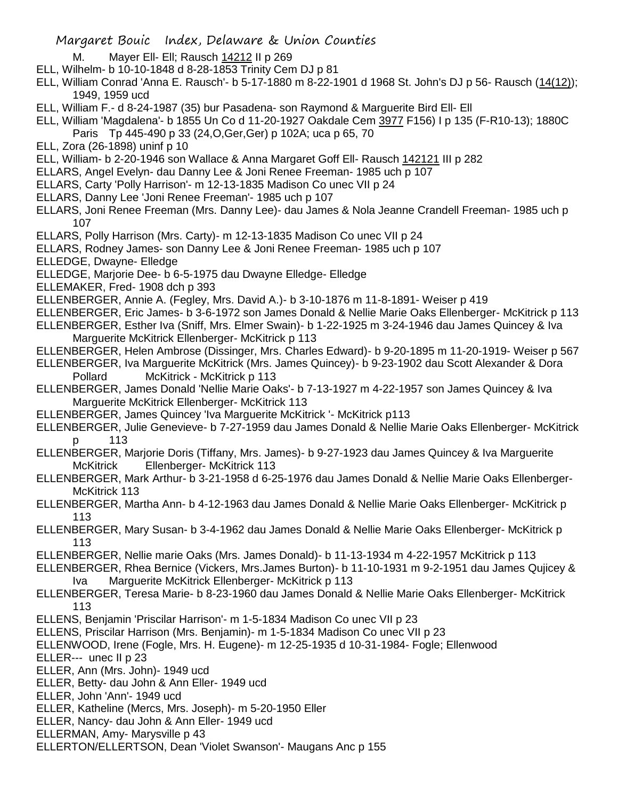- M. Mayer Ell- Ell; Rausch 14212 II p 269
- ELL, Wilhelm- b 10-10-1848 d 8-28-1853 Trinity Cem DJ p 81
- ELL, William Conrad 'Anna E. Rausch'- b 5-17-1880 m 8-22-1901 d 1968 St. John's DJ p 56- Rausch (14(12)); 1949, 1959 ucd
- ELL, William F.- d 8-24-1987 (35) bur Pasadena- son Raymond & Marguerite Bird Ell- Ell
- ELL, William 'Magdalena'- b 1855 Un Co d 11-20-1927 Oakdale Cem 3977 F156) I p 135 (F-R10-13); 1880C Paris Tp 445-490 p 33 (24,O,Ger,Ger) p 102A; uca p 65, 70
- ELL, Zora (26-1898) uninf p 10
- ELL, William- b 2-20-1946 son Wallace & Anna Margaret Goff Ell- Rausch 142121 III p 282
- ELLARS, Angel Evelyn- dau Danny Lee & Joni Renee Freeman- 1985 uch p 107
- ELLARS, Carty 'Polly Harrison'- m 12-13-1835 Madison Co unec VII p 24
- ELLARS, Danny Lee 'Joni Renee Freeman'- 1985 uch p 107
- ELLARS, Joni Renee Freeman (Mrs. Danny Lee)- dau James & Nola Jeanne Crandell Freeman- 1985 uch p 107
- ELLARS, Polly Harrison (Mrs. Carty)- m 12-13-1835 Madison Co unec VII p 24
- ELLARS, Rodney James- son Danny Lee & Joni Renee Freeman- 1985 uch p 107
- ELLEDGE, Dwayne- Elledge
- ELLEDGE, Marjorie Dee- b 6-5-1975 dau Dwayne Elledge- Elledge
- ELLEMAKER, Fred- 1908 dch p 393
- ELLENBERGER, Annie A. (Fegley, Mrs. David A.)- b 3-10-1876 m 11-8-1891- Weiser p 419
- ELLENBERGER, Eric James- b 3-6-1972 son James Donald & Nellie Marie Oaks Ellenberger- McKitrick p 113 ELLENBERGER, Esther Iva (Sniff, Mrs. Elmer Swain)- b 1-22-1925 m 3-24-1946 dau James Quincey & Iva
- Marguerite McKitrick Ellenberger- McKitrick p 113
- ELLENBERGER, Helen Ambrose (Dissinger, Mrs. Charles Edward)- b 9-20-1895 m 11-20-1919- Weiser p 567
- ELLENBERGER, Iva Marguerite McKitrick (Mrs. James Quincey)- b 9-23-1902 dau Scott Alexander & Dora Pollard McKitrick - McKitrick p 113
- ELLENBERGER, James Donald 'Nellie Marie Oaks'- b 7-13-1927 m 4-22-1957 son James Quincey & Iva Marguerite McKitrick Ellenberger- McKitrick 113
- ELLENBERGER, James Quincey 'Iva Marguerite McKitrick '- McKitrick p113
- ELLENBERGER, Julie Genevieve- b 7-27-1959 dau James Donald & Nellie Marie Oaks Ellenberger- McKitrick p 113
- ELLENBERGER, Marjorie Doris (Tiffany, Mrs. James)- b 9-27-1923 dau James Quincey & Iva Marguerite McKitrick Ellenberger- McKitrick 113
- ELLENBERGER, Mark Arthur- b 3-21-1958 d 6-25-1976 dau James Donald & Nellie Marie Oaks Ellenberger-McKitrick 113
- ELLENBERGER, Martha Ann- b 4-12-1963 dau James Donald & Nellie Marie Oaks Ellenberger- McKitrick p 113
- ELLENBERGER, Mary Susan- b 3-4-1962 dau James Donald & Nellie Marie Oaks Ellenberger- McKitrick p 113
- ELLENBERGER, Nellie marie Oaks (Mrs. James Donald)- b 11-13-1934 m 4-22-1957 McKitrick p 113
- ELLENBERGER, Rhea Bernice (Vickers, Mrs.James Burton)- b 11-10-1931 m 9-2-1951 dau James Qujicey & Iva Marguerite McKitrick Ellenberger- McKitrick p 113
- ELLENBERGER, Teresa Marie- b 8-23-1960 dau James Donald & Nellie Marie Oaks Ellenberger- McKitrick 113
- ELLENS, Benjamin 'Priscilar Harrison'- m 1-5-1834 Madison Co unec VII p 23
- ELLENS, Priscilar Harrison (Mrs. Benjamin)- m 1-5-1834 Madison Co unec VII p 23
- ELLENWOOD, Irene (Fogle, Mrs. H. Eugene)- m 12-25-1935 d 10-31-1984- Fogle; Ellenwood
- ELLER--- unec II p 23
- ELLER, Ann (Mrs. John)- 1949 ucd
- ELLER, Betty- dau John & Ann Eller- 1949 ucd
- ELLER, John 'Ann'- 1949 ucd
- ELLER, Katheline (Mercs, Mrs. Joseph)- m 5-20-1950 Eller
- ELLER, Nancy- dau John & Ann Eller- 1949 ucd
- ELLERMAN, Amy- Marysville p 43
- ELLERTON/ELLERTSON, Dean 'Violet Swanson'- Maugans Anc p 155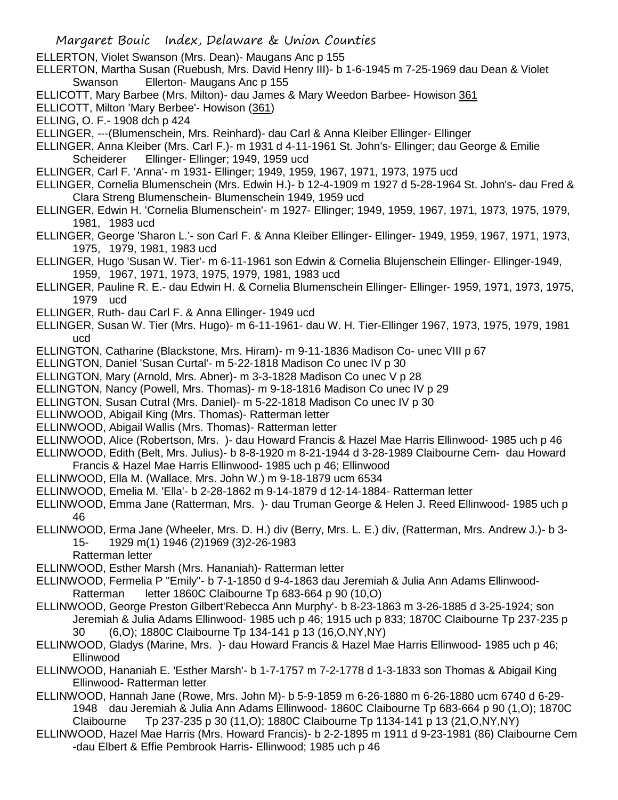- ELLERTON, Violet Swanson (Mrs. Dean)- Maugans Anc p 155
- ELLERTON, Martha Susan (Ruebush, Mrs. David Henry III)- b 1-6-1945 m 7-25-1969 dau Dean & Violet Swanson Ellerton- Maugans Anc p 155
- ELLICOTT, Mary Barbee (Mrs. Milton)- dau James & Mary Weedon Barbee- Howison 361
- ELLICOTT, Milton 'Mary Berbee'- Howison (361)
- ELLING, O. F.- 1908 dch p 424
- ELLINGER, ---(Blumenschein, Mrs. Reinhard)- dau Carl & Anna Kleiber Ellinger- Ellinger
- ELLINGER, Anna Kleiber (Mrs. Carl F.)- m 1931 d 4-11-1961 St. John's- Ellinger; dau George & Emilie Scheiderer Ellinger- Ellinger; 1949, 1959 ucd
- ELLINGER, Carl F. 'Anna'- m 1931- Ellinger; 1949, 1959, 1967, 1971, 1973, 1975 ucd
- ELLINGER, Cornelia Blumenschein (Mrs. Edwin H.)- b 12-4-1909 m 1927 d 5-28-1964 St. John's- dau Fred & Clara Streng Blumenschein- Blumenschein 1949, 1959 ucd
- ELLINGER, Edwin H. 'Cornelia Blumenschein'- m 1927- Ellinger; 1949, 1959, 1967, 1971, 1973, 1975, 1979, 1981, 1983 ucd
- ELLINGER, George 'Sharon L.'- son Carl F. & Anna Kleiber Ellinger- Ellinger- 1949, 1959, 1967, 1971, 1973, 1975, 1979, 1981, 1983 ucd
- ELLINGER, Hugo 'Susan W. Tier'- m 6-11-1961 son Edwin & Cornelia Blujenschein Ellinger- Ellinger-1949, 1959, 1967, 1971, 1973, 1975, 1979, 1981, 1983 ucd
- ELLINGER, Pauline R. E.- dau Edwin H. & Cornelia Blumenschein Ellinger- Ellinger- 1959, 1971, 1973, 1975, 1979 ucd
- ELLINGER, Ruth- dau Carl F. & Anna Ellinger- 1949 ucd
- ELLINGER, Susan W. Tier (Mrs. Hugo)- m 6-11-1961- dau W. H. Tier-Ellinger 1967, 1973, 1975, 1979, 1981 ucd
- ELLINGTON, Catharine (Blackstone, Mrs. Hiram)- m 9-11-1836 Madison Co- unec VIII p 67
- ELLINGTON, Daniel 'Susan Curtal'- m 5-22-1818 Madison Co unec IV p 30
- ELLINGTON, Mary (Arnold, Mrs. Abner)- m 3-3-1828 Madison Co unec V p 28
- ELLINGTON, Nancy (Powell, Mrs. Thomas)- m 9-18-1816 Madison Co unec IV p 29
- ELLINGTON, Susan Cutral (Mrs. Daniel)- m 5-22-1818 Madison Co unec IV p 30
- ELLINWOOD, Abigail King (Mrs. Thomas)- Ratterman letter
- ELLINWOOD, Abigail Wallis (Mrs. Thomas)- Ratterman letter
- ELLINWOOD, Alice (Robertson, Mrs. )- dau Howard Francis & Hazel Mae Harris Ellinwood- 1985 uch p 46
- ELLINWOOD, Edith (Belt, Mrs. Julius)- b 8-8-1920 m 8-21-1944 d 3-28-1989 Claibourne Cem- dau Howard Francis & Hazel Mae Harris Ellinwood- 1985 uch p 46; Ellinwood
- ELLINWOOD, Ella M. (Wallace, Mrs. John W.) m 9-18-1879 ucm 6534
- ELLINWOOD, Emelia M. 'Ella'- b 2-28-1862 m 9-14-1879 d 12-14-1884- Ratterman letter
- ELLINWOOD, Emma Jane (Ratterman, Mrs. )- dau Truman George & Helen J. Reed Ellinwood- 1985 uch p 46
- ELLINWOOD, Erma Jane (Wheeler, Mrs. D. H.) div (Berry, Mrs. L. E.) div, (Ratterman, Mrs. Andrew J.)- b 3- 15- 1929 m(1) 1946 (2)1969 (3)2-26-1983
	- Ratterman letter
- ELLINWOOD, Esther Marsh (Mrs. Hananiah)- Ratterman letter
- ELLINWOOD, Fermelia P "Emily"- b 7-1-1850 d 9-4-1863 dau Jeremiah & Julia Ann Adams Ellinwood-Ratterman letter 1860C Claibourne Tp 683-664 p 90 (10,O)
- ELLINWOOD, George Preston Gilbert'Rebecca Ann Murphy'- b 8-23-1863 m 3-26-1885 d 3-25-1924; son Jeremiah & Julia Adams Ellinwood- 1985 uch p 46; 1915 uch p 833; 1870C Claibourne Tp 237-235 p 30 (6,O); 1880C Claibourne Tp 134-141 p 13 (16,O,NY,NY)
- ELLINWOOD, Gladys (Marine, Mrs. )- dau Howard Francis & Hazel Mae Harris Ellinwood- 1985 uch p 46; Ellinwood
- ELLINWOOD, Hananiah E. 'Esther Marsh'- b 1-7-1757 m 7-2-1778 d 1-3-1833 son Thomas & Abigail King Ellinwood- Ratterman letter
- ELLINWOOD, Hannah Jane (Rowe, Mrs. John M)- b 5-9-1859 m 6-26-1880 m 6-26-1880 ucm 6740 d 6-29- 1948 dau Jeremiah & Julia Ann Adams Ellinwood- 1860C Claibourne Tp 683-664 p 90 (1,O); 1870C Claibourne Tp 237-235 p 30 (11,O); 1880C Claibourne Tp 1134-141 p 13 (21,O,NY,NY)
- ELLINWOOD, Hazel Mae Harris (Mrs. Howard Francis)- b 2-2-1895 m 1911 d 9-23-1981 (86) Claibourne Cem -dau Elbert & Effie Pembrook Harris- Ellinwood; 1985 uch p 46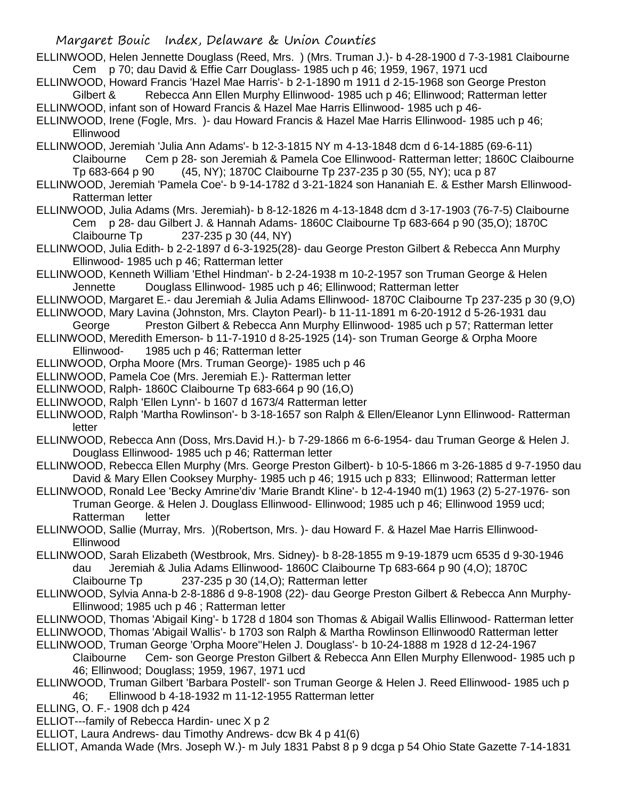- ELLINWOOD, Helen Jennette Douglass (Reed, Mrs. ) (Mrs. Truman J.)- b 4-28-1900 d 7-3-1981 Claibourne Cem p 70; dau David & Effie Carr Douglass- 1985 uch p 46; 1959, 1967, 1971 ucd
- ELLINWOOD, Howard Francis 'Hazel Mae Harris'- b 2-1-1890 m 1911 d 2-15-1968 son George Preston Gilbert & Rebecca Ann Ellen Murphy Ellinwood- 1985 uch p 46; Ellinwood; Ratterman letter
- ELLINWOOD, infant son of Howard Francis & Hazel Mae Harris Ellinwood- 1985 uch p 46-
- ELLINWOOD, Irene (Fogle, Mrs. )- dau Howard Francis & Hazel Mae Harris Ellinwood- 1985 uch p 46; Ellinwood
- ELLINWOOD, Jeremiah 'Julia Ann Adams'- b 12-3-1815 NY m 4-13-1848 dcm d 6-14-1885 (69-6-11) Claibourne Cem p 28- son Jeremiah & Pamela Coe Ellinwood- Ratterman letter; 1860C Claibourne Tp 683-664 p 90 (45, NY); 1870C Claibourne Tp 237-235 p 30 (55, NY); uca p 87
- ELLINWOOD, Jeremiah 'Pamela Coe'- b 9-14-1782 d 3-21-1824 son Hananiah E. & Esther Marsh Ellinwood-Ratterman letter
- ELLINWOOD, Julia Adams (Mrs. Jeremiah)- b 8-12-1826 m 4-13-1848 dcm d 3-17-1903 (76-7-5) Claibourne Cem p 28- dau Gilbert J. & Hannah Adams- 1860C Claibourne Tp 683-664 p 90 (35,O); 1870C Claibourne Tp 237-235 p 30 (44, NY)
- ELLINWOOD, Julia Edith- b 2-2-1897 d 6-3-1925(28)- dau George Preston Gilbert & Rebecca Ann Murphy Ellinwood- 1985 uch p 46; Ratterman letter
- ELLINWOOD, Kenneth William 'Ethel Hindman'- b 2-24-1938 m 10-2-1957 son Truman George & Helen Jennette Douglass Ellinwood- 1985 uch p 46; Ellinwood; Ratterman letter
- ELLINWOOD, Margaret E.- dau Jeremiah & Julia Adams Ellinwood- 1870C Claibourne Tp 237-235 p 30 (9,O)
- ELLINWOOD, Mary Lavina (Johnston, Mrs. Clayton Pearl)- b 11-11-1891 m 6-20-1912 d 5-26-1931 dau
- George Preston Gilbert & Rebecca Ann Murphy Ellinwood- 1985 uch p 57; Ratterman letter
- ELLINWOOD, Meredith Emerson- b 11-7-1910 d 8-25-1925 (14)- son Truman George & Orpha Moore Ellinwood- 1985 uch p 46; Ratterman letter
- ELLINWOOD, Orpha Moore (Mrs. Truman George)- 1985 uch p 46
- ELLINWOOD, Pamela Coe (Mrs. Jeremiah E.)- Ratterman letter
- ELLINWOOD, Ralph- 1860C Claibourne Tp 683-664 p 90 (16,O)
- ELLINWOOD, Ralph 'Ellen Lynn'- b 1607 d 1673/4 Ratterman letter
- ELLINWOOD, Ralph 'Martha Rowlinson'- b 3-18-1657 son Ralph & Ellen/Eleanor Lynn Ellinwood- Ratterman letter
- ELLINWOOD, Rebecca Ann (Doss, Mrs.David H.)- b 7-29-1866 m 6-6-1954- dau Truman George & Helen J. Douglass Ellinwood- 1985 uch p 46; Ratterman letter
- ELLINWOOD, Rebecca Ellen Murphy (Mrs. George Preston Gilbert)- b 10-5-1866 m 3-26-1885 d 9-7-1950 dau David & Mary Ellen Cooksey Murphy- 1985 uch p 46; 1915 uch p 833; Ellinwood; Ratterman letter
- ELLINWOOD, Ronald Lee 'Becky Amrine'div 'Marie Brandt Kline'- b 12-4-1940 m(1) 1963 (2) 5-27-1976- son Truman George. & Helen J. Douglass Ellinwood- Ellinwood; 1985 uch p 46; Ellinwood 1959 ucd; Ratterman letter
- ELLINWOOD, Sallie (Murray, Mrs. )(Robertson, Mrs. )- dau Howard F. & Hazel Mae Harris Ellinwood-Ellinwood
- ELLINWOOD, Sarah Elizabeth (Westbrook, Mrs. Sidney)- b 8-28-1855 m 9-19-1879 ucm 6535 d 9-30-1946 dau Jeremiah & Julia Adams Ellinwood- 1860C Claibourne Tp 683-664 p 90 (4,O); 1870C Claibourne Tp 237-235 p 30 (14,O); Ratterman letter
- ELLINWOOD, Sylvia Anna-b 2-8-1886 d 9-8-1908 (22)- dau George Preston Gilbert & Rebecca Ann Murphy-Ellinwood; 1985 uch p 46 ; Ratterman letter
- ELLINWOOD, Thomas 'Abigail King'- b 1728 d 1804 son Thomas & Abigail Wallis Ellinwood- Ratterman letter
- ELLINWOOD, Thomas 'Abigail Wallis'- b 1703 son Ralph & Martha Rowlinson Ellinwood0 Ratterman letter
- ELLINWOOD, Truman George 'Orpha Moore''Helen J. Douglass'- b 10-24-1888 m 1928 d 12-24-1967 Claibourne Cem- son George Preston Gilbert & Rebecca Ann Ellen Murphy Ellenwood- 1985 uch p 46; Ellinwood; Douglass; 1959, 1967, 1971 ucd
- ELLINWOOD, Truman Gilbert 'Barbara Postell'- son Truman George & Helen J. Reed Ellinwood- 1985 uch p 46; Ellinwood b 4-18-1932 m 11-12-1955 Ratterman letter
- ELLING, O. F.- 1908 dch p 424
- ELLIOT---family of Rebecca Hardin- unec X p 2
- ELLIOT, Laura Andrews- dau Timothy Andrews- dcw Bk 4 p 41(6)

ELLIOT, Amanda Wade (Mrs. Joseph W.)- m July 1831 Pabst 8 p 9 dcga p 54 Ohio State Gazette 7-14-1831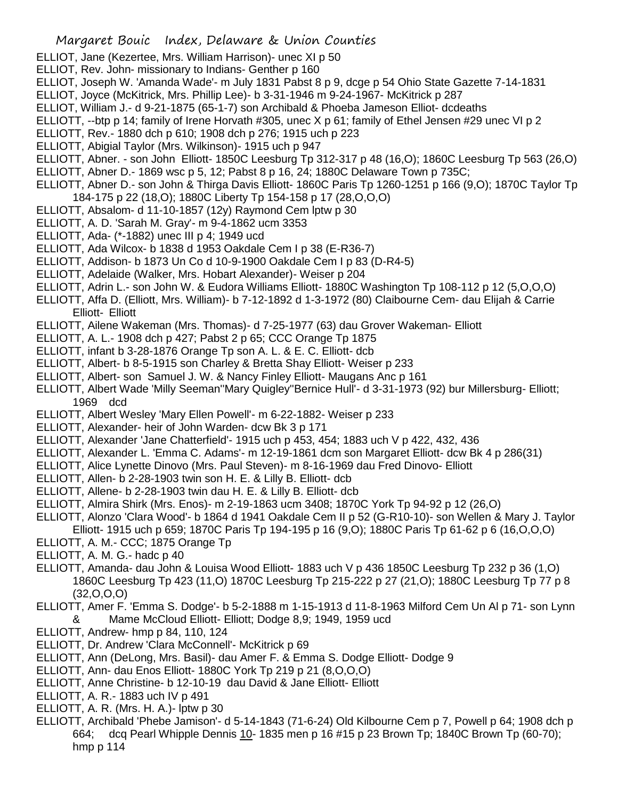- ELLIOT, Jane (Kezertee, Mrs. William Harrison)- unec XI p 50
- ELLIOT, Rev. John- missionary to Indians- Genther p 160
- ELLIOT, Joseph W. 'Amanda Wade'- m July 1831 Pabst 8 p 9, dcge p 54 Ohio State Gazette 7-14-1831
- ELLIOT, Joyce (McKitrick, Mrs. Phillip Lee)- b 3-31-1946 m 9-24-1967- McKitrick p 287
- ELLIOT, William J.- d 9-21-1875 (65-1-7) son Archibald & Phoeba Jameson Elliot- dcdeaths
- ELLIOTT, --btp p 14; family of Irene Horvath #305, unec X p 61; family of Ethel Jensen #29 unec VI p 2
- ELLIOTT, Rev.- 1880 dch p 610; 1908 dch p 276; 1915 uch p 223
- ELLIOTT, Abigial Taylor (Mrs. Wilkinson)- 1915 uch p 947
- ELLIOTT, Abner. son John Elliott- 1850C Leesburg Tp 312-317 p 48 (16,O); 1860C Leesburg Tp 563 (26,O)
- ELLIOTT, Abner D.- 1869 wsc p 5, 12; Pabst 8 p 16, 24; 1880C Delaware Town p 735C;
- ELLIOTT, Abner D.- son John & Thirga Davis Elliott- 1860C Paris Tp 1260-1251 p 166 (9,O); 1870C Taylor Tp 184-175 p 22 (18,O); 1880C Liberty Tp 154-158 p 17 (28,O,O,O)
- ELLIOTT, Absalom- d 11-10-1857 (12y) Raymond Cem lptw p 30
- ELLIOTT, A. D. 'Sarah M. Gray'- m 9-4-1862 ucm 3353
- ELLIOTT, Ada- (\*-1882) unec III p 4; 1949 ucd
- ELLIOTT, Ada Wilcox- b 1838 d 1953 Oakdale Cem I p 38 (E-R36-7)
- ELLIOTT, Addison- b 1873 Un Co d 10-9-1900 Oakdale Cem I p 83 (D-R4-5)
- ELLIOTT, Adelaide (Walker, Mrs. Hobart Alexander)- Weiser p 204
- ELLIOTT, Adrin L.- son John W. & Eudora Williams Elliott- 1880C Washington Tp 108-112 p 12 (5,O,O,O)
- ELLIOTT, Affa D. (Elliott, Mrs. William)- b 7-12-1892 d 1-3-1972 (80) Claibourne Cem- dau Elijah & Carrie Elliott- Elliott
- ELLIOTT, Ailene Wakeman (Mrs. Thomas)- d 7-25-1977 (63) dau Grover Wakeman- Elliott
- ELLIOTT, A. L.- 1908 dch p 427; Pabst 2 p 65; CCC Orange Tp 1875
- ELLIOTT, infant b 3-28-1876 Orange Tp son A. L. & E. C. Elliott- dcb
- ELLIOTT, Albert- b 8-5-1915 son Charley & Bretta Shay Elliott- Weiser p 233
- ELLIOTT, Albert- son Samuel J. W. & Nancy Finley Elliott- Maugans Anc p 161
- ELLIOTT, Albert Wade 'Milly Seeman''Mary Quigley''Bernice Hull'- d 3-31-1973 (92) bur Millersburg- Elliott; 1969 dcd
- ELLIOTT, Albert Wesley 'Mary Ellen Powell'- m 6-22-1882- Weiser p 233
- ELLIOTT, Alexander- heir of John Warden- dcw Bk 3 p 171
- ELLIOTT, Alexander 'Jane Chatterfield'- 1915 uch p 453, 454; 1883 uch V p 422, 432, 436
- ELLIOTT, Alexander L. 'Emma C. Adams'- m 12-19-1861 dcm son Margaret Elliott- dcw Bk 4 p 286(31)
- ELLIOTT, Alice Lynette Dinovo (Mrs. Paul Steven)- m 8-16-1969 dau Fred Dinovo- Elliott
- ELLIOTT, Allen- b 2-28-1903 twin son H. E. & Lilly B. Elliott- dcb
- ELLIOTT, Allene- b 2-28-1903 twin dau H. E. & Lilly B. Elliott- dcb
- ELLIOTT, Almira Shirk (Mrs. Enos)- m 2-19-1863 ucm 3408; 1870C York Tp 94-92 p 12 (26,O)
- ELLIOTT, Alonzo 'Clara Wood'- b 1864 d 1941 Oakdale Cem II p 52 (G-R10-10)- son Wellen & Mary J. Taylor Elliott- 1915 uch p 659; 1870C Paris Tp 194-195 p 16 (9,O); 1880C Paris Tp 61-62 p 6 (16,O,O,O)
- ELLIOTT, A. M.- CCC; 1875 Orange Tp
- ELLIOTT, A. M. G.- hadc p 40
- ELLIOTT, Amanda- dau John & Louisa Wood Elliott- 1883 uch V p 436 1850C Leesburg Tp 232 p 36 (1,O) 1860C Leesburg Tp 423 (11,O) 1870C Leesburg Tp 215-222 p 27 (21,O); 1880C Leesburg Tp 77 p 8 (32,O,O,O)
- ELLIOTT, Amer F. 'Emma S. Dodge'- b 5-2-1888 m 1-15-1913 d 11-8-1963 Milford Cem Un Al p 71- son Lynn & Mame McCloud Elliott- Elliott; Dodge 8,9; 1949, 1959 ucd
- ELLIOTT, Andrew- hmp p 84, 110, 124
- ELLIOTT, Dr. Andrew 'Clara McConnell'- McKitrick p 69
- ELLIOTT, Ann (DeLong, Mrs. Basil)- dau Amer F. & Emma S. Dodge Elliott- Dodge 9
- ELLIOTT, Ann- dau Enos Elliott- 1880C York Tp 219 p 21 (8,O,O,O)
- ELLIOTT, Anne Christine- b 12-10-19 dau David & Jane Elliott- Elliott
- ELLIOTT, A. R.- 1883 uch IV p 491
- ELLIOTT, A. R. (Mrs. H. A.)- lptw p 30
- ELLIOTT, Archibald 'Phebe Jamison'- d 5-14-1843 (71-6-24) Old Kilbourne Cem p 7, Powell p 64; 1908 dch p 664; dcq Pearl Whipple Dennis 10- 1835 men p 16 #15 p 23 Brown Tp; 1840C Brown Tp (60-70); hmp p 114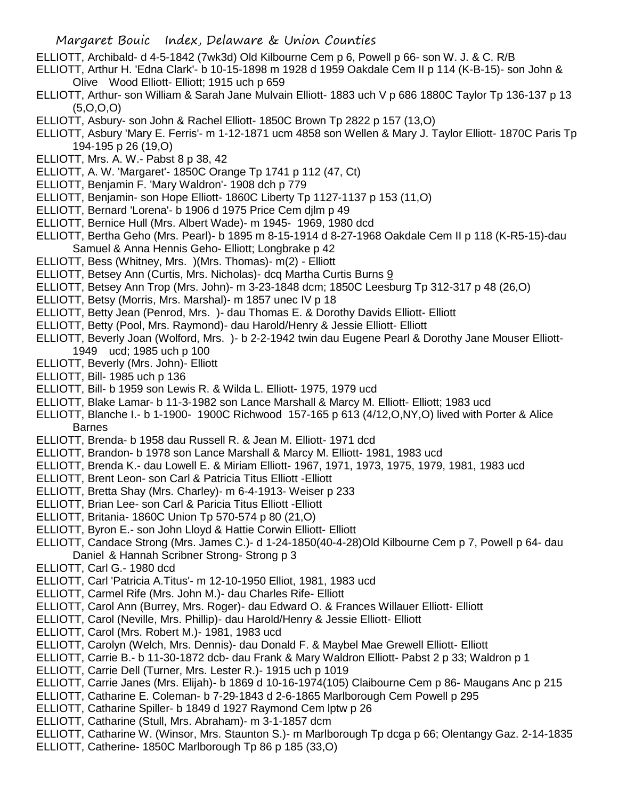- ELLIOTT, Archibald- d 4-5-1842 (7wk3d) Old Kilbourne Cem p 6, Powell p 66- son W. J. & C. R/B
- ELLIOTT, Arthur H. 'Edna Clark'- b 10-15-1898 m 1928 d 1959 Oakdale Cem II p 114 (K-B-15)- son John & Olive Wood Elliott- Elliott; 1915 uch p 659
- ELLIOTT, Arthur- son William & Sarah Jane Mulvain Elliott- 1883 uch V p 686 1880C Taylor Tp 136-137 p 13  $(5,0,0,0)$
- ELLIOTT, Asbury- son John & Rachel Elliott- 1850C Brown Tp 2822 p 157 (13,O)
- ELLIOTT, Asbury 'Mary E. Ferris'- m 1-12-1871 ucm 4858 son Wellen & Mary J. Taylor Elliott- 1870C Paris Tp 194-195 p 26 (19,O)
- ELLIOTT, Mrs. A. W.- Pabst 8 p 38, 42
- ELLIOTT, A. W. 'Margaret'- 1850C Orange Tp 1741 p 112 (47, Ct)
- ELLIOTT, Benjamin F. 'Mary Waldron'- 1908 dch p 779
- ELLIOTT, Benjamin- son Hope Elliott- 1860C Liberty Tp 1127-1137 p 153 (11,O)
- ELLIOTT, Bernard 'Lorena'- b 1906 d 1975 Price Cem djlm p 49
- ELLIOTT, Bernice Hull (Mrs. Albert Wade)- m 1945- 1969, 1980 dcd
- ELLIOTT, Bertha Geho (Mrs. Pearl)- b 1895 m 8-15-1914 d 8-27-1968 Oakdale Cem II p 118 (K-R5-15)-dau Samuel & Anna Hennis Geho- Elliott; Longbrake p 42
- ELLIOTT, Bess (Whitney, Mrs. )(Mrs. Thomas)- m(2) Elliott
- ELLIOTT, Betsey Ann (Curtis, Mrs. Nicholas)- dcq Martha Curtis Burns 9
- ELLIOTT, Betsey Ann Trop (Mrs. John)- m 3-23-1848 dcm; 1850C Leesburg Tp 312-317 p 48 (26,O)
- ELLIOTT, Betsy (Morris, Mrs. Marshal)- m 1857 unec IV p 18
- ELLIOTT, Betty Jean (Penrod, Mrs. )- dau Thomas E. & Dorothy Davids Elliott- Elliott
- ELLIOTT, Betty (Pool, Mrs. Raymond)- dau Harold/Henry & Jessie Elliott- Elliott
- ELLIOTT, Beverly Joan (Wolford, Mrs. )- b 2-2-1942 twin dau Eugene Pearl & Dorothy Jane Mouser Elliott-1949 ucd; 1985 uch p 100
- ELLIOTT, Beverly (Mrs. John)- Elliott
- ELLIOTT, Bill- 1985 uch p 136
- ELLIOTT, Bill- b 1959 son Lewis R. & Wilda L. Elliott- 1975, 1979 ucd
- ELLIOTT, Blake Lamar- b 11-3-1982 son Lance Marshall & Marcy M. Elliott- Elliott; 1983 ucd
- ELLIOTT, Blanche I.- b 1-1900- 1900C Richwood 157-165 p 613 (4/12,O,NY,O) lived with Porter & Alice **Barnes**
- ELLIOTT, Brenda- b 1958 dau Russell R. & Jean M. Elliott- 1971 dcd
- ELLIOTT, Brandon- b 1978 son Lance Marshall & Marcy M. Elliott- 1981, 1983 ucd
- ELLIOTT, Brenda K.- dau Lowell E. & Miriam Elliott- 1967, 1971, 1973, 1975, 1979, 1981, 1983 ucd
- ELLIOTT, Brent Leon- son Carl & Patricia Titus Elliott -Elliott
- ELLIOTT, Bretta Shay (Mrs. Charley)- m 6-4-1913- Weiser p 233
- ELLIOTT, Brian Lee- son Carl & Paricia Titus Elliott -Elliott
- ELLIOTT, Britania- 1860C Union Tp 570-574 p 80 (21,O)
- ELLIOTT, Byron E.- son John Lloyd & Hattie Corwin Elliott- Elliott
- ELLIOTT, Candace Strong (Mrs. James C.)- d 1-24-1850(40-4-28)Old Kilbourne Cem p 7, Powell p 64- dau Daniel & Hannah Scribner Strong- Strong p 3
- ELLIOTT, Carl G.- 1980 dcd
- ELLIOTT, Carl 'Patricia A.Titus'- m 12-10-1950 Elliot, 1981, 1983 ucd
- ELLIOTT, Carmel Rife (Mrs. John M.)- dau Charles Rife- Elliott
- ELLIOTT, Carol Ann (Burrey, Mrs. Roger)- dau Edward O. & Frances Willauer Elliott- Elliott
- ELLIOTT, Carol (Neville, Mrs. Phillip)- dau Harold/Henry & Jessie Elliott- Elliott
- ELLIOTT, Carol (Mrs. Robert M.)- 1981, 1983 ucd
- ELLIOTT, Carolyn (Welch, Mrs. Dennis)- dau Donald F. & Maybel Mae Grewell Elliott- Elliott
- ELLIOTT, Carrie B.- b 11-30-1872 dcb- dau Frank & Mary Waldron Elliott- Pabst 2 p 33; Waldron p 1
- ELLIOTT, Carrie Dell (Turner, Mrs. Lester R.)- 1915 uch p 1019
- ELLIOTT, Carrie Janes (Mrs. Elijah)- b 1869 d 10-16-1974(105) Claibourne Cem p 86- Maugans Anc p 215
- ELLIOTT, Catharine E. Coleman- b 7-29-1843 d 2-6-1865 Marlborough Cem Powell p 295
- ELLIOTT, Catharine Spiller- b 1849 d 1927 Raymond Cem lptw p 26
- ELLIOTT, Catharine (Stull, Mrs. Abraham)- m 3-1-1857 dcm
- ELLIOTT, Catharine W. (Winsor, Mrs. Staunton S.)- m Marlborough Tp dcga p 66; Olentangy Gaz. 2-14-1835
- ELLIOTT, Catherine- 1850C Marlborough Tp 86 p 185 (33,O)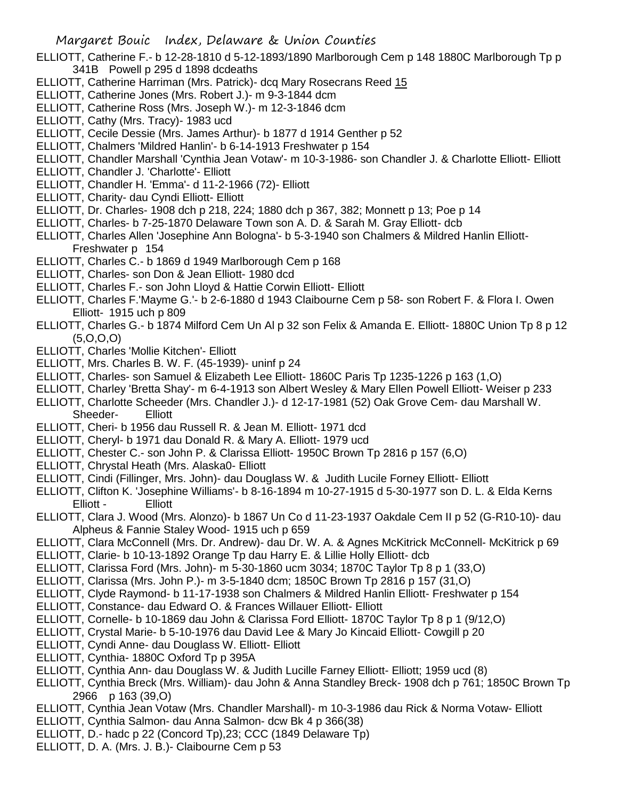- ELLIOTT, Catherine F.- b 12-28-1810 d 5-12-1893/1890 Marlborough Cem p 148 1880C Marlborough Tp p 341B Powell p 295 d 1898 dcdeaths
- ELLIOTT, Catherine Harriman (Mrs. Patrick)- dcq Mary Rosecrans Reed 15
- ELLIOTT, Catherine Jones (Mrs. Robert J.)- m 9-3-1844 dcm
- ELLIOTT, Catherine Ross (Mrs. Joseph W.)- m 12-3-1846 dcm
- ELLIOTT, Cathy (Mrs. Tracy)- 1983 ucd
- ELLIOTT, Cecile Dessie (Mrs. James Arthur)- b 1877 d 1914 Genther p 52
- ELLIOTT, Chalmers 'Mildred Hanlin'- b 6-14-1913 Freshwater p 154
- ELLIOTT, Chandler Marshall 'Cynthia Jean Votaw'- m 10-3-1986- son Chandler J. & Charlotte Elliott- Elliott
- ELLIOTT, Chandler J. 'Charlotte'- Elliott
- ELLIOTT, Chandler H. 'Emma'- d 11-2-1966 (72)- Elliott
- ELLIOTT, Charity- dau Cyndi Elliott- Elliott
- ELLIOTT, Dr. Charles- 1908 dch p 218, 224; 1880 dch p 367, 382; Monnett p 13; Poe p 14
- ELLIOTT, Charles- b 7-25-1870 Delaware Town son A. D. & Sarah M. Gray Elliott- dcb
- ELLIOTT, Charles Allen 'Josephine Ann Bologna'- b 5-3-1940 son Chalmers & Mildred Hanlin Elliott-Freshwater p 154
- ELLIOTT, Charles C.- b 1869 d 1949 Marlborough Cem p 168
- ELLIOTT, Charles- son Don & Jean Elliott- 1980 dcd
- ELLIOTT, Charles F.- son John Lloyd & Hattie Corwin Elliott- Elliott
- ELLIOTT, Charles F.'Mayme G.'- b 2-6-1880 d 1943 Claibourne Cem p 58- son Robert F. & Flora I. Owen Elliott- 1915 uch p 809
- ELLIOTT, Charles G.- b 1874 Milford Cem Un Al p 32 son Felix & Amanda E. Elliott- 1880C Union Tp 8 p 12 (5,O,O,O)
- ELLIOTT, Charles 'Mollie Kitchen'- Elliott
- ELLIOTT, Mrs. Charles B. W. F. (45-1939)- uninf p 24
- ELLIOTT, Charles- son Samuel & Elizabeth Lee Elliott- 1860C Paris Tp 1235-1226 p 163 (1,O)
- ELLIOTT, Charley 'Bretta Shay'- m 6-4-1913 son Albert Wesley & Mary Ellen Powell Elliott- Weiser p 233
- ELLIOTT, Charlotte Scheeder (Mrs. Chandler J.)- d 12-17-1981 (52) Oak Grove Cem- dau Marshall W. Sheeder- Elliott
- ELLIOTT, Cheri- b 1956 dau Russell R. & Jean M. Elliott- 1971 dcd
- ELLIOTT, Cheryl- b 1971 dau Donald R. & Mary A. Elliott- 1979 ucd
- ELLIOTT, Chester C.- son John P. & Clarissa Elliott- 1950C Brown Tp 2816 p 157 (6,O)
- ELLIOTT, Chrystal Heath (Mrs. Alaska0- Elliott
- ELLIOTT, Cindi (Fillinger, Mrs. John)- dau Douglass W. & Judith Lucile Forney Elliott- Elliott
- ELLIOTT, Clifton K. 'Josephine Williams'- b 8-16-1894 m 10-27-1915 d 5-30-1977 son D. L. & Elda Kerns Elliott - Elliott
- ELLIOTT, Clara J. Wood (Mrs. Alonzo)- b 1867 Un Co d 11-23-1937 Oakdale Cem II p 52 (G-R10-10)- dau Alpheus & Fannie Staley Wood- 1915 uch p 659
- ELLIOTT, Clara McConnell (Mrs. Dr. Andrew)- dau Dr. W. A. & Agnes McKitrick McConnell- McKitrick p 69
- ELLIOTT, Clarie- b 10-13-1892 Orange Tp dau Harry E. & Lillie Holly Elliott- dcb
- ELLIOTT, Clarissa Ford (Mrs. John)- m 5-30-1860 ucm 3034; 1870C Taylor Tp 8 p 1 (33,O)
- ELLIOTT, Clarissa (Mrs. John P.)- m 3-5-1840 dcm; 1850C Brown Tp 2816 p 157 (31,O)
- ELLIOTT, Clyde Raymond- b 11-17-1938 son Chalmers & Mildred Hanlin Elliott- Freshwater p 154
- ELLIOTT, Constance- dau Edward O. & Frances Willauer Elliott- Elliott
- ELLIOTT, Cornelle- b 10-1869 dau John & Clarissa Ford Elliott- 1870C Taylor Tp 8 p 1 (9/12,O)
- ELLIOTT, Crystal Marie- b 5-10-1976 dau David Lee & Mary Jo Kincaid Elliott- Cowgill p 20
- ELLIOTT, Cyndi Anne- dau Douglass W. Elliott- Elliott
- ELLIOTT, Cynthia- 1880C Oxford Tp p 395A
- ELLIOTT, Cynthia Ann- dau Douglass W. & Judith Lucille Farney Elliott- Elliott; 1959 ucd (8)
- ELLIOTT, Cynthia Breck (Mrs. William)- dau John & Anna Standley Breck- 1908 dch p 761; 1850C Brown Tp 2966 p 163 (39,O)
- ELLIOTT, Cynthia Jean Votaw (Mrs. Chandler Marshall)- m 10-3-1986 dau Rick & Norma Votaw- Elliott
- ELLIOTT, Cynthia Salmon- dau Anna Salmon- dcw Bk 4 p 366(38)
- ELLIOTT, D.- hadc p 22 (Concord Tp),23; CCC (1849 Delaware Tp)
- ELLIOTT, D. A. (Mrs. J. B.)- Claibourne Cem p 53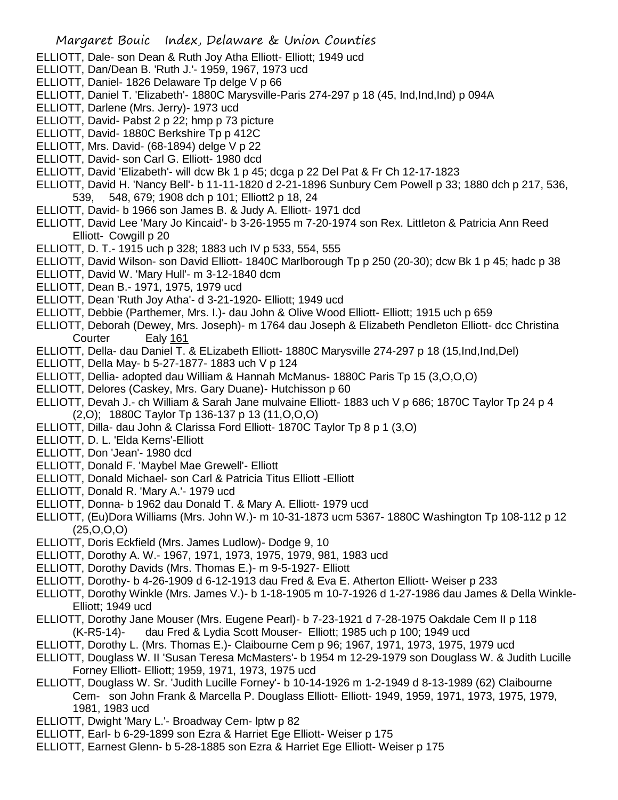- ELLIOTT, Dale- son Dean & Ruth Joy Atha Elliott- Elliott; 1949 ucd
- ELLIOTT, Dan/Dean B. 'Ruth J.'- 1959, 1967, 1973 ucd
- ELLIOTT, Daniel- 1826 Delaware Tp delge V p 66
- ELLIOTT, Daniel T. 'Elizabeth'- 1880C Marysville-Paris 274-297 p 18 (45, Ind,Ind,Ind) p 094A
- ELLIOTT, Darlene (Mrs. Jerry)- 1973 ucd
- ELLIOTT, David- Pabst 2 p 22; hmp p 73 picture
- ELLIOTT, David- 1880C Berkshire Tp p 412C
- ELLIOTT, Mrs. David- (68-1894) delge V p 22
- ELLIOTT, David- son Carl G. Elliott- 1980 dcd
- ELLIOTT, David 'Elizabeth'- will dcw Bk 1 p 45; dcga p 22 Del Pat & Fr Ch 12-17-1823
- ELLIOTT, David H. 'Nancy Bell'- b 11-11-1820 d 2-21-1896 Sunbury Cem Powell p 33; 1880 dch p 217, 536, 539, 548, 679; 1908 dch p 101; Elliott2 p 18, 24
- ELLIOTT, David- b 1966 son James B. & Judy A. Elliott- 1971 dcd
- ELLIOTT, David Lee 'Mary Jo Kincaid'- b 3-26-1955 m 7-20-1974 son Rex. Littleton & Patricia Ann Reed Elliott- Cowgill p 20
- ELLIOTT, D. T.- 1915 uch p 328; 1883 uch IV p 533, 554, 555
- ELLIOTT, David Wilson- son David Elliott- 1840C Marlborough Tp p 250 (20-30); dcw Bk 1 p 45; hadc p 38
- ELLIOTT, David W. 'Mary Hull'- m 3-12-1840 dcm
- ELLIOTT, Dean B.- 1971, 1975, 1979 ucd
- ELLIOTT, Dean 'Ruth Joy Atha'- d 3-21-1920- Elliott; 1949 ucd
- ELLIOTT, Debbie (Parthemer, Mrs. I.)- dau John & Olive Wood Elliott- Elliott; 1915 uch p 659
- ELLIOTT, Deborah (Dewey, Mrs. Joseph)- m 1764 dau Joseph & Elizabeth Pendleton Elliott- dcc Christina Courter Ealy 161
- ELLIOTT, Della- dau Daniel T. & ELizabeth Elliott- 1880C Marysville 274-297 p 18 (15,Ind,Ind,Del)
- ELLIOTT, Della May- b 5-27-1877- 1883 uch V p 124
- ELLIOTT, Dellia- adopted dau William & Hannah McManus- 1880C Paris Tp 15 (3,O,O,O)
- ELLIOTT, Delores (Caskey, Mrs. Gary Duane)- Hutchisson p 60
- ELLIOTT, Devah J.- ch William & Sarah Jane mulvaine Elliott- 1883 uch V p 686; 1870C Taylor Tp 24 p 4 (2,O); 1880C Taylor Tp 136-137 p 13 (11,O,O,O)
- ELLIOTT, Dilla- dau John & Clarissa Ford Elliott- 1870C Taylor Tp 8 p 1 (3,O)
- ELLIOTT, D. L. 'Elda Kerns'-Elliott
- ELLIOTT, Don 'Jean'- 1980 dcd
- ELLIOTT, Donald F. 'Maybel Mae Grewell'- Elliott
- ELLIOTT, Donald Michael- son Carl & Patricia Titus Elliott -Elliott
- ELLIOTT, Donald R. 'Mary A.'- 1979 ucd
- ELLIOTT, Donna- b 1962 dau Donald T. & Mary A. Elliott- 1979 ucd
- ELLIOTT, (Eu)Dora Williams (Mrs. John W.)- m 10-31-1873 ucm 5367- 1880C Washington Tp 108-112 p 12 (25,O,O,O)
- ELLIOTT, Doris Eckfield (Mrs. James Ludlow)- Dodge 9, 10
- ELLIOTT, Dorothy A. W.- 1967, 1971, 1973, 1975, 1979, 981, 1983 ucd
- ELLIOTT, Dorothy Davids (Mrs. Thomas E.)- m 9-5-1927- Elliott
- ELLIOTT, Dorothy- b 4-26-1909 d 6-12-1913 dau Fred & Eva E. Atherton Elliott- Weiser p 233
- ELLIOTT, Dorothy Winkle (Mrs. James V.)- b 1-18-1905 m 10-7-1926 d 1-27-1986 dau James & Della Winkle-Elliott; 1949 ucd
- ELLIOTT, Dorothy Jane Mouser (Mrs. Eugene Pearl)- b 7-23-1921 d 7-28-1975 Oakdale Cem II p 118 (K-R5-14)- dau Fred & Lydia Scott Mouser- Elliott; 1985 uch p 100; 1949 ucd
- ELLIOTT, Dorothy L. (Mrs. Thomas E.)- Claibourne Cem p 96; 1967, 1971, 1973, 1975, 1979 ucd
- ELLIOTT, Douglass W. II 'Susan Teresa McMasters'- b 1954 m 12-29-1979 son Douglass W. & Judith Lucille Forney Elliott- Elliott; 1959, 1971, 1973, 1975 ucd
- ELLIOTT, Douglass W. Sr. 'Judith Lucille Forney'- b 10-14-1926 m 1-2-1949 d 8-13-1989 (62) Claibourne Cem- son John Frank & Marcella P. Douglass Elliott- Elliott- 1949, 1959, 1971, 1973, 1975, 1979, 1981, 1983 ucd
- ELLIOTT, Dwight 'Mary L.'- Broadway Cem- lptw p 82
- ELLIOTT, Earl- b 6-29-1899 son Ezra & Harriet Ege Elliott- Weiser p 175
- ELLIOTT, Earnest Glenn- b 5-28-1885 son Ezra & Harriet Ege Elliott- Weiser p 175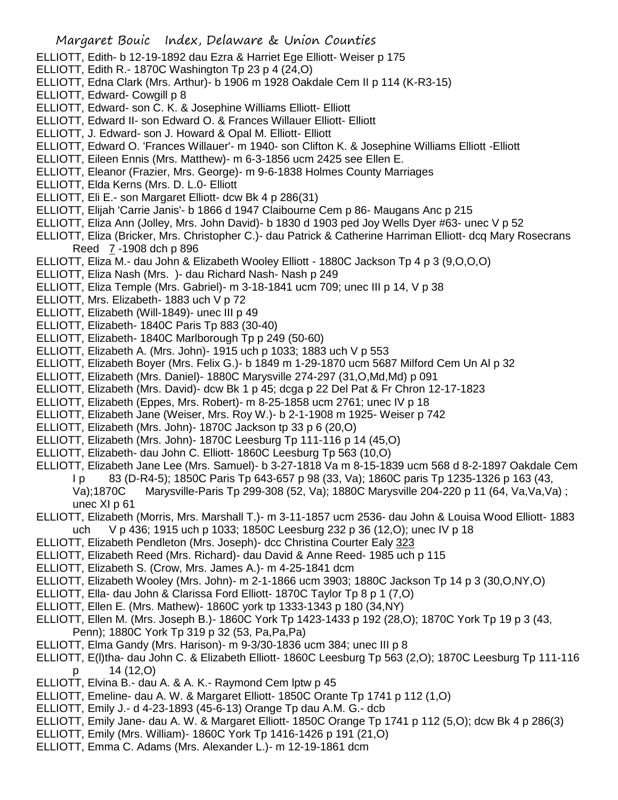- ELLIOTT, Edith- b 12-19-1892 dau Ezra & Harriet Ege Elliott- Weiser p 175
- ELLIOTT, Edith R.- 1870C Washington Tp 23 p 4 (24,O)
- ELLIOTT, Edna Clark (Mrs. Arthur)- b 1906 m 1928 Oakdale Cem II p 114 (K-R3-15)
- ELLIOTT, Edward- Cowgill p 8
- ELLIOTT, Edward- son C. K. & Josephine Williams Elliott- Elliott
- ELLIOTT, Edward II- son Edward O. & Frances Willauer Elliott- Elliott
- ELLIOTT, J. Edward- son J. Howard & Opal M. Elliott- Elliott
- ELLIOTT, Edward O. 'Frances Willauer'- m 1940- son Clifton K. & Josephine Williams Elliott -Elliott
- ELLIOTT, Eileen Ennis (Mrs. Matthew)- m 6-3-1856 ucm 2425 see Ellen E.
- ELLIOTT, Eleanor (Frazier, Mrs. George)- m 9-6-1838 Holmes County Marriages
- ELLIOTT, Elda Kerns (Mrs. D. L.0- Elliott
- ELLIOTT, Eli E.- son Margaret Elliott- dcw Bk 4 p 286(31)
- ELLIOTT, Elijah 'Carrie Janis'- b 1866 d 1947 Claibourne Cem p 86- Maugans Anc p 215
- ELLIOTT, Eliza Ann (Jolley, Mrs. John David)- b 1830 d 1903 ped Joy Wells Dyer #63- unec V p 52
- ELLIOTT, Eliza (Bricker, Mrs. Christopher C.)- dau Patrick & Catherine Harriman Elliott- dcq Mary Rosecrans Reed 7 -1908 dch p 896
- ELLIOTT, Eliza M.- dau John & Elizabeth Wooley Elliott 1880C Jackson Tp 4 p 3 (9,O,O,O)
- ELLIOTT, Eliza Nash (Mrs. )- dau Richard Nash- Nash p 249
- ELLIOTT, Eliza Temple (Mrs. Gabriel)- m 3-18-1841 ucm 709; unec III p 14, V p 38
- ELLIOTT, Mrs. Elizabeth- 1883 uch V p 72
- ELLIOTT, Elizabeth (Will-1849)- unec III p 49
- ELLIOTT, Elizabeth- 1840C Paris Tp 883 (30-40)
- ELLIOTT, Elizabeth- 1840C Marlborough Tp p 249 (50-60)
- ELLIOTT, Elizabeth A. (Mrs. John)- 1915 uch p 1033; 1883 uch V p 553
- ELLIOTT, Elizabeth Boyer (Mrs. Felix G.)- b 1849 m 1-29-1870 ucm 5687 Milford Cem Un Al p 32
- ELLIOTT, Elizabeth (Mrs. Daniel)- 1880C Marysville 274-297 (31,O,Md,Md) p 091
- ELLIOTT, Elizabeth (Mrs. David)- dcw Bk 1 p 45; dcga p 22 Del Pat & Fr Chron 12-17-1823
- ELLIOTT, Elizabeth (Eppes, Mrs. Robert)- m 8-25-1858 ucm 2761; unec IV p 18
- ELLIOTT, Elizabeth Jane (Weiser, Mrs. Roy W.)- b 2-1-1908 m 1925- Weiser p 742
- ELLIOTT, Elizabeth (Mrs. John)- 1870C Jackson tp 33 p 6 (20,O)
- ELLIOTT, Elizabeth (Mrs. John)- 1870C Leesburg Tp 111-116 p 14 (45,O)
- ELLIOTT, Elizabeth- dau John C. Elliott- 1860C Leesburg Tp 563 (10,O)
- ELLIOTT, Elizabeth Jane Lee (Mrs. Samuel)- b 3-27-1818 Va m 8-15-1839 ucm 568 d 8-2-1897 Oakdale Cem
	- I p 83 (D-R4-5); 1850C Paris Tp 643-657 p 98 (33, Va); 1860C paris Tp 1235-1326 p 163 (43, Va);1870C Marysville-Paris Tp 299-308 (52, Va); 1880C Marysville 204-220 p 11 (64, Va,Va,Va) ; unec XI p 61
- ELLIOTT, Elizabeth (Morris, Mrs. Marshall T.)- m 3-11-1857 ucm 2536- dau John & Louisa Wood Elliott- 1883 uch V p 436; 1915 uch p 1033; 1850C Leesburg 232 p 36 (12,O); unec IV p 18
- ELLIOTT, Elizabeth Pendleton (Mrs. Joseph)- dcc Christina Courter Ealy 323
- ELLIOTT, Elizabeth Reed (Mrs. Richard)- dau David & Anne Reed- 1985 uch p 115
- ELLIOTT, Elizabeth S. (Crow, Mrs. James A.)- m 4-25-1841 dcm
- ELLIOTT, Elizabeth Wooley (Mrs. John)- m 2-1-1866 ucm 3903; 1880C Jackson Tp 14 p 3 (30,O,NY,O)
- ELLIOTT, Ella- dau John & Clarissa Ford Elliott- 1870C Taylor Tp 8 p 1 (7,O)
- ELLIOTT, Ellen E. (Mrs. Mathew)- 1860C york tp 1333-1343 p 180 (34,NY)
- ELLIOTT, Ellen M. (Mrs. Joseph B.)- 1860C York Tp 1423-1433 p 192 (28,O); 1870C York Tp 19 p 3 (43, Penn); 1880C York Tp 319 p 32 (53, Pa,Pa,Pa)
- ELLIOTT, Elma Gandy (Mrs. Harison)- m 9-3/30-1836 ucm 384; unec III p 8
- ELLIOTT, E(l)tha- dau John C. & Elizabeth Elliott- 1860C Leesburg Tp 563 (2,O); 1870C Leesburg Tp 111-116 p 14 (12,O)
- ELLIOTT, Elvina B.- dau A. & A. K.- Raymond Cem lptw p 45
- ELLIOTT, Emeline- dau A. W. & Margaret Elliott- 1850C Orante Tp 1741 p 112 (1,O)
- ELLIOTT, Emily J.- d 4-23-1893 (45-6-13) Orange Tp dau A.M. G.- dcb
- ELLIOTT, Emily Jane- dau A. W. & Margaret Elliott- 1850C Orange Tp 1741 p 112 (5,O); dcw Bk 4 p 286(3)
- ELLIOTT, Emily (Mrs. William)- 1860C York Tp 1416-1426 p 191 (21,O)
- ELLIOTT, Emma C. Adams (Mrs. Alexander L.)- m 12-19-1861 dcm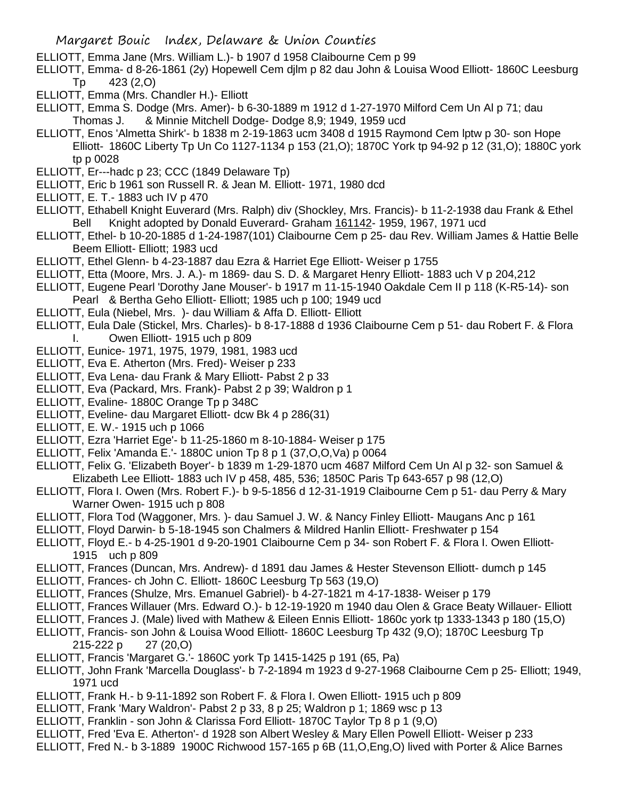ELLIOTT, Emma Jane (Mrs. William L.)- b 1907 d 1958 Claibourne Cem p 99

- ELLIOTT, Emma- d 8-26-1861 (2y) Hopewell Cem djlm p 82 dau John & Louisa Wood Elliott- 1860C Leesburg Tp 423 (2,O)
- ELLIOTT, Emma (Mrs. Chandler H.)- Elliott
- ELLIOTT, Emma S. Dodge (Mrs. Amer)- b 6-30-1889 m 1912 d 1-27-1970 Milford Cem Un Al p 71; dau Thomas J. & Minnie Mitchell Dodge- Dodge 8,9; 1949, 1959 ucd
- ELLIOTT, Enos 'Almetta Shirk'- b 1838 m 2-19-1863 ucm 3408 d 1915 Raymond Cem lptw p 30- son Hope Elliott- 1860C Liberty Tp Un Co 1127-1134 p 153 (21,O); 1870C York tp 94-92 p 12 (31,O); 1880C york tp p 0028
- ELLIOTT, Er---hadc p 23; CCC (1849 Delaware Tp)
- ELLIOTT, Eric b 1961 son Russell R. & Jean M. Elliott- 1971, 1980 dcd
- ELLIOTT, E. T.- 1883 uch IV p 470
- ELLIOTT, Ethabell Knight Euverard (Mrs. Ralph) div (Shockley, Mrs. Francis)- b 11-2-1938 dau Frank & Ethel Bell Knight adopted by Donald Euverard- Graham 161142- 1959, 1967, 1971 ucd
- ELLIOTT, Ethel- b 10-20-1885 d 1-24-1987(101) Claibourne Cem p 25- dau Rev. William James & Hattie Belle Beem Elliott- Elliott; 1983 ucd
- ELLIOTT, Ethel Glenn- b 4-23-1887 dau Ezra & Harriet Ege Elliott- Weiser p 1755
- ELLIOTT, Etta (Moore, Mrs. J. A.)- m 1869- dau S. D. & Margaret Henry Elliott- 1883 uch V p 204,212
- ELLIOTT, Eugene Pearl 'Dorothy Jane Mouser'- b 1917 m 11-15-1940 Oakdale Cem II p 118 (K-R5-14)- son Pearl & Bertha Geho Elliott- Elliott; 1985 uch p 100; 1949 ucd
- ELLIOTT, Eula (Niebel, Mrs. )- dau William & Affa D. Elliott- Elliott
- ELLIOTT, Eula Dale (Stickel, Mrs. Charles)- b 8-17-1888 d 1936 Claibourne Cem p 51- dau Robert F. & Flora I. Owen Elliott- 1915 uch p 809
- ELLIOTT, Eunice- 1971, 1975, 1979, 1981, 1983 ucd
- ELLIOTT, Eva E. Atherton (Mrs. Fred)- Weiser p 233
- ELLIOTT, Eva Lena- dau Frank & Mary Elliott- Pabst 2 p 33
- ELLIOTT, Eva (Packard, Mrs. Frank)- Pabst 2 p 39; Waldron p 1
- ELLIOTT, Evaline- 1880C Orange Tp p 348C
- ELLIOTT, Eveline- dau Margaret Elliott- dcw Bk 4 p 286(31)
- ELLIOTT, E. W.- 1915 uch p 1066
- ELLIOTT, Ezra 'Harriet Ege'- b 11-25-1860 m 8-10-1884- Weiser p 175
- ELLIOTT, Felix 'Amanda E.'- 1880C union Tp 8 p 1 (37,O,O,Va) p 0064
- ELLIOTT, Felix G. 'Elizabeth Boyer'- b 1839 m 1-29-1870 ucm 4687 Milford Cem Un Al p 32- son Samuel & Elizabeth Lee Elliott- 1883 uch IV p 458, 485, 536; 1850C Paris Tp 643-657 p 98 (12,O)
- ELLIOTT, Flora I. Owen (Mrs. Robert F.)- b 9-5-1856 d 12-31-1919 Claibourne Cem p 51- dau Perry & Mary Warner Owen- 1915 uch p 808
- ELLIOTT, Flora Tod (Waggoner, Mrs. )- dau Samuel J. W. & Nancy Finley Elliott- Maugans Anc p 161
- ELLIOTT, Floyd Darwin- b 5-18-1945 son Chalmers & Mildred Hanlin Elliott- Freshwater p 154
- ELLIOTT, Floyd E.- b 4-25-1901 d 9-20-1901 Claibourne Cem p 34- son Robert F. & Flora I. Owen Elliott-1915 uch p 809
- ELLIOTT, Frances (Duncan, Mrs. Andrew)- d 1891 dau James & Hester Stevenson Elliott- dumch p 145
- ELLIOTT, Frances- ch John C. Elliott- 1860C Leesburg Tp 563 (19,O)
- ELLIOTT, Frances (Shulze, Mrs. Emanuel Gabriel)- b 4-27-1821 m 4-17-1838- Weiser p 179
- ELLIOTT, Frances Willauer (Mrs. Edward O.)- b 12-19-1920 m 1940 dau Olen & Grace Beaty Willauer- Elliott
- ELLIOTT, Frances J. (Male) lived with Mathew & Eileen Ennis Elliott- 1860c york tp 1333-1343 p 180 (15,O)
- ELLIOTT, Francis- son John & Louisa Wood Elliott- 1860C Leesburg Tp 432 (9,O); 1870C Leesburg Tp 215-222 p 27 (20,O)
- ELLIOTT, Francis 'Margaret G.'- 1860C york Tp 1415-1425 p 191 (65, Pa)
- ELLIOTT, John Frank 'Marcella Douglass'- b 7-2-1894 m 1923 d 9-27-1968 Claibourne Cem p 25- Elliott; 1949, 1971 ucd
- ELLIOTT, Frank H.- b 9-11-1892 son Robert F. & Flora I. Owen Elliott- 1915 uch p 809
- ELLIOTT, Frank 'Mary Waldron'- Pabst 2 p 33, 8 p 25; Waldron p 1; 1869 wsc p 13
- ELLIOTT, Franklin son John & Clarissa Ford Elliott- 1870C Taylor Tp 8 p 1 (9,O)
- ELLIOTT, Fred 'Eva E. Atherton'- d 1928 son Albert Wesley & Mary Ellen Powell Elliott- Weiser p 233
- ELLIOTT, Fred N.- b 3-1889 1900C Richwood 157-165 p 6B (11,O,Eng,O) lived with Porter & Alice Barnes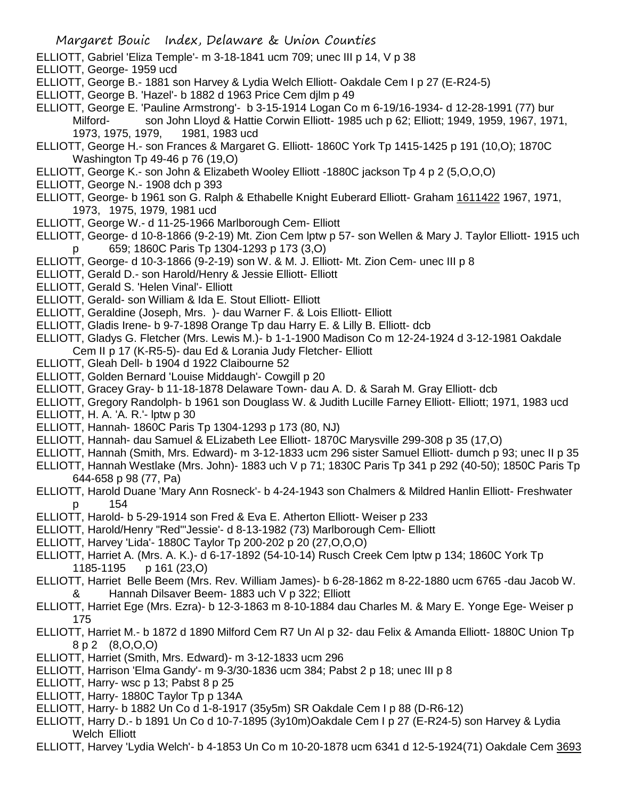- ELLIOTT, Gabriel 'Eliza Temple'- m 3-18-1841 ucm 709; unec III p 14, V p 38
- ELLIOTT, George- 1959 ucd
- ELLIOTT, George B.- 1881 son Harvey & Lydia Welch Elliott- Oakdale Cem I p 27 (E-R24-5)
- ELLIOTT, George B. 'Hazel'- b 1882 d 1963 Price Cem djlm p 49

ELLIOTT, George E. 'Pauline Armstrong'- b 3-15-1914 Logan Co m 6-19/16-1934- d 12-28-1991 (77) bur Milford- son John Lloyd & Hattie Corwin Elliott- 1985 uch p 62; Elliott; 1949, 1959, 1967, 1971, 1973, 1975, 1979, 1981, 1983 ucd

- ELLIOTT, George H.- son Frances & Margaret G. Elliott- 1860C York Tp 1415-1425 p 191 (10,O); 1870C Washington Tp 49-46 p 76 (19,O)
- ELLIOTT, George K.- son John & Elizabeth Wooley Elliott -1880C jackson Tp 4 p 2 (5,O,O,O)
- ELLIOTT, George N.- 1908 dch p 393
- ELLIOTT, George- b 1961 son G. Ralph & Ethabelle Knight Euberard Elliott- Graham 1611422 1967, 1971, 1973, 1975, 1979, 1981 ucd
- ELLIOTT, George W.- d 11-25-1966 Marlborough Cem- Elliott
- ELLIOTT, George- d 10-8-1866 (9-2-19) Mt. Zion Cem lptw p 57- son Wellen & Mary J. Taylor Elliott- 1915 uch p 659; 1860C Paris Tp 1304-1293 p 173 (3,O)
- ELLIOTT, George- d 10-3-1866 (9-2-19) son W. & M. J. Elliott- Mt. Zion Cem- unec III p 8
- ELLIOTT, Gerald D.- son Harold/Henry & Jessie Elliott- Elliott
- ELLIOTT, Gerald S. 'Helen Vinal'- Elliott
- ELLIOTT, Gerald- son William & Ida E. Stout Elliott- Elliott
- ELLIOTT, Geraldine (Joseph, Mrs. )- dau Warner F. & Lois Elliott- Elliott
- ELLIOTT, Gladis Irene- b 9-7-1898 Orange Tp dau Harry E. & Lilly B. Elliott- dcb
- ELLIOTT, Gladys G. Fletcher (Mrs. Lewis M.)- b 1-1-1900 Madison Co m 12-24-1924 d 3-12-1981 Oakdale Cem II p 17 (K-R5-5)- dau Ed & Lorania Judy Fletcher- Elliott
- ELLIOTT, Gleah Dell- b 1904 d 1922 Claibourne 52
- ELLIOTT, Golden Bernard 'Louise Middaugh'- Cowgill p 20
- ELLIOTT, Gracey Gray- b 11-18-1878 Delaware Town- dau A. D. & Sarah M. Gray Elliott- dcb
- ELLIOTT, Gregory Randolph- b 1961 son Douglass W. & Judith Lucille Farney Elliott- Elliott; 1971, 1983 ucd
- ELLIOTT, H. A. 'A. R.'- lptw p 30
- ELLIOTT, Hannah- 1860C Paris Tp 1304-1293 p 173 (80, NJ)
- ELLIOTT, Hannah- dau Samuel & ELizabeth Lee Elliott- 1870C Marysville 299-308 p 35 (17,O)
- ELLIOTT, Hannah (Smith, Mrs. Edward)- m 3-12-1833 ucm 296 sister Samuel Elliott- dumch p 93; unec II p 35
- ELLIOTT, Hannah Westlake (Mrs. John)- 1883 uch V p 71; 1830C Paris Tp 341 p 292 (40-50); 1850C Paris Tp 644-658 p 98 (77, Pa)
- ELLIOTT, Harold Duane 'Mary Ann Rosneck'- b 4-24-1943 son Chalmers & Mildred Hanlin Elliott- Freshwater p 154
- ELLIOTT, Harold- b 5-29-1914 son Fred & Eva E. Atherton Elliott- Weiser p 233
- ELLIOTT, Harold/Henry "Red"'Jessie'- d 8-13-1982 (73) Marlborough Cem- Elliott
- ELLIOTT, Harvey 'Lida'- 1880C Taylor Tp 200-202 p 20 (27,O,O,O)
- ELLIOTT, Harriet A. (Mrs. A. K.)- d 6-17-1892 (54-10-14) Rusch Creek Cem lptw p 134; 1860C York Tp 1185-1195 p 161 (23,O)
- ELLIOTT, Harriet Belle Beem (Mrs. Rev. William James)- b 6-28-1862 m 8-22-1880 ucm 6765 -dau Jacob W. & Hannah Dilsaver Beem- 1883 uch V p 322; Elliott
- ELLIOTT, Harriet Ege (Mrs. Ezra)- b 12-3-1863 m 8-10-1884 dau Charles M. & Mary E. Yonge Ege- Weiser p 175
- ELLIOTT, Harriet M.- b 1872 d 1890 Milford Cem R7 Un Al p 32- dau Felix & Amanda Elliott- 1880C Union Tp 8 p 2 (8,O,O,O)
- ELLIOTT, Harriet (Smith, Mrs. Edward)- m 3-12-1833 ucm 296
- ELLIOTT, Harrison 'Elma Gandy'- m 9-3/30-1836 ucm 384; Pabst 2 p 18; unec III p 8
- ELLIOTT, Harry- wsc p 13; Pabst 8 p 25
- ELLIOTT, Harry- 1880C Taylor Tp p 134A
- ELLIOTT, Harry- b 1882 Un Co d 1-8-1917 (35y5m) SR Oakdale Cem I p 88 (D-R6-12)
- ELLIOTT, Harry D.- b 1891 Un Co d 10-7-1895 (3y10m)Oakdale Cem I p 27 (E-R24-5) son Harvey & Lydia Welch Elliott
- ELLIOTT, Harvey 'Lydia Welch'- b 4-1853 Un Co m 10-20-1878 ucm 6341 d 12-5-1924(71) Oakdale Cem 3693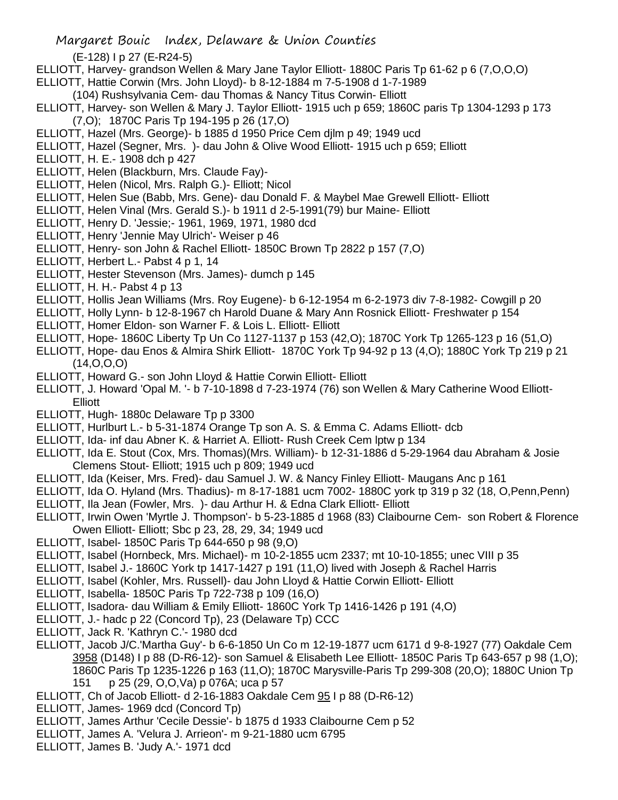(E-128) I p 27 (E-R24-5)

- ELLIOTT, Harvey- grandson Wellen & Mary Jane Taylor Elliott- 1880C Paris Tp 61-62 p 6 (7,O,O,O)
- ELLIOTT, Hattie Corwin (Mrs. John Lloyd)- b 8-12-1884 m 7-5-1908 d 1-7-1989
- (104) Rushsylvania Cem- dau Thomas & Nancy Titus Corwin- Elliott
- ELLIOTT, Harvey- son Wellen & Mary J. Taylor Elliott- 1915 uch p 659; 1860C paris Tp 1304-1293 p 173 (7,O); 1870C Paris Tp 194-195 p 26 (17,O)
- ELLIOTT, Hazel (Mrs. George)- b 1885 d 1950 Price Cem djlm p 49; 1949 ucd
- ELLIOTT, Hazel (Segner, Mrs. )- dau John & Olive Wood Elliott- 1915 uch p 659; Elliott
- ELLIOTT, H. E.- 1908 dch p 427
- ELLIOTT, Helen (Blackburn, Mrs. Claude Fay)-
- ELLIOTT, Helen (Nicol, Mrs. Ralph G.)- Elliott; Nicol
- ELLIOTT, Helen Sue (Babb, Mrs. Gene)- dau Donald F. & Maybel Mae Grewell Elliott- Elliott
- ELLIOTT, Helen Vinal (Mrs. Gerald S.)- b 1911 d 2-5-1991(79) bur Maine- Elliott
- ELLIOTT, Henry D. 'Jessie;- 1961, 1969, 1971, 1980 dcd
- ELLIOTT, Henry 'Jennie May Ulrich'- Weiser p 46
- ELLIOTT, Henry- son John & Rachel Elliott- 1850C Brown Tp 2822 p 157 (7,O)
- ELLIOTT, Herbert L.- Pabst 4 p 1, 14
- ELLIOTT, Hester Stevenson (Mrs. James)- dumch p 145
- ELLIOTT, H. H.- Pabst 4 p 13
- ELLIOTT, Hollis Jean Williams (Mrs. Roy Eugene)- b 6-12-1954 m 6-2-1973 div 7-8-1982- Cowgill p 20
- ELLIOTT, Holly Lynn- b 12-8-1967 ch Harold Duane & Mary Ann Rosnick Elliott- Freshwater p 154
- ELLIOTT, Homer Eldon- son Warner F. & Lois L. Elliott- Elliott
- ELLIOTT, Hope- 1860C Liberty Tp Un Co 1127-1137 p 153 (42,O); 1870C York Tp 1265-123 p 16 (51,O)
- ELLIOTT, Hope- dau Enos & Almira Shirk Elliott- 1870C York Tp 94-92 p 13 (4,O); 1880C York Tp 219 p 21  $(14, 0, 0, 0)$
- ELLIOTT, Howard G.- son John Lloyd & Hattie Corwin Elliott- Elliott
- ELLIOTT, J. Howard 'Opal M. '- b 7-10-1898 d 7-23-1974 (76) son Wellen & Mary Catherine Wood Elliott-Elliott
- ELLIOTT, Hugh- 1880c Delaware Tp p 3300
- ELLIOTT, Hurlburt L.- b 5-31-1874 Orange Tp son A. S. & Emma C. Adams Elliott- dcb
- ELLIOTT, Ida- inf dau Abner K. & Harriet A. Elliott- Rush Creek Cem lptw p 134
- ELLIOTT, Ida E. Stout (Cox, Mrs. Thomas)(Mrs. William)- b 12-31-1886 d 5-29-1964 dau Abraham & Josie Clemens Stout- Elliott; 1915 uch p 809; 1949 ucd
- ELLIOTT, Ida (Keiser, Mrs. Fred)- dau Samuel J. W. & Nancy Finley Elliott- Maugans Anc p 161
- ELLIOTT, Ida O. Hyland (Mrs. Thadius)- m 8-17-1881 ucm 7002- 1880C york tp 319 p 32 (18, O,Penn,Penn)
- ELLIOTT, Ila Jean (Fowler, Mrs. )- dau Arthur H. & Edna Clark Elliott- Elliott
- ELLIOTT, Irwin Owen 'Myrtle J. Thompson'- b 5-23-1885 d 1968 (83) Claibourne Cem- son Robert & Florence Owen Elliott- Elliott; Sbc p 23, 28, 29, 34; 1949 ucd
- ELLIOTT, Isabel- 1850C Paris Tp 644-650 p 98 (9,O)
- ELLIOTT, Isabel (Hornbeck, Mrs. Michael)- m 10-2-1855 ucm 2337; mt 10-10-1855; unec VIII p 35
- ELLIOTT, Isabel J.- 1860C York tp 1417-1427 p 191 (11,O) lived with Joseph & Rachel Harris
- ELLIOTT, Isabel (Kohler, Mrs. Russell)- dau John Lloyd & Hattie Corwin Elliott- Elliott
- ELLIOTT, Isabella- 1850C Paris Tp 722-738 p 109 (16,O)
- ELLIOTT, Isadora- dau William & Emily Elliott- 1860C York Tp 1416-1426 p 191 (4,O)
- ELLIOTT, J.- hadc p 22 (Concord Tp), 23 (Delaware Tp) CCC
- ELLIOTT, Jack R. 'Kathryn C.'- 1980 dcd
- ELLIOTT, Jacob J/C.'Martha Guy'- b 6-6-1850 Un Co m 12-19-1877 ucm 6171 d 9-8-1927 (77) Oakdale Cem 3958 (D148) I p 88 (D-R6-12)- son Samuel & Elisabeth Lee Elliott- 1850C Paris Tp 643-657 p 98 (1,O); 1860C Paris Tp 1235-1226 p 163 (11,O); 1870C Marysville-Paris Tp 299-308 (20,O); 1880C Union Tp 151 p 25 (29, O,O,Va) p 076A; uca p 57
- ELLIOTT, Ch of Jacob Elliott- d 2-16-1883 Oakdale Cem 95 I p 88 (D-R6-12)
- ELLIOTT, James- 1969 dcd (Concord Tp)
- ELLIOTT, James Arthur 'Cecile Dessie'- b 1875 d 1933 Claibourne Cem p 52
- ELLIOTT, James A. 'Velura J. Arrieon'- m 9-21-1880 ucm 6795
- ELLIOTT, James B. 'Judy A.'- 1971 dcd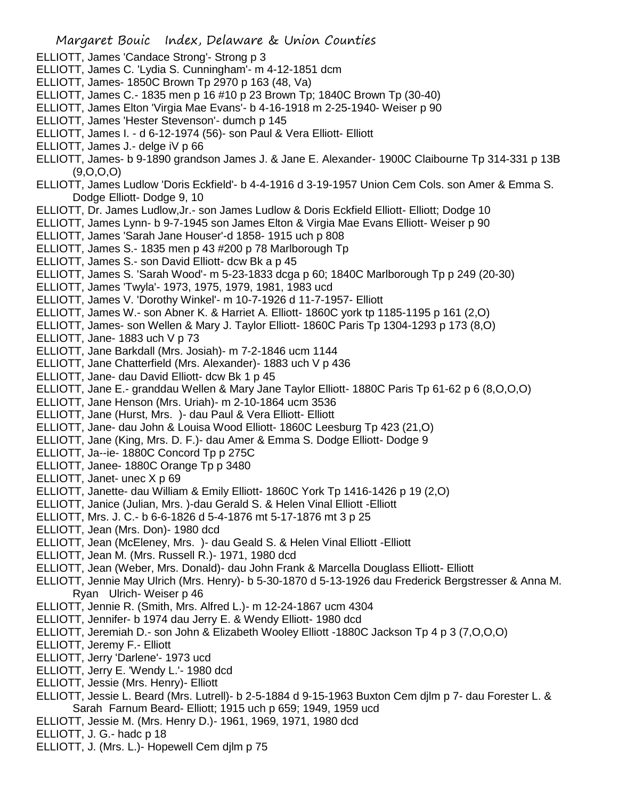- ELLIOTT, James 'Candace Strong'- Strong p 3
- ELLIOTT, James C. 'Lydia S. Cunningham'- m 4-12-1851 dcm
- ELLIOTT, James- 1850C Brown Tp 2970 p 163 (48, Va)
- ELLIOTT, James C.- 1835 men p 16 #10 p 23 Brown Tp; 1840C Brown Tp (30-40)
- ELLIOTT, James Elton 'Virgia Mae Evans'- b 4-16-1918 m 2-25-1940- Weiser p 90
- ELLIOTT, James 'Hester Stevenson'- dumch p 145
- ELLIOTT, James I. d 6-12-1974 (56)- son Paul & Vera Elliott- Elliott
- ELLIOTT, James J.- delge iV p 66
- ELLIOTT, James- b 9-1890 grandson James J. & Jane E. Alexander- 1900C Claibourne Tp 314-331 p 13B (9,O,O,O)
- ELLIOTT, James Ludlow 'Doris Eckfield'- b 4-4-1916 d 3-19-1957 Union Cem Cols. son Amer & Emma S. Dodge Elliott- Dodge 9, 10
- ELLIOTT, Dr. James Ludlow,Jr.- son James Ludlow & Doris Eckfield Elliott- Elliott; Dodge 10
- ELLIOTT, James Lynn- b 9-7-1945 son James Elton & Virgia Mae Evans Elliott- Weiser p 90
- ELLIOTT, James 'Sarah Jane Houser'-d 1858- 1915 uch p 808
- ELLIOTT, James S.- 1835 men p 43 #200 p 78 Marlborough Tp
- ELLIOTT, James S.- son David Elliott- dcw Bk a p 45
- ELLIOTT, James S. 'Sarah Wood'- m 5-23-1833 dcga p 60; 1840C Marlborough Tp p 249 (20-30)
- ELLIOTT, James 'Twyla'- 1973, 1975, 1979, 1981, 1983 ucd
- ELLIOTT, James V. 'Dorothy Winkel'- m 10-7-1926 d 11-7-1957- Elliott
- ELLIOTT, James W.- son Abner K. & Harriet A. Elliott- 1860C york tp 1185-1195 p 161 (2,O)
- ELLIOTT, James- son Wellen & Mary J. Taylor Elliott- 1860C Paris Tp 1304-1293 p 173 (8,O)
- ELLIOTT, Jane- 1883 uch V p 73
- ELLIOTT, Jane Barkdall (Mrs. Josiah)- m 7-2-1846 ucm 1144
- ELLIOTT, Jane Chatterfield (Mrs. Alexander)- 1883 uch V p 436
- ELLIOTT, Jane- dau David Elliott- dcw Bk 1 p 45
- ELLIOTT, Jane E.- granddau Wellen & Mary Jane Taylor Elliott- 1880C Paris Tp 61-62 p 6 (8,O,O,O)
- ELLIOTT, Jane Henson (Mrs. Uriah)- m 2-10-1864 ucm 3536
- ELLIOTT, Jane (Hurst, Mrs. )- dau Paul & Vera Elliott- Elliott
- ELLIOTT, Jane- dau John & Louisa Wood Elliott- 1860C Leesburg Tp 423 (21,O)
- ELLIOTT, Jane (King, Mrs. D. F.)- dau Amer & Emma S. Dodge Elliott- Dodge 9
- ELLIOTT, Ja--ie- 1880C Concord Tp p 275C
- ELLIOTT, Janee- 1880C Orange Tp p 3480
- ELLIOTT, Janet- unec X p 69
- ELLIOTT, Janette- dau William & Emily Elliott- 1860C York Tp 1416-1426 p 19 (2,O)
- ELLIOTT, Janice (Julian, Mrs. )-dau Gerald S. & Helen Vinal Elliott -Elliott
- ELLIOTT, Mrs. J. C.- b 6-6-1826 d 5-4-1876 mt 5-17-1876 mt 3 p 25
- ELLIOTT, Jean (Mrs. Don)- 1980 dcd
- ELLIOTT, Jean (McEleney, Mrs. )- dau Geald S. & Helen Vinal Elliott -Elliott
- ELLIOTT, Jean M. (Mrs. Russell R.)- 1971, 1980 dcd
- ELLIOTT, Jean (Weber, Mrs. Donald)- dau John Frank & Marcella Douglass Elliott- Elliott
- ELLIOTT, Jennie May Ulrich (Mrs. Henry)- b 5-30-1870 d 5-13-1926 dau Frederick Bergstresser & Anna M. Ryan Ulrich- Weiser p 46
- ELLIOTT, Jennie R. (Smith, Mrs. Alfred L.)- m 12-24-1867 ucm 4304
- ELLIOTT, Jennifer- b 1974 dau Jerry E. & Wendy Elliott- 1980 dcd
- ELLIOTT, Jeremiah D.- son John & Elizabeth Wooley Elliott -1880C Jackson Tp 4 p 3 (7,O,O,O)
- ELLIOTT, Jeremy F.- Elliott
- ELLIOTT, Jerry 'Darlene'- 1973 ucd
- ELLIOTT, Jerry E. 'Wendy L.'- 1980 dcd
- ELLIOTT, Jessie (Mrs. Henry)- Elliott
- ELLIOTT, Jessie L. Beard (Mrs. Lutrell)- b 2-5-1884 d 9-15-1963 Buxton Cem djlm p 7- dau Forester L. & Sarah Farnum Beard- Elliott; 1915 uch p 659; 1949, 1959 ucd
- ELLIOTT, Jessie M. (Mrs. Henry D.)- 1961, 1969, 1971, 1980 dcd
- ELLIOTT, J. G.- hadc p 18
- ELLIOTT, J. (Mrs. L.)- Hopewell Cem djlm p 75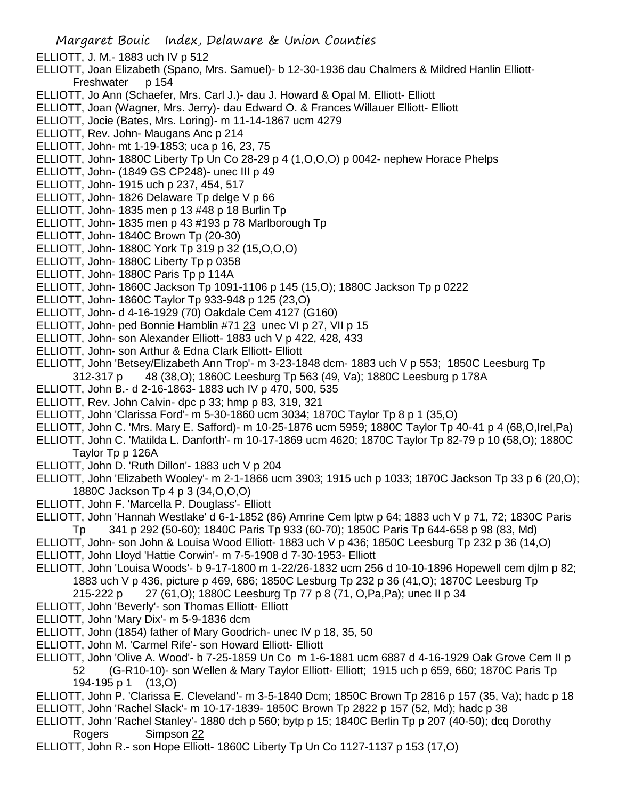- ELLIOTT, J. M.- 1883 uch IV p 512
- ELLIOTT, Joan Elizabeth (Spano, Mrs. Samuel)- b 12-30-1936 dau Chalmers & Mildred Hanlin Elliott-Freshwater p 154
- ELLIOTT, Jo Ann (Schaefer, Mrs. Carl J.)- dau J. Howard & Opal M. Elliott- Elliott
- ELLIOTT, Joan (Wagner, Mrs. Jerry)- dau Edward O. & Frances Willauer Elliott- Elliott
- ELLIOTT, Jocie (Bates, Mrs. Loring)- m 11-14-1867 ucm 4279
- ELLIOTT, Rev. John- Maugans Anc p 214
- ELLIOTT, John- mt 1-19-1853; uca p 16, 23, 75
- ELLIOTT, John- 1880C Liberty Tp Un Co 28-29 p 4 (1,O,O,O) p 0042- nephew Horace Phelps
- ELLIOTT, John- (1849 GS CP248)- unec III p 49
- ELLIOTT, John- 1915 uch p 237, 454, 517
- ELLIOTT, John- 1826 Delaware Tp delge V p 66
- ELLIOTT, John- 1835 men p 13 #48 p 18 Burlin Tp
- ELLIOTT, John- 1835 men p 43 #193 p 78 Marlborough Tp
- ELLIOTT, John- 1840C Brown Tp (20-30)
- ELLIOTT, John- 1880C York Tp 319 p 32 (15,O,O,O)
- ELLIOTT, John- 1880C Liberty Tp p 0358
- ELLIOTT, John- 1880C Paris Tp p 114A
- ELLIOTT, John- 1860C Jackson Tp 1091-1106 p 145 (15,O); 1880C Jackson Tp p 0222
- ELLIOTT, John- 1860C Taylor Tp 933-948 p 125 (23,O)
- ELLIOTT, John- d 4-16-1929 (70) Oakdale Cem 4127 (G160)
- ELLIOTT, John- ped Bonnie Hamblin #71 23 unec VI p 27, VII p 15
- ELLIOTT, John- son Alexander Elliott- 1883 uch V p 422, 428, 433
- ELLIOTT, John- son Arthur & Edna Clark Elliott- Elliott
- ELLIOTT, John 'Betsey/Elizabeth Ann Trop'- m 3-23-1848 dcm- 1883 uch V p 553; 1850C Leesburg Tp
- 312-317 p 48 (38,O); 1860C Leesburg Tp 563 (49, Va); 1880C Leesburg p 178A
- ELLIOTT, John B.- d 2-16-1863- 1883 uch IV p 470, 500, 535
- ELLIOTT, Rev. John Calvin- dpc p 33; hmp p 83, 319, 321
- ELLIOTT, John 'Clarissa Ford'- m 5-30-1860 ucm 3034; 1870C Taylor Tp 8 p 1 (35,O)
- ELLIOTT, John C. 'Mrs. Mary E. Safford)- m 10-25-1876 ucm 5959; 1880C Taylor Tp 40-41 p 4 (68,O,Irel,Pa)
- ELLIOTT, John C. 'Matilda L. Danforth'- m 10-17-1869 ucm 4620; 1870C Taylor Tp 82-79 p 10 (58,O); 1880C Taylor Tp p 126A
- ELLIOTT, John D. 'Ruth Dillon'- 1883 uch V p 204
- ELLIOTT, John 'Elizabeth Wooley'- m 2-1-1866 ucm 3903; 1915 uch p 1033; 1870C Jackson Tp 33 p 6 (20,O); 1880C Jackson Tp 4 p 3 (34,O,O,O)
- ELLIOTT, John F. 'Marcella P. Douglass'- Elliott
- ELLIOTT, John 'Hannah Westlake' d 6-1-1852 (86) Amrine Cem lptw p 64; 1883 uch V p 71, 72; 1830C Paris Tp 341 p 292 (50-60); 1840C Paris Tp 933 (60-70); 1850C Paris Tp 644-658 p 98 (83, Md)
- ELLIOTT, John- son John & Louisa Wood Elliott- 1883 uch V p 436; 1850C Leesburg Tp 232 p 36 (14,O)
- ELLIOTT, John Lloyd 'Hattie Corwin'- m 7-5-1908 d 7-30-1953- Elliott
- ELLIOTT, John 'Louisa Woods'- b 9-17-1800 m 1-22/26-1832 ucm 256 d 10-10-1896 Hopewell cem djlm p 82; 1883 uch V p 436, picture p 469, 686; 1850C Lesburg Tp 232 p 36 (41,O); 1870C Leesburg Tp
	- 215-222 p 27 (61,O); 1880C Leesburg Tp 77 p 8 (71, O,Pa,Pa); unec II p 34
- ELLIOTT, John 'Beverly'- son Thomas Elliott- Elliott
- ELLIOTT, John 'Mary Dix'- m 5-9-1836 dcm
- ELLIOTT, John (1854) father of Mary Goodrich- unec IV p 18, 35, 50
- ELLIOTT, John M. 'Carmel Rife'- son Howard Elliott- Elliott
- ELLIOTT, John 'Olive A. Wood'- b 7-25-1859 Un Co m 1-6-1881 ucm 6887 d 4-16-1929 Oak Grove Cem II p 52 (G-R10-10)- son Wellen & Mary Taylor Elliott- Elliott; 1915 uch p 659, 660; 1870C Paris Tp 194-195 p 1 (13,O)
- ELLIOTT, John P. 'Clarissa E. Cleveland'- m 3-5-1840 Dcm; 1850C Brown Tp 2816 p 157 (35, Va); hadc p 18 ELLIOTT, John 'Rachel Slack'- m 10-17-1839- 1850C Brown Tp 2822 p 157 (52, Md); hadc p 38
- 
- ELLIOTT, John 'Rachel Stanley'- 1880 dch p 560; bytp p 15; 1840C Berlin Tp p 207 (40-50); dcq Dorothy Rogers Simpson 22
- ELLIOTT, John R.- son Hope Elliott- 1860C Liberty Tp Un Co 1127-1137 p 153 (17,O)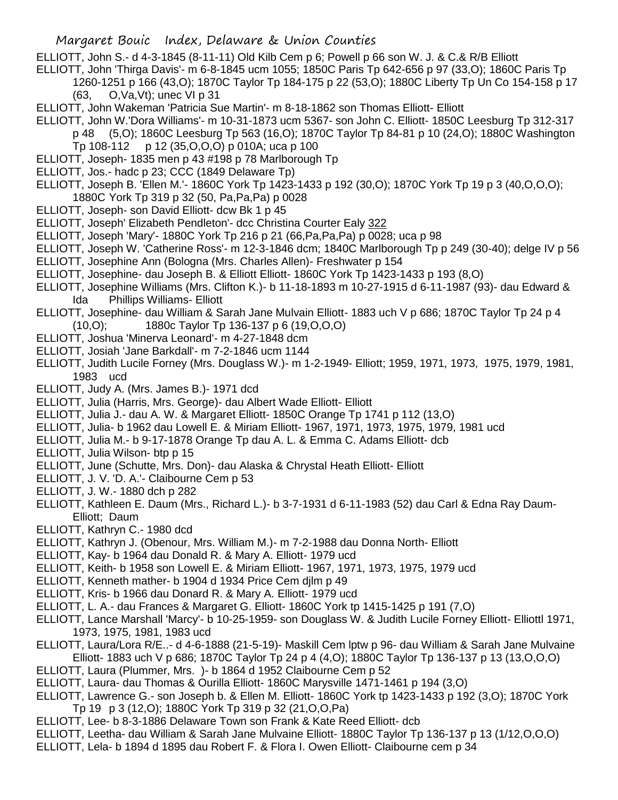ELLIOTT, John S.- d 4-3-1845 (8-11-11) Old Kilb Cem p 6; Powell p 66 son W. J. & C.& R/B Elliott

- ELLIOTT, John 'Thirga Davis'- m 6-8-1845 ucm 1055; 1850C Paris Tp 642-656 p 97 (33,O); 1860C Paris Tp
	- 1260-1251 p 166 (43,O); 1870C Taylor Tp 184-175 p 22 (53,O); 1880C Liberty Tp Un Co 154-158 p 17 (63, O,Va,Vt); unec VI p 31
- ELLIOTT, John Wakeman 'Patricia Sue Martin'- m 8-18-1862 son Thomas Elliott- Elliott
- ELLIOTT, John W.'Dora Williams'- m 10-31-1873 ucm 5367- son John C. Elliott- 1850C Leesburg Tp 312-317
- p 48 (5,O); 1860C Leesburg Tp 563 (16,O); 1870C Taylor Tp 84-81 p 10 (24,O); 1880C Washington
	- Tp 108-112 p 12 (35,O,O,O) p 010A; uca p 100
- ELLIOTT, Joseph- 1835 men p 43 #198 p 78 Marlborough Tp
- ELLIOTT, Jos.- hadc p 23; CCC (1849 Delaware Tp)
- ELLIOTT, Joseph B. 'Ellen M.'- 1860C York Tp 1423-1433 p 192 (30,O); 1870C York Tp 19 p 3 (40,O,O,O); 1880C York Tp 319 p 32 (50, Pa,Pa,Pa) p 0028
- ELLIOTT, Joseph- son David Elliott- dcw Bk 1 p 45
- ELLIOTT, Joseph' Elizabeth Pendleton'- dcc Christina Courter Ealy 322
- ELLIOTT, Joseph 'Mary'- 1880C York Tp 216 p 21 (66,Pa,Pa,Pa) p 0028; uca p 98
- ELLIOTT, Joseph W. 'Catherine Ross'- m 12-3-1846 dcm; 1840C Marlborough Tp p 249 (30-40); delge IV p 56 ELLIOTT, Josephine Ann (Bologna (Mrs. Charles Allen)- Freshwater p 154
- ELLIOTT, Josephine- dau Joseph B. & Elliott Elliott- 1860C York Tp 1423-1433 p 193 (8,O)
- ELLIOTT, Josephine Williams (Mrs. Clifton K.)- b 11-18-1893 m 10-27-1915 d 6-11-1987 (93)- dau Edward & Ida Phillips Williams- Elliott
- ELLIOTT, Josephine- dau William & Sarah Jane Mulvain Elliott- 1883 uch V p 686; 1870C Taylor Tp 24 p 4 (10,O); 1880c Taylor Tp 136-137 p 6 (19,O,O,O)
- ELLIOTT, Joshua 'Minerva Leonard'- m 4-27-1848 dcm
- ELLIOTT, Josiah 'Jane Barkdall'- m 7-2-1846 ucm 1144
- ELLIOTT, Judith Lucile Forney (Mrs. Douglass W.)- m 1-2-1949- Elliott; 1959, 1971, 1973, 1975, 1979, 1981, 1983 ucd
- ELLIOTT, Judy A. (Mrs. James B.)- 1971 dcd
- ELLIOTT, Julia (Harris, Mrs. George)- dau Albert Wade Elliott- Elliott
- ELLIOTT, Julia J.- dau A. W. & Margaret Elliott- 1850C Orange Tp 1741 p 112 (13,O)
- ELLIOTT, Julia- b 1962 dau Lowell E. & Miriam Elliott- 1967, 1971, 1973, 1975, 1979, 1981 ucd
- ELLIOTT, Julia M.- b 9-17-1878 Orange Tp dau A. L. & Emma C. Adams Elliott- dcb
- ELLIOTT, Julia Wilson- btp p 15
- ELLIOTT, June (Schutte, Mrs. Don)- dau Alaska & Chrystal Heath Elliott- Elliott
- ELLIOTT, J. V. 'D. A.'- Claibourne Cem p 53
- ELLIOTT, J. W.- 1880 dch p 282
- ELLIOTT, Kathleen E. Daum (Mrs., Richard L.)- b 3-7-1931 d 6-11-1983 (52) dau Carl & Edna Ray Daum-Elliott; Daum
- ELLIOTT, Kathryn C.- 1980 dcd
- ELLIOTT, Kathryn J. (Obenour, Mrs. William M.)- m 7-2-1988 dau Donna North- Elliott
- ELLIOTT, Kay- b 1964 dau Donald R. & Mary A. Elliott- 1979 ucd
- ELLIOTT, Keith- b 1958 son Lowell E. & Miriam Elliott- 1967, 1971, 1973, 1975, 1979 ucd
- ELLIOTT, Kenneth mather- b 1904 d 1934 Price Cem djlm p 49
- ELLIOTT, Kris- b 1966 dau Donard R. & Mary A. Elliott- 1979 ucd
- ELLIOTT, L. A.- dau Frances & Margaret G. Elliott- 1860C York tp 1415-1425 p 191 (7,O)
- ELLIOTT, Lance Marshall 'Marcy'- b 10-25-1959- son Douglass W. & Judith Lucile Forney Elliott- Elliottl 1971, 1973, 1975, 1981, 1983 ucd
- ELLIOTT, Laura/Lora R/E..- d 4-6-1888 (21-5-19)- Maskill Cem lptw p 96- dau William & Sarah Jane Mulvaine Elliott- 1883 uch V p 686; 1870C Taylor Tp 24 p 4 (4,O); 1880C Taylor Tp 136-137 p 13 (13,O,O,O)
- ELLIOTT, Laura (Plummer, Mrs. )- b 1864 d 1952 Claibourne Cem p 52
- ELLIOTT, Laura- dau Thomas & Ourilla Elliott- 1860C Marysville 1471-1461 p 194 (3,O)
- ELLIOTT, Lawrence G.- son Joseph b. & Ellen M. Elliott- 1860C York tp 1423-1433 p 192 (3,O); 1870C York Tp 19 p 3 (12,O); 1880C York Tp 319 p 32 (21,O,O,Pa)
- ELLIOTT, Lee- b 8-3-1886 Delaware Town son Frank & Kate Reed Elliott- dcb
- ELLIOTT, Leetha- dau William & Sarah Jane Mulvaine Elliott- 1880C Taylor Tp 136-137 p 13 (1/12,O,O,O)
- ELLIOTT, Lela- b 1894 d 1895 dau Robert F. & Flora I. Owen Elliott- Claibourne cem p 34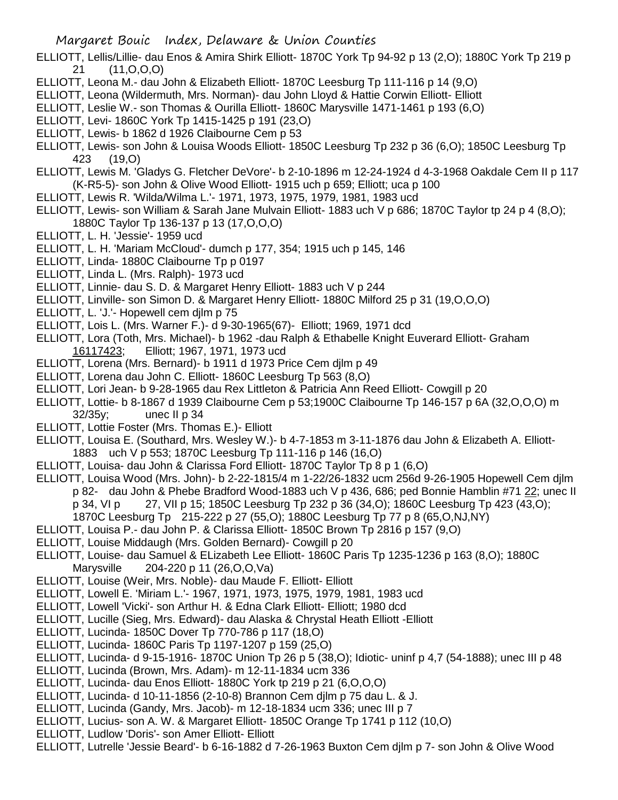- ELLIOTT, Lellis/Lillie- dau Enos & Amira Shirk Elliott- 1870C York Tp 94-92 p 13 (2,O); 1880C York Tp 219 p 21 (11,O,O,O)
- ELLIOTT, Leona M.- dau John & Elizabeth Elliott- 1870C Leesburg Tp 111-116 p 14 (9,O)
- ELLIOTT, Leona (Wildermuth, Mrs. Norman)- dau John Lloyd & Hattie Corwin Elliott- Elliott
- ELLIOTT, Leslie W.- son Thomas & Ourilla Elliott- 1860C Marysville 1471-1461 p 193 (6,O)
- ELLIOTT, Levi- 1860C York Tp 1415-1425 p 191 (23,O)
- ELLIOTT, Lewis- b 1862 d 1926 Claibourne Cem p 53
- ELLIOTT, Lewis- son John & Louisa Woods Elliott- 1850C Leesburg Tp 232 p 36 (6,O); 1850C Leesburg Tp 423 (19,O)
- ELLIOTT, Lewis M. 'Gladys G. Fletcher DeVore'- b 2-10-1896 m 12-24-1924 d 4-3-1968 Oakdale Cem II p 117 (K-R5-5)- son John & Olive Wood Elliott- 1915 uch p 659; Elliott; uca p 100
- ELLIOTT, Lewis R. 'Wilda/Wilma L.'- 1971, 1973, 1975, 1979, 1981, 1983 ucd
- ELLIOTT, Lewis- son William & Sarah Jane Mulvain Elliott- 1883 uch V p 686; 1870C Taylor tp 24 p 4 (8,0); 1880C Taylor Tp 136-137 p 13 (17,O,O,O)
- ELLIOTT, L. H. 'Jessie'- 1959 ucd
- ELLIOTT, L. H. 'Mariam McCloud'- dumch p 177, 354; 1915 uch p 145, 146
- ELLIOTT, Linda- 1880C Claibourne Tp p 0197
- ELLIOTT, Linda L. (Mrs. Ralph)- 1973 ucd
- ELLIOTT, Linnie- dau S. D. & Margaret Henry Elliott- 1883 uch V p 244
- ELLIOTT, Linville- son Simon D. & Margaret Henry Elliott- 1880C Milford 25 p 31 (19,O,O,O)
- ELLIOTT, L. 'J.'- Hopewell cem djlm p 75
- ELLIOTT, Lois L. (Mrs. Warner F.)- d 9-30-1965(67)- Elliott; 1969, 1971 dcd
- ELLIOTT, Lora (Toth, Mrs. Michael)- b 1962 -dau Ralph & Ethabelle Knight Euverard Elliott- Graham Elliott; 1967, 1971, 1973 ucd
- ELLIOTT, Lorena (Mrs. Bernard)- b 1911 d 1973 Price Cem djlm p 49
- ELLIOTT, Lorena dau John C. Elliott- 1860C Leesburg Tp 563 (8,O)
- ELLIOTT, Lori Jean- b 9-28-1965 dau Rex Littleton & Patricia Ann Reed Elliott- Cowgill p 20
- ELLIOTT, Lottie- b 8-1867 d 1939 Claibourne Cem p 53;1900C Claibourne Tp 146-157 p 6A (32,O,O,O) m 32/35y; unec II p 34
- ELLIOTT, Lottie Foster (Mrs. Thomas E.)- Elliott
- ELLIOTT, Louisa E. (Southard, Mrs. Wesley W.)- b 4-7-1853 m 3-11-1876 dau John & Elizabeth A. Elliott-1883 uch V p 553; 1870C Leesburg Tp 111-116 p 146 (16,O)
- ELLIOTT, Louisa- dau John & Clarissa Ford Elliott- 1870C Taylor Tp 8 p 1 (6,O)
- ELLIOTT, Louisa Wood (Mrs. John)- b 2-22-1815/4 m 1-22/26-1832 ucm 256d 9-26-1905 Hopewell Cem djlm p 82- dau John & Phebe Bradford Wood-1883 uch V p 436, 686; ped Bonnie Hamblin #71 22; unec II
	- p 34, VI p 27, VII p 15; 1850C Leesburg Tp 232 p 36 (34,O); 1860C Leesburg Tp 423 (43,O);
	- 1870C Leesburg Tp 215-222 p 27 (55,O); 1880C Leesburg Tp 77 p 8 (65,O,NJ,NY)
- ELLIOTT, Louisa P.- dau John P. & Clarissa Elliott- 1850C Brown Tp 2816 p 157 (9,O)
- ELLIOTT, Louise Middaugh (Mrs. Golden Bernard)- Cowgill p 20
- ELLIOTT, Louise- dau Samuel & ELizabeth Lee Elliott- 1860C Paris Tp 1235-1236 p 163 (8,O); 1880C Marysville 204-220 p 11 (26,O,O,Va)
- ELLIOTT, Louise (Weir, Mrs. Noble)- dau Maude F. Elliott- Elliott
- ELLIOTT, Lowell E. 'Miriam L.'- 1967, 1971, 1973, 1975, 1979, 1981, 1983 ucd
- ELLIOTT, Lowell 'Vicki'- son Arthur H. & Edna Clark Elliott- Elliott; 1980 dcd
- ELLIOTT, Lucille (Sieg, Mrs. Edward)- dau Alaska & Chrystal Heath Elliott -Elliott
- ELLIOTT, Lucinda- 1850C Dover Tp 770-786 p 117 (18,O)
- ELLIOTT, Lucinda- 1860C Paris Tp 1197-1207 p 159 (25,O)
- ELLIOTT, Lucinda- d 9-15-1916- 1870C Union Tp 26 p 5 (38,O); Idiotic- uninf p 4,7 (54-1888); unec III p 48
- ELLIOTT, Lucinda (Brown, Mrs. Adam)- m 12-11-1834 ucm 336
- ELLIOTT, Lucinda- dau Enos Elliott- 1880C York tp 219 p 21 (6,O,O,O)
- ELLIOTT, Lucinda- d 10-11-1856 (2-10-8) Brannon Cem djlm p 75 dau L. & J.
- ELLIOTT, Lucinda (Gandy, Mrs. Jacob)- m 12-18-1834 ucm 336; unec III p 7
- ELLIOTT, Lucius- son A. W. & Margaret Elliott- 1850C Orange Tp 1741 p 112 (10,O)
- ELLIOTT, Ludlow 'Doris'- son Amer Elliott- Elliott
- ELLIOTT, Lutrelle 'Jessie Beard'- b 6-16-1882 d 7-26-1963 Buxton Cem djlm p 7- son John & Olive Wood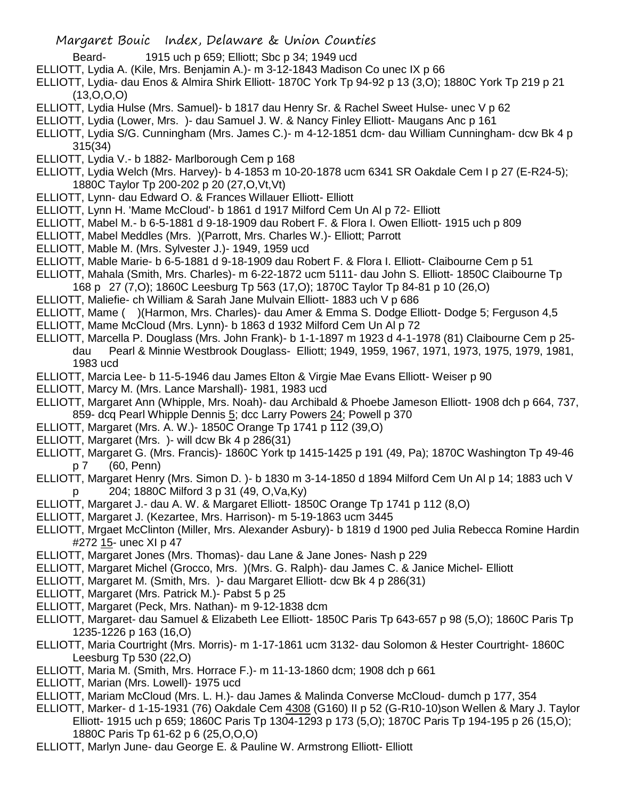- Beard- 1915 uch p 659; Elliott; Sbc p 34; 1949 ucd
- ELLIOTT, Lydia A. (Kile, Mrs. Benjamin A.)- m 3-12-1843 Madison Co unec IX p 66
- ELLIOTT, Lydia- dau Enos & Almira Shirk Elliott- 1870C York Tp 94-92 p 13 (3,O); 1880C York Tp 219 p 21 (13,O,O,O)
- ELLIOTT, Lydia Hulse (Mrs. Samuel)- b 1817 dau Henry Sr. & Rachel Sweet Hulse- unec V p 62
- ELLIOTT, Lydia (Lower, Mrs. )- dau Samuel J. W. & Nancy Finley Elliott- Maugans Anc p 161
- ELLIOTT, Lydia S/G. Cunningham (Mrs. James C.)- m 4-12-1851 dcm- dau William Cunningham- dcw Bk 4 p 315(34)
- ELLIOTT, Lydia V.- b 1882- Marlborough Cem p 168
- ELLIOTT, Lydia Welch (Mrs. Harvey)- b 4-1853 m 10-20-1878 ucm 6341 SR Oakdale Cem I p 27 (E-R24-5); 1880C Taylor Tp 200-202 p 20 (27,O,Vt,Vt)
- ELLIOTT, Lynn- dau Edward O. & Frances Willauer Elliott- Elliott
- ELLIOTT, Lynn H. 'Mame McCloud'- b 1861 d 1917 Milford Cem Un Al p 72- Elliott
- ELLIOTT, Mabel M.- b 6-5-1881 d 9-18-1909 dau Robert F. & Flora I. Owen Elliott- 1915 uch p 809
- ELLIOTT, Mabel Meddles (Mrs. )(Parrott, Mrs. Charles W.)- Elliott; Parrott
- ELLIOTT, Mable M. (Mrs. Sylvester J.)- 1949, 1959 ucd
- ELLIOTT, Mable Marie- b 6-5-1881 d 9-18-1909 dau Robert F. & Flora I. Elliott- Claibourne Cem p 51
- ELLIOTT, Mahala (Smith, Mrs. Charles)- m 6-22-1872 ucm 5111- dau John S. Elliott- 1850C Claibourne Tp 168 p 27 (7,O); 1860C Leesburg Tp 563 (17,O); 1870C Taylor Tp 84-81 p 10 (26,O)
- ELLIOTT, Maliefie- ch William & Sarah Jane Mulvain Elliott- 1883 uch V p 686
- ELLIOTT, Mame ( )(Harmon, Mrs. Charles)- dau Amer & Emma S. Dodge Elliott- Dodge 5; Ferguson 4,5
- ELLIOTT, Mame McCloud (Mrs. Lynn)- b 1863 d 1932 Milford Cem Un Al p 72
- ELLIOTT, Marcella P. Douglass (Mrs. John Frank)- b 1-1-1897 m 1923 d 4-1-1978 (81) Claibourne Cem p 25 dau Pearl & Minnie Westbrook Douglass- Elliott; 1949, 1959, 1967, 1971, 1973, 1975, 1979, 1981, 1983 ucd
- ELLIOTT, Marcia Lee- b 11-5-1946 dau James Elton & Virgie Mae Evans Elliott- Weiser p 90
- ELLIOTT, Marcy M. (Mrs. Lance Marshall)- 1981, 1983 ucd
- ELLIOTT, Margaret Ann (Whipple, Mrs. Noah)- dau Archibald & Phoebe Jameson Elliott- 1908 dch p 664, 737, 859- dcq Pearl Whipple Dennis 5; dcc Larry Powers 24; Powell p 370
- ELLIOTT, Margaret (Mrs. A. W.)- 1850C Orange Tp 1741 p 112 (39,O)
- ELLIOTT, Margaret (Mrs. )- will dcw Bk 4 p 286(31)
- ELLIOTT, Margaret G. (Mrs. Francis)- 1860C York tp 1415-1425 p 191 (49, Pa); 1870C Washington Tp 49-46 p 7 (60, Penn)
- ELLIOTT, Margaret Henry (Mrs. Simon D. )- b 1830 m 3-14-1850 d 1894 Milford Cem Un Al p 14; 1883 uch V p 204; 1880C Milford 3 p 31 (49, O,Va,Ky)
- ELLIOTT, Margaret J.- dau A. W. & Margaret Elliott- 1850C Orange Tp 1741 p 112 (8,O)
- ELLIOTT, Margaret J. (Kezartee, Mrs. Harrison)- m 5-19-1863 ucm 3445
- ELLIOTT, Mrgaet McClinton (Miller, Mrs. Alexander Asbury)- b 1819 d 1900 ped Julia Rebecca Romine Hardin #272 15- unec XI p 47
- ELLIOTT, Margaret Jones (Mrs. Thomas)- dau Lane & Jane Jones- Nash p 229
- ELLIOTT, Margaret Michel (Grocco, Mrs. )(Mrs. G. Ralph)- dau James C. & Janice Michel- Elliott
- ELLIOTT, Margaret M. (Smith, Mrs. )- dau Margaret Elliott- dcw Bk 4 p 286(31)
- ELLIOTT, Margaret (Mrs. Patrick M.)- Pabst 5 p 25
- ELLIOTT, Margaret (Peck, Mrs. Nathan)- m 9-12-1838 dcm
- ELLIOTT, Margaret- dau Samuel & Elizabeth Lee Elliott- 1850C Paris Tp 643-657 p 98 (5,O); 1860C Paris Tp 1235-1226 p 163 (16,O)
- ELLIOTT, Maria Courtright (Mrs. Morris)- m 1-17-1861 ucm 3132- dau Solomon & Hester Courtright- 1860C Leesburg Tp 530 (22,O)
- ELLIOTT, Maria M. (Smith, Mrs. Horrace F.)- m 11-13-1860 dcm; 1908 dch p 661
- ELLIOTT, Marian (Mrs. Lowell)- 1975 ucd
- ELLIOTT, Mariam McCloud (Mrs. L. H.)- dau James & Malinda Converse McCloud- dumch p 177, 354
- ELLIOTT, Marker- d 1-15-1931 (76) Oakdale Cem 4308 (G160) II p 52 (G-R10-10)son Wellen & Mary J. Taylor Elliott- 1915 uch p 659; 1860C Paris Tp 1304-1293 p 173 (5,O); 1870C Paris Tp 194-195 p 26 (15,O); 1880C Paris Tp 61-62 p 6 (25,O,O,O)
- ELLIOTT, Marlyn June- dau George E. & Pauline W. Armstrong Elliott- Elliott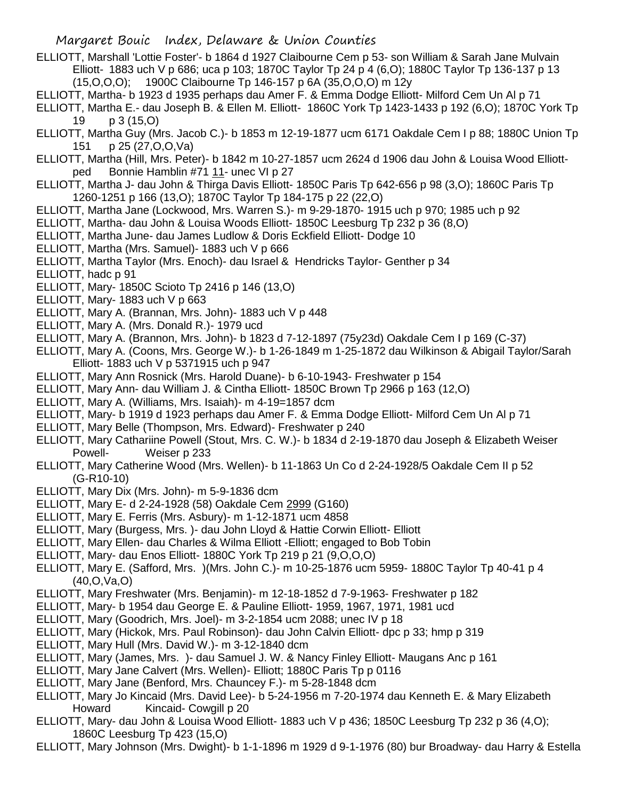- ELLIOTT, Marshall 'Lottie Foster'- b 1864 d 1927 Claibourne Cem p 53- son William & Sarah Jane Mulvain Elliott- 1883 uch V p 686; uca p 103; 1870C Taylor Tp 24 p 4 (6,O); 1880C Taylor Tp 136-137 p 13 (15,O,O,O); 1900C Claibourne Tp 146-157 p 6A (35,O,O,O) m 12y
- ELLIOTT, Martha- b 1923 d 1935 perhaps dau Amer F. & Emma Dodge Elliott- Milford Cem Un Al p 71
- ELLIOTT, Martha E.- dau Joseph B. & Ellen M. Elliott- 1860C York Tp 1423-1433 p 192 (6,O); 1870C York Tp 19 p 3 (15,O)
- ELLIOTT, Martha Guy (Mrs. Jacob C.)- b 1853 m 12-19-1877 ucm 6171 Oakdale Cem I p 88; 1880C Union Tp 151 p 25 (27,O,O,Va)
- ELLIOTT, Martha (Hill, Mrs. Peter)- b 1842 m 10-27-1857 ucm 2624 d 1906 dau John & Louisa Wood Elliottped Bonnie Hamblin #71 11- unec VI p 27
- ELLIOTT, Martha J- dau John & Thirga Davis Elliott- 1850C Paris Tp 642-656 p 98 (3,O); 1860C Paris Tp 1260-1251 p 166 (13,O); 1870C Taylor Tp 184-175 p 22 (22,O)
- ELLIOTT, Martha Jane (Lockwood, Mrs. Warren S.)- m 9-29-1870- 1915 uch p 970; 1985 uch p 92
- ELLIOTT, Martha- dau John & Louisa Woods Elliott- 1850C Leesburg Tp 232 p 36 (8,O)
- ELLIOTT, Martha June- dau James Ludlow & Doris Eckfield Elliott- Dodge 10
- ELLIOTT, Martha (Mrs. Samuel)- 1883 uch V p 666
- ELLIOTT, Martha Taylor (Mrs. Enoch)- dau Israel & Hendricks Taylor- Genther p 34
- ELLIOTT, hadc p 91
- ELLIOTT, Mary- 1850C Scioto Tp 2416 p 146 (13,O)
- ELLIOTT, Mary- 1883 uch V p 663
- ELLIOTT, Mary A. (Brannan, Mrs. John)- 1883 uch V p 448
- ELLIOTT, Mary A. (Mrs. Donald R.)- 1979 ucd
- ELLIOTT, Mary A. (Brannon, Mrs. John)- b 1823 d 7-12-1897 (75y23d) Oakdale Cem I p 169 (C-37)
- ELLIOTT, Mary A. (Coons, Mrs. George W.)- b 1-26-1849 m 1-25-1872 dau Wilkinson & Abigail Taylor/Sarah Elliott- 1883 uch V p 5371915 uch p 947
- ELLIOTT, Mary Ann Rosnick (Mrs. Harold Duane)- b 6-10-1943- Freshwater p 154
- ELLIOTT, Mary Ann- dau William J. & Cintha Elliott- 1850C Brown Tp 2966 p 163 (12,O)
- ELLIOTT, Mary A. (Williams, Mrs. Isaiah)- m 4-19=1857 dcm
- ELLIOTT, Mary- b 1919 d 1923 perhaps dau Amer F. & Emma Dodge Elliott- Milford Cem Un Al p 71
- ELLIOTT, Mary Belle (Thompson, Mrs. Edward)- Freshwater p 240
- ELLIOTT, Mary Cathariine Powell (Stout, Mrs. C. W.)- b 1834 d 2-19-1870 dau Joseph & Elizabeth Weiser Powell- Weiser p 233
- ELLIOTT, Mary Catherine Wood (Mrs. Wellen)- b 11-1863 Un Co d 2-24-1928/5 Oakdale Cem II p 52 (G-R10-10)
- ELLIOTT, Mary Dix (Mrs. John)- m 5-9-1836 dcm
- ELLIOTT, Mary E- d 2-24-1928 (58) Oakdale Cem 2999 (G160)
- ELLIOTT, Mary E. Ferris (Mrs. Asbury)- m 1-12-1871 ucm 4858
- ELLIOTT, Mary (Burgess, Mrs. )- dau John Lloyd & Hattie Corwin Elliott- Elliott
- ELLIOTT, Mary Ellen- dau Charles & Wilma Elliott -Elliott; engaged to Bob Tobin
- ELLIOTT, Mary- dau Enos Elliott- 1880C York Tp 219 p 21 (9,O,O,O)
- ELLIOTT, Mary E. (Safford, Mrs. )(Mrs. John C.)- m 10-25-1876 ucm 5959- 1880C Taylor Tp 40-41 p 4 (40,O,Va,O)
- ELLIOTT, Mary Freshwater (Mrs. Benjamin)- m 12-18-1852 d 7-9-1963- Freshwater p 182
- ELLIOTT, Mary- b 1954 dau George E. & Pauline Elliott- 1959, 1967, 1971, 1981 ucd
- ELLIOTT, Mary (Goodrich, Mrs. Joel)- m 3-2-1854 ucm 2088; unec IV p 18
- ELLIOTT, Mary (Hickok, Mrs. Paul Robinson)- dau John Calvin Elliott- dpc p 33; hmp p 319
- ELLIOTT, Mary Hull (Mrs. David W.)- m 3-12-1840 dcm
- ELLIOTT, Mary (James, Mrs. )- dau Samuel J. W. & Nancy Finley Elliott- Maugans Anc p 161
- ELLIOTT, Mary Jane Calvert (Mrs. Wellen)- Elliott; 1880C Paris Tp p 0116
- ELLIOTT, Mary Jane (Benford, Mrs. Chauncey F.)- m 5-28-1848 dcm
- ELLIOTT, Mary Jo Kincaid (Mrs. David Lee)- b 5-24-1956 m 7-20-1974 dau Kenneth E. & Mary Elizabeth Howard Kincaid- Cowgill p 20
- ELLIOTT, Mary- dau John & Louisa Wood Elliott- 1883 uch V p 436; 1850C Leesburg Tp 232 p 36 (4,O); 1860C Leesburg Tp 423 (15,O)
- ELLIOTT, Mary Johnson (Mrs. Dwight)- b 1-1-1896 m 1929 d 9-1-1976 (80) bur Broadway- dau Harry & Estella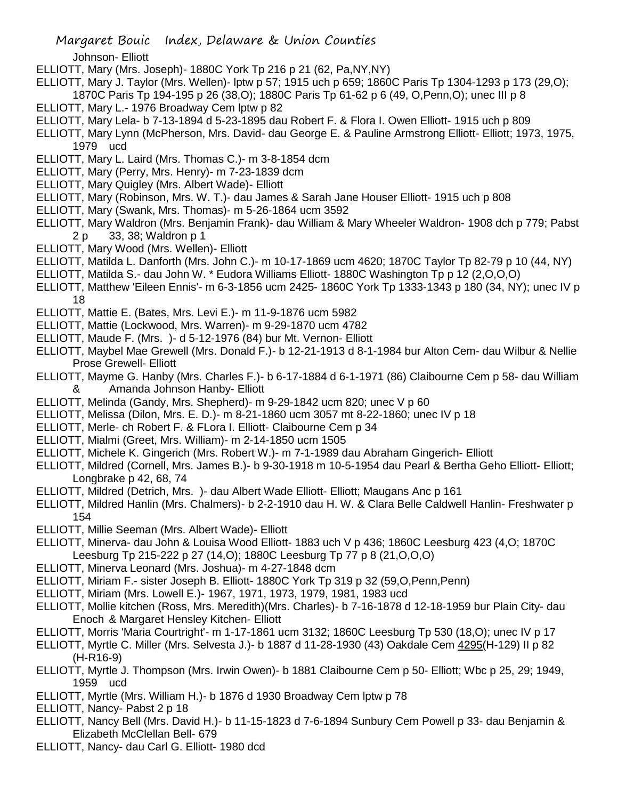Johnson- Elliott

- ELLIOTT, Mary (Mrs. Joseph)- 1880C York Tp 216 p 21 (62, Pa,NY,NY)
- ELLIOTT, Mary J. Taylor (Mrs. Wellen)- lptw p 57; 1915 uch p 659; 1860C Paris Tp 1304-1293 p 173 (29,O);
- 1870C Paris Tp 194-195 p 26 (38,O); 1880C Paris Tp 61-62 p 6 (49, O,Penn,O); unec III p 8
- ELLIOTT, Mary L.- 1976 Broadway Cem lptw p 82
- ELLIOTT, Mary Lela- b 7-13-1894 d 5-23-1895 dau Robert F. & Flora I. Owen Elliott- 1915 uch p 809
- ELLIOTT, Mary Lynn (McPherson, Mrs. David- dau George E. & Pauline Armstrong Elliott- Elliott; 1973, 1975, 1979 ucd
- ELLIOTT, Mary L. Laird (Mrs. Thomas C.)- m 3-8-1854 dcm
- ELLIOTT, Mary (Perry, Mrs. Henry)- m 7-23-1839 dcm
- ELLIOTT, Mary Quigley (Mrs. Albert Wade)- Elliott
- ELLIOTT, Mary (Robinson, Mrs. W. T.)- dau James & Sarah Jane Houser Elliott- 1915 uch p 808
- ELLIOTT, Mary (Swank, Mrs. Thomas)- m 5-26-1864 ucm 3592
- ELLIOTT, Mary Waldron (Mrs. Benjamin Frank)- dau William & Mary Wheeler Waldron- 1908 dch p 779; Pabst 2 p 33, 38; Waldron p 1
- ELLIOTT, Mary Wood (Mrs. Wellen)- Elliott
- ELLIOTT, Matilda L. Danforth (Mrs. John C.)- m 10-17-1869 ucm 4620; 1870C Taylor Tp 82-79 p 10 (44, NY)
- ELLIOTT, Matilda S.- dau John W. \* Eudora Williams Elliott- 1880C Washington Tp p 12 (2,O,O,O)
- ELLIOTT, Matthew 'Eileen Ennis'- m 6-3-1856 ucm 2425- 1860C York Tp 1333-1343 p 180 (34, NY); unec IV p 18
- ELLIOTT, Mattie E. (Bates, Mrs. Levi E.)- m 11-9-1876 ucm 5982
- ELLIOTT, Mattie (Lockwood, Mrs. Warren)- m 9-29-1870 ucm 4782
- ELLIOTT, Maude F. (Mrs. )- d 5-12-1976 (84) bur Mt. Vernon- Elliott
- ELLIOTT, Maybel Mae Grewell (Mrs. Donald F.)- b 12-21-1913 d 8-1-1984 bur Alton Cem- dau Wilbur & Nellie Prose Grewell- Elliott
- ELLIOTT, Mayme G. Hanby (Mrs. Charles F.)- b 6-17-1884 d 6-1-1971 (86) Claibourne Cem p 58- dau William & Amanda Johnson Hanby- Elliott
- ELLIOTT, Melinda (Gandy, Mrs. Shepherd)- m 9-29-1842 ucm 820; unec V p 60
- ELLIOTT, Melissa (Dilon, Mrs. E. D.)- m 8-21-1860 ucm 3057 mt 8-22-1860; unec IV p 18
- ELLIOTT, Merle- ch Robert F. & FLora I. Elliott- Claibourne Cem p 34
- ELLIOTT, Mialmi (Greet, Mrs. William)- m 2-14-1850 ucm 1505
- ELLIOTT, Michele K. Gingerich (Mrs. Robert W.)- m 7-1-1989 dau Abraham Gingerich- Elliott
- ELLIOTT, Mildred (Cornell, Mrs. James B.)- b 9-30-1918 m 10-5-1954 dau Pearl & Bertha Geho Elliott- Elliott; Longbrake p 42, 68, 74
- ELLIOTT, Mildred (Detrich, Mrs. )- dau Albert Wade Elliott- Elliott; Maugans Anc p 161
- ELLIOTT, Mildred Hanlin (Mrs. Chalmers)- b 2-2-1910 dau H. W. & Clara Belle Caldwell Hanlin- Freshwater p 154
- ELLIOTT, Millie Seeman (Mrs. Albert Wade)- Elliott
- ELLIOTT, Minerva- dau John & Louisa Wood Elliott- 1883 uch V p 436; 1860C Leesburg 423 (4,O; 1870C Leesburg Tp 215-222 p 27 (14,O); 1880C Leesburg Tp 77 p 8 (21,O,O,O)
- ELLIOTT, Minerva Leonard (Mrs. Joshua)- m 4-27-1848 dcm
- ELLIOTT, Miriam F.- sister Joseph B. Elliott- 1880C York Tp 319 p 32 (59,O,Penn,Penn)
- ELLIOTT, Miriam (Mrs. Lowell E.)- 1967, 1971, 1973, 1979, 1981, 1983 ucd
- ELLIOTT, Mollie kitchen (Ross, Mrs. Meredith)(Mrs. Charles)- b 7-16-1878 d 12-18-1959 bur Plain City- dau Enoch & Margaret Hensley Kitchen- Elliott
- ELLIOTT, Morris 'Maria Courtright'- m 1-17-1861 ucm 3132; 1860C Leesburg Tp 530 (18,O); unec IV p 17
- ELLIOTT, Myrtle C. Miller (Mrs. Selvesta J.)- b 1887 d 11-28-1930 (43) Oakdale Cem 4295(H-129) II p 82 (H-R16-9)
- ELLIOTT, Myrtle J. Thompson (Mrs. Irwin Owen)- b 1881 Claibourne Cem p 50- Elliott; Wbc p 25, 29; 1949, 1959 ucd
- ELLIOTT, Myrtle (Mrs. William H.)- b 1876 d 1930 Broadway Cem lptw p 78
- ELLIOTT, Nancy- Pabst 2 p 18
- ELLIOTT, Nancy Bell (Mrs. David H.)- b 11-15-1823 d 7-6-1894 Sunbury Cem Powell p 33- dau Benjamin & Elizabeth McClellan Bell- 679
- ELLIOTT, Nancy- dau Carl G. Elliott- 1980 dcd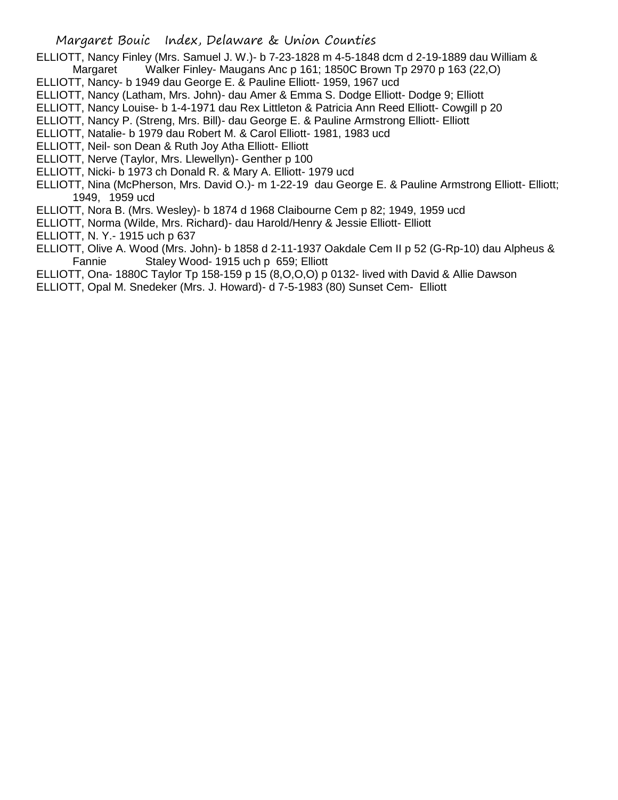ELLIOTT, Nancy Finley (Mrs. Samuel J. W.)- b 7-23-1828 m 4-5-1848 dcm d 2-19-1889 dau William & Margaret Walker Finley- Maugans Anc p 161; 1850C Brown Tp 2970 p 163 (22,O)

ELLIOTT, Nancy- b 1949 dau George E. & Pauline Elliott- 1959, 1967 ucd

ELLIOTT, Nancy (Latham, Mrs. John)- dau Amer & Emma S. Dodge Elliott- Dodge 9; Elliott

ELLIOTT, Nancy Louise- b 1-4-1971 dau Rex Littleton & Patricia Ann Reed Elliott- Cowgill p 20

ELLIOTT, Nancy P. (Streng, Mrs. Bill)- dau George E. & Pauline Armstrong Elliott- Elliott

ELLIOTT, Natalie- b 1979 dau Robert M. & Carol Elliott- 1981, 1983 ucd

ELLIOTT, Neil- son Dean & Ruth Joy Atha Elliott- Elliott

ELLIOTT, Nerve (Taylor, Mrs. Llewellyn)- Genther p 100

ELLIOTT, Nicki- b 1973 ch Donald R. & Mary A. Elliott- 1979 ucd

ELLIOTT, Nina (McPherson, Mrs. David O.)- m 1-22-19 dau George E. & Pauline Armstrong Elliott- Elliott; 1949, 1959 ucd

ELLIOTT, Nora B. (Mrs. Wesley)- b 1874 d 1968 Claibourne Cem p 82; 1949, 1959 ucd

ELLIOTT, Norma (Wilde, Mrs. Richard)- dau Harold/Henry & Jessie Elliott- Elliott

ELLIOTT, N. Y.- 1915 uch p 637

ELLIOTT, Olive A. Wood (Mrs. John)- b 1858 d 2-11-1937 Oakdale Cem II p 52 (G-Rp-10) dau Alpheus & Fannie Staley Wood- 1915 uch p 659; Elliott

ELLIOTT, Ona- 1880C Taylor Tp 158-159 p 15 (8,O,O,O) p 0132- lived with David & Allie Dawson

ELLIOTT, Opal M. Snedeker (Mrs. J. Howard)- d 7-5-1983 (80) Sunset Cem- Elliott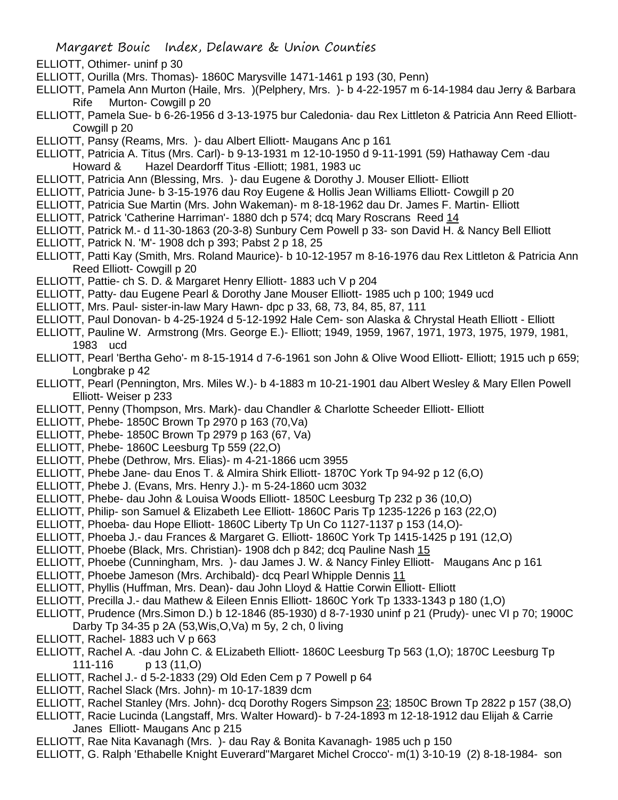- ELLIOTT, Othimer- uninf p 30
- ELLIOTT, Ourilla (Mrs. Thomas)- 1860C Marysville 1471-1461 p 193 (30, Penn)
- ELLIOTT, Pamela Ann Murton (Haile, Mrs. )(Pelphery, Mrs. )- b 4-22-1957 m 6-14-1984 dau Jerry & Barbara Rife Murton- Cowgill p 20
- ELLIOTT, Pamela Sue- b 6-26-1956 d 3-13-1975 bur Caledonia- dau Rex Littleton & Patricia Ann Reed Elliott-Cowgill p 20
- ELLIOTT, Pansy (Reams, Mrs. )- dau Albert Elliott- Maugans Anc p 161
- ELLIOTT, Patricia A. Titus (Mrs. Carl)- b 9-13-1931 m 12-10-1950 d 9-11-1991 (59) Hathaway Cem -dau Howard & Hazel Deardorff Titus -Elliott; 1981, 1983 uc
- ELLIOTT, Patricia Ann (Blessing, Mrs. )- dau Eugene & Dorothy J. Mouser Elliott- Elliott
- ELLIOTT, Patricia June- b 3-15-1976 dau Roy Eugene & Hollis Jean Williams Elliott- Cowgill p 20
- ELLIOTT, Patricia Sue Martin (Mrs. John Wakeman)- m 8-18-1962 dau Dr. James F. Martin- Elliott
- ELLIOTT, Patrick 'Catherine Harriman'- 1880 dch p 574; dcq Mary Roscrans Reed 14
- ELLIOTT, Patrick M.- d 11-30-1863 (20-3-8) Sunbury Cem Powell p 33- son David H. & Nancy Bell Elliott
- ELLIOTT, Patrick N. 'M'- 1908 dch p 393; Pabst 2 p 18, 25
- ELLIOTT, Patti Kay (Smith, Mrs. Roland Maurice)- b 10-12-1957 m 8-16-1976 dau Rex Littleton & Patricia Ann Reed Elliott- Cowgill p 20
- ELLIOTT, Pattie- ch S. D. & Margaret Henry Elliott- 1883 uch V p 204
- ELLIOTT, Patty- dau Eugene Pearl & Dorothy Jane Mouser Elliott- 1985 uch p 100; 1949 ucd
- ELLIOTT, Mrs. Paul- sister-in-law Mary Hawn- dpc p 33, 68, 73, 84, 85, 87, 111
- ELLIOTT, Paul Donovan- b 4-25-1924 d 5-12-1992 Hale Cem- son Alaska & Chrystal Heath Elliott Elliott
- ELLIOTT, Pauline W. Armstrong (Mrs. George E.)- Elliott; 1949, 1959, 1967, 1971, 1973, 1975, 1979, 1981, 1983 ucd
- ELLIOTT, Pearl 'Bertha Geho'- m 8-15-1914 d 7-6-1961 son John & Olive Wood Elliott- Elliott; 1915 uch p 659; Longbrake p 42
- ELLIOTT, Pearl (Pennington, Mrs. Miles W.)- b 4-1883 m 10-21-1901 dau Albert Wesley & Mary Ellen Powell Elliott- Weiser p 233
- ELLIOTT, Penny (Thompson, Mrs. Mark)- dau Chandler & Charlotte Scheeder Elliott- Elliott
- ELLIOTT, Phebe- 1850C Brown Tp 2970 p 163 (70,Va)
- ELLIOTT, Phebe- 1850C Brown Tp 2979 p 163 (67, Va)
- ELLIOTT, Phebe- 1860C Leesburg Tp 559 (22,O)
- ELLIOTT, Phebe (Dethrow, Mrs. Elias)- m 4-21-1866 ucm 3955
- ELLIOTT, Phebe Jane- dau Enos T. & Almira Shirk Elliott- 1870C York Tp 94-92 p 12 (6,O)
- ELLIOTT, Phebe J. (Evans, Mrs. Henry J.)- m 5-24-1860 ucm 3032
- ELLIOTT, Phebe- dau John & Louisa Woods Elliott- 1850C Leesburg Tp 232 p 36 (10,O)
- ELLIOTT, Philip- son Samuel & Elizabeth Lee Elliott- 1860C Paris Tp 1235-1226 p 163 (22,O)
- ELLIOTT, Phoeba- dau Hope Elliott- 1860C Liberty Tp Un Co 1127-1137 p 153 (14,O)-
- ELLIOTT, Phoeba J.- dau Frances & Margaret G. Elliott- 1860C York Tp 1415-1425 p 191 (12,O)
- ELLIOTT, Phoebe (Black, Mrs. Christian)- 1908 dch p 842; dcq Pauline Nash 15
- ELLIOTT, Phoebe (Cunningham, Mrs. )- dau James J. W. & Nancy Finley Elliott- Maugans Anc p 161
- ELLIOTT, Phoebe Jameson (Mrs. Archibald)- dcq Pearl Whipple Dennis 11
- ELLIOTT, Phyllis (Huffman, Mrs. Dean)- dau John Lloyd & Hattie Corwin Elliott- Elliott
- ELLIOTT, Precilla J.- dau Mathew & Eileen Ennis Elliott- 1860C York Tp 1333-1343 p 180 (1,O)
- ELLIOTT, Prudence (Mrs.Simon D.) b 12-1846 (85-1930) d 8-7-1930 uninf p 21 (Prudy)- unec VI p 70; 1900C
- Darby Tp 34-35 p 2A (53,Wis,O,Va) m 5y, 2 ch, 0 living
- ELLIOTT, Rachel- 1883 uch V p 663
- ELLIOTT, Rachel A. -dau John C. & ELizabeth Elliott- 1860C Leesburg Tp 563 (1,O); 1870C Leesburg Tp 111-116 p 13 (11,O)
- ELLIOTT, Rachel J.- d 5-2-1833 (29) Old Eden Cem p 7 Powell p 64
- ELLIOTT, Rachel Slack (Mrs. John)- m 10-17-1839 dcm
- ELLIOTT, Rachel Stanley (Mrs. John)- dcq Dorothy Rogers Simpson 23; 1850C Brown Tp 2822 p 157 (38,O)
- ELLIOTT, Racie Lucinda (Langstaff, Mrs. Walter Howard)- b 7-24-1893 m 12-18-1912 dau Elijah & Carrie Janes Elliott- Maugans Anc p 215
- ELLIOTT, Rae Nita Kavanagh (Mrs. )- dau Ray & Bonita Kavanagh- 1985 uch p 150
- ELLIOTT, G. Ralph 'Ethabelle Knight Euverard''Margaret Michel Crocco'- m(1) 3-10-19 (2) 8-18-1984- son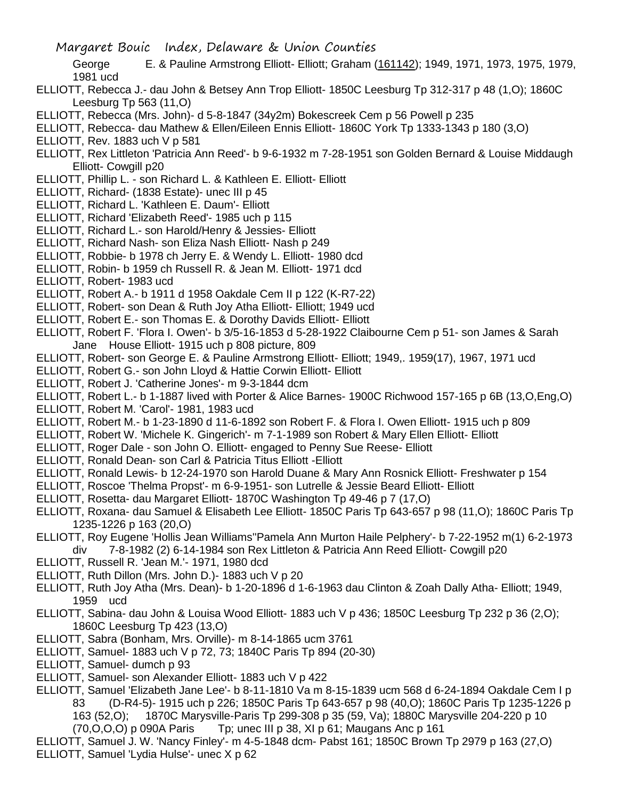George E. & Pauline Armstrong Elliott- Elliott; Graham (161142); 1949, 1971, 1973, 1975, 1979, 1981 ucd

- ELLIOTT, Rebecca J.- dau John & Betsey Ann Trop Elliott- 1850C Leesburg Tp 312-317 p 48 (1,O); 1860C Leesburg Tp 563 (11,O)
- ELLIOTT, Rebecca (Mrs. John)- d 5-8-1847 (34y2m) Bokescreek Cem p 56 Powell p 235
- ELLIOTT, Rebecca- dau Mathew & Ellen/Eileen Ennis Elliott- 1860C York Tp 1333-1343 p 180 (3,O)
- ELLIOTT, Rev. 1883 uch V p 581
- ELLIOTT, Rex Littleton 'Patricia Ann Reed'- b 9-6-1932 m 7-28-1951 son Golden Bernard & Louise Middaugh Elliott- Cowgill p20
- ELLIOTT, Phillip L. son Richard L. & Kathleen E. Elliott- Elliott
- ELLIOTT, Richard- (1838 Estate)- unec III p 45
- ELLIOTT, Richard L. 'Kathleen E. Daum'- Elliott
- ELLIOTT, Richard 'Elizabeth Reed'- 1985 uch p 115
- ELLIOTT, Richard L.- son Harold/Henry & Jessies- Elliott
- ELLIOTT, Richard Nash- son Eliza Nash Elliott- Nash p 249
- ELLIOTT, Robbie- b 1978 ch Jerry E. & Wendy L. Elliott- 1980 dcd
- ELLIOTT, Robin- b 1959 ch Russell R. & Jean M. Elliott- 1971 dcd
- ELLIOTT, Robert- 1983 ucd
- ELLIOTT, Robert A.- b 1911 d 1958 Oakdale Cem II p 122 (K-R7-22)
- ELLIOTT, Robert- son Dean & Ruth Joy Atha Elliott- Elliott; 1949 ucd
- ELLIOTT, Robert E.- son Thomas E. & Dorothy Davids Elliott- Elliott
- ELLIOTT, Robert F. 'Flora I. Owen'- b 3/5-16-1853 d 5-28-1922 Claibourne Cem p 51- son James & Sarah Jane House Elliott- 1915 uch p 808 picture, 809
- ELLIOTT, Robert- son George E. & Pauline Armstrong Elliott- Elliott; 1949,. 1959(17), 1967, 1971 ucd
- ELLIOTT, Robert G.- son John Lloyd & Hattie Corwin Elliott- Elliott
- ELLIOTT, Robert J. 'Catherine Jones'- m 9-3-1844 dcm

ELLIOTT, Robert L.- b 1-1887 lived with Porter & Alice Barnes- 1900C Richwood 157-165 p 6B (13,O,Eng,O)

- ELLIOTT, Robert M. 'Carol'- 1981, 1983 ucd
- ELLIOTT, Robert M.- b 1-23-1890 d 11-6-1892 son Robert F. & Flora I. Owen Elliott- 1915 uch p 809
- ELLIOTT, Robert W. 'Michele K. Gingerich'- m 7-1-1989 son Robert & Mary Ellen Elliott- Elliott
- ELLIOTT, Roger Dale son John O. Elliott- engaged to Penny Sue Reese- Elliott
- ELLIOTT, Ronald Dean- son Carl & Patricia Titus Elliott -Elliott
- ELLIOTT, Ronald Lewis- b 12-24-1970 son Harold Duane & Mary Ann Rosnick Elliott- Freshwater p 154
- ELLIOTT, Roscoe 'Thelma Propst'- m 6-9-1951- son Lutrelle & Jessie Beard Elliott- Elliott
- ELLIOTT, Rosetta- dau Margaret Elliott- 1870C Washington Tp 49-46 p 7 (17,O)
- ELLIOTT, Roxana- dau Samuel & Elisabeth Lee Elliott- 1850C Paris Tp 643-657 p 98 (11,O); 1860C Paris Tp 1235-1226 p 163 (20,O)
- ELLIOTT, Roy Eugene 'Hollis Jean Williams''Pamela Ann Murton Haile Pelphery'- b 7-22-1952 m(1) 6-2-1973 div 7-8-1982 (2) 6-14-1984 son Rex Littleton & Patricia Ann Reed Elliott- Cowgill p20
- ELLIOTT, Russell R. 'Jean M.'- 1971, 1980 dcd
- ELLIOTT, Ruth Dillon (Mrs. John D.)- 1883 uch V p 20
- ELLIOTT, Ruth Joy Atha (Mrs. Dean)- b 1-20-1896 d 1-6-1963 dau Clinton & Zoah Dally Atha- Elliott; 1949, 1959 ucd
- ELLIOTT, Sabina- dau John & Louisa Wood Elliott- 1883 uch V p 436; 1850C Leesburg Tp 232 p 36 (2,O); 1860C Leesburg Tp 423 (13,O)
- ELLIOTT, Sabra (Bonham, Mrs. Orville)- m 8-14-1865 ucm 3761
- ELLIOTT, Samuel- 1883 uch V p 72, 73; 1840C Paris Tp 894 (20-30)
- ELLIOTT, Samuel- dumch p 93
- ELLIOTT, Samuel- son Alexander Elliott- 1883 uch V p 422
- ELLIOTT, Samuel 'Elizabeth Jane Lee'- b 8-11-1810 Va m 8-15-1839 ucm 568 d 6-24-1894 Oakdale Cem I p 83 (D-R4-5)- 1915 uch p 226; 1850C Paris Tp 643-657 p 98 (40,O); 1860C Paris Tp 1235-1226 p 163 (52,O); 1870C Marysville-Paris Tp 299-308 p 35 (59, Va); 1880C Marysville 204-220 p 10  $(70,0,0,0)$  p 090A Paris Tp; unec III p 38, XI p 61; Maugans Anc p 161

ELLIOTT, Samuel J. W. 'Nancy Finley'- m 4-5-1848 dcm- Pabst 161; 1850C Brown Tp 2979 p 163 (27,O) ELLIOTT, Samuel 'Lydia Hulse'- unec X p 62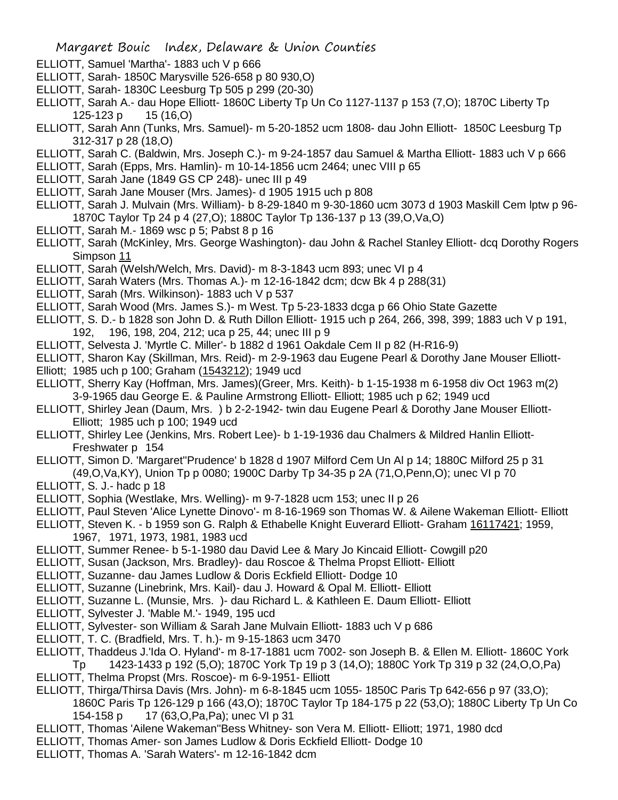- ELLIOTT, Samuel 'Martha'- 1883 uch V p 666
- ELLIOTT, Sarah- 1850C Marysville 526-658 p 80 930,O)
- ELLIOTT, Sarah- 1830C Leesburg Tp 505 p 299 (20-30)
- ELLIOTT, Sarah A.- dau Hope Elliott- 1860C Liberty Tp Un Co 1127-1137 p 153 (7,O); 1870C Liberty Tp 125-123 p 15 (16,O)
- ELLIOTT, Sarah Ann (Tunks, Mrs. Samuel)- m 5-20-1852 ucm 1808- dau John Elliott- 1850C Leesburg Tp 312-317 p 28 (18,O)
- ELLIOTT, Sarah C. (Baldwin, Mrs. Joseph C.)- m 9-24-1857 dau Samuel & Martha Elliott- 1883 uch V p 666
- ELLIOTT, Sarah (Epps, Mrs. Hamlin)- m 10-14-1856 ucm 2464; unec VIII p 65
- ELLIOTT, Sarah Jane (1849 GS CP 248)- unec III p 49
- ELLIOTT, Sarah Jane Mouser (Mrs. James)- d 1905 1915 uch p 808
- ELLIOTT, Sarah J. Mulvain (Mrs. William)- b 8-29-1840 m 9-30-1860 ucm 3073 d 1903 Maskill Cem lptw p 96- 1870C Taylor Tp 24 p 4 (27,O); 1880C Taylor Tp 136-137 p 13 (39,O,Va,O)
- ELLIOTT, Sarah M.- 1869 wsc p 5; Pabst 8 p 16
- ELLIOTT, Sarah (McKinley, Mrs. George Washington)- dau John & Rachel Stanley Elliott- dcq Dorothy Rogers Simpson 11
- ELLIOTT, Sarah (Welsh/Welch, Mrs. David)- m 8-3-1843 ucm 893; unec VI p 4
- ELLIOTT, Sarah Waters (Mrs. Thomas A.)- m 12-16-1842 dcm; dcw Bk 4 p 288(31)
- ELLIOTT, Sarah (Mrs. Wilkinson)- 1883 uch V p 537
- ELLIOTT, Sarah Wood (Mrs. James S.)- m West. Tp 5-23-1833 dcga p 66 Ohio State Gazette
- ELLIOTT, S. D.- b 1828 son John D. & Ruth Dillon Elliott- 1915 uch p 264, 266, 398, 399; 1883 uch V p 191, 192, 196, 198, 204, 212; uca p 25, 44; unec III p 9
- ELLIOTT, Selvesta J. 'Myrtle C. Miller'- b 1882 d 1961 Oakdale Cem II p 82 (H-R16-9)
- ELLIOTT, Sharon Kay (Skillman, Mrs. Reid)- m 2-9-1963 dau Eugene Pearl & Dorothy Jane Mouser Elliott-Elliott; 1985 uch p 100; Graham (1543212); 1949 ucd
- ELLIOTT, Sherry Kay (Hoffman, Mrs. James)(Greer, Mrs. Keith)- b 1-15-1938 m 6-1958 div Oct 1963 m(2) 3-9-1965 dau George E. & Pauline Armstrong Elliott- Elliott; 1985 uch p 62; 1949 ucd
- ELLIOTT, Shirley Jean (Daum, Mrs. ) b 2-2-1942- twin dau Eugene Pearl & Dorothy Jane Mouser Elliott-Elliott; 1985 uch p 100; 1949 ucd
- ELLIOTT, Shirley Lee (Jenkins, Mrs. Robert Lee)- b 1-19-1936 dau Chalmers & Mildred Hanlin Elliott-Freshwater p 154
- ELLIOTT, Simon D. 'Margaret''Prudence' b 1828 d 1907 Milford Cem Un Al p 14; 1880C Milford 25 p 31 (49,O,Va,KY), Union Tp p 0080; 1900C Darby Tp 34-35 p 2A (71,O,Penn,O); unec VI p 70
- ELLIOTT, S. J.- hadc p 18
- ELLIOTT, Sophia (Westlake, Mrs. Welling)- m 9-7-1828 ucm 153; unec II p 26
- ELLIOTT, Paul Steven 'Alice Lynette Dinovo'- m 8-16-1969 son Thomas W. & Ailene Wakeman Elliott- Elliott
- ELLIOTT, Steven K. b 1959 son G. Ralph & Ethabelle Knight Euverard Elliott- Graham 16117421; 1959,
	- 1967, 1971, 1973, 1981, 1983 ucd
- ELLIOTT, Summer Renee- b 5-1-1980 dau David Lee & Mary Jo Kincaid Elliott- Cowgill p20
- ELLIOTT, Susan (Jackson, Mrs. Bradley)- dau Roscoe & Thelma Propst Elliott- Elliott
- ELLIOTT, Suzanne- dau James Ludlow & Doris Eckfield Elliott- Dodge 10
- ELLIOTT, Suzanne (Linebrink, Mrs. Kail)- dau J. Howard & Opal M. Elliott- Elliott
- ELLIOTT, Suzanne L. (Munsie, Mrs. )- dau Richard L. & Kathleen E. Daum Elliott- Elliott
- ELLIOTT, Sylvester J. 'Mable M.'- 1949, 195 ucd
- ELLIOTT, Sylvester- son William & Sarah Jane Mulvain Elliott- 1883 uch V p 686
- ELLIOTT, T. C. (Bradfield, Mrs. T. h.)- m 9-15-1863 ucm 3470
- ELLIOTT, Thaddeus J.'Ida O. Hyland'- m 8-17-1881 ucm 7002- son Joseph B. & Ellen M. Elliott- 1860C York Tp 1423-1433 p 192 (5,O); 1870C York Tp 19 p 3 (14,O); 1880C York Tp 319 p 32 (24,O,O,Pa)
- ELLIOTT, Thelma Propst (Mrs. Roscoe)- m 6-9-1951- Elliott
- ELLIOTT, Thirga/Thirsa Davis (Mrs. John)- m 6-8-1845 ucm 1055- 1850C Paris Tp 642-656 p 97 (33,O);
	- 1860C Paris Tp 126-129 p 166 (43,O); 1870C Taylor Tp 184-175 p 22 (53,O); 1880C Liberty Tp Un Co 154-158 p 17 (63,O,Pa,Pa); unec VI p 31
- ELLIOTT, Thomas 'Ailene Wakeman''Bess Whitney- son Vera M. Elliott- Elliott; 1971, 1980 dcd
- ELLIOTT, Thomas Amer- son James Ludlow & Doris Eckfield Elliott- Dodge 10
- ELLIOTT, Thomas A. 'Sarah Waters'- m 12-16-1842 dcm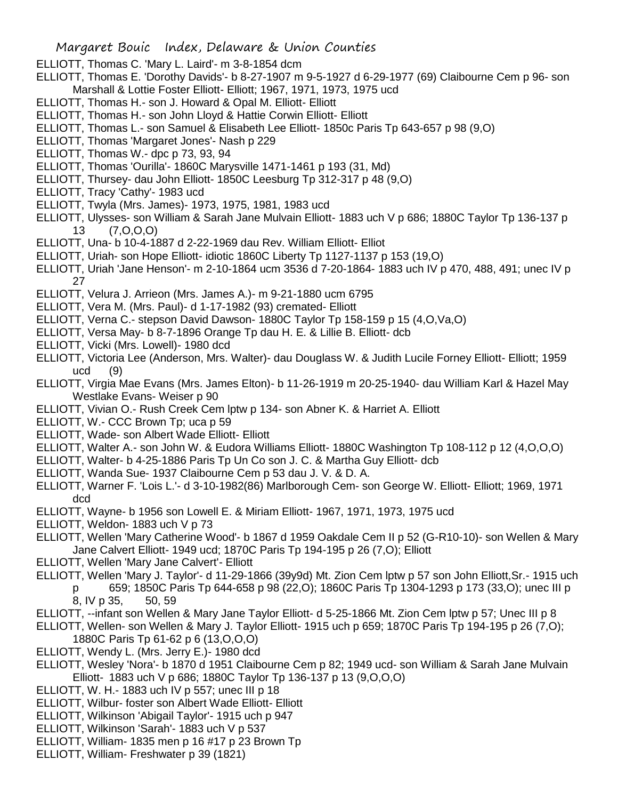- ELLIOTT, Thomas C. 'Mary L. Laird'- m 3-8-1854 dcm
- ELLIOTT, Thomas E. 'Dorothy Davids'- b 8-27-1907 m 9-5-1927 d 6-29-1977 (69) Claibourne Cem p 96- son Marshall & Lottie Foster Elliott- Elliott; 1967, 1971, 1973, 1975 ucd
- ELLIOTT, Thomas H.- son J. Howard & Opal M. Elliott- Elliott
- ELLIOTT, Thomas H.- son John Lloyd & Hattie Corwin Elliott- Elliott
- ELLIOTT, Thomas L.- son Samuel & Elisabeth Lee Elliott- 1850c Paris Tp 643-657 p 98 (9,O)
- ELLIOTT, Thomas 'Margaret Jones'- Nash p 229
- ELLIOTT, Thomas W.- dpc p 73, 93, 94
- ELLIOTT, Thomas 'Ourilla'- 1860C Marysville 1471-1461 p 193 (31, Md)
- ELLIOTT, Thursey- dau John Elliott- 1850C Leesburg Tp 312-317 p 48 (9,O)
- ELLIOTT, Tracy 'Cathy'- 1983 ucd
- ELLIOTT, Twyla (Mrs. James)- 1973, 1975, 1981, 1983 ucd
- ELLIOTT, Ulysses- son William & Sarah Jane Mulvain Elliott- 1883 uch V p 686; 1880C Taylor Tp 136-137 p 13 (7,O,O,O)
- ELLIOTT, Una- b 10-4-1887 d 2-22-1969 dau Rev. William Elliott- Elliot
- ELLIOTT, Uriah- son Hope Elliott- idiotic 1860C Liberty Tp 1127-1137 p 153 (19,O)
- ELLIOTT, Uriah 'Jane Henson'- m 2-10-1864 ucm 3536 d 7-20-1864- 1883 uch IV p 470, 488, 491; unec IV p 27
- ELLIOTT, Velura J. Arrieon (Mrs. James A.)- m 9-21-1880 ucm 6795
- ELLIOTT, Vera M. (Mrs. Paul)- d 1-17-1982 (93) cremated- Elliott
- ELLIOTT, Verna C.- stepson David Dawson- 1880C Taylor Tp 158-159 p 15 (4,O,Va,O)
- ELLIOTT, Versa May- b 8-7-1896 Orange Tp dau H. E. & Lillie B. Elliott- dcb
- ELLIOTT, Vicki (Mrs. Lowell)- 1980 dcd
- ELLIOTT, Victoria Lee (Anderson, Mrs. Walter)- dau Douglass W. & Judith Lucile Forney Elliott- Elliott; 1959 ucd (9)
- ELLIOTT, Virgia Mae Evans (Mrs. James Elton)- b 11-26-1919 m 20-25-1940- dau William Karl & Hazel May Westlake Evans- Weiser p 90
- ELLIOTT, Vivian O.- Rush Creek Cem lptw p 134- son Abner K. & Harriet A. Elliott
- ELLIOTT, W.- CCC Brown Tp; uca p 59
- ELLIOTT, Wade- son Albert Wade Elliott- Elliott
- ELLIOTT, Walter A.- son John W. & Eudora Williams Elliott- 1880C Washington Tp 108-112 p 12 (4,O,O,O)
- ELLIOTT, Walter- b 4-25-1886 Paris Tp Un Co son J. C. & Martha Guy Elliott- dcb
- ELLIOTT, Wanda Sue- 1937 Claibourne Cem p 53 dau J. V. & D. A.
- ELLIOTT, Warner F. 'Lois L.'- d 3-10-1982(86) Marlborough Cem- son George W. Elliott- Elliott; 1969, 1971 dcd
- ELLIOTT, Wayne- b 1956 son Lowell E. & Miriam Elliott- 1967, 1971, 1973, 1975 ucd
- ELLIOTT, Weldon- 1883 uch V p 73
- ELLIOTT, Wellen 'Mary Catherine Wood'- b 1867 d 1959 Oakdale Cem II p 52 (G-R10-10)- son Wellen & Mary Jane Calvert Elliott- 1949 ucd; 1870C Paris Tp 194-195 p 26 (7,O); Elliott
- ELLIOTT, Wellen 'Mary Jane Calvert'- Elliott
- ELLIOTT, Wellen 'Mary J. Taylor'- d 11-29-1866 (39y9d) Mt. Zion Cem lptw p 57 son John Elliott,Sr.- 1915 uch
	- p 659; 1850C Paris Tp 644-658 p 98 (22,O); 1860C Paris Tp 1304-1293 p 173 (33,O); unec III p 8, IV p 35, 50, 59
- ELLIOTT, --infant son Wellen & Mary Jane Taylor Elliott- d 5-25-1866 Mt. Zion Cem lptw p 57; Unec III p 8
- ELLIOTT, Wellen- son Wellen & Mary J. Taylor Elliott- 1915 uch p 659; 1870C Paris Tp 194-195 p 26 (7,O); 1880C Paris Tp 61-62 p 6 (13,O,O,O)
- ELLIOTT, Wendy L. (Mrs. Jerry E.)- 1980 dcd
- ELLIOTT, Wesley 'Nora'- b 1870 d 1951 Claibourne Cem p 82; 1949 ucd- son William & Sarah Jane Mulvain Elliott- 1883 uch V p 686; 1880C Taylor Tp 136-137 p 13 (9,O,O,O)
- ELLIOTT, W. H.- 1883 uch IV p 557; unec III p 18
- ELLIOTT, Wilbur- foster son Albert Wade Elliott- Elliott
- ELLIOTT, Wilkinson 'Abigail Taylor'- 1915 uch p 947
- ELLIOTT, Wilkinson 'Sarah'- 1883 uch V p 537
- ELLIOTT, William- 1835 men p 16 #17 p 23 Brown Tp
- ELLIOTT, William- Freshwater p 39 (1821)